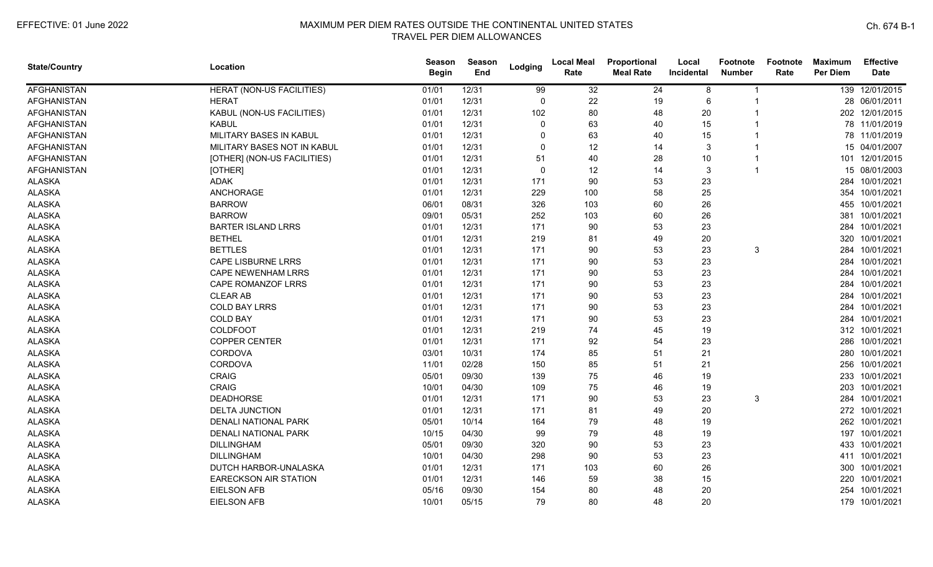| <b>State/Country</b> | Location                         | <b>Season</b><br><b>Begin</b> | Season<br>End | Lodging      | <b>Local Meal</b><br>Rate | Proportional<br><b>Meal Rate</b> | Local<br>Incidental | <b>Footnote</b><br><b>Number</b> | Footnote<br>Rate | <b>Maximum</b><br><b>Per Diem</b> | <b>Effective</b><br><b>Date</b> |
|----------------------|----------------------------------|-------------------------------|---------------|--------------|---------------------------|----------------------------------|---------------------|----------------------------------|------------------|-----------------------------------|---------------------------------|
| <b>AFGHANISTAN</b>   | <b>HERAT (NON-US FACILITIES)</b> | 01/01                         | 12/31         | 99           | 32                        | 24                               | 8                   | 1                                |                  |                                   | 139 12/01/2015                  |
| <b>AFGHANISTAN</b>   | <b>HERAT</b>                     | 01/01                         | 12/31         | $\Omega$     | 22                        | 19                               | 6                   | 1                                |                  |                                   | 28 06/01/2011                   |
| AFGHANISTAN          | KABUL (NON-US FACILITIES)        | 01/01                         | 12/31         | 102          | 80                        | 48                               | 20                  | 1                                |                  |                                   | 202 12/01/2015                  |
| <b>AFGHANISTAN</b>   | <b>KABUL</b>                     | 01/01                         | 12/31         | $\Omega$     | 63                        | 40                               | 15                  |                                  |                  |                                   | 78 11/01/2019                   |
| <b>AFGHANISTAN</b>   | MILITARY BASES IN KABUL          | 01/01                         | 12/31         |              | 63                        | 40                               | 15                  |                                  |                  |                                   | 78 11/01/2019                   |
| <b>AFGHANISTAN</b>   | MILITARY BASES NOT IN KABUL      | 01/01                         | 12/31         | $\Omega$     | 12                        | 14                               | 3                   |                                  |                  |                                   | 15 04/01/2007                   |
| <b>AFGHANISTAN</b>   | [OTHER] (NON-US FACILITIES)      | 01/01                         | 12/31         | 51           | 40                        | 28                               | 10                  | -1                               |                  | 101                               | 12/01/2015                      |
| <b>AFGHANISTAN</b>   | [OTHER]                          | 01/01                         | 12/31         | $\mathbf{0}$ | 12                        | 14                               | 3                   | -1                               |                  |                                   | 15 08/01/2003                   |
| <b>ALASKA</b>        | <b>ADAK</b>                      | 01/01                         | 12/31         | 171          | 90                        | 53                               | 23                  |                                  |                  | 284                               | 10/01/2021                      |
| <b>ALASKA</b>        | <b>ANCHORAGE</b>                 | 01/01                         | 12/31         | 229          | 100                       | 58                               | 25                  |                                  |                  |                                   | 354 10/01/2021                  |
| <b>ALASKA</b>        | <b>BARROW</b>                    | 06/01                         | 08/31         | 326          | 103                       | 60                               | 26                  |                                  |                  |                                   | 455 10/01/2021                  |
| <b>ALASKA</b>        | <b>BARROW</b>                    | 09/01                         | 05/31         | 252          | 103                       | 60                               | 26                  |                                  |                  |                                   | 381 10/01/2021                  |
| <b>ALASKA</b>        | <b>BARTER ISLAND LRRS</b>        | 01/01                         | 12/31         | 171          | 90                        | 53                               | 23                  |                                  |                  | 284                               | 10/01/2021                      |
| <b>ALASKA</b>        | <b>BETHEL</b>                    | 01/01                         | 12/31         | 219          | 81                        | 49                               | 20                  |                                  |                  | 320                               | 10/01/2021                      |
| <b>ALASKA</b>        | <b>BETTLES</b>                   | 01/01                         | 12/31         | 171          | 90                        | 53                               | 23                  | 3                                |                  | 284                               | 10/01/2021                      |
| <b>ALASKA</b>        | <b>CAPE LISBURNE LRRS</b>        | 01/01                         | 12/31         | 171          | 90                        | 53                               | 23                  |                                  |                  | 284                               | 10/01/2021                      |
| <b>ALASKA</b>        | <b>CAPE NEWENHAM LRRS</b>        | 01/01                         | 12/31         | 171          | 90                        | 53                               | 23                  |                                  |                  | 284                               | 10/01/2021                      |
| <b>ALASKA</b>        | CAPE ROMANZOF LRRS               | 01/01                         | 12/31         | 171          | 90                        | 53                               | 23                  |                                  |                  | 284                               | 10/01/2021                      |
| <b>ALASKA</b>        | <b>CLEAR AB</b>                  | 01/01                         | 12/31         | 171          | 90                        | 53                               | 23                  |                                  |                  |                                   | 284 10/01/2021                  |
| <b>ALASKA</b>        | <b>COLD BAY LRRS</b>             | 01/01                         | 12/31         | 171          | 90                        | 53                               | 23                  |                                  |                  |                                   | 284 10/01/2021                  |
| <b>ALASKA</b>        | <b>COLD BAY</b>                  | 01/01                         | 12/31         | 171          | 90                        | 53                               | 23                  |                                  |                  |                                   | 284 10/01/2021                  |
| <b>ALASKA</b>        | COLDFOOT                         | 01/01                         | 12/31         | 219          | 74                        | 45                               | 19                  |                                  |                  |                                   | 312 10/01/2021                  |
| <b>ALASKA</b>        | <b>COPPER CENTER</b>             | 01/01                         | 12/31         | 171          | 92                        | 54                               | 23                  |                                  |                  |                                   | 286 10/01/2021                  |
| <b>ALASKA</b>        | <b>CORDOVA</b>                   | 03/01                         | 10/31         | 174          | 85                        | 51                               | 21                  |                                  |                  |                                   | 280 10/01/2021                  |
| <b>ALASKA</b>        | CORDOVA                          | 11/01                         | 02/28         | 150          | 85                        | 51                               | 21                  |                                  |                  | 256                               | 10/01/2021                      |
| <b>ALASKA</b>        | <b>CRAIG</b>                     | 05/01                         | 09/30         | 139          | 75                        | 46                               | 19                  |                                  |                  | 233                               | 10/01/2021                      |
| <b>ALASKA</b>        | <b>CRAIG</b>                     | 10/01                         | 04/30         | 109          | 75                        | 46                               | 19                  |                                  |                  | 203                               | 10/01/2021                      |
| <b>ALASKA</b>        | <b>DEADHORSE</b>                 | 01/01                         | 12/31         | 171          | 90                        | 53                               | 23                  | 3                                |                  | 284                               | 10/01/2021                      |
| <b>ALASKA</b>        | <b>DELTA JUNCTION</b>            | 01/01                         | 12/31         | 171          | 81                        | 49                               | 20                  |                                  |                  |                                   | 272 10/01/2021                  |
| <b>ALASKA</b>        | <b>DENALI NATIONAL PARK</b>      | 05/01                         | 10/14         | 164          | 79                        | 48                               | 19                  |                                  |                  |                                   | 262 10/01/2021                  |
| <b>ALASKA</b>        | DENALI NATIONAL PARK             | 10/15                         | 04/30         | 99           | 79                        | 48                               | 19                  |                                  |                  | 197                               | 10/01/2021                      |
| <b>ALASKA</b>        | <b>DILLINGHAM</b>                | 05/01                         | 09/30         | 320          | 90                        | 53                               | 23                  |                                  |                  | 433                               | 10/01/2021                      |
| <b>ALASKA</b>        | <b>DILLINGHAM</b>                | 10/01                         | 04/30         | 298          | 90                        | 53                               | 23                  |                                  |                  |                                   | 411 10/01/2021                  |
| <b>ALASKA</b>        | DUTCH HARBOR-UNALASKA            | 01/01                         | 12/31         | 171          | 103                       | 60                               | 26                  |                                  |                  | 300                               | 10/01/2021                      |
| <b>ALASKA</b>        | <b>EARECKSON AIR STATION</b>     | 01/01                         | 12/31         | 146          | 59                        | 38                               | 15                  |                                  |                  | 220                               | 10/01/2021                      |
| <b>ALASKA</b>        | <b>EIELSON AFB</b>               | 05/16                         | 09/30         | 154          | 80                        | 48                               | 20                  |                                  |                  | 254                               | 10/01/2021                      |
| <b>ALASKA</b>        | <b>EIELSON AFB</b>               | 10/01                         | 05/15         | 79           | 80                        | 48                               | 20                  |                                  |                  |                                   | 179 10/01/2021                  |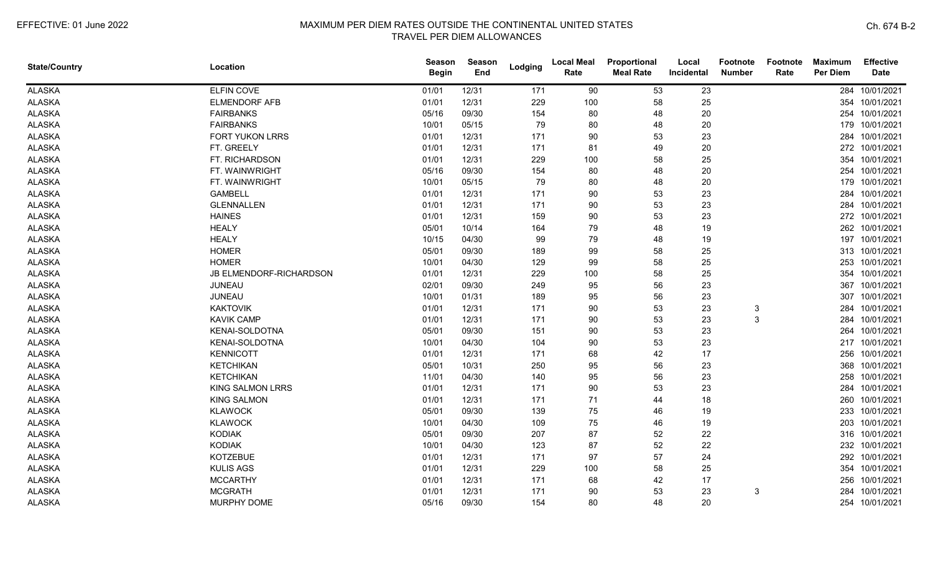| <b>State/Country</b> | Location                | <b>Season</b><br><b>Begin</b> | <b>Season</b><br>End | Lodging | <b>Local Meal</b><br>Rate | Proportional<br><b>Meal Rate</b> | Local<br>Incidental | <b>Footnote</b><br><b>Number</b> | Footnote<br>Rate | <b>Maximum</b><br><b>Per Diem</b> | <b>Effective</b><br><b>Date</b> |
|----------------------|-------------------------|-------------------------------|----------------------|---------|---------------------------|----------------------------------|---------------------|----------------------------------|------------------|-----------------------------------|---------------------------------|
| <b>ALASKA</b>        | ELFIN COVE              | 01/01                         | 12/31                | 171     | 90                        | 53                               | 23                  |                                  |                  |                                   | 284 10/01/2021                  |
| <b>ALASKA</b>        | <b>ELMENDORF AFB</b>    | 01/01                         | 12/31                | 229     | 100                       | 58                               | 25                  |                                  |                  |                                   | 354 10/01/2021                  |
| <b>ALASKA</b>        | <b>FAIRBANKS</b>        | 05/16                         | 09/30                | 154     | 80                        | 48                               | 20                  |                                  |                  |                                   | 254 10/01/2021                  |
| <b>ALASKA</b>        | <b>FAIRBANKS</b>        | 10/01                         | 05/15                | 79      | 80                        | 48                               | 20                  |                                  |                  |                                   | 179 10/01/2021                  |
| <b>ALASKA</b>        | <b>FORT YUKON LRRS</b>  | 01/01                         | 12/31                | 171     | 90                        | 53                               | 23                  |                                  |                  |                                   | 284 10/01/2021                  |
| <b>ALASKA</b>        | FT. GREELY              | 01/01                         | 12/31                | 171     | 81                        | 49                               | 20                  |                                  |                  |                                   | 272 10/01/2021                  |
| <b>ALASKA</b>        | FT. RICHARDSON          | 01/01                         | 12/31                | 229     | 100                       | 58                               | 25                  |                                  |                  |                                   | 354 10/01/2021                  |
| <b>ALASKA</b>        | FT. WAINWRIGHT          | 05/16                         | 09/30                | 154     | 80                        | 48                               | 20                  |                                  |                  |                                   | 254 10/01/2021                  |
| <b>ALASKA</b>        | FT. WAINWRIGHT          | 10/01                         | 05/15                | 79      | 80                        | 48                               | 20                  |                                  |                  |                                   | 179 10/01/2021                  |
| <b>ALASKA</b>        | <b>GAMBELL</b>          | 01/01                         | 12/31                | 171     | 90                        | 53                               | 23                  |                                  |                  |                                   | 284 10/01/2021                  |
| <b>ALASKA</b>        | <b>GLENNALLEN</b>       | 01/01                         | 12/31                | 171     | 90                        | 53                               | 23                  |                                  |                  |                                   | 284 10/01/2021                  |
| <b>ALASKA</b>        | <b>HAINES</b>           | 01/01                         | 12/31                | 159     | 90                        | 53                               | 23                  |                                  |                  |                                   | 272 10/01/2021                  |
| <b>ALASKA</b>        | <b>HEALY</b>            | 05/01                         | 10/14                | 164     | 79                        | 48                               | 19                  |                                  |                  |                                   | 262 10/01/2021                  |
| <b>ALASKA</b>        | <b>HEALY</b>            | 10/15                         | 04/30                | 99      | 79                        | 48                               | 19                  |                                  |                  |                                   | 197 10/01/2021                  |
| <b>ALASKA</b>        | <b>HOMER</b>            | 05/01                         | 09/30                | 189     | 99                        | 58                               | 25                  |                                  |                  |                                   | 313 10/01/2021                  |
| <b>ALASKA</b>        | <b>HOMER</b>            | 10/01                         | 04/30                | 129     | 99                        | 58                               | 25                  |                                  |                  |                                   | 253 10/01/2021                  |
| <b>ALASKA</b>        | JB ELMENDORF-RICHARDSON | 01/01                         | 12/31                | 229     | 100                       | 58                               | 25                  |                                  |                  |                                   | 354 10/01/2021                  |
| <b>ALASKA</b>        | <b>JUNEAU</b>           | 02/01                         | 09/30                | 249     | 95                        | 56                               | 23                  |                                  |                  |                                   | 367 10/01/2021                  |
| <b>ALASKA</b>        | JUNEAU                  | 10/01                         | 01/31                | 189     | 95                        | 56                               | 23                  |                                  |                  |                                   | 307 10/01/2021                  |
| <b>ALASKA</b>        | <b>KAKTOVIK</b>         | 01/01                         | 12/31                | 171     | 90                        | 53                               | 23                  | 3                                |                  |                                   | 284 10/01/2021                  |
| <b>ALASKA</b>        | <b>KAVIK CAMP</b>       | 01/01                         | 12/31                | 171     | 90                        | 53                               | 23                  | 3                                |                  |                                   | 284 10/01/2021                  |
| <b>ALASKA</b>        | KENAI-SOLDOTNA          | 05/01                         | 09/30                | 151     | 90                        | 53                               | 23                  |                                  |                  |                                   | 264 10/01/2021                  |
| <b>ALASKA</b>        | KENAI-SOLDOTNA          | 10/01                         | 04/30                | 104     | 90                        | 53                               | 23                  |                                  |                  |                                   | 217 10/01/2021                  |
| <b>ALASKA</b>        | <b>KENNICOTT</b>        | 01/01                         | 12/31                | 171     | 68                        | 42                               | 17                  |                                  |                  |                                   | 256 10/01/2021                  |
| <b>ALASKA</b>        | <b>KETCHIKAN</b>        | 05/01                         | 10/31                | 250     | 95                        | 56                               | 23                  |                                  |                  |                                   | 368 10/01/2021                  |
| <b>ALASKA</b>        | <b>KETCHIKAN</b>        | 11/01                         | 04/30                | 140     | 95                        | 56                               | 23                  |                                  |                  |                                   | 258 10/01/2021                  |
| <b>ALASKA</b>        | <b>KING SALMON LRRS</b> | 01/01                         | 12/31                | 171     | 90                        | 53                               | 23                  |                                  |                  |                                   | 284 10/01/2021                  |
| <b>ALASKA</b>        | <b>KING SALMON</b>      | 01/01                         | 12/31                | 171     | 71                        | 44                               | 18                  |                                  |                  |                                   | 260 10/01/2021                  |
| <b>ALASKA</b>        | <b>KLAWOCK</b>          | 05/01                         | 09/30                | 139     | 75                        | 46                               | 19                  |                                  |                  |                                   | 233 10/01/2021                  |
| <b>ALASKA</b>        | <b>KLAWOCK</b>          | 10/01                         | 04/30                | 109     | 75                        | 46                               | 19                  |                                  |                  |                                   | 203 10/01/2021                  |
| <b>ALASKA</b>        | <b>KODIAK</b>           | 05/01                         | 09/30                | 207     | 87                        | 52                               | 22                  |                                  |                  |                                   | 316 10/01/2021                  |
| <b>ALASKA</b>        | <b>KODIAK</b>           | 10/01                         | 04/30                | 123     | 87                        | 52                               | 22                  |                                  |                  |                                   | 232 10/01/2021                  |
| <b>ALASKA</b>        | <b>KOTZEBUE</b>         | 01/01                         | 12/31                | 171     | 97                        | 57                               | 24                  |                                  |                  |                                   | 292 10/01/2021                  |
| <b>ALASKA</b>        | <b>KULIS AGS</b>        | 01/01                         | 12/31                | 229     | 100                       | 58                               | 25                  |                                  |                  |                                   | 354 10/01/2021                  |
| <b>ALASKA</b>        | <b>MCCARTHY</b>         | 01/01                         | 12/31                | 171     | 68                        | 42                               | 17                  |                                  |                  |                                   | 256 10/01/2021                  |
| <b>ALASKA</b>        | <b>MCGRATH</b>          | 01/01                         | 12/31                | 171     | 90                        | 53                               | 23                  | 3                                |                  |                                   | 284 10/01/2021                  |
| <b>ALASKA</b>        | MURPHY DOME             | 05/16                         | 09/30                | 154     | 80                        | 48                               | 20                  |                                  |                  |                                   | 254 10/01/2021                  |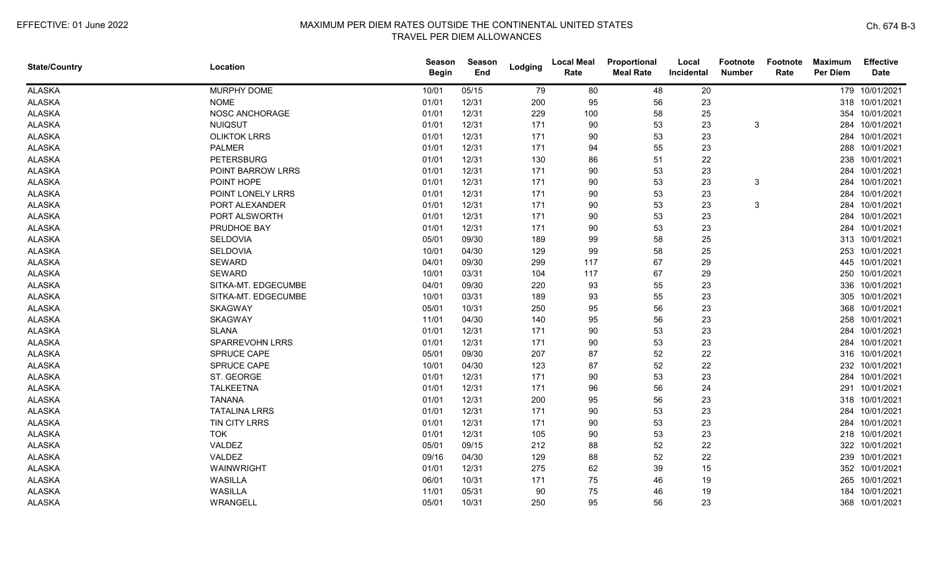| <b>State/Country</b> | Location               | <b>Season</b><br><b>Begin</b> | Season<br>End | Lodging | <b>Local Meal</b><br>Rate | Proportional<br><b>Meal Rate</b> | Local<br>Incidental | <b>Footnote</b><br><b>Number</b> | Footnote<br>Rate | <b>Maximum</b><br><b>Per Diem</b> | <b>Effective</b><br><b>Date</b> |
|----------------------|------------------------|-------------------------------|---------------|---------|---------------------------|----------------------------------|---------------------|----------------------------------|------------------|-----------------------------------|---------------------------------|
| <b>ALASKA</b>        | MURPHY DOME            | 10/01                         | 05/15         | 79      | 80                        | 48                               | 20                  |                                  |                  |                                   | 179 10/01/2021                  |
| <b>ALASKA</b>        | <b>NOME</b>            | 01/01                         | 12/31         | 200     | 95                        | 56                               | 23                  |                                  |                  |                                   | 318 10/01/2021                  |
| <b>ALASKA</b>        | NOSC ANCHORAGE         | 01/01                         | 12/31         | 229     | 100                       | 58                               | 25                  |                                  |                  |                                   | 354 10/01/2021                  |
| <b>ALASKA</b>        | <b>NUIQSUT</b>         | 01/01                         | 12/31         | 171     | 90                        | 53                               | 23                  | 3                                |                  |                                   | 284 10/01/2021                  |
| <b>ALASKA</b>        | <b>OLIKTOK LRRS</b>    | 01/01                         | 12/31         | 171     | 90                        | 53                               | 23                  |                                  |                  |                                   | 284 10/01/2021                  |
| <b>ALASKA</b>        | <b>PALMER</b>          | 01/01                         | 12/31         | 171     | 94                        | 55                               | 23                  |                                  |                  |                                   | 288 10/01/2021                  |
| <b>ALASKA</b>        | <b>PETERSBURG</b>      | 01/01                         | 12/31         | 130     | 86                        | 51                               | 22                  |                                  |                  |                                   | 238 10/01/2021                  |
| <b>ALASKA</b>        | POINT BARROW LRRS      | 01/01                         | 12/31         | 171     | $90\,$                    | 53                               | 23                  |                                  |                  | 284                               | 10/01/2021                      |
| <b>ALASKA</b>        | POINT HOPE             | 01/01                         | 12/31         | 171     | 90                        | 53                               | 23                  | 3                                |                  | 284                               | 10/01/2021                      |
| <b>ALASKA</b>        | POINT LONELY LRRS      | 01/01                         | 12/31         | 171     | 90                        | 53                               | 23                  |                                  |                  | 284                               | 10/01/2021                      |
| <b>ALASKA</b>        | PORT ALEXANDER         | 01/01                         | 12/31         | 171     | 90                        | 53                               | 23                  | 3                                |                  | 284                               | 10/01/2021                      |
| <b>ALASKA</b>        | PORT ALSWORTH          | 01/01                         | 12/31         | 171     | 90                        | 53                               | 23                  |                                  |                  |                                   | 284 10/01/2021                  |
| <b>ALASKA</b>        | PRUDHOE BAY            | 01/01                         | 12/31         | 171     | 90                        | 53                               | 23                  |                                  |                  |                                   | 284 10/01/2021                  |
| <b>ALASKA</b>        | SELDOVIA               | 05/01                         | 09/30         | 189     | 99                        | 58                               | 25                  |                                  |                  |                                   | 313 10/01/2021                  |
| <b>ALASKA</b>        | <b>SELDOVIA</b>        | 10/01                         | 04/30         | 129     | 99                        | 58                               | 25                  |                                  |                  |                                   | 253 10/01/2021                  |
| <b>ALASKA</b>        | <b>SEWARD</b>          | 04/01                         | 09/30         | 299     | 117                       | 67                               | 29                  |                                  |                  | 445                               | 10/01/2021                      |
| <b>ALASKA</b>        | <b>SEWARD</b>          | 10/01                         | 03/31         | 104     | 117                       | 67                               | 29                  |                                  |                  |                                   | 250 10/01/2021                  |
| <b>ALASKA</b>        | SITKA-MT. EDGECUMBE    | 04/01                         | 09/30         | 220     | 93                        | 55                               | 23                  |                                  |                  | 336                               | 10/01/2021                      |
| <b>ALASKA</b>        | SITKA-MT. EDGECUMBE    | 10/01                         | 03/31         | 189     | 93                        | 55                               | 23                  |                                  |                  |                                   | 305 10/01/2021                  |
| <b>ALASKA</b>        | <b>SKAGWAY</b>         | 05/01                         | 10/31         | 250     | 95                        | 56                               | 23                  |                                  |                  | 368                               | 10/01/2021                      |
| <b>ALASKA</b>        | <b>SKAGWAY</b>         | 11/01                         | 04/30         | 140     | 95                        | 56                               | 23                  |                                  |                  |                                   | 258 10/01/2021                  |
| <b>ALASKA</b>        | <b>SLANA</b>           | 01/01                         | 12/31         | 171     | 90                        | 53                               | 23                  |                                  |                  |                                   | 284 10/01/2021                  |
| <b>ALASKA</b>        | <b>SPARREVOHN LRRS</b> | 01/01                         | 12/31         | 171     | 90                        | 53                               | 23                  |                                  |                  |                                   | 284 10/01/2021                  |
| <b>ALASKA</b>        | SPRUCE CAPE            | 05/01                         | 09/30         | 207     | 87                        | 52                               | 22                  |                                  |                  |                                   | 316 10/01/2021                  |
| <b>ALASKA</b>        | SPRUCE CAPE            | 10/01                         | 04/30         | 123     | 87                        | 52                               | 22                  |                                  |                  |                                   | 232 10/01/2021                  |
| <b>ALASKA</b>        | ST. GEORGE             | 01/01                         | 12/31         | 171     | 90                        | 53                               | 23                  |                                  |                  |                                   | 284 10/01/2021                  |
| <b>ALASKA</b>        | <b>TALKEETNA</b>       | 01/01                         | 12/31         | 171     | 96                        | 56                               | 24                  |                                  |                  | 291                               | 10/01/2021                      |
| <b>ALASKA</b>        | <b>TANANA</b>          | 01/01                         | 12/31         | 200     | 95                        | 56                               | 23                  |                                  |                  |                                   | 318 10/01/2021                  |
| <b>ALASKA</b>        | <b>TATALINA LRRS</b>   | 01/01                         | 12/31         | 171     | 90                        | 53                               | 23                  |                                  |                  | 284                               | 10/01/2021                      |
| <b>ALASKA</b>        | TIN CITY LRRS          | 01/01                         | 12/31         | 171     | 90                        | 53                               | 23                  |                                  |                  |                                   | 284 10/01/2021                  |
| <b>ALASKA</b>        | <b>TOK</b>             | 01/01                         | 12/31         | 105     | 90                        | 53                               | 23                  |                                  |                  |                                   | 218 10/01/2021                  |
| <b>ALASKA</b>        | VALDEZ                 | 05/01                         | 09/15         | 212     | 88                        | 52                               | 22                  |                                  |                  |                                   | 322 10/01/2021                  |
| <b>ALASKA</b>        | VALDEZ                 | 09/16                         | 04/30         | 129     | 88                        | 52                               | 22                  |                                  |                  |                                   | 239 10/01/2021                  |
| <b>ALASKA</b>        | WAINWRIGHT             | 01/01                         | 12/31         | 275     | 62                        | 39                               | 15                  |                                  |                  | 352                               | 10/01/2021                      |
| <b>ALASKA</b>        | WASILLA                | 06/01                         | 10/31         | 171     | 75                        | 46                               | 19                  |                                  |                  |                                   | 265 10/01/2021                  |
| <b>ALASKA</b>        | WASILLA                | 11/01                         | 05/31         | 90      | 75                        | 46                               | 19                  |                                  |                  | 184                               | 10/01/2021                      |
| <b>ALASKA</b>        | WRANGELL               | 05/01                         | 10/31         | 250     | 95                        | 56                               | 23                  |                                  |                  |                                   | 368 10/01/2021                  |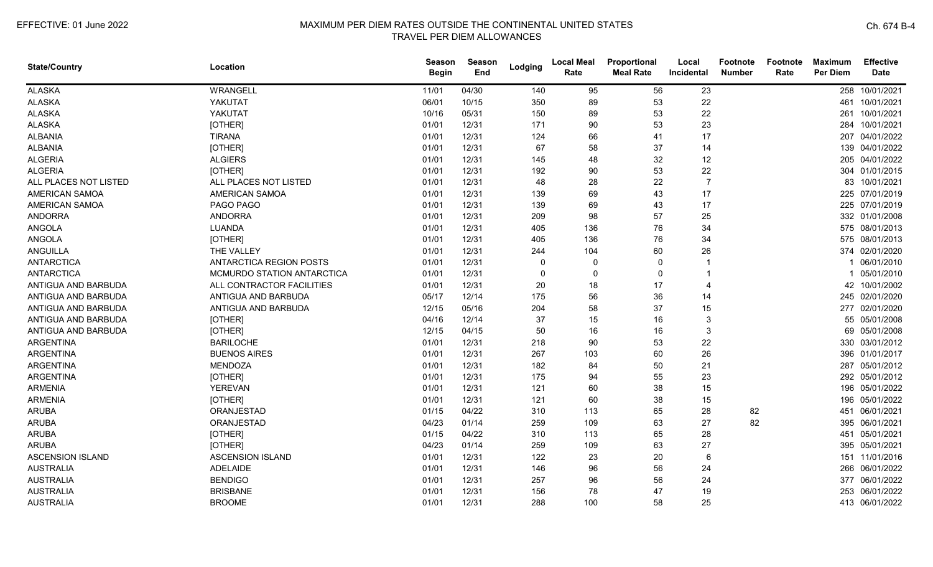| <b>State/Country</b>    | Location                       | <b>Season</b><br><b>Begin</b> | Season<br>End | Lodging     | <b>Local Meal</b><br>Rate | Proportional<br><b>Meal Rate</b> | Local<br>Incidental | Footnote<br><b>Number</b> | Footnote<br>Rate | <b>Maximum</b><br><b>Per Diem</b> | <b>Effective</b><br><b>Date</b> |
|-------------------------|--------------------------------|-------------------------------|---------------|-------------|---------------------------|----------------------------------|---------------------|---------------------------|------------------|-----------------------------------|---------------------------------|
| <b>ALASKA</b>           | WRANGELL                       | 11/01                         | 04/30         | 140         | 95                        | 56                               | 23                  |                           |                  |                                   | 258 10/01/2021                  |
| <b>ALASKA</b>           | YAKUTAT                        | 06/01                         | 10/15         | 350         | 89                        | 53                               | 22                  |                           |                  |                                   | 461 10/01/2021                  |
| <b>ALASKA</b>           | YAKUTAT                        | 10/16                         | 05/31         | 150         | 89                        | 53                               | 22                  |                           |                  |                                   | 261 10/01/2021                  |
| <b>ALASKA</b>           | [OTHER]                        | 01/01                         | 12/31         | 171         | 90                        | 53                               | 23                  |                           |                  |                                   | 284 10/01/2021                  |
| <b>ALBANIA</b>          | <b>TIRANA</b>                  | 01/01                         | 12/31         | 124         | 66                        | 41                               | 17                  |                           |                  |                                   | 207 04/01/2022                  |
| <b>ALBANIA</b>          | [OTHER]                        | 01/01                         | 12/31         | 67          | 58                        | 37                               | 14                  |                           |                  |                                   | 139 04/01/2022                  |
| <b>ALGERIA</b>          | <b>ALGIERS</b>                 | 01/01                         | 12/31         | 145         | 48                        | 32                               | 12                  |                           |                  |                                   | 205 04/01/2022                  |
| <b>ALGERIA</b>          | [OTHER]                        | 01/01                         | 12/31         | 192         | 90                        | 53                               | 22                  |                           |                  |                                   | 304 01/01/2015                  |
| ALL PLACES NOT LISTED   | ALL PLACES NOT LISTED          | 01/01                         | 12/31         | 48          | 28                        | 22                               | $\overline{7}$      |                           |                  |                                   | 83 10/01/2021                   |
| AMERICAN SAMOA          | <b>AMERICAN SAMOA</b>          | 01/01                         | 12/31         | 139         | 69                        | 43                               | 17                  |                           |                  |                                   | 225 07/01/2019                  |
| AMERICAN SAMOA          | PAGO PAGO                      | 01/01                         | 12/31         | 139         | 69                        | 43                               | 17                  |                           |                  |                                   | 225 07/01/2019                  |
| <b>ANDORRA</b>          | <b>ANDORRA</b>                 | 01/01                         | 12/31         | 209         | 98                        | 57                               | 25                  |                           |                  |                                   | 332 01/01/2008                  |
| <b>ANGOLA</b>           | <b>LUANDA</b>                  | 01/01                         | 12/31         | 405         | 136                       | 76                               | 34                  |                           |                  |                                   | 575 08/01/2013                  |
| <b>ANGOLA</b>           | [OTHER]                        | 01/01                         | 12/31         | 405         | 136                       | 76                               | 34                  |                           |                  |                                   | 575 08/01/2013                  |
| ANGUILLA                | THE VALLEY                     | 01/01                         | 12/31         | 244         | 104                       | 60                               | 26                  |                           |                  |                                   | 374 02/01/2020                  |
| <b>ANTARCTICA</b>       | <b>ANTARCTICA REGION POSTS</b> | 01/01                         | 12/31         | $\mathbf 0$ | 0                         | $\Omega$                         |                     |                           |                  |                                   | 1 06/01/2010                    |
| <b>ANTARCTICA</b>       | MCMURDO STATION ANTARCTICA     | 01/01                         | 12/31         | $\mathbf 0$ | $\overline{0}$            | $\Omega$                         |                     |                           |                  |                                   | 1 05/01/2010                    |
| ANTIGUA AND BARBUDA     | ALL CONTRACTOR FACILITIES      | 01/01                         | 12/31         | 20          | 18                        | 17                               |                     |                           |                  |                                   | 42 10/01/2002                   |
| ANTIGUA AND BARBUDA     | ANTIGUA AND BARBUDA            | 05/17                         | 12/14         | 175         | 56                        | 36                               | 14                  |                           |                  |                                   | 245 02/01/2020                  |
| ANTIGUA AND BARBUDA     | ANTIGUA AND BARBUDA            | 12/15                         | 05/16         | 204         | 58                        | 37                               | 15                  |                           |                  |                                   | 277 02/01/2020                  |
| ANTIGUA AND BARBUDA     | [OTHER]                        | 04/16                         | 12/14         | 37          | 15                        | 16                               | 3                   |                           |                  |                                   | 55 05/01/2008                   |
| ANTIGUA AND BARBUDA     | [OTHER]                        | 12/15                         | 04/15         | 50          | 16                        | 16                               | 3                   |                           |                  |                                   | 69 05/01/2008                   |
| <b>ARGENTINA</b>        | <b>BARILOCHE</b>               | 01/01                         | 12/31         | 218         | 90                        | 53                               | 22                  |                           |                  |                                   | 330 03/01/2012                  |
| <b>ARGENTINA</b>        | <b>BUENOS AIRES</b>            | 01/01                         | 12/31         | 267         | 103                       | 60                               | 26                  |                           |                  |                                   | 396 01/01/2017                  |
| <b>ARGENTINA</b>        | <b>MENDOZA</b>                 | 01/01                         | 12/31         | 182         | 84                        | 50                               | 21                  |                           |                  |                                   | 287 05/01/2012                  |
| <b>ARGENTINA</b>        | [OTHER]                        | 01/01                         | 12/31         | 175         | 94                        | 55                               | 23                  |                           |                  |                                   | 292 05/01/2012                  |
| <b>ARMENIA</b>          | YEREVAN                        | 01/01                         | 12/31         | 121         | 60                        | 38                               | 15                  |                           |                  |                                   | 196 05/01/2022                  |
| <b>ARMENIA</b>          | [OTHER]                        | 01/01                         | 12/31         | 121         | 60                        | 38                               | 15                  |                           |                  |                                   | 196 05/01/2022                  |
| <b>ARUBA</b>            | ORANJESTAD                     | 01/15                         | 04/22         | 310         | 113                       | 65                               | 28                  | 82                        |                  |                                   | 451 06/01/2021                  |
| <b>ARUBA</b>            | ORANJESTAD                     | 04/23                         | 01/14         | 259         | 109                       | 63                               | 27                  | 82                        |                  |                                   | 395 06/01/2021                  |
| <b>ARUBA</b>            | [OTHER]                        | 01/15                         | 04/22         | 310         | 113                       | 65                               | 28                  |                           |                  |                                   | 451 05/01/2021                  |
| <b>ARUBA</b>            | [OTHER]                        | 04/23                         | 01/14         | 259         | 109                       | 63                               | 27                  |                           |                  |                                   | 395 05/01/2021                  |
| <b>ASCENSION ISLAND</b> | <b>ASCENSION ISLAND</b>        | 01/01                         | 12/31         | 122         | 23                        | 20                               | 6                   |                           |                  |                                   | 151 11/01/2016                  |
| <b>AUSTRALIA</b>        | ADELAIDE                       | 01/01                         | 12/31         | 146         | 96                        | 56                               | 24                  |                           |                  |                                   | 266 06/01/2022                  |
| <b>AUSTRALIA</b>        | <b>BENDIGO</b>                 | 01/01                         | 12/31         | 257         | 96                        | 56                               | 24                  |                           |                  |                                   | 377 06/01/2022                  |
| <b>AUSTRALIA</b>        | <b>BRISBANE</b>                | 01/01                         | 12/31         | 156         | 78                        | 47                               | 19                  |                           |                  |                                   | 253 06/01/2022                  |
| <b>AUSTRALIA</b>        | <b>BROOME</b>                  | 01/01                         | 12/31         | 288         | 100                       | 58                               | 25                  |                           |                  |                                   | 413 06/01/2022                  |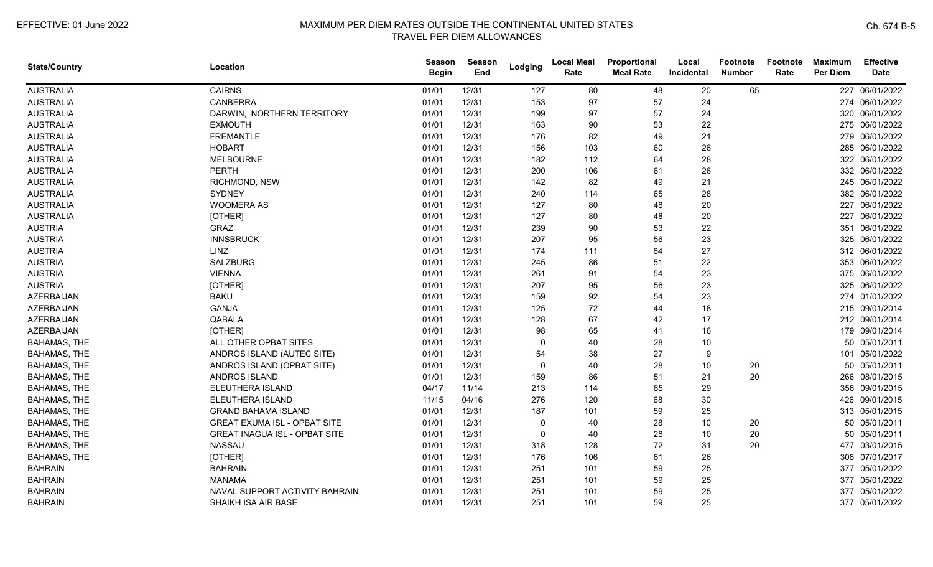| <b>State/Country</b> | Location                             | <b>Season</b><br><b>Begin</b> | Season<br>End | Lodging      | <b>Local Meal</b><br>Rate | Proportional<br><b>Meal Rate</b> | Local<br>Incidental | <b>Footnote</b><br><b>Number</b> | <b>Footnote</b><br>Rate | <b>Maximum</b><br>Per Diem | <b>Effective</b><br><b>Date</b> |
|----------------------|--------------------------------------|-------------------------------|---------------|--------------|---------------------------|----------------------------------|---------------------|----------------------------------|-------------------------|----------------------------|---------------------------------|
| <b>AUSTRALIA</b>     | <b>CAIRNS</b>                        | 01/01                         | 12/31         | 127          | 80                        | 48                               | 20                  | 65                               |                         |                            | 227 06/01/2022                  |
| <b>AUSTRALIA</b>     | <b>CANBERRA</b>                      | 01/01                         | 12/31         | 153          | 97                        | 57                               | 24                  |                                  |                         |                            | 274 06/01/2022                  |
| <b>AUSTRALIA</b>     | DARWIN, NORTHERN TERRITORY           | 01/01                         | 12/31         | 199          | 97                        | 57                               | 24                  |                                  |                         |                            | 320 06/01/2022                  |
| <b>AUSTRALIA</b>     | <b>EXMOUTH</b>                       | 01/01                         | 12/31         | 163          | 90                        | 53                               | 22                  |                                  |                         |                            | 275 06/01/2022                  |
| <b>AUSTRALIA</b>     | <b>FREMANTLE</b>                     | 01/01                         | 12/31         | 176          | 82                        | 49                               | 21                  |                                  |                         |                            | 279 06/01/2022                  |
| <b>AUSTRALIA</b>     | <b>HOBART</b>                        | 01/01                         | 12/31         | 156          | 103                       | 60                               | 26                  |                                  |                         |                            | 285 06/01/2022                  |
| <b>AUSTRALIA</b>     | <b>MELBOURNE</b>                     | 01/01                         | 12/31         | 182          | 112                       | 64                               | 28                  |                                  |                         |                            | 322 06/01/2022                  |
| <b>AUSTRALIA</b>     | <b>PERTH</b>                         | 01/01                         | 12/31         | 200          | 106                       | 61                               | 26                  |                                  |                         |                            | 332 06/01/2022                  |
| <b>AUSTRALIA</b>     | RICHMOND, NSW                        | 01/01                         | 12/31         | 142          | 82                        | 49                               | 21                  |                                  |                         |                            | 245 06/01/2022                  |
| <b>AUSTRALIA</b>     | <b>SYDNEY</b>                        | 01/01                         | 12/31         | 240          | 114                       | 65                               | 28                  |                                  |                         |                            | 382 06/01/2022                  |
| <b>AUSTRALIA</b>     | <b>WOOMERA AS</b>                    | 01/01                         | 12/31         | 127          | 80                        | 48                               | 20                  |                                  |                         |                            | 227 06/01/2022                  |
| <b>AUSTRALIA</b>     | [OTHER]                              | 01/01                         | 12/31         | 127          | 80                        | 48                               | 20                  |                                  |                         |                            | 227 06/01/2022                  |
| <b>AUSTRIA</b>       | GRAZ                                 | 01/01                         | 12/31         | 239          | 90                        | 53                               | 22                  |                                  |                         | 351                        | 06/01/2022                      |
| <b>AUSTRIA</b>       | <b>INNSBRUCK</b>                     | 01/01                         | 12/31         | 207          | 95                        | 56                               | 23                  |                                  |                         |                            | 325 06/01/2022                  |
| <b>AUSTRIA</b>       | LINZ                                 | 01/01                         | 12/31         | 174          | 111                       | 64                               | 27                  |                                  |                         |                            | 312 06/01/2022                  |
| <b>AUSTRIA</b>       | <b>SALZBURG</b>                      | 01/01                         | 12/31         | 245          | 86                        | 51                               | 22                  |                                  |                         |                            | 353 06/01/2022                  |
| <b>AUSTRIA</b>       | <b>VIENNA</b>                        | 01/01                         | 12/31         | 261          | 91                        | 54                               | 23                  |                                  |                         |                            | 375 06/01/2022                  |
| <b>AUSTRIA</b>       | [OTHER]                              | 01/01                         | 12/31         | 207          | 95                        | 56                               | 23                  |                                  |                         |                            | 325 06/01/2022                  |
| <b>AZERBAIJAN</b>    | <b>BAKU</b>                          | 01/01                         | 12/31         | 159          | 92                        | 54                               | 23                  |                                  |                         |                            | 274 01/01/2022                  |
| <b>AZERBAIJAN</b>    | <b>GANJA</b>                         | 01/01                         | 12/31         | 125          | 72                        | 44                               | 18                  |                                  |                         |                            | 215 09/01/2014                  |
| <b>AZERBAIJAN</b>    | QABALA                               | 01/01                         | 12/31         | 128          | 67                        | 42                               | 17                  |                                  |                         |                            | 212 09/01/2014                  |
| <b>AZERBAIJAN</b>    | [OTHER]                              | 01/01                         | 12/31         | 98           | 65                        | 41                               | 16                  |                                  |                         |                            | 179 09/01/2014                  |
| <b>BAHAMAS, THE</b>  | ALL OTHER OPBAT SITES                | 01/01                         | 12/31         | $\Omega$     | 40                        | 28                               | 10                  |                                  |                         |                            | 50 05/01/2011                   |
| BAHAMAS, THE         | ANDROS ISLAND (AUTEC SITE)           | 01/01                         | 12/31         | 54           | 38                        | 27                               | 9                   |                                  |                         |                            | 101 05/01/2022                  |
| BAHAMAS, THE         | ANDROS ISLAND (OPBAT SITE)           | 01/01                         | 12/31         | $\Omega$     | 40                        | 28                               | 10                  | 20                               |                         |                            | 50 05/01/2011                   |
| BAHAMAS, THE         | ANDROS ISLAND                        | 01/01                         | 12/31         | 159          | 86                        | 51                               | 21                  | 20                               |                         |                            | 266 08/01/2015                  |
| BAHAMAS, THE         | ELEUTHERA ISLAND                     | 04/17                         | 11/14         | 213          | 114                       | 65                               | 29                  |                                  |                         |                            | 356 09/01/2015                  |
| <b>BAHAMAS, THE</b>  | ELEUTHERA ISLAND                     | 11/15                         | 04/16         | 276          | 120                       | 68                               | 30                  |                                  |                         |                            | 426 09/01/2015                  |
| <b>BAHAMAS, THE</b>  | <b>GRAND BAHAMA ISLAND</b>           | 01/01                         | 12/31         | 187          | 101                       | 59                               | 25                  |                                  |                         |                            | 313 05/01/2015                  |
| BAHAMAS, THE         | <b>GREAT EXUMA ISL - OPBAT SITE</b>  | 01/01                         | 12/31         | $\mathbf{0}$ | 40                        | 28                               | 10                  | 20                               |                         |                            | 50 05/01/2011                   |
| BAHAMAS, THE         | <b>GREAT INAGUA ISL - OPBAT SITE</b> | 01/01                         | 12/31         | 0            | 40                        | 28                               | 10                  | 20                               |                         |                            | 50 05/01/2011                   |
| BAHAMAS, THE         | <b>NASSAU</b>                        | 01/01                         | 12/31         | 318          | 128                       | 72                               | 31                  | 20                               |                         |                            | 477 03/01/2015                  |
| <b>BAHAMAS, THE</b>  | [OTHER]                              | 01/01                         | 12/31         | 176          | 106                       | 61                               | 26                  |                                  |                         |                            | 308 07/01/2017                  |
| <b>BAHRAIN</b>       | <b>BAHRAIN</b>                       | 01/01                         | 12/31         | 251          | 101                       | 59                               | 25                  |                                  |                         |                            | 377 05/01/2022                  |
| <b>BAHRAIN</b>       | <b>MANAMA</b>                        | 01/01                         | 12/31         | 251          | 101                       | 59                               | 25                  |                                  |                         |                            | 377 05/01/2022                  |
| <b>BAHRAIN</b>       | NAVAL SUPPORT ACTIVITY BAHRAIN       | 01/01                         | 12/31         | 251          | 101                       | 59                               | 25                  |                                  |                         |                            | 377 05/01/2022                  |
| <b>BAHRAIN</b>       | SHAIKH ISA AIR BASE                  | 01/01                         | 12/31         | 251          | 101                       | 59                               | 25                  |                                  |                         |                            | 377 05/01/2022                  |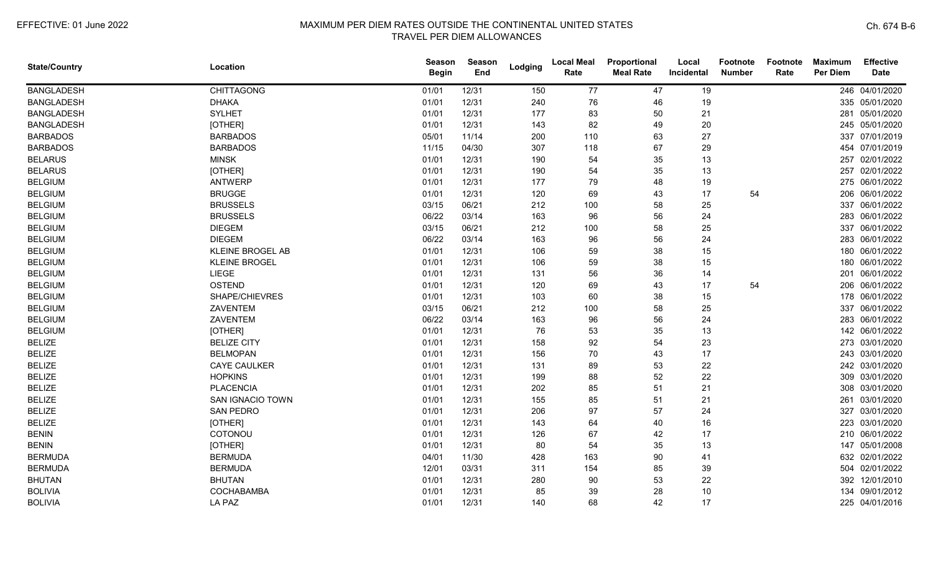| <b>State/Country</b> | Location                | Season<br><b>Begin</b> | <b>Season</b><br>End | Lodging | <b>Local Meal</b><br>Rate | Proportional<br><b>Meal Rate</b> | Local<br>Incidental | Footnote<br><b>Number</b> | Footnote<br>Rate | <b>Maximum</b><br>Per Diem | <b>Effective</b><br><b>Date</b> |
|----------------------|-------------------------|------------------------|----------------------|---------|---------------------------|----------------------------------|---------------------|---------------------------|------------------|----------------------------|---------------------------------|
| <b>BANGLADESH</b>    | <b>CHITTAGONG</b>       | 01/01                  | 12/31                | 150     | 77                        | 47                               | 19                  |                           |                  |                            | 246 04/01/2020                  |
| <b>BANGLADESH</b>    | <b>DHAKA</b>            | 01/01                  | 12/31                | 240     | 76                        | 46                               | 19                  |                           |                  |                            | 335 05/01/2020                  |
| <b>BANGLADESH</b>    | <b>SYLHET</b>           | 01/01                  | 12/31                | 177     | 83                        | 50                               | 21                  |                           |                  |                            | 281 05/01/2020                  |
| <b>BANGLADESH</b>    | [OTHER]                 | 01/01                  | 12/31                | 143     | 82                        | 49                               | 20                  |                           |                  |                            | 245 05/01/2020                  |
| <b>BARBADOS</b>      | <b>BARBADOS</b>         | 05/01                  | 11/14                | 200     | 110                       | 63                               | 27                  |                           |                  |                            | 337 07/01/2019                  |
| <b>BARBADOS</b>      | <b>BARBADOS</b>         | 11/15                  | 04/30                | 307     | 118                       | 67                               | 29                  |                           |                  |                            | 454 07/01/2019                  |
| <b>BELARUS</b>       | <b>MINSK</b>            | 01/01                  | 12/31                | 190     | 54                        | 35                               | 13                  |                           |                  |                            | 257 02/01/2022                  |
| <b>BELARUS</b>       | [OTHER]                 | 01/01                  | 12/31                | 190     | 54                        | 35                               | 13                  |                           |                  | 257                        | 02/01/2022                      |
| <b>BELGIUM</b>       | <b>ANTWERP</b>          | 01/01                  | 12/31                | 177     | 79                        | 48                               | 19                  |                           |                  |                            | 275 06/01/2022                  |
| <b>BELGIUM</b>       | <b>BRUGGE</b>           | 01/01                  | 12/31                | 120     | 69                        | 43                               | 17                  | 54                        |                  | 206                        | 06/01/2022                      |
| <b>BELGIUM</b>       | <b>BRUSSELS</b>         | 03/15                  | 06/21                | 212     | 100                       | 58                               | 25                  |                           |                  | 337                        | 06/01/2022                      |
| <b>BELGIUM</b>       | <b>BRUSSELS</b>         | 06/22                  | 03/14                | 163     | 96                        | 56                               | 24                  |                           |                  |                            | 283 06/01/2022                  |
| <b>BELGIUM</b>       | <b>DIEGEM</b>           | 03/15                  | 06/21                | 212     | 100                       | 58                               | 25                  |                           |                  |                            | 337 06/01/2022                  |
| <b>BELGIUM</b>       | <b>DIEGEM</b>           | 06/22                  | 03/14                | 163     | 96                        | 56                               | 24                  |                           |                  |                            | 283 06/01/2022                  |
| <b>BELGIUM</b>       | <b>KLEINE BROGEL AB</b> | 01/01                  | 12/31                | 106     | 59                        | 38                               | 15                  |                           |                  |                            | 180 06/01/2022                  |
| <b>BELGIUM</b>       | <b>KLEINE BROGEL</b>    | 01/01                  | 12/31                | 106     | 59                        | 38                               | 15                  |                           |                  |                            | 180 06/01/2022                  |
| <b>BELGIUM</b>       | LIEGE                   | 01/01                  | 12/31                | 131     | 56                        | 36                               | 14                  |                           |                  | 201                        | 06/01/2022                      |
| <b>BELGIUM</b>       | <b>OSTEND</b>           | 01/01                  | 12/31                | 120     | 69                        | 43                               | 17                  | 54                        |                  |                            | 206 06/01/2022                  |
| <b>BELGIUM</b>       | SHAPE/CHIEVRES          | 01/01                  | 12/31                | 103     | 60                        | 38                               | 15                  |                           |                  |                            | 178 06/01/2022                  |
| <b>BELGIUM</b>       | ZAVENTEM                | 03/15                  | 06/21                | 212     | 100                       | 58                               | 25                  |                           |                  |                            | 337 06/01/2022                  |
| <b>BELGIUM</b>       | ZAVENTEM                | 06/22                  | 03/14                | 163     | 96                        | 56                               | 24                  |                           |                  |                            | 283 06/01/2022                  |
| <b>BELGIUM</b>       | [OTHER]                 | 01/01                  | 12/31                | 76      | 53                        | 35                               | 13                  |                           |                  |                            | 142 06/01/2022                  |
| <b>BELIZE</b>        | <b>BELIZE CITY</b>      | 01/01                  | 12/31                | 158     | 92                        | 54                               | 23                  |                           |                  |                            | 273 03/01/2020                  |
| <b>BELIZE</b>        | <b>BELMOPAN</b>         | 01/01                  | 12/31                | 156     | 70                        | 43                               | 17                  |                           |                  |                            | 243 03/01/2020                  |
| <b>BELIZE</b>        | <b>CAYE CAULKER</b>     | 01/01                  | 12/31                | 131     | 89                        | 53                               | 22                  |                           |                  |                            | 242 03/01/2020                  |
| <b>BELIZE</b>        | <b>HOPKINS</b>          | 01/01                  | 12/31                | 199     | 88                        | 52                               | 22                  |                           |                  | 309                        | 03/01/2020                      |
| <b>BELIZE</b>        | <b>PLACENCIA</b>        | 01/01                  | 12/31                | 202     | 85                        | 51                               | 21                  |                           |                  |                            | 308 03/01/2020                  |
| <b>BELIZE</b>        | <b>SAN IGNACIO TOWN</b> | 01/01                  | 12/31                | 155     | 85                        | 51                               | 21                  |                           |                  | 261                        | 03/01/2020                      |
| <b>BELIZE</b>        | <b>SAN PEDRO</b>        | 01/01                  | 12/31                | 206     | 97                        | 57                               | 24                  |                           |                  |                            | 327 03/01/2020                  |
| <b>BELIZE</b>        | [OTHER]                 | 01/01                  | 12/31                | 143     | 64                        | 40                               | 16                  |                           |                  |                            | 223 03/01/2020                  |
| <b>BENIN</b>         | COTONOU                 | 01/01                  | 12/31                | 126     | 67                        | 42                               | 17                  |                           |                  |                            | 210 06/01/2022                  |
| <b>BENIN</b>         | [OTHER]                 | 01/01                  | 12/31                | 80      | 54                        | 35                               | 13                  |                           |                  |                            | 147 05/01/2008                  |
| <b>BERMUDA</b>       | <b>BERMUDA</b>          | 04/01                  | 11/30                | 428     | 163                       | 90                               | 41                  |                           |                  |                            | 632 02/01/2022                  |
| <b>BERMUDA</b>       | <b>BERMUDA</b>          | 12/01                  | 03/31                | 311     | 154                       | 85                               | 39                  |                           |                  |                            | 504 02/01/2022                  |
| <b>BHUTAN</b>        | <b>BHUTAN</b>           | 01/01                  | 12/31                | 280     | 90                        | 53                               | 22                  |                           |                  | 392                        | 12/01/2010                      |
| <b>BOLIVIA</b>       | COCHABAMBA              | 01/01                  | 12/31                | 85      | 39                        | 28                               | 10                  |                           |                  | 134                        | 09/01/2012                      |
| <b>BOLIVIA</b>       | LA PAZ                  | 01/01                  | 12/31                | 140     | 68                        | 42                               | 17                  |                           |                  |                            | 225 04/01/2016                  |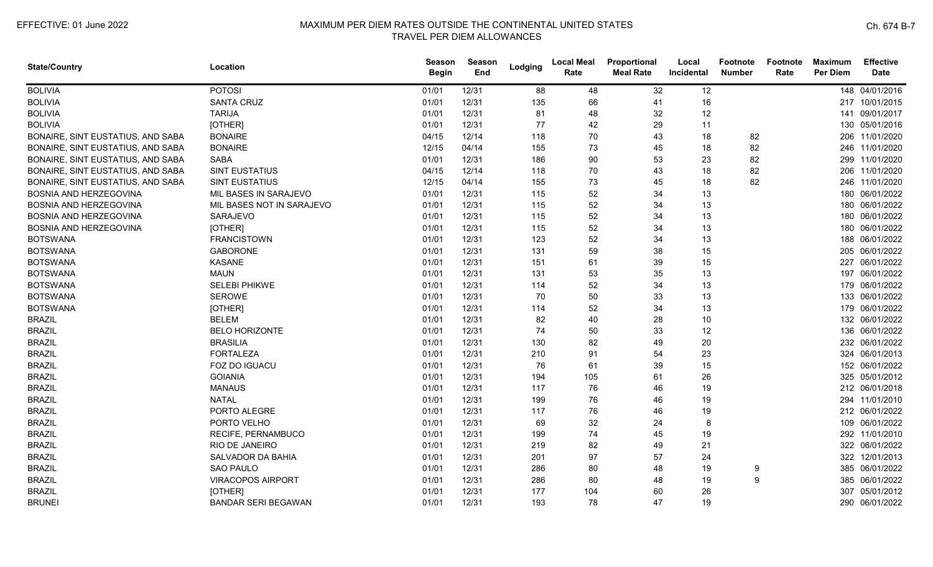| <b>State/Country</b>              | Location                   | <b>Season</b><br><b>Begin</b> | Season<br>End | Lodging | <b>Local Meal</b><br>Rate | Proportional<br><b>Meal Rate</b> | Local<br>Incidental | <b>Footnote</b><br><b>Number</b> | Footnote<br>Rate | <b>Maximum</b><br><b>Per Diem</b> | <b>Effective</b><br><b>Date</b> |
|-----------------------------------|----------------------------|-------------------------------|---------------|---------|---------------------------|----------------------------------|---------------------|----------------------------------|------------------|-----------------------------------|---------------------------------|
| <b>BOLIVIA</b>                    | <b>POTOSI</b>              | 01/01                         | 12/31         | 88      | 48                        | 32                               | 12                  |                                  |                  |                                   | 148 04/01/2016                  |
| <b>BOLIVIA</b>                    | <b>SANTA CRUZ</b>          | 01/01                         | 12/31         | 135     | 66                        | 41                               | 16                  |                                  |                  |                                   | 217 10/01/2015                  |
| <b>BOLIVIA</b>                    | <b>TARIJA</b>              | 01/01                         | 12/31         | 81      | 48                        | 32                               | 12                  |                                  |                  |                                   | 141 09/01/2017                  |
| <b>BOLIVIA</b>                    | [OTHER]                    | 01/01                         | 12/31         | 77      | 42                        | 29                               | 11                  |                                  |                  |                                   | 130 05/01/2016                  |
| BONAIRE, SINT EUSTATIUS, AND SABA | <b>BONAIRE</b>             | 04/15                         | 12/14         | 118     | 70                        | 43                               | 18                  | 82                               |                  |                                   | 206 11/01/2020                  |
| BONAIRE, SINT EUSTATIUS, AND SABA | <b>BONAIRE</b>             | 12/15                         | 04/14         | 155     | 73                        | 45                               | 18                  | 82                               |                  |                                   | 246 11/01/2020                  |
| BONAIRE, SINT EUSTATIUS, AND SABA | <b>SABA</b>                | 01/01                         | 12/31         | 186     | 90                        | 53                               | 23                  | 82                               |                  |                                   | 299 11/01/2020                  |
| BONAIRE, SINT EUSTATIUS, AND SABA | <b>SINT EUSTATIUS</b>      | 04/15                         | 12/14         | 118     | 70                        | 43                               | 18                  | 82                               |                  |                                   | 206 11/01/2020                  |
| BONAIRE, SINT EUSTATIUS, AND SABA | <b>SINT EUSTATIUS</b>      | 12/15                         | 04/14         | 155     | 73                        | 45                               | 18                  | 82                               |                  |                                   | 246 11/01/2020                  |
| BOSNIA AND HERZEGOVINA            | MIL BASES IN SARAJEVO      | 01/01                         | 12/31         | 115     | 52                        | 34                               | 13                  |                                  |                  | 180                               | 06/01/2022                      |
| BOSNIA AND HERZEGOVINA            | MIL BASES NOT IN SARAJEVO  | 01/01                         | 12/31         | 115     | 52                        | 34                               | 13                  |                                  |                  |                                   | 180 06/01/2022                  |
| BOSNIA AND HERZEGOVINA            | SARAJEVO                   | 01/01                         | 12/31         | 115     | 52                        | 34                               | 13                  |                                  |                  |                                   | 180 06/01/2022                  |
| BOSNIA AND HERZEGOVINA            | [OTHER]                    | 01/01                         | 12/31         | 115     | 52                        | 34                               | 13                  |                                  |                  |                                   | 180 06/01/2022                  |
| <b>BOTSWANA</b>                   | <b>FRANCISTOWN</b>         | 01/01                         | 12/31         | 123     | 52                        | 34                               | 13                  |                                  |                  |                                   | 188 06/01/2022                  |
| <b>BOTSWANA</b>                   | <b>GABORONE</b>            | 01/01                         | 12/31         | 131     | 59                        | 38                               | 15                  |                                  |                  |                                   | 205 06/01/2022                  |
| <b>BOTSWANA</b>                   | <b>KASANE</b>              | 01/01                         | 12/31         | 151     | 61                        | 39                               | 15                  |                                  |                  |                                   | 227 06/01/2022                  |
| <b>BOTSWANA</b>                   | <b>MAUN</b>                | 01/01                         | 12/31         | 131     | 53                        | 35                               | 13                  |                                  |                  |                                   | 197 06/01/2022                  |
| <b>BOTSWANA</b>                   | <b>SELEBI PHIKWE</b>       | 01/01                         | 12/31         | 114     | 52                        | 34                               | 13                  |                                  |                  |                                   | 179 06/01/2022                  |
| <b>BOTSWANA</b>                   | <b>SEROWE</b>              | 01/01                         | 12/31         | 70      | 50                        | 33                               | 13                  |                                  |                  |                                   | 133 06/01/2022                  |
| <b>BOTSWANA</b>                   | [OTHER]                    | 01/01                         | 12/31         | 114     | 52                        | 34                               | 13                  |                                  |                  |                                   | 179 06/01/2022                  |
| <b>BRAZIL</b>                     | <b>BELEM</b>               | 01/01                         | 12/31         | 82      | 40                        | 28                               | 10                  |                                  |                  |                                   | 132 06/01/2022                  |
| <b>BRAZIL</b>                     | <b>BELO HORIZONTE</b>      | 01/01                         | 12/31         | 74      | 50                        | 33                               | 12                  |                                  |                  |                                   | 136 06/01/2022                  |
| <b>BRAZIL</b>                     | <b>BRASILIA</b>            | 01/01                         | 12/31         | 130     | 82                        | 49                               | 20                  |                                  |                  |                                   | 232 06/01/2022                  |
| <b>BRAZIL</b>                     | <b>FORTALEZA</b>           | 01/01                         | 12/31         | 210     | 91                        | 54                               | 23                  |                                  |                  |                                   | 324 06/01/2013                  |
| <b>BRAZIL</b>                     | FOZ DO IGUACU              | 01/01                         | 12/31         | 76      | 61                        | 39                               | 15                  |                                  |                  |                                   | 152 06/01/2022                  |
| <b>BRAZIL</b>                     | <b>GOIANIA</b>             | 01/01                         | 12/31         | 194     | 105                       | 61                               | 26                  |                                  |                  |                                   | 325 05/01/2012                  |
| <b>BRAZIL</b>                     | <b>MANAUS</b>              | 01/01                         | 12/31         | 117     | 76                        | 46                               | 19                  |                                  |                  |                                   | 212 06/01/2018                  |
| <b>BRAZIL</b>                     | <b>NATAL</b>               | 01/01                         | 12/31         | 199     | 76                        | 46                               | 19                  |                                  |                  |                                   | 294 11/01/2010                  |
| <b>BRAZIL</b>                     | PORTO ALEGRE               | 01/01                         | 12/31         | 117     | 76                        | 46                               | 19                  |                                  |                  |                                   | 212 06/01/2022                  |
| <b>BRAZIL</b>                     | PORTO VELHO                | 01/01                         | 12/31         | 69      | 32                        | 24                               | 8                   |                                  |                  |                                   | 109 06/01/2022                  |
| <b>BRAZIL</b>                     | RECIFE, PERNAMBUCO         | 01/01                         | 12/31         | 199     | 74                        | 45                               | 19                  |                                  |                  |                                   | 292 11/01/2010                  |
| <b>BRAZIL</b>                     | RIO DE JANEIRO             | 01/01                         | 12/31         | 219     | 82                        | 49                               | 21                  |                                  |                  |                                   | 322 06/01/2022                  |
| <b>BRAZIL</b>                     | SALVADOR DA BAHIA          | 01/01                         | 12/31         | 201     | 97                        | 57                               | 24                  |                                  |                  |                                   | 322 12/01/2013                  |
| <b>BRAZIL</b>                     | <b>SAO PAULO</b>           | 01/01                         | 12/31         | 286     | 80                        | 48                               | 19                  | 9                                |                  |                                   | 385 06/01/2022                  |
| <b>BRAZIL</b>                     | <b>VIRACOPOS AIRPORT</b>   | 01/01                         | 12/31         | 286     | 80                        | 48                               | 19                  | 9                                |                  |                                   | 385 06/01/2022                  |
| <b>BRAZIL</b>                     | [OTHER]                    | 01/01                         | 12/31         | 177     | 104                       | 60                               | 26                  |                                  |                  | 307                               | 05/01/2012                      |
| <b>BRUNEI</b>                     | <b>BANDAR SERI BEGAWAN</b> | 01/01                         | 12/31         | 193     | 78                        | 47                               | 19                  |                                  |                  |                                   | 290 06/01/2022                  |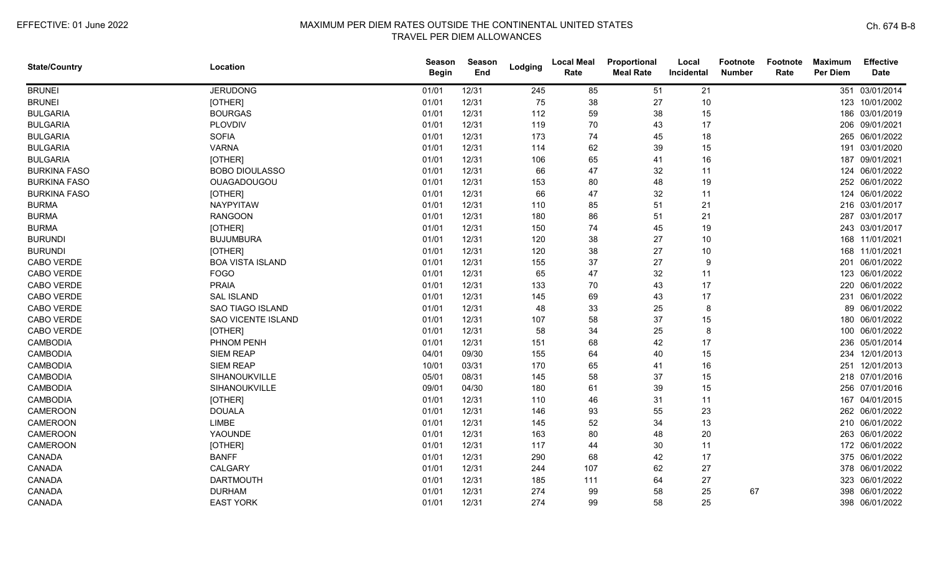| <b>State/Country</b> | Location                  | <b>Season</b><br><b>Begin</b> | Season<br>End | Lodging | <b>Local Meal</b><br>Rate | Proportional<br><b>Meal Rate</b> | Local<br>Incidental | <b>Footnote</b><br><b>Number</b> | Footnote<br>Rate | <b>Maximum</b><br><b>Per Diem</b> | <b>Effective</b><br><b>Date</b> |
|----------------------|---------------------------|-------------------------------|---------------|---------|---------------------------|----------------------------------|---------------------|----------------------------------|------------------|-----------------------------------|---------------------------------|
| <b>BRUNEI</b>        | <b>JERUDONG</b>           | 01/01                         | 12/31         | 245     | 85                        | 51                               | 21                  |                                  |                  | 351                               | 03/01/2014                      |
| <b>BRUNEI</b>        | [OTHER]                   | 01/01                         | 12/31         | 75      | 38                        | 27                               | 10                  |                                  |                  |                                   | 123 10/01/2002                  |
| <b>BULGARIA</b>      | <b>BOURGAS</b>            | 01/01                         | 12/31         | 112     | 59                        | 38                               | 15                  |                                  |                  |                                   | 186 03/01/2019                  |
| <b>BULGARIA</b>      | PLOVDIV                   | 01/01                         | 12/31         | 119     | 70                        | 43                               | 17                  |                                  |                  |                                   | 206 09/01/2021                  |
| <b>BULGARIA</b>      | <b>SOFIA</b>              | 01/01                         | 12/31         | 173     | 74                        | 45                               | 18                  |                                  |                  |                                   | 265 06/01/2022                  |
| <b>BULGARIA</b>      | <b>VARNA</b>              | 01/01                         | 12/31         | 114     | 62                        | 39                               | 15                  |                                  |                  |                                   | 191 03/01/2020                  |
| <b>BULGARIA</b>      | [OTHER]                   | 01/01                         | 12/31         | 106     | 65                        | 41                               | 16                  |                                  |                  |                                   | 187 09/01/2021                  |
| <b>BURKINA FASO</b>  | <b>BOBO DIOULASSO</b>     | 01/01                         | 12/31         | 66      | 47                        | 32                               | 11                  |                                  |                  |                                   | 124 06/01/2022                  |
| <b>BURKINA FASO</b>  | OUAGADOUGOU               | 01/01                         | 12/31         | 153     | 80                        | 48                               | 19                  |                                  |                  |                                   | 252 06/01/2022                  |
| <b>BURKINA FASO</b>  | [OTHER]                   | 01/01                         | 12/31         | 66      | 47                        | 32                               | 11                  |                                  |                  |                                   | 124 06/01/2022                  |
| <b>BURMA</b>         | NAYPYITAW                 | 01/01                         | 12/31         | 110     | 85                        | 51                               | 21                  |                                  |                  |                                   | 216 03/01/2017                  |
| <b>BURMA</b>         | <b>RANGOON</b>            | 01/01                         | 12/31         | 180     | 86                        | 51                               | 21                  |                                  |                  |                                   | 287 03/01/2017                  |
| <b>BURMA</b>         | [OTHER]                   | 01/01                         | 12/31         | 150     | 74                        | 45                               | 19                  |                                  |                  |                                   | 243 03/01/2017                  |
| <b>BURUNDI</b>       | <b>BUJUMBURA</b>          | 01/01                         | 12/31         | 120     | 38                        | 27                               | 10                  |                                  |                  |                                   | 168 11/01/2021                  |
| <b>BURUNDI</b>       | [OTHER]                   | 01/01                         | 12/31         | 120     | 38                        | 27                               | 10                  |                                  |                  |                                   | 168 11/01/2021                  |
| CABO VERDE           | <b>BOA VISTA ISLAND</b>   | 01/01                         | 12/31         | 155     | 37                        | 27                               | 9                   |                                  |                  |                                   | 201 06/01/2022                  |
| CABO VERDE           | <b>FOGO</b>               | 01/01                         | 12/31         | 65      | 47                        | 32                               | 11                  |                                  |                  |                                   | 123 06/01/2022                  |
| CABO VERDE           | <b>PRAIA</b>              | 01/01                         | 12/31         | 133     | 70                        | 43                               | 17                  |                                  |                  |                                   | 220 06/01/2022                  |
| CABO VERDE           | <b>SAL ISLAND</b>         | 01/01                         | 12/31         | 145     | 69                        | 43                               | 17                  |                                  |                  |                                   | 231 06/01/2022                  |
| CABO VERDE           | <b>SAO TIAGO ISLAND</b>   | 01/01                         | 12/31         | 48      | 33                        | 25                               | 8                   |                                  |                  |                                   | 89 06/01/2022                   |
| CABO VERDE           | <b>SAO VICENTE ISLAND</b> | 01/01                         | 12/31         | 107     | 58                        | 37                               | 15                  |                                  |                  |                                   | 180 06/01/2022                  |
| CABO VERDE           | [OTHER]                   | 01/01                         | 12/31         | 58      | 34                        | 25                               | 8                   |                                  |                  |                                   | 100 06/01/2022                  |
| <b>CAMBODIA</b>      | PHNOM PENH                | 01/01                         | 12/31         | 151     | 68                        | 42                               | 17                  |                                  |                  |                                   | 236 05/01/2014                  |
| <b>CAMBODIA</b>      | <b>SIEM REAP</b>          | 04/01                         | 09/30         | 155     | 64                        | 40                               | 15                  |                                  |                  |                                   | 234 12/01/2013                  |
| <b>CAMBODIA</b>      | <b>SIEM REAP</b>          | 10/01                         | 03/31         | 170     | 65                        | 41                               | 16                  |                                  |                  |                                   | 251 12/01/2013                  |
| <b>CAMBODIA</b>      | SIHANOUKVILLE             | 05/01                         | 08/31         | 145     | 58                        | 37                               | 15                  |                                  |                  |                                   | 218 07/01/2016                  |
| <b>CAMBODIA</b>      | SIHANOUKVILLE             | 09/01                         | 04/30         | 180     | 61                        | 39                               | 15                  |                                  |                  |                                   | 256 07/01/2016                  |
| <b>CAMBODIA</b>      | [OTHER]                   | 01/01                         | 12/31         | 110     | 46                        | 31                               | 11                  |                                  |                  | 167                               | 04/01/2015                      |
| CAMEROON             | <b>DOUALA</b>             | 01/01                         | 12/31         | 146     | 93                        | 55                               | 23                  |                                  |                  |                                   | 262 06/01/2022                  |
| CAMEROON             | LIMBE                     | 01/01                         | 12/31         | 145     | 52                        | 34                               | 13                  |                                  |                  |                                   | 210 06/01/2022                  |
| CAMEROON             | YAOUNDE                   | 01/01                         | 12/31         | 163     | 80                        | 48                               | 20                  |                                  |                  |                                   | 263 06/01/2022                  |
| <b>CAMEROON</b>      | [OTHER]                   | 01/01                         | 12/31         | 117     | 44                        | 30                               | 11                  |                                  |                  |                                   | 172 06/01/2022                  |
| CANADA               | <b>BANFF</b>              | 01/01                         | 12/31         | 290     | 68                        | 42                               | 17                  |                                  |                  |                                   | 375 06/01/2022                  |
| CANADA               | CALGARY                   | 01/01                         | 12/31         | 244     | 107                       | 62                               | 27                  |                                  |                  |                                   | 378 06/01/2022                  |
| CANADA               | <b>DARTMOUTH</b>          | 01/01                         | 12/31         | 185     | 111                       | 64                               | 27                  |                                  |                  |                                   | 323 06/01/2022                  |
| CANADA               | <b>DURHAM</b>             | 01/01                         | 12/31         | 274     | 99                        | 58                               | 25                  | 67                               |                  |                                   | 398 06/01/2022                  |
| CANADA               | <b>EAST YORK</b>          | 01/01                         | 12/31         | 274     | 99                        | 58                               | 25                  |                                  |                  |                                   | 398 06/01/2022                  |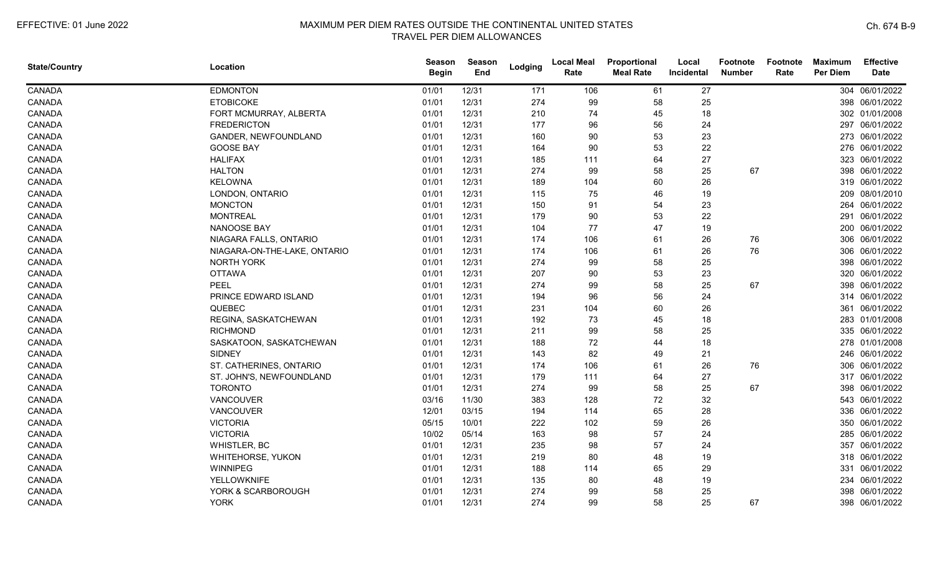| <b>State/Country</b> | Location                     | <b>Season</b><br><b>Begin</b> | Season<br>End | Lodging | <b>Local Meal</b><br>Rate | Proportional<br><b>Meal Rate</b> | Local<br>Incidental | <b>Footnote</b><br><b>Number</b> | Footnote<br>Rate | <b>Maximum</b><br>Per Diem | <b>Effective</b><br><b>Date</b> |
|----------------------|------------------------------|-------------------------------|---------------|---------|---------------------------|----------------------------------|---------------------|----------------------------------|------------------|----------------------------|---------------------------------|
| CANADA               | <b>EDMONTON</b>              | 01/01                         | 12/31         | 171     | 106                       | 61                               | 27                  |                                  |                  |                            | 304 06/01/2022                  |
| CANADA               | <b>ETOBICOKE</b>             | 01/01                         | 12/31         | 274     | 99                        | 58                               | 25                  |                                  |                  |                            | 398 06/01/2022                  |
| CANADA               | FORT MCMURRAY, ALBERTA       | 01/01                         | 12/31         | 210     | 74                        | 45                               | 18                  |                                  |                  |                            | 302 01/01/2008                  |
| CANADA               | <b>FREDERICTON</b>           | 01/01                         | 12/31         | 177     | 96                        | 56                               | 24                  |                                  |                  |                            | 297 06/01/2022                  |
| CANADA               | GANDER, NEWFOUNDLAND         | 01/01                         | 12/31         | 160     | 90                        | 53                               | 23                  |                                  |                  |                            | 273 06/01/2022                  |
| CANADA               | <b>GOOSE BAY</b>             | 01/01                         | 12/31         | 164     | 90                        | 53                               | 22                  |                                  |                  |                            | 276 06/01/2022                  |
| CANADA               | <b>HALIFAX</b>               | 01/01                         | 12/31         | 185     | 111                       | 64                               | 27                  |                                  |                  |                            | 323 06/01/2022                  |
| CANADA               | <b>HALTON</b>                | 01/01                         | 12/31         | 274     | 99                        | 58                               | 25                  | 67                               |                  |                            | 398 06/01/2022                  |
| CANADA               | <b>KELOWNA</b>               | 01/01                         | 12/31         | 189     | 104                       | 60                               | 26                  |                                  |                  |                            | 319 06/01/2022                  |
| CANADA               | LONDON, ONTARIO              | 01/01                         | 12/31         | 115     | 75                        | 46                               | 19                  |                                  |                  | 209                        | 08/01/2010                      |
| CANADA               | <b>MONCTON</b>               | 01/01                         | 12/31         | 150     | 91                        | 54                               | 23                  |                                  |                  | 264                        | 06/01/2022                      |
| CANADA               | <b>MONTREAL</b>              | 01/01                         | 12/31         | 179     | 90                        | 53                               | 22                  |                                  |                  |                            | 291 06/01/2022                  |
| CANADA               | NANOOSE BAY                  | 01/01                         | 12/31         | 104     | 77                        | 47                               | 19                  |                                  |                  |                            | 200 06/01/2022                  |
| CANADA               | NIAGARA FALLS, ONTARIO       | 01/01                         | 12/31         | 174     | 106                       | 61                               | 26                  | 76                               |                  |                            | 306 06/01/2022                  |
| CANADA               | NIAGARA-ON-THE-LAKE, ONTARIO | 01/01                         | 12/31         | 174     | 106                       | 61                               | 26                  | 76                               |                  |                            | 306 06/01/2022                  |
| CANADA               | <b>NORTH YORK</b>            | 01/01                         | 12/31         | 274     | 99                        | 58                               | 25                  |                                  |                  |                            | 398 06/01/2022                  |
| CANADA               | <b>OTTAWA</b>                | 01/01                         | 12/31         | 207     | 90                        | 53                               | 23                  |                                  |                  | 320                        | 06/01/2022                      |
| CANADA               | <b>PEEL</b>                  | 01/01                         | 12/31         | 274     | 99                        | 58                               | 25                  | 67                               |                  | 398                        | 06/01/2022                      |
| CANADA               | PRINCE EDWARD ISLAND         | 01/01                         | 12/31         | 194     | 96                        | 56                               | 24                  |                                  |                  |                            | 314 06/01/2022                  |
| CANADA               | QUEBEC                       | 01/01                         | 12/31         | 231     | 104                       | 60                               | 26                  |                                  |                  |                            | 361 06/01/2022                  |
| CANADA               | REGINA, SASKATCHEWAN         | 01/01                         | 12/31         | 192     | 73                        | 45                               | 18                  |                                  |                  |                            | 283 01/01/2008                  |
| CANADA               | <b>RICHMOND</b>              | 01/01                         | 12/31         | 211     | 99                        | 58                               | 25                  |                                  |                  |                            | 335 06/01/2022                  |
| CANADA               | SASKATOON, SASKATCHEWAN      | 01/01                         | 12/31         | 188     | 72                        | 44                               | 18                  |                                  |                  |                            | 278 01/01/2008                  |
| CANADA               | <b>SIDNEY</b>                | 01/01                         | 12/31         | 143     | 82                        | 49                               | 21                  |                                  |                  |                            | 246 06/01/2022                  |
| CANADA               | ST. CATHERINES, ONTARIO      | 01/01                         | 12/31         | 174     | 106                       | 61                               | 26                  | 76                               |                  | 306                        | 06/01/2022                      |
| CANADA               | ST. JOHN'S, NEWFOUNDLAND     | 01/01                         | 12/31         | 179     | 111                       | 64                               | 27                  |                                  |                  |                            | 317 06/01/2022                  |
| CANADA               | <b>TORONTO</b>               | 01/01                         | 12/31         | 274     | 99                        | 58                               | 25                  | 67                               |                  | 398                        | 06/01/2022                      |
| CANADA               | VANCOUVER                    | 03/16                         | 11/30         | 383     | 128                       | 72                               | 32                  |                                  |                  |                            | 543 06/01/2022                  |
| CANADA               | VANCOUVER                    | 12/01                         | 03/15         | 194     | 114                       | 65                               | 28                  |                                  |                  |                            | 336 06/01/2022                  |
| CANADA               | <b>VICTORIA</b>              | 05/15                         | 10/01         | 222     | 102                       | 59                               | 26                  |                                  |                  |                            | 350 06/01/2022                  |
| CANADA               | <b>VICTORIA</b>              | 10/02                         | 05/14         | 163     | 98                        | 57                               | 24                  |                                  |                  |                            | 285 06/01/2022                  |
| CANADA               | WHISTLER, BC                 | 01/01                         | 12/31         | 235     | 98                        | 57                               | 24                  |                                  |                  |                            | 357 06/01/2022                  |
| CANADA               | WHITEHORSE, YUKON            | 01/01                         | 12/31         | 219     | 80                        | 48                               | 19                  |                                  |                  |                            | 318 06/01/2022                  |
| CANADA               | WINNIPEG                     | 01/01                         | 12/31         | 188     | 114                       | 65                               | 29                  |                                  |                  |                            | 331 06/01/2022                  |
| CANADA               | YELLOWKNIFE                  | 01/01                         | 12/31         | 135     | 80                        | 48                               | 19                  |                                  |                  |                            | 234 06/01/2022                  |
| CANADA               | YORK & SCARBOROUGH           | 01/01                         | 12/31         | 274     | 99                        | 58                               | 25                  |                                  |                  | 398                        | 06/01/2022                      |
| CANADA               | <b>YORK</b>                  | 01/01                         | 12/31         | 274     | 99                        | 58                               | 25                  | 67                               |                  |                            | 398 06/01/2022                  |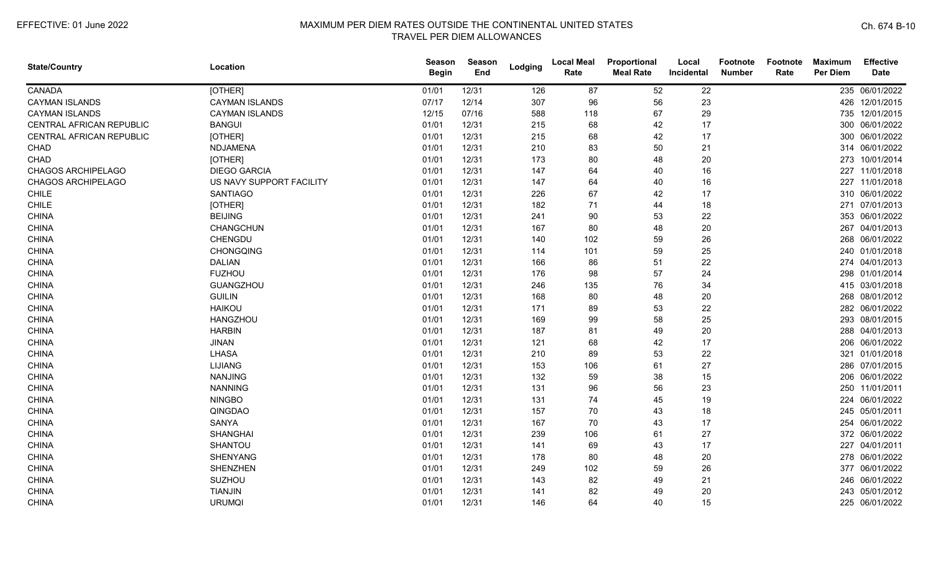| <b>State/Country</b>     | Location                 | Season<br><b>Begin</b> | <b>Season</b><br>End | Lodging | <b>Local Meal</b><br>Rate | Proportional<br><b>Meal Rate</b> | Local<br>Incidental | Footnote<br><b>Number</b> | Footnote<br>Rate | <b>Maximum</b><br><b>Per Diem</b> | <b>Effective</b><br><b>Date</b> |
|--------------------------|--------------------------|------------------------|----------------------|---------|---------------------------|----------------------------------|---------------------|---------------------------|------------------|-----------------------------------|---------------------------------|
| CANADA                   | [OTHER]                  | 01/01                  | 12/31                | 126     | 87                        | 52                               | 22                  |                           |                  |                                   | 235 06/01/2022                  |
| <b>CAYMAN ISLANDS</b>    | <b>CAYMAN ISLANDS</b>    | 07/17                  | 12/14                | 307     | 96                        | 56                               | 23                  |                           |                  |                                   | 426 12/01/2015                  |
| <b>CAYMAN ISLANDS</b>    | <b>CAYMAN ISLANDS</b>    | 12/15                  | 07/16                | 588     | 118                       | 67                               | 29                  |                           |                  |                                   | 735 12/01/2015                  |
| CENTRAL AFRICAN REPUBLIC | <b>BANGUI</b>            | 01/01                  | 12/31                | 215     | 68                        | 42                               | 17                  |                           |                  |                                   | 300 06/01/2022                  |
| CENTRAL AFRICAN REPUBLIC | [OTHER]                  | 01/01                  | 12/31                | 215     | 68                        | 42                               | 17                  |                           |                  |                                   | 300 06/01/2022                  |
| CHAD                     | NDJAMENA                 | 01/01                  | 12/31                | 210     | 83                        | 50                               | 21                  |                           |                  |                                   | 314 06/01/2022                  |
| CHAD                     | [OTHER]                  | 01/01                  | 12/31                | 173     | 80                        | 48                               | 20                  |                           |                  |                                   | 273 10/01/2014                  |
| CHAGOS ARCHIPELAGO       | <b>DIEGO GARCIA</b>      | 01/01                  | 12/31                | 147     | 64                        | 40                               | 16                  |                           |                  |                                   | 227 11/01/2018                  |
| CHAGOS ARCHIPELAGO       | US NAVY SUPPORT FACILITY | 01/01                  | 12/31                | 147     | 64                        | 40                               | 16                  |                           |                  |                                   | 227 11/01/2018                  |
| CHILE                    | <b>SANTIAGO</b>          | 01/01                  | 12/31                | 226     | 67                        | 42                               | 17                  |                           |                  |                                   | 310 06/01/2022                  |
| CHILE                    | [OTHER]                  | 01/01                  | 12/31                | 182     | 71                        | 44                               | 18                  |                           |                  |                                   | 271 07/01/2013                  |
| <b>CHINA</b>             | <b>BEIJING</b>           | 01/01                  | 12/31                | 241     | 90                        | 53                               | 22                  |                           |                  |                                   | 353 06/01/2022                  |
| <b>CHINA</b>             | CHANGCHUN                | 01/01                  | 12/31                | 167     | 80                        | 48                               | 20                  |                           |                  |                                   | 267 04/01/2013                  |
| <b>CHINA</b>             | CHENGDU                  | 01/01                  | 12/31                | 140     | 102                       | 59                               | 26                  |                           |                  |                                   | 268 06/01/2022                  |
| <b>CHINA</b>             | CHONGQING                | 01/01                  | 12/31                | 114     | 101                       | 59                               | 25                  |                           |                  |                                   | 240 01/01/2018                  |
| <b>CHINA</b>             | <b>DALIAN</b>            | 01/01                  | 12/31                | 166     | 86                        | 51                               | 22                  |                           |                  |                                   | 274 04/01/2013                  |
| <b>CHINA</b>             | <b>FUZHOU</b>            | 01/01                  | 12/31                | 176     | 98                        | 57                               | 24                  |                           |                  |                                   | 298 01/01/2014                  |
| <b>CHINA</b>             | GUANGZHOU                | 01/01                  | 12/31                | 246     | 135                       | 76                               | 34                  |                           |                  |                                   | 415 03/01/2018                  |
| <b>CHINA</b>             | <b>GUILIN</b>            | 01/01                  | 12/31                | 168     | 80                        | 48                               | 20                  |                           |                  |                                   | 268 08/01/2012                  |
| <b>CHINA</b>             | <b>HAIKOU</b>            | 01/01                  | 12/31                | 171     | 89                        | 53                               | 22                  |                           |                  |                                   | 282 06/01/2022                  |
| <b>CHINA</b>             | <b>HANGZHOU</b>          | 01/01                  | 12/31                | 169     | 99                        | 58                               | 25                  |                           |                  |                                   | 293 08/01/2015                  |
| <b>CHINA</b>             | <b>HARBIN</b>            | 01/01                  | 12/31                | 187     | 81                        | 49                               | 20                  |                           |                  |                                   | 288 04/01/2013                  |
| <b>CHINA</b>             | <b>JINAN</b>             | 01/01                  | 12/31                | 121     | 68                        | 42                               | 17                  |                           |                  |                                   | 206 06/01/2022                  |
| <b>CHINA</b>             | <b>LHASA</b>             | 01/01                  | 12/31                | 210     | 89                        | 53                               | 22                  |                           |                  |                                   | 321 01/01/2018                  |
| <b>CHINA</b>             | <b>LIJIANG</b>           | 01/01                  | 12/31                | 153     | 106                       | 61                               | 27                  |                           |                  |                                   | 286 07/01/2015                  |
| <b>CHINA</b>             | <b>NANJING</b>           | 01/01                  | 12/31                | 132     | 59                        | 38                               | 15                  |                           |                  |                                   | 206 06/01/2022                  |
| <b>CHINA</b>             | <b>NANNING</b>           | 01/01                  | 12/31                | 131     | 96                        | 56                               | 23                  |                           |                  |                                   | 250 11/01/2011                  |
| <b>CHINA</b>             | <b>NINGBO</b>            | 01/01                  | 12/31                | 131     | 74                        | 45                               | 19                  |                           |                  |                                   | 224 06/01/2022                  |
| <b>CHINA</b>             | QINGDAO                  | 01/01                  | 12/31                | 157     | 70                        | 43                               | 18                  |                           |                  |                                   | 245 05/01/2011                  |
| <b>CHINA</b>             | <b>SANYA</b>             | 01/01                  | 12/31                | 167     | 70                        | 43                               | 17                  |                           |                  |                                   | 254 06/01/2022                  |
| <b>CHINA</b>             | <b>SHANGHAI</b>          | 01/01                  | 12/31                | 239     | 106                       | 61                               | 27                  |                           |                  |                                   | 372 06/01/2022                  |
| <b>CHINA</b>             | SHANTOU                  | 01/01                  | 12/31                | 141     | 69                        | 43                               | 17                  |                           |                  |                                   | 227 04/01/2011                  |
| <b>CHINA</b>             | <b>SHENYANG</b>          | 01/01                  | 12/31                | 178     | 80                        | 48                               | 20                  |                           |                  |                                   | 278 06/01/2022                  |
| <b>CHINA</b>             | <b>SHENZHEN</b>          | 01/01                  | 12/31                | 249     | 102                       | 59                               | 26                  |                           |                  |                                   | 377 06/01/2022                  |
| <b>CHINA</b>             | SUZHOU                   | 01/01                  | 12/31                | 143     | 82                        | 49                               | 21                  |                           |                  |                                   | 246 06/01/2022                  |
| <b>CHINA</b>             | <b>TIANJIN</b>           | 01/01                  | 12/31                | 141     | 82                        | 49                               | 20                  |                           |                  |                                   | 243 05/01/2012                  |
| <b>CHINA</b>             | <b>URUMQI</b>            | 01/01                  | 12/31                | 146     | 64                        | 40                               | 15                  |                           |                  |                                   | 225 06/01/2022                  |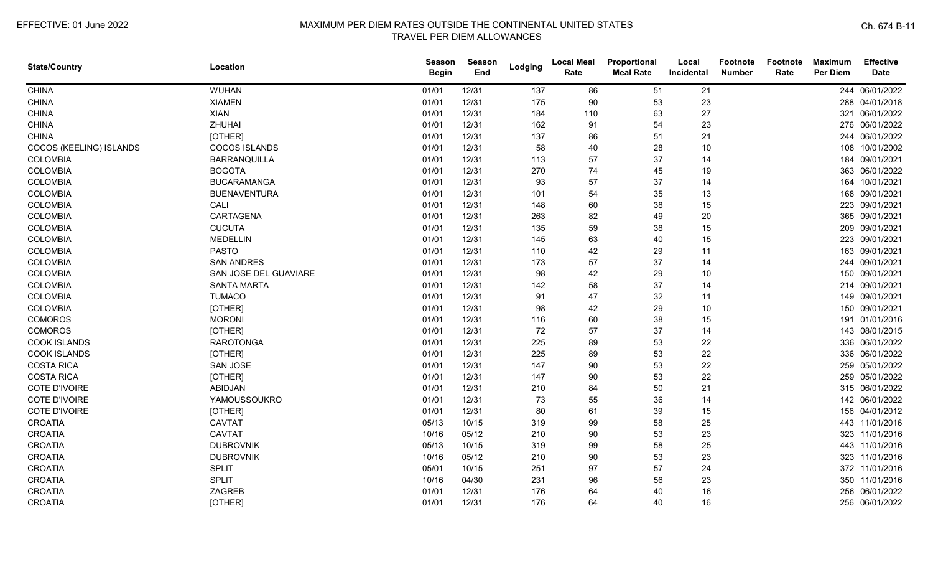| <b>State/Country</b>    | Location              | <b>Season</b><br><b>Begin</b> | <b>Season</b><br>End | Lodging | <b>Local Meal</b><br>Rate | Proportional<br><b>Meal Rate</b> | Local<br>Incidental | <b>Footnote</b><br><b>Number</b> | Footnote<br>Rate | <b>Maximum</b><br><b>Per Diem</b> | <b>Effective</b><br><b>Date</b> |
|-------------------------|-----------------------|-------------------------------|----------------------|---------|---------------------------|----------------------------------|---------------------|----------------------------------|------------------|-----------------------------------|---------------------------------|
| <b>CHINA</b>            | <b>WUHAN</b>          | 01/01                         | 12/31                | 137     | 86                        | 51                               | 21                  |                                  |                  |                                   | 244 06/01/2022                  |
| <b>CHINA</b>            | <b>XIAMEN</b>         | 01/01                         | 12/31                | 175     | 90                        | 53                               | 23                  |                                  |                  |                                   | 288 04/01/2018                  |
| <b>CHINA</b>            | <b>XIAN</b>           | 01/01                         | 12/31                | 184     | 110                       | 63                               | 27                  |                                  |                  |                                   | 321 06/01/2022                  |
| <b>CHINA</b>            | ZHUHAI                | 01/01                         | 12/31                | 162     | 91                        | 54                               | 23                  |                                  |                  |                                   | 276 06/01/2022                  |
| <b>CHINA</b>            | [OTHER]               | 01/01                         | 12/31                | 137     | 86                        | 51                               | 21                  |                                  |                  |                                   | 244 06/01/2022                  |
| COCOS (KEELING) ISLANDS | <b>COCOS ISLANDS</b>  | 01/01                         | 12/31                | 58      | 40                        | 28                               | 10                  |                                  |                  |                                   | 108 10/01/2002                  |
| <b>COLOMBIA</b>         | BARRANQUILLA          | 01/01                         | 12/31                | 113     | 57                        | 37                               | 14                  |                                  |                  | 184                               | 09/01/2021                      |
| <b>COLOMBIA</b>         | <b>BOGOTA</b>         | 01/01                         | 12/31                | 270     | 74                        | 45                               | 19                  |                                  |                  |                                   | 363 06/01/2022                  |
| <b>COLOMBIA</b>         | <b>BUCARAMANGA</b>    | 01/01                         | 12/31                | 93      | 57                        | 37                               | 14                  |                                  |                  |                                   | 164 10/01/2021                  |
| <b>COLOMBIA</b>         | <b>BUENAVENTURA</b>   | 01/01                         | 12/31                | 101     | 54                        | 35                               | 13                  |                                  |                  | 168                               | 09/01/2021                      |
| <b>COLOMBIA</b>         | CALI                  | 01/01                         | 12/31                | 148     | 60                        | 38                               | 15                  |                                  |                  |                                   | 223 09/01/2021                  |
| <b>COLOMBIA</b>         | CARTAGENA             | 01/01                         | 12/31                | 263     | 82                        | 49                               | 20                  |                                  |                  |                                   | 365 09/01/2021                  |
| <b>COLOMBIA</b>         | <b>CUCUTA</b>         | 01/01                         | 12/31                | 135     | 59                        | 38                               | 15                  |                                  |                  |                                   | 209 09/01/2021                  |
| <b>COLOMBIA</b>         | <b>MEDELLIN</b>       | 01/01                         | 12/31                | 145     | 63                        | 40                               | 15                  |                                  |                  |                                   | 223 09/01/2021                  |
| <b>COLOMBIA</b>         | <b>PASTO</b>          | 01/01                         | 12/31                | 110     | 42                        | 29                               | 11                  |                                  |                  |                                   | 163 09/01/2021                  |
| <b>COLOMBIA</b>         | <b>SAN ANDRES</b>     | 01/01                         | 12/31                | 173     | 57                        | 37                               | 14                  |                                  |                  | 244                               | 09/01/2021                      |
| <b>COLOMBIA</b>         | SAN JOSE DEL GUAVIARE | 01/01                         | 12/31                | 98      | 42                        | 29                               | 10                  |                                  |                  |                                   | 150 09/01/2021                  |
| <b>COLOMBIA</b>         | <b>SANTA MARTA</b>    | 01/01                         | 12/31                | 142     | 58                        | 37                               | 14                  |                                  |                  |                                   | 214 09/01/2021                  |
| <b>COLOMBIA</b>         | <b>TUMACO</b>         | 01/01                         | 12/31                | 91      | 47                        | 32                               | 11                  |                                  |                  |                                   | 149 09/01/2021                  |
| <b>COLOMBIA</b>         | [OTHER]               | 01/01                         | 12/31                | 98      | 42                        | 29                               | 10                  |                                  |                  |                                   | 150 09/01/2021                  |
| <b>COMOROS</b>          | <b>MORONI</b>         | 01/01                         | 12/31                | 116     | 60                        | 38                               | 15                  |                                  |                  |                                   | 191 01/01/2016                  |
| <b>COMOROS</b>          | [OTHER]               | 01/01                         | 12/31                | 72      | 57                        | 37                               | 14                  |                                  |                  |                                   | 143 08/01/2015                  |
| <b>COOK ISLANDS</b>     | <b>RAROTONGA</b>      | 01/01                         | 12/31                | 225     | 89                        | 53                               | 22                  |                                  |                  |                                   | 336 06/01/2022                  |
| <b>COOK ISLANDS</b>     | [OTHER]               | 01/01                         | 12/31                | 225     | 89                        | 53                               | 22                  |                                  |                  |                                   | 336 06/01/2022                  |
| <b>COSTA RICA</b>       | <b>SAN JOSE</b>       | 01/01                         | 12/31                | 147     | 90                        | 53                               | 22                  |                                  |                  |                                   | 259 05/01/2022                  |
| <b>COSTA RICA</b>       | [OTHER]               | 01/01                         | 12/31                | 147     | 90                        | 53                               | 22                  |                                  |                  |                                   | 259 05/01/2022                  |
| <b>COTE D'IVOIRE</b>    | <b>ABIDJAN</b>        | 01/01                         | 12/31                | 210     | 84                        | 50                               | 21                  |                                  |                  |                                   | 315 06/01/2022                  |
| COTE D'IVOIRE           | YAMOUSSOUKRO          | 01/01                         | 12/31                | 73      | 55                        | 36                               | 14                  |                                  |                  |                                   | 142 06/01/2022                  |
| <b>COTE D'IVOIRE</b>    | [OTHER]               | 01/01                         | 12/31                | 80      | 61                        | 39                               | 15                  |                                  |                  |                                   | 156 04/01/2012                  |
| <b>CROATIA</b>          | <b>CAVTAT</b>         | 05/13                         | 10/15                | 319     | 99                        | 58                               | 25                  |                                  |                  |                                   | 443 11/01/2016                  |
| <b>CROATIA</b>          | <b>CAVTAT</b>         | 10/16                         | 05/12                | 210     | 90                        | 53                               | 23                  |                                  |                  |                                   | 323 11/01/2016                  |
| CROATIA                 | <b>DUBROVNIK</b>      | 05/13                         | 10/15                | 319     | 99                        | 58                               | 25                  |                                  |                  |                                   | 443 11/01/2016                  |
| <b>CROATIA</b>          | <b>DUBROVNIK</b>      | 10/16                         | 05/12                | 210     | 90                        | 53                               | 23                  |                                  |                  |                                   | 323 11/01/2016                  |
| CROATIA                 | <b>SPLIT</b>          | 05/01                         | 10/15                | 251     | 97                        | 57                               | 24                  |                                  |                  |                                   | 372 11/01/2016                  |
| <b>CROATIA</b>          | <b>SPLIT</b>          | 10/16                         | 04/30                | 231     | 96                        | 56                               | 23                  |                                  |                  |                                   | 350 11/01/2016                  |
| <b>CROATIA</b>          | ZAGREB                | 01/01                         | 12/31                | 176     | 64                        | 40                               | 16                  |                                  |                  |                                   | 256 06/01/2022                  |
| CROATIA                 | [OTHER]               | 01/01                         | 12/31                | 176     | 64                        | 40                               | 16                  |                                  |                  |                                   | 256 06/01/2022                  |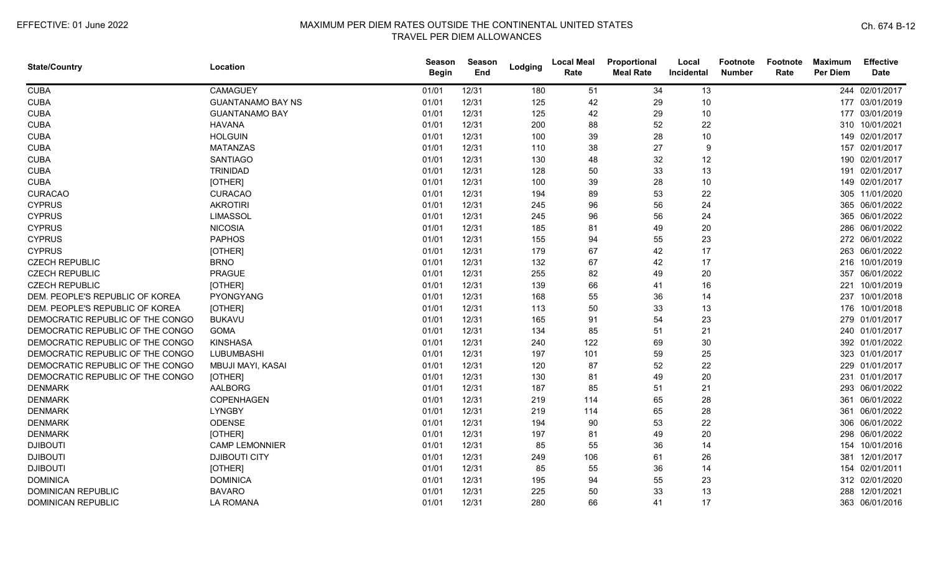| <b>State/Country</b>             | Location                 | <b>Season</b><br><b>Begin</b> | Season<br>End | Lodging | <b>Local Meal</b><br>Rate | Proportional<br><b>Meal Rate</b> | Local<br>Incidental | <b>Footnote</b><br><b>Number</b> | Footnote<br>Rate | <b>Maximum</b><br><b>Per Diem</b> | <b>Effective</b><br><b>Date</b> |
|----------------------------------|--------------------------|-------------------------------|---------------|---------|---------------------------|----------------------------------|---------------------|----------------------------------|------------------|-----------------------------------|---------------------------------|
| <b>CUBA</b>                      | <b>CAMAGUEY</b>          | 01/01                         | 12/31         | 180     | 51                        | 34                               | 13                  |                                  |                  |                                   | 244 02/01/2017                  |
| <b>CUBA</b>                      | <b>GUANTANAMO BAY NS</b> | 01/01                         | 12/31         | 125     | 42                        | 29                               | 10                  |                                  |                  |                                   | 177 03/01/2019                  |
| <b>CUBA</b>                      | <b>GUANTANAMO BAY</b>    | 01/01                         | 12/31         | 125     | 42                        | 29                               | 10                  |                                  |                  |                                   | 177 03/01/2019                  |
| <b>CUBA</b>                      | <b>HAVANA</b>            | 01/01                         | 12/31         | 200     | 88                        | 52                               | 22                  |                                  |                  |                                   | 310 10/01/2021                  |
| <b>CUBA</b>                      | <b>HOLGUIN</b>           | 01/01                         | 12/31         | 100     | 39                        | 28                               | 10                  |                                  |                  |                                   | 149 02/01/2017                  |
| <b>CUBA</b>                      | <b>MATANZAS</b>          | 01/01                         | 12/31         | 110     | 38                        | 27                               | 9                   |                                  |                  |                                   | 157 02/01/2017                  |
| <b>CUBA</b>                      | <b>SANTIAGO</b>          | 01/01                         | 12/31         | 130     | 48                        | 32                               | 12                  |                                  |                  |                                   | 190 02/01/2017                  |
| <b>CUBA</b>                      | <b>TRINIDAD</b>          | 01/01                         | 12/31         | 128     | 50                        | 33                               | 13                  |                                  |                  | 191                               | 02/01/2017                      |
| <b>CUBA</b>                      | [OTHER]                  | 01/01                         | 12/31         | 100     | 39                        | 28                               | 10                  |                                  |                  |                                   | 149 02/01/2017                  |
| <b>CURACAO</b>                   | <b>CURACAO</b>           | 01/01                         | 12/31         | 194     | 89                        | 53                               | 22                  |                                  |                  |                                   | 305 11/01/2020                  |
| <b>CYPRUS</b>                    | <b>AKROTIRI</b>          | 01/01                         | 12/31         | 245     | 96                        | 56                               | 24                  |                                  |                  |                                   | 365 06/01/2022                  |
| <b>CYPRUS</b>                    | <b>LIMASSOL</b>          | 01/01                         | 12/31         | 245     | 96                        | 56                               | 24                  |                                  |                  |                                   | 365 06/01/2022                  |
| <b>CYPRUS</b>                    | <b>NICOSIA</b>           | 01/01                         | 12/31         | 185     | 81                        | 49                               | 20                  |                                  |                  |                                   | 286 06/01/2022                  |
| <b>CYPRUS</b>                    | <b>PAPHOS</b>            | 01/01                         | 12/31         | 155     | 94                        | 55                               | 23                  |                                  |                  |                                   | 272 06/01/2022                  |
| <b>CYPRUS</b>                    | [OTHER]                  | 01/01                         | 12/31         | 179     | 67                        | 42                               | 17                  |                                  |                  |                                   | 263 06/01/2022                  |
| <b>CZECH REPUBLIC</b>            | <b>BRNO</b>              | 01/01                         | 12/31         | 132     | 67                        | 42                               | 17                  |                                  |                  | 216                               | 10/01/2019                      |
| <b>CZECH REPUBLIC</b>            | <b>PRAGUE</b>            | 01/01                         | 12/31         | 255     | 82                        | 49                               | 20                  |                                  |                  | 357                               | 06/01/2022                      |
| <b>CZECH REPUBLIC</b>            | [OTHER]                  | 01/01                         | 12/31         | 139     | 66                        | 41                               | 16                  |                                  |                  |                                   | 221 10/01/2019                  |
| DEM. PEOPLE'S REPUBLIC OF KOREA  | PYONGYANG                | 01/01                         | 12/31         | 168     | 55                        | 36                               | 14                  |                                  |                  |                                   | 237 10/01/2018                  |
| DEM. PEOPLE'S REPUBLIC OF KOREA  | [OTHER]                  | 01/01                         | 12/31         | 113     | 50                        | 33                               | 13                  |                                  |                  |                                   | 176 10/01/2018                  |
| DEMOCRATIC REPUBLIC OF THE CONGO | <b>BUKAVU</b>            | 01/01                         | 12/31         | 165     | 91                        | 54                               | 23                  |                                  |                  |                                   | 279 01/01/2017                  |
| DEMOCRATIC REPUBLIC OF THE CONGO | <b>GOMA</b>              | 01/01                         | 12/31         | 134     | 85                        | 51                               | 21                  |                                  |                  |                                   | 240 01/01/2017                  |
| DEMOCRATIC REPUBLIC OF THE CONGO | <b>KINSHASA</b>          | 01/01                         | 12/31         | 240     | 122                       | 69                               | 30                  |                                  |                  |                                   | 392 01/01/2022                  |
| DEMOCRATIC REPUBLIC OF THE CONGO | LUBUMBASHI               | 01/01                         | 12/31         | 197     | 101                       | 59                               | 25                  |                                  |                  |                                   | 323 01/01/2017                  |
| DEMOCRATIC REPUBLIC OF THE CONGO | MBUJI MAYI, KASAI        | 01/01                         | 12/31         | 120     | 87                        | 52                               | 22                  |                                  |                  |                                   | 229 01/01/2017                  |
| DEMOCRATIC REPUBLIC OF THE CONGO | [OTHER]                  | 01/01                         | 12/31         | 130     | 81                        | 49                               | 20                  |                                  |                  |                                   | 231 01/01/2017                  |
| <b>DENMARK</b>                   | <b>AALBORG</b>           | 01/01                         | 12/31         | 187     | 85                        | 51                               | 21                  |                                  |                  |                                   | 293 06/01/2022                  |
| <b>DENMARK</b>                   | COPENHAGEN               | 01/01                         | 12/31         | 219     | 114                       | 65                               | 28                  |                                  |                  |                                   | 361 06/01/2022                  |
| <b>DENMARK</b>                   | <b>LYNGBY</b>            | 01/01                         | 12/31         | 219     | 114                       | 65                               | 28                  |                                  |                  |                                   | 361 06/01/2022                  |
| <b>DENMARK</b>                   | ODENSE                   | 01/01                         | 12/31         | 194     | 90                        | 53                               | 22                  |                                  |                  |                                   | 306 06/01/2022                  |
| <b>DENMARK</b>                   | [OTHER]                  | 01/01                         | 12/31         | 197     | 81                        | 49                               | 20                  |                                  |                  |                                   | 298 06/01/2022                  |
| <b>DJIBOUTI</b>                  | <b>CAMP LEMONNIER</b>    | 01/01                         | 12/31         | 85      | 55                        | 36                               | 14                  |                                  |                  |                                   | 154 10/01/2016                  |
| <b>DJIBOUTI</b>                  | <b>DJIBOUTI CITY</b>     | 01/01                         | 12/31         | 249     | 106                       | 61                               | 26                  |                                  |                  |                                   | 381 12/01/2017                  |
| <b>DJIBOUTI</b>                  | [OTHER]                  | 01/01                         | 12/31         | 85      | 55                        | 36                               | 14                  |                                  |                  |                                   | 154 02/01/2011                  |
| <b>DOMINICA</b>                  | <b>DOMINICA</b>          | 01/01                         | 12/31         | 195     | 94                        | 55                               | 23                  |                                  |                  |                                   | 312 02/01/2020                  |
| <b>DOMINICAN REPUBLIC</b>        | <b>BAVARO</b>            | 01/01                         | 12/31         | 225     | 50                        | 33                               | 13                  |                                  |                  | 288                               | 12/01/2021                      |
| <b>DOMINICAN REPUBLIC</b>        | LA ROMANA                | 01/01                         | 12/31         | 280     | 66                        | 41                               | 17                  |                                  |                  |                                   | 363 06/01/2016                  |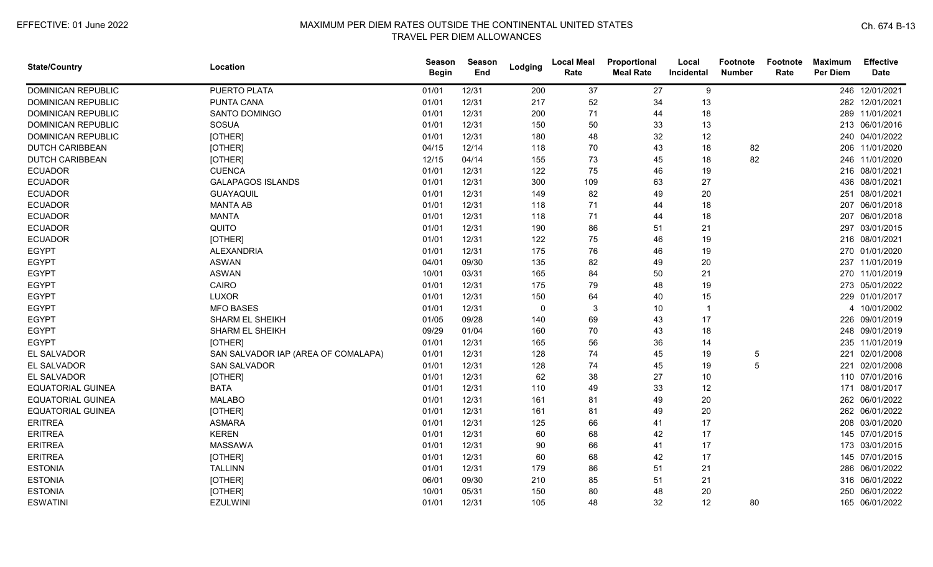| <b>State/Country</b>      | Location                            | <b>Season</b><br><b>Begin</b> | <b>Season</b><br>End | Lodging  | <b>Local Meal</b><br>Rate | Proportional<br><b>Meal Rate</b> | Local<br>Incidental | <b>Footnote</b><br><b>Number</b> | Footnote<br>Rate | <b>Maximum</b><br><b>Per Diem</b> | <b>Effective</b><br><b>Date</b> |
|---------------------------|-------------------------------------|-------------------------------|----------------------|----------|---------------------------|----------------------------------|---------------------|----------------------------------|------------------|-----------------------------------|---------------------------------|
| <b>DOMINICAN REPUBLIC</b> | PUERTO PLATA                        | 01/01                         | 12/31                | 200      | 37                        | 27                               | 9                   |                                  |                  |                                   | 246 12/01/2021                  |
| <b>DOMINICAN REPUBLIC</b> | <b>PUNTA CANA</b>                   | 01/01                         | 12/31                | 217      | 52                        | 34                               | 13                  |                                  |                  |                                   | 282 12/01/2021                  |
| <b>DOMINICAN REPUBLIC</b> | SANTO DOMINGO                       | 01/01                         | 12/31                | 200      | 71                        | 44                               | 18                  |                                  |                  |                                   | 289 11/01/2021                  |
| <b>DOMINICAN REPUBLIC</b> | <b>SOSUA</b>                        | 01/01                         | 12/31                | 150      | 50                        | 33                               | 13                  |                                  |                  |                                   | 213 06/01/2016                  |
| <b>DOMINICAN REPUBLIC</b> | [OTHER]                             | 01/01                         | 12/31                | 180      | 48                        | 32                               | 12                  |                                  |                  |                                   | 240 04/01/2022                  |
| <b>DUTCH CARIBBEAN</b>    | [OTHER]                             | 04/15                         | 12/14                | 118      | 70                        | 43                               | 18                  | 82                               |                  |                                   | 206 11/01/2020                  |
| <b>DUTCH CARIBBEAN</b>    | [OTHER]                             | 12/15                         | 04/14                | 155      | 73                        | 45                               | 18                  | 82                               |                  |                                   | 246 11/01/2020                  |
| <b>ECUADOR</b>            | <b>CUENCA</b>                       | 01/01                         | 12/31                | 122      | 75                        | 46                               | 19                  |                                  |                  |                                   | 216 08/01/2021                  |
| <b>ECUADOR</b>            | <b>GALAPAGOS ISLANDS</b>            | 01/01                         | 12/31                | 300      | 109                       | 63                               | 27                  |                                  |                  |                                   | 436 08/01/2021                  |
| <b>ECUADOR</b>            | GUAYAQUIL                           | 01/01                         | 12/31                | 149      | 82                        | 49                               | 20                  |                                  |                  | 251                               | 08/01/2021                      |
| <b>ECUADOR</b>            | <b>MANTA AB</b>                     | 01/01                         | 12/31                | 118      | 71                        | 44                               | 18                  |                                  |                  |                                   | 207 06/01/2018                  |
| <b>ECUADOR</b>            | <b>MANTA</b>                        | 01/01                         | 12/31                | 118      | 71                        | 44                               | 18                  |                                  |                  |                                   | 207 06/01/2018                  |
| <b>ECUADOR</b>            | QUITO                               | 01/01                         | 12/31                | 190      | 86                        | 51                               | 21                  |                                  |                  |                                   | 297 03/01/2015                  |
| <b>ECUADOR</b>            | [OTHER]                             | 01/01                         | 12/31                | 122      | 75                        | 46                               | 19                  |                                  |                  |                                   | 216 08/01/2021                  |
| <b>EGYPT</b>              | <b>ALEXANDRIA</b>                   | 01/01                         | 12/31                | 175      | 76                        | 46                               | 19                  |                                  |                  |                                   | 270 01/01/2020                  |
| <b>EGYPT</b>              | <b>ASWAN</b>                        | 04/01                         | 09/30                | 135      | 82                        | 49                               | 20                  |                                  |                  |                                   | 237 11/01/2019                  |
| <b>EGYPT</b>              | <b>ASWAN</b>                        | 10/01                         | 03/31                | 165      | 84                        | 50                               | 21                  |                                  |                  |                                   | 270 11/01/2019                  |
| <b>EGYPT</b>              | CAIRO                               | 01/01                         | 12/31                | 175      | 79                        | 48                               | 19                  |                                  |                  |                                   | 273 05/01/2022                  |
| <b>EGYPT</b>              | <b>LUXOR</b>                        | 01/01                         | 12/31                | 150      | 64                        | 40                               | 15                  |                                  |                  |                                   | 229 01/01/2017                  |
| <b>EGYPT</b>              | <b>MFO BASES</b>                    | 01/01                         | 12/31                | $\Omega$ | 3                         | 10                               | -1                  |                                  |                  |                                   | 4 10/01/2002                    |
| <b>EGYPT</b>              | <b>SHARM EL SHEIKH</b>              | 01/05                         | 09/28                | 140      | 69                        | 43                               | 17                  |                                  |                  |                                   | 226 09/01/2019                  |
| <b>EGYPT</b>              | <b>SHARM EL SHEIKH</b>              | 09/29                         | 01/04                | 160      | 70                        | 43                               | 18                  |                                  |                  |                                   | 248 09/01/2019                  |
| <b>EGYPT</b>              | [OTHER]                             | 01/01                         | 12/31                | 165      | 56                        | 36                               | 14                  |                                  |                  |                                   | 235 11/01/2019                  |
| EL SALVADOR               | SAN SALVADOR IAP (AREA OF COMALAPA) | 01/01                         | 12/31                | 128      | 74                        | 45                               | 19                  | 5                                |                  |                                   | 221 02/01/2008                  |
| EL SALVADOR               | <b>SAN SALVADOR</b>                 | 01/01                         | 12/31                | 128      | 74                        | 45                               | 19                  | 5                                |                  | 221                               | 02/01/2008                      |
| EL SALVADOR               | [OTHER]                             | 01/01                         | 12/31                | 62       | 38                        | 27                               | 10                  |                                  |                  |                                   | 110 07/01/2016                  |
| <b>EQUATORIAL GUINEA</b>  | <b>BATA</b>                         | 01/01                         | 12/31                | 110      | 49                        | 33                               | 12                  |                                  |                  |                                   | 171 08/01/2017                  |
| <b>EQUATORIAL GUINEA</b>  | <b>MALABO</b>                       | 01/01                         | 12/31                | 161      | 81                        | 49                               | 20                  |                                  |                  |                                   | 262 06/01/2022                  |
| <b>EQUATORIAL GUINEA</b>  | [OTHER]                             | 01/01                         | 12/31                | 161      | 81                        | 49                               | 20                  |                                  |                  |                                   | 262 06/01/2022                  |
| <b>ERITREA</b>            | <b>ASMARA</b>                       | 01/01                         | 12/31                | 125      | 66                        | 41                               | 17                  |                                  |                  |                                   | 208 03/01/2020                  |
| <b>ERITREA</b>            | <b>KEREN</b>                        | 01/01                         | 12/31                | 60       | 68                        | 42                               | 17                  |                                  |                  |                                   | 145 07/01/2015                  |
| <b>ERITREA</b>            | <b>MASSAWA</b>                      | 01/01                         | 12/31                | 90       | 66                        | 41                               | 17                  |                                  |                  |                                   | 173 03/01/2015                  |
| <b>ERITREA</b>            | [OTHER]                             | 01/01                         | 12/31                | 60       | 68                        | 42                               | 17                  |                                  |                  |                                   | 145 07/01/2015                  |
| <b>ESTONIA</b>            | <b>TALLINN</b>                      | 01/01                         | 12/31                | 179      | 86                        | 51                               | 21                  |                                  |                  |                                   | 286 06/01/2022                  |
| <b>ESTONIA</b>            | [OTHER]                             | 06/01                         | 09/30                | 210      | 85                        | 51                               | 21                  |                                  |                  |                                   | 316 06/01/2022                  |
| <b>ESTONIA</b>            | [OTHER]                             | 10/01                         | 05/31                | 150      | 80                        | 48                               | 20                  |                                  |                  |                                   | 250 06/01/2022                  |
| <b>ESWATINI</b>           | <b>EZULWINI</b>                     | 01/01                         | 12/31                | 105      | 48                        | 32                               | 12                  | 80                               |                  |                                   | 165 06/01/2022                  |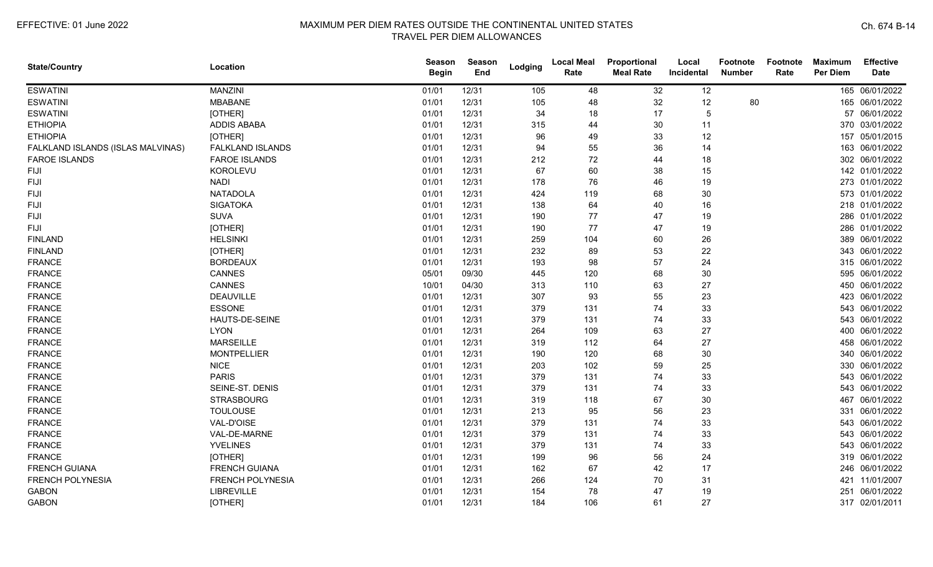| <b>State/Country</b>              | Location                | <b>Season</b><br><b>Begin</b> | <b>Season</b><br>End | Lodging | <b>Local Meal</b><br>Rate | Proportional<br><b>Meal Rate</b> | Local<br>Incidental | Footnote<br><b>Number</b> | Footnote<br>Rate | <b>Maximum</b><br><b>Per Diem</b> | <b>Effective</b><br><b>Date</b> |
|-----------------------------------|-------------------------|-------------------------------|----------------------|---------|---------------------------|----------------------------------|---------------------|---------------------------|------------------|-----------------------------------|---------------------------------|
| <b>ESWATINI</b>                   | <b>MANZINI</b>          | 01/01                         | 12/31                | 105     | 48                        | 32                               | 12                  |                           |                  |                                   | 165 06/01/2022                  |
| <b>ESWATINI</b>                   | <b>MBABANE</b>          | 01/01                         | 12/31                | 105     | 48                        | 32                               | 12                  | 80                        |                  |                                   | 165 06/01/2022                  |
| <b>ESWATINI</b>                   | [OTHER]                 | 01/01                         | 12/31                | 34      | 18                        | 17                               | -5                  |                           |                  |                                   | 57 06/01/2022                   |
| <b>ETHIOPIA</b>                   | <b>ADDIS ABABA</b>      | 01/01                         | 12/31                | 315     | 44                        | 30                               | 11                  |                           |                  |                                   | 370 03/01/2022                  |
| <b>ETHIOPIA</b>                   | [OTHER]                 | 01/01                         | 12/31                | 96      | 49                        | 33                               | 12                  |                           |                  |                                   | 157 05/01/2015                  |
| FALKLAND ISLANDS (ISLAS MALVINAS) | FALKLAND ISLANDS        | 01/01                         | 12/31                | 94      | 55                        | 36                               | 14                  |                           |                  |                                   | 163 06/01/2022                  |
| <b>FAROE ISLANDS</b>              | <b>FAROE ISLANDS</b>    | 01/01                         | 12/31                | 212     | 72                        | 44                               | 18                  |                           |                  |                                   | 302 06/01/2022                  |
| <b>FIJI</b>                       | KOROLEVU                | 01/01                         | 12/31                | 67      | 60                        | 38                               | 15                  |                           |                  |                                   | 142 01/01/2022                  |
| <b>FIJI</b>                       | <b>NADI</b>             | 01/01                         | 12/31                | 178     | 76                        | 46                               | 19                  |                           |                  |                                   | 273 01/01/2022                  |
| <b>FIJI</b>                       | <b>NATADOLA</b>         | 01/01                         | 12/31                | 424     | 119                       | 68                               | 30                  |                           |                  |                                   | 573 01/01/2022                  |
| <b>FIJI</b>                       | <b>SIGATOKA</b>         | 01/01                         | 12/31                | 138     | 64                        | 40                               | 16                  |                           |                  |                                   | 218 01/01/2022                  |
| <b>FIJI</b>                       | <b>SUVA</b>             | 01/01                         | 12/31                | 190     | 77                        | 47                               | 19                  |                           |                  |                                   | 286 01/01/2022                  |
| <b>FIJI</b>                       | [OTHER]                 | 01/01                         | 12/31                | 190     | 77                        | 47                               | 19                  |                           |                  |                                   | 286 01/01/2022                  |
| <b>FINLAND</b>                    | <b>HELSINKI</b>         | 01/01                         | 12/31                | 259     | 104                       | 60                               | 26                  |                           |                  |                                   | 389 06/01/2022                  |
| <b>FINLAND</b>                    | [OTHER]                 | 01/01                         | 12/31                | 232     | 89                        | 53                               | 22                  |                           |                  |                                   | 343 06/01/2022                  |
| <b>FRANCE</b>                     | <b>BORDEAUX</b>         | 01/01                         | 12/31                | 193     | 98                        | 57                               | 24                  |                           |                  |                                   | 315 06/01/2022                  |
| <b>FRANCE</b>                     | CANNES                  | 05/01                         | 09/30                | 445     | 120                       | 68                               | 30                  |                           |                  |                                   | 595 06/01/2022                  |
| <b>FRANCE</b>                     | <b>CANNES</b>           | 10/01                         | 04/30                | 313     | 110                       | 63                               | 27                  |                           |                  |                                   | 450 06/01/2022                  |
| <b>FRANCE</b>                     | <b>DEAUVILLE</b>        | 01/01                         | 12/31                | 307     | 93                        | 55                               | 23                  |                           |                  |                                   | 423 06/01/2022                  |
| <b>FRANCE</b>                     | <b>ESSONE</b>           | 01/01                         | 12/31                | 379     | 131                       | 74                               | 33                  |                           |                  |                                   | 543 06/01/2022                  |
| <b>FRANCE</b>                     | HAUTS-DE-SEINE          | 01/01                         | 12/31                | 379     | 131                       | 74                               | 33                  |                           |                  |                                   | 543 06/01/2022                  |
| <b>FRANCE</b>                     | <b>LYON</b>             | 01/01                         | 12/31                | 264     | 109                       | 63                               | 27                  |                           |                  |                                   | 400 06/01/2022                  |
| <b>FRANCE</b>                     | <b>MARSEILLE</b>        | 01/01                         | 12/31                | 319     | 112                       | 64                               | 27                  |                           |                  |                                   | 458 06/01/2022                  |
| <b>FRANCE</b>                     | <b>MONTPELLIER</b>      | 01/01                         | 12/31                | 190     | 120                       | 68                               | 30                  |                           |                  |                                   | 340 06/01/2022                  |
| <b>FRANCE</b>                     | <b>NICE</b>             | 01/01                         | 12/31                | 203     | 102                       | 59                               | 25                  |                           |                  |                                   | 330 06/01/2022                  |
| <b>FRANCE</b>                     | <b>PARIS</b>            | 01/01                         | 12/31                | 379     | 131                       | 74                               | 33                  |                           |                  |                                   | 543 06/01/2022                  |
| <b>FRANCE</b>                     | SEINE-ST. DENIS         | 01/01                         | 12/31                | 379     | 131                       | 74                               | 33                  |                           |                  |                                   | 543 06/01/2022                  |
| <b>FRANCE</b>                     | <b>STRASBOURG</b>       | 01/01                         | 12/31                | 319     | 118                       | 67                               | 30                  |                           |                  | 467                               | 06/01/2022                      |
| <b>FRANCE</b>                     | <b>TOULOUSE</b>         | 01/01                         | 12/31                | 213     | 95                        | 56                               | 23                  |                           |                  |                                   | 331 06/01/2022                  |
| <b>FRANCE</b>                     | VAL-D'OISE              | 01/01                         | 12/31                | 379     | 131                       | 74                               | 33                  |                           |                  |                                   | 543 06/01/2022                  |
| <b>FRANCE</b>                     | VAL-DE-MARNE            | 01/01                         | 12/31                | 379     | 131                       | 74                               | 33                  |                           |                  |                                   | 543 06/01/2022                  |
| <b>FRANCE</b>                     | <b>YVELINES</b>         | 01/01                         | 12/31                | 379     | 131                       | 74                               | 33                  |                           |                  |                                   | 543 06/01/2022                  |
| <b>FRANCE</b>                     | [OTHER]                 | 01/01                         | 12/31                | 199     | 96                        | 56                               | 24                  |                           |                  |                                   | 319 06/01/2022                  |
| <b>FRENCH GUIANA</b>              | <b>FRENCH GUIANA</b>    | 01/01                         | 12/31                | 162     | 67                        | 42                               | 17                  |                           |                  |                                   | 246 06/01/2022                  |
| <b>FRENCH POLYNESIA</b>           | <b>FRENCH POLYNESIA</b> | 01/01                         | 12/31                | 266     | 124                       | 70                               | 31                  |                           |                  |                                   | 421 11/01/2007                  |
| <b>GABON</b>                      | LIBREVILLE              | 01/01                         | 12/31                | 154     | 78                        | 47                               | 19                  |                           |                  | 251                               | 06/01/2022                      |
| <b>GABON</b>                      | [OTHER]                 | 01/01                         | 12/31                | 184     | 106                       | 61                               | 27                  |                           |                  |                                   | 317 02/01/2011                  |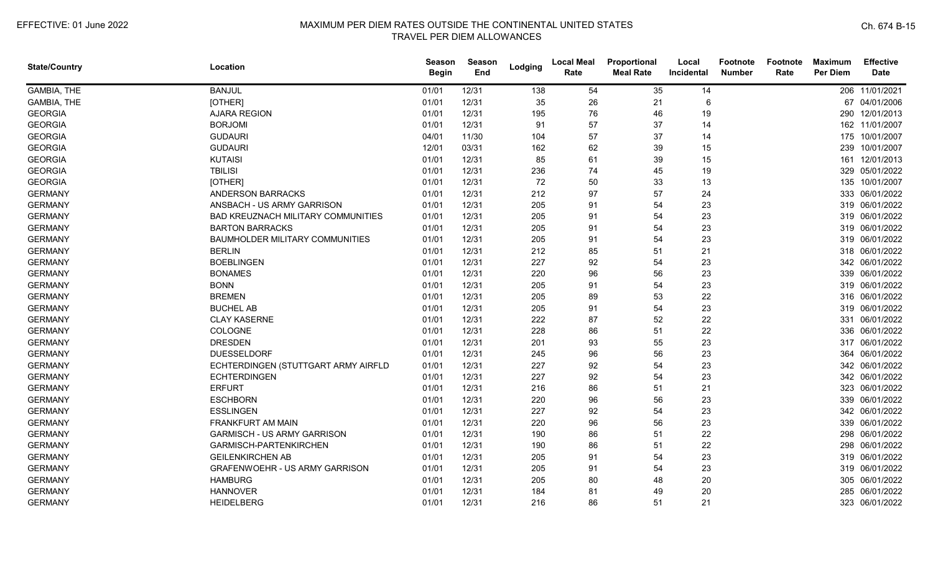| <b>State/Country</b> | Location                               | <b>Season</b><br><b>Begin</b> | Season<br>End | Lodging | <b>Local Meal</b><br>Rate | Proportional<br><b>Meal Rate</b> | Local<br><b>Incidental</b> | <b>Footnote</b><br><b>Number</b> | Footnote<br>Rate | <b>Maximum</b><br><b>Per Diem</b> | <b>Effective</b><br><b>Date</b> |
|----------------------|----------------------------------------|-------------------------------|---------------|---------|---------------------------|----------------------------------|----------------------------|----------------------------------|------------------|-----------------------------------|---------------------------------|
| GAMBIA, THE          | <b>BANJUL</b>                          | 01/01                         | 12/31         | 138     | 54                        | 35                               | 14                         |                                  |                  |                                   | 206 11/01/2021                  |
| GAMBIA, THE          | [OTHER]                                | 01/01                         | 12/31         | 35      | 26                        | 21                               | 6                          |                                  |                  |                                   | 67 04/01/2006                   |
| <b>GEORGIA</b>       | <b>AJARA REGION</b>                    | 01/01                         | 12/31         | 195     | 76                        | 46                               | 19                         |                                  |                  |                                   | 290 12/01/2013                  |
| <b>GEORGIA</b>       | <b>BORJOMI</b>                         | 01/01                         | 12/31         | 91      | 57                        | 37                               | 14                         |                                  |                  |                                   | 162 11/01/2007                  |
| <b>GEORGIA</b>       | <b>GUDAURI</b>                         | 04/01                         | 11/30         | 104     | 57                        | 37                               | 14                         |                                  |                  |                                   | 175 10/01/2007                  |
| <b>GEORGIA</b>       | <b>GUDAURI</b>                         | 12/01                         | 03/31         | 162     | 62                        | 39                               | 15                         |                                  |                  |                                   | 239 10/01/2007                  |
| <b>GEORGIA</b>       | <b>KUTAISI</b>                         | 01/01                         | 12/31         | 85      | 61                        | 39                               | 15                         |                                  |                  |                                   | 161 12/01/2013                  |
| <b>GEORGIA</b>       | <b>TBILISI</b>                         | 01/01                         | 12/31         | 236     | 74                        | 45                               | 19                         |                                  |                  |                                   | 329 05/01/2022                  |
| <b>GEORGIA</b>       | [OTHER]                                | 01/01                         | 12/31         | 72      | 50                        | 33                               | 13                         |                                  |                  |                                   | 135 10/01/2007                  |
| <b>GERMANY</b>       | <b>ANDERSON BARRACKS</b>               | 01/01                         | 12/31         | 212     | 97                        | 57                               | 24                         |                                  |                  |                                   | 333 06/01/2022                  |
| <b>GERMANY</b>       | ANSBACH - US ARMY GARRISON             | 01/01                         | 12/31         | 205     | 91                        | 54                               | 23                         |                                  |                  |                                   | 319 06/01/2022                  |
| <b>GERMANY</b>       | BAD KREUZNACH MILITARY COMMUNITIES     | 01/01                         | 12/31         | 205     | 91                        | 54                               | 23                         |                                  |                  |                                   | 319 06/01/2022                  |
| <b>GERMANY</b>       | <b>BARTON BARRACKS</b>                 | 01/01                         | 12/31         | 205     | 91                        | 54                               | 23                         |                                  |                  |                                   | 319 06/01/2022                  |
| <b>GERMANY</b>       | <b>BAUMHOLDER MILITARY COMMUNITIES</b> | 01/01                         | 12/31         | 205     | 91                        | 54                               | 23                         |                                  |                  |                                   | 319 06/01/2022                  |
| <b>GERMANY</b>       | <b>BERLIN</b>                          | 01/01                         | 12/31         | 212     | 85                        | 51                               | 21                         |                                  |                  |                                   | 318 06/01/2022                  |
| <b>GERMANY</b>       | <b>BOEBLINGEN</b>                      | 01/01                         | 12/31         | 227     | 92                        | 54                               | 23                         |                                  |                  |                                   | 342 06/01/2022                  |
| <b>GERMANY</b>       | <b>BONAMES</b>                         | 01/01                         | 12/31         | 220     | 96                        | 56                               | 23                         |                                  |                  |                                   | 339 06/01/2022                  |
| <b>GERMANY</b>       | <b>BONN</b>                            | 01/01                         | 12/31         | 205     | 91                        | 54                               | 23                         |                                  |                  |                                   | 319 06/01/2022                  |
| <b>GERMANY</b>       | <b>BREMEN</b>                          | 01/01                         | 12/31         | 205     | 89                        | 53                               | 22                         |                                  |                  |                                   | 316 06/01/2022                  |
| <b>GERMANY</b>       | <b>BUCHEL AB</b>                       | 01/01                         | 12/31         | 205     | 91                        | 54                               | 23                         |                                  |                  |                                   | 319 06/01/2022                  |
| <b>GERMANY</b>       | <b>CLAY KASERNE</b>                    | 01/01                         | 12/31         | 222     | 87                        | 52                               | 22                         |                                  |                  |                                   | 331 06/01/2022                  |
| <b>GERMANY</b>       | COLOGNE                                | 01/01                         | 12/31         | 228     | 86                        | 51                               | 22                         |                                  |                  |                                   | 336 06/01/2022                  |
| <b>GERMANY</b>       | <b>DRESDEN</b>                         | 01/01                         | 12/31         | 201     | 93                        | 55                               | 23                         |                                  |                  |                                   | 317 06/01/2022                  |
| <b>GERMANY</b>       | <b>DUESSELDORF</b>                     | 01/01                         | 12/31         | 245     | 96                        | 56                               | 23                         |                                  |                  |                                   | 364 06/01/2022                  |
| <b>GERMANY</b>       | ECHTERDINGEN (STUTTGART ARMY AIRFLD    | 01/01                         | 12/31         | 227     | 92                        | 54                               | 23                         |                                  |                  |                                   | 342 06/01/2022                  |
| <b>GERMANY</b>       | <b>ECHTERDINGEN</b>                    | 01/01                         | 12/31         | 227     | 92                        | 54                               | 23                         |                                  |                  |                                   | 342 06/01/2022                  |
| <b>GERMANY</b>       | <b>ERFURT</b>                          | 01/01                         | 12/31         | 216     | 86                        | 51                               | 21                         |                                  |                  |                                   | 323 06/01/2022                  |
| <b>GERMANY</b>       | <b>ESCHBORN</b>                        | 01/01                         | 12/31         | 220     | 96                        | 56                               | 23                         |                                  |                  |                                   | 339 06/01/2022                  |
| <b>GERMANY</b>       | <b>ESSLINGEN</b>                       | 01/01                         | 12/31         | 227     | 92                        | 54                               | 23                         |                                  |                  |                                   | 342 06/01/2022                  |
| <b>GERMANY</b>       | <b>FRANKFURT AM MAIN</b>               | 01/01                         | 12/31         | 220     | 96                        | 56                               | 23                         |                                  |                  |                                   | 339 06/01/2022                  |
| <b>GERMANY</b>       | <b>GARMISCH - US ARMY GARRISON</b>     | 01/01                         | 12/31         | 190     | 86                        | 51                               | 22                         |                                  |                  |                                   | 298 06/01/2022                  |
| <b>GERMANY</b>       | GARMISCH-PARTENKIRCHEN                 | 01/01                         | 12/31         | 190     | 86                        | 51                               | 22                         |                                  |                  |                                   | 298 06/01/2022                  |
| <b>GERMANY</b>       | <b>GEILENKIRCHEN AB</b>                | 01/01                         | 12/31         | 205     | 91                        | 54                               | 23                         |                                  |                  |                                   | 319 06/01/2022                  |
| <b>GERMANY</b>       | GRAFENWOEHR - US ARMY GARRISON         | 01/01                         | 12/31         | 205     | 91                        | 54                               | 23                         |                                  |                  |                                   | 319 06/01/2022                  |
| <b>GERMANY</b>       | <b>HAMBURG</b>                         | 01/01                         | 12/31         | 205     | 80                        | 48                               | 20                         |                                  |                  |                                   | 305 06/01/2022                  |
| <b>GERMANY</b>       | <b>HANNOVER</b>                        | 01/01                         | 12/31         | 184     | 81                        | 49                               | 20                         |                                  |                  |                                   | 285 06/01/2022                  |
| <b>GERMANY</b>       | <b>HEIDELBERG</b>                      | 01/01                         | 12/31         | 216     | 86                        | 51                               | 21                         |                                  |                  |                                   | 323 06/01/2022                  |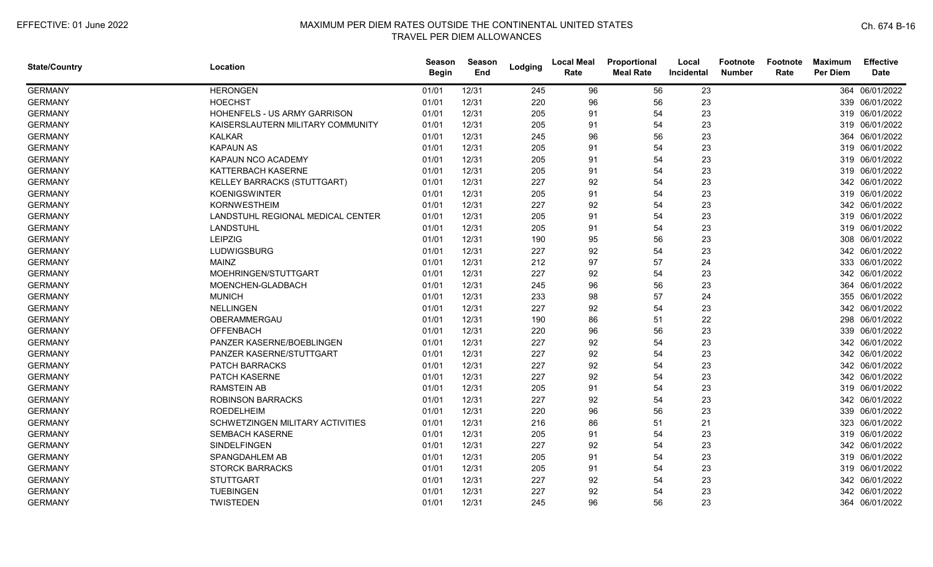| <b>State/Country</b> | Location                          | <b>Season</b><br><b>Begin</b> | Season<br>End | Lodging | <b>Local Meal</b><br>Rate | Proportional<br><b>Meal Rate</b> | Local<br>Incidental | <b>Footnote</b><br><b>Number</b> | <b>Footnote</b><br>Rate | <b>Maximum</b><br><b>Per Diem</b> | <b>Effective</b><br><b>Date</b> |
|----------------------|-----------------------------------|-------------------------------|---------------|---------|---------------------------|----------------------------------|---------------------|----------------------------------|-------------------------|-----------------------------------|---------------------------------|
| <b>GERMANY</b>       | <b>HERONGEN</b>                   | 01/01                         | 12/31         | 245     | 96                        | 56                               | 23                  |                                  |                         |                                   | 364 06/01/2022                  |
| <b>GERMANY</b>       | <b>HOECHST</b>                    | 01/01                         | 12/31         | 220     | 96                        | 56                               | 23                  |                                  |                         |                                   | 339 06/01/2022                  |
| <b>GERMANY</b>       | HOHENFELS - US ARMY GARRISON      | 01/01                         | 12/31         | 205     | 91                        | 54                               | 23                  |                                  |                         |                                   | 319 06/01/2022                  |
| <b>GERMANY</b>       | KAISERSLAUTERN MILITARY COMMUNITY | 01/01                         | 12/31         | 205     | 91                        | 54                               | 23                  |                                  |                         |                                   | 319 06/01/2022                  |
| <b>GERMANY</b>       | <b>KALKAR</b>                     | 01/01                         | 12/31         | 245     | 96                        | 56                               | 23                  |                                  |                         |                                   | 364 06/01/2022                  |
| <b>GERMANY</b>       | <b>KAPAUN AS</b>                  | 01/01                         | 12/31         | 205     | 91                        | 54                               | 23                  |                                  |                         |                                   | 319 06/01/2022                  |
| <b>GERMANY</b>       | KAPAUN NCO ACADEMY                | 01/01                         | 12/31         | 205     | 91                        | 54                               | 23                  |                                  |                         |                                   | 319 06/01/2022                  |
| <b>GERMANY</b>       | KATTERBACH KASERNE                | 01/01                         | 12/31         | 205     | 91                        | 54                               | 23                  |                                  |                         |                                   | 319 06/01/2022                  |
| <b>GERMANY</b>       | KELLEY BARRACKS (STUTTGART)       | 01/01                         | 12/31         | 227     | 92                        | 54                               | 23                  |                                  |                         |                                   | 342 06/01/2022                  |
| <b>GERMANY</b>       | <b>KOENIGSWINTER</b>              | 01/01                         | 12/31         | 205     | 91                        | 54                               | 23                  |                                  |                         |                                   | 319 06/01/2022                  |
| <b>GERMANY</b>       | <b>KORNWESTHEIM</b>               | 01/01                         | 12/31         | 227     | 92                        | 54                               | 23                  |                                  |                         |                                   | 342 06/01/2022                  |
| <b>GERMANY</b>       | LANDSTUHL REGIONAL MEDICAL CENTER | 01/01                         | 12/31         | 205     | 91                        | 54                               | 23                  |                                  |                         |                                   | 319 06/01/2022                  |
| <b>GERMANY</b>       | <b>LANDSTUHL</b>                  | 01/01                         | 12/31         | 205     | 91                        | 54                               | 23                  |                                  |                         |                                   | 319 06/01/2022                  |
| <b>GERMANY</b>       | <b>LEIPZIG</b>                    | 01/01                         | 12/31         | 190     | 95                        | 56                               | 23                  |                                  |                         |                                   | 308 06/01/2022                  |
| <b>GERMANY</b>       | LUDWIGSBURG                       | 01/01                         | 12/31         | 227     | 92                        | 54                               | 23                  |                                  |                         |                                   | 342 06/01/2022                  |
| <b>GERMANY</b>       | <b>MAINZ</b>                      | 01/01                         | 12/31         | 212     | 97                        | 57                               | 24                  |                                  |                         |                                   | 333 06/01/2022                  |
| <b>GERMANY</b>       | MOEHRINGEN/STUTTGART              | 01/01                         | 12/31         | 227     | 92                        | 54                               | 23                  |                                  |                         |                                   | 342 06/01/2022                  |
| <b>GERMANY</b>       | MOENCHEN-GLADBACH                 | 01/01                         | 12/31         | 245     | 96                        | 56                               | 23                  |                                  |                         |                                   | 364 06/01/2022                  |
| <b>GERMANY</b>       | <b>MUNICH</b>                     | 01/01                         | 12/31         | 233     | 98                        | 57                               | 24                  |                                  |                         |                                   | 355 06/01/2022                  |
| <b>GERMANY</b>       | <b>NELLINGEN</b>                  | 01/01                         | 12/31         | 227     | 92                        | 54                               | 23                  |                                  |                         |                                   | 342 06/01/2022                  |
| <b>GERMANY</b>       | OBERAMMERGAU                      | 01/01                         | 12/31         | 190     | 86                        | 51                               | 22                  |                                  |                         |                                   | 298 06/01/2022                  |
| <b>GERMANY</b>       | <b>OFFENBACH</b>                  | 01/01                         | 12/31         | 220     | 96                        | 56                               | 23                  |                                  |                         |                                   | 339 06/01/2022                  |
| <b>GERMANY</b>       | PANZER KASERNE/BOEBLINGEN         | 01/01                         | 12/31         | 227     | 92                        | 54                               | 23                  |                                  |                         |                                   | 342 06/01/2022                  |
| <b>GERMANY</b>       | PANZER KASERNE/STUTTGART          | 01/01                         | 12/31         | 227     | 92                        | 54                               | 23                  |                                  |                         |                                   | 342 06/01/2022                  |
| <b>GERMANY</b>       | PATCH BARRACKS                    | 01/01                         | 12/31         | 227     | 92                        | 54                               | 23                  |                                  |                         |                                   | 342 06/01/2022                  |
| <b>GERMANY</b>       | PATCH KASERNE                     | 01/01                         | 12/31         | 227     | 92                        | 54                               | 23                  |                                  |                         |                                   | 342 06/01/2022                  |
| <b>GERMANY</b>       | <b>RAMSTEIN AB</b>                | 01/01                         | 12/31         | 205     | 91                        | 54                               | 23                  |                                  |                         |                                   | 319 06/01/2022                  |
| <b>GERMANY</b>       | <b>ROBINSON BARRACKS</b>          | 01/01                         | 12/31         | 227     | 92                        | 54                               | 23                  |                                  |                         |                                   | 342 06/01/2022                  |
| <b>GERMANY</b>       | <b>ROEDELHEIM</b>                 | 01/01                         | 12/31         | 220     | 96                        | 56                               | 23                  |                                  |                         |                                   | 339 06/01/2022                  |
| <b>GERMANY</b>       | SCHWETZINGEN MILITARY ACTIVITIES  | 01/01                         | 12/31         | 216     | 86                        | 51                               | 21                  |                                  |                         |                                   | 323 06/01/2022                  |
| <b>GERMANY</b>       | <b>SEMBACH KASERNE</b>            | 01/01                         | 12/31         | 205     | 91                        | 54                               | 23                  |                                  |                         |                                   | 319 06/01/2022                  |
| <b>GERMANY</b>       | SINDELFINGEN                      | 01/01                         | 12/31         | 227     | 92                        | 54                               | 23                  |                                  |                         |                                   | 342 06/01/2022                  |
| <b>GERMANY</b>       | SPANGDAHLEM AB                    | 01/01                         | 12/31         | 205     | 91                        | 54                               | 23                  |                                  |                         |                                   | 319 06/01/2022                  |
| <b>GERMANY</b>       | <b>STORCK BARRACKS</b>            | 01/01                         | 12/31         | 205     | 91                        | 54                               | 23                  |                                  |                         |                                   | 319 06/01/2022                  |
| <b>GERMANY</b>       | <b>STUTTGART</b>                  | 01/01                         | 12/31         | 227     | 92                        | 54                               | 23                  |                                  |                         |                                   | 342 06/01/2022                  |
| <b>GERMANY</b>       | <b>TUEBINGEN</b>                  | 01/01                         | 12/31         | 227     | 92                        | 54                               | 23                  |                                  |                         |                                   | 342 06/01/2022                  |
| <b>GERMANY</b>       | <b>TWISTEDEN</b>                  | 01/01                         | 12/31         | 245     | 96                        | 56                               | 23                  |                                  |                         |                                   | 364 06/01/2022                  |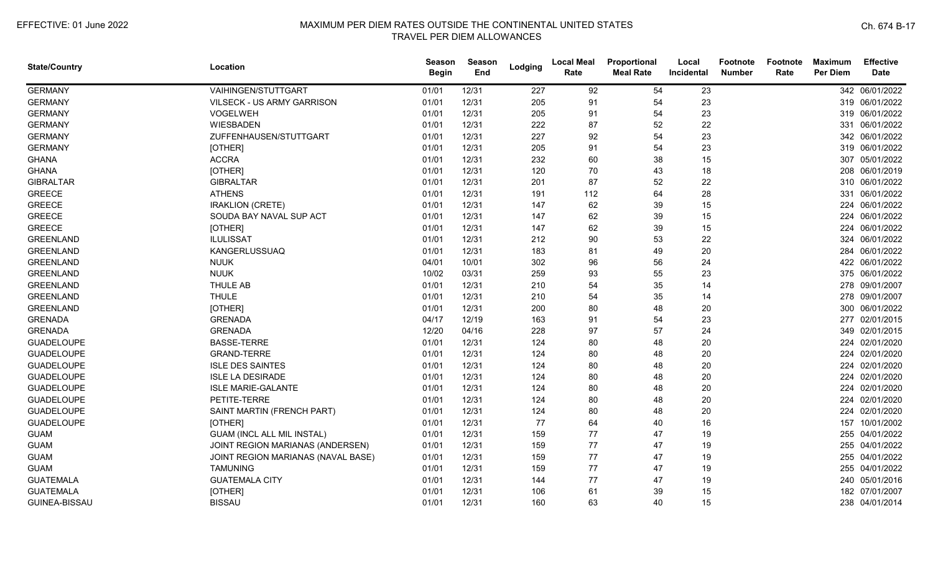| <b>State/Country</b> | Location                           | Season<br><b>Begin</b> | Season<br>End | Lodging | <b>Local Meal</b><br>Rate | Proportional<br><b>Meal Rate</b> | Local<br>Incidental | <b>Footnote</b><br><b>Number</b> | Footnote<br>Rate | <b>Maximum</b><br><b>Per Diem</b> | <b>Effective</b><br><b>Date</b> |
|----------------------|------------------------------------|------------------------|---------------|---------|---------------------------|----------------------------------|---------------------|----------------------------------|------------------|-----------------------------------|---------------------------------|
| <b>GERMANY</b>       | VAIHINGEN/STUTTGART                | 01/01                  | 12/31         | 227     | 92                        | 54                               | 23                  |                                  |                  |                                   | 342 06/01/2022                  |
| <b>GERMANY</b>       | VILSECK - US ARMY GARRISON         | 01/01                  | 12/31         | 205     | 91                        | 54                               | 23                  |                                  |                  |                                   | 319 06/01/2022                  |
| <b>GERMANY</b>       | VOGELWEH                           | 01/01                  | 12/31         | 205     | 91                        | 54                               | 23                  |                                  |                  |                                   | 319 06/01/2022                  |
| <b>GERMANY</b>       | <b>WIESBADEN</b>                   | 01/01                  | 12/31         | 222     | 87                        | 52                               | 22                  |                                  |                  |                                   | 331 06/01/2022                  |
| <b>GERMANY</b>       | ZUFFENHAUSEN/STUTTGART             | 01/01                  | 12/31         | 227     | 92                        | 54                               | 23                  |                                  |                  |                                   | 342 06/01/2022                  |
| <b>GERMANY</b>       | [OTHER]                            | 01/01                  | 12/31         | 205     | 91                        | 54                               | 23                  |                                  |                  |                                   | 319 06/01/2022                  |
| <b>GHANA</b>         | <b>ACCRA</b>                       | 01/01                  | 12/31         | 232     | 60                        | 38                               | 15                  |                                  |                  |                                   | 307 05/01/2022                  |
| <b>GHANA</b>         | [OTHER]                            | 01/01                  | 12/31         | 120     | 70                        | 43                               | 18                  |                                  |                  | 208                               | 06/01/2019                      |
| <b>GIBRALTAR</b>     | <b>GIBRALTAR</b>                   | 01/01                  | 12/31         | 201     | 87                        | 52                               | 22                  |                                  |                  |                                   | 310 06/01/2022                  |
| <b>GREECE</b>        | <b>ATHENS</b>                      | 01/01                  | 12/31         | 191     | 112                       | 64                               | 28                  |                                  |                  |                                   | 331 06/01/2022                  |
| <b>GREECE</b>        | <b>IRAKLION (CRETE)</b>            | 01/01                  | 12/31         | 147     | 62                        | 39                               | 15                  |                                  |                  |                                   | 224 06/01/2022                  |
| <b>GREECE</b>        | SOUDA BAY NAVAL SUP ACT            | 01/01                  | 12/31         | 147     | 62                        | 39                               | 15                  |                                  |                  |                                   | 224 06/01/2022                  |
| <b>GREECE</b>        | [OTHER]                            | 01/01                  | 12/31         | 147     | 62                        | 39                               | 15                  |                                  |                  |                                   | 224 06/01/2022                  |
| <b>GREENLAND</b>     | <b>ILULISSAT</b>                   | 01/01                  | 12/31         | 212     | $90\,$                    | 53                               | 22                  |                                  |                  |                                   | 324 06/01/2022                  |
| <b>GREENLAND</b>     | KANGERLUSSUAQ                      | 01/01                  | 12/31         | 183     | 81                        | 49                               | 20                  |                                  |                  |                                   | 284 06/01/2022                  |
| <b>GREENLAND</b>     | <b>NUUK</b>                        | 04/01                  | 10/01         | 302     | 96                        | 56                               | 24                  |                                  |                  |                                   | 422 06/01/2022                  |
| <b>GREENLAND</b>     | <b>NUUK</b>                        | 10/02                  | 03/31         | 259     | 93                        | 55                               | 23                  |                                  |                  |                                   | 375 06/01/2022                  |
| <b>GREENLAND</b>     | THULE AB                           | 01/01                  | 12/31         | 210     | 54                        | 35                               | 14                  |                                  |                  |                                   | 278 09/01/2007                  |
| <b>GREENLAND</b>     | <b>THULE</b>                       | 01/01                  | 12/31         | 210     | 54                        | 35                               | 14                  |                                  |                  |                                   | 278 09/01/2007                  |
| <b>GREENLAND</b>     | [OTHER]                            | 01/01                  | 12/31         | 200     | 80                        | 48                               | 20                  |                                  |                  |                                   | 300 06/01/2022                  |
| <b>GRENADA</b>       | <b>GRENADA</b>                     | 04/17                  | 12/19         | 163     | 91                        | 54                               | 23                  |                                  |                  |                                   | 277 02/01/2015                  |
| <b>GRENADA</b>       | <b>GRENADA</b>                     | 12/20                  | 04/16         | 228     | 97                        | 57                               | 24                  |                                  |                  |                                   | 349 02/01/2015                  |
| <b>GUADELOUPE</b>    | <b>BASSE-TERRE</b>                 | 01/01                  | 12/31         | 124     | 80                        | 48                               | 20                  |                                  |                  |                                   | 224 02/01/2020                  |
| <b>GUADELOUPE</b>    | <b>GRAND-TERRE</b>                 | 01/01                  | 12/31         | 124     | 80                        | 48                               | 20                  |                                  |                  |                                   | 224 02/01/2020                  |
| <b>GUADELOUPE</b>    | <b>ISLE DES SAINTES</b>            | 01/01                  | 12/31         | 124     | 80                        | 48                               | 20                  |                                  |                  | 224                               | 02/01/2020                      |
| <b>GUADELOUPE</b>    | <b>ISLE LA DESIRADE</b>            | 01/01                  | 12/31         | 124     | 80                        | 48                               | 20                  |                                  |                  | 224                               | 02/01/2020                      |
| <b>GUADELOUPE</b>    | <b>ISLE MARIE-GALANTE</b>          | 01/01                  | 12/31         | 124     | 80                        | 48                               | 20                  |                                  |                  | 224                               | 02/01/2020                      |
| <b>GUADELOUPE</b>    | PETITE-TERRE                       | 01/01                  | 12/31         | 124     | 80                        | 48                               | 20                  |                                  |                  |                                   | 224 02/01/2020                  |
| <b>GUADELOUPE</b>    | SAINT MARTIN (FRENCH PART)         | 01/01                  | 12/31         | 124     | 80                        | 48                               | 20                  |                                  |                  |                                   | 224 02/01/2020                  |
| <b>GUADELOUPE</b>    | [OTHER]                            | 01/01                  | 12/31         | 77      | 64                        | 40                               | 16                  |                                  |                  | 157                               | 10/01/2002                      |
| <b>GUAM</b>          | <b>GUAM (INCL ALL MIL INSTAL)</b>  | 01/01                  | 12/31         | 159     | 77                        | 47                               | 19                  |                                  |                  |                                   | 255 04/01/2022                  |
| <b>GUAM</b>          | JOINT REGION MARIANAS (ANDERSEN)   | 01/01                  | 12/31         | 159     | 77                        | 47                               | 19                  |                                  |                  |                                   | 255 04/01/2022                  |
| <b>GUAM</b>          | JOINT REGION MARIANAS (NAVAL BASE) | 01/01                  | 12/31         | 159     | 77                        | 47                               | 19                  |                                  |                  |                                   | 255 04/01/2022                  |
| <b>GUAM</b>          | <b>TAMUNING</b>                    | 01/01                  | 12/31         | 159     | 77                        | 47                               | 19                  |                                  |                  |                                   | 255 04/01/2022                  |
| <b>GUATEMALA</b>     | <b>GUATEMALA CITY</b>              | 01/01                  | 12/31         | 144     | 77                        | 47                               | 19                  |                                  |                  |                                   | 240 05/01/2016                  |
| <b>GUATEMALA</b>     | [OTHER]                            | 01/01                  | 12/31         | 106     | 61                        | 39                               | 15                  |                                  |                  |                                   | 182 07/01/2007                  |
| <b>GUINEA-BISSAU</b> | <b>BISSAU</b>                      | 01/01                  | 12/31         | 160     | 63                        | 40                               | 15                  |                                  |                  |                                   | 238 04/01/2014                  |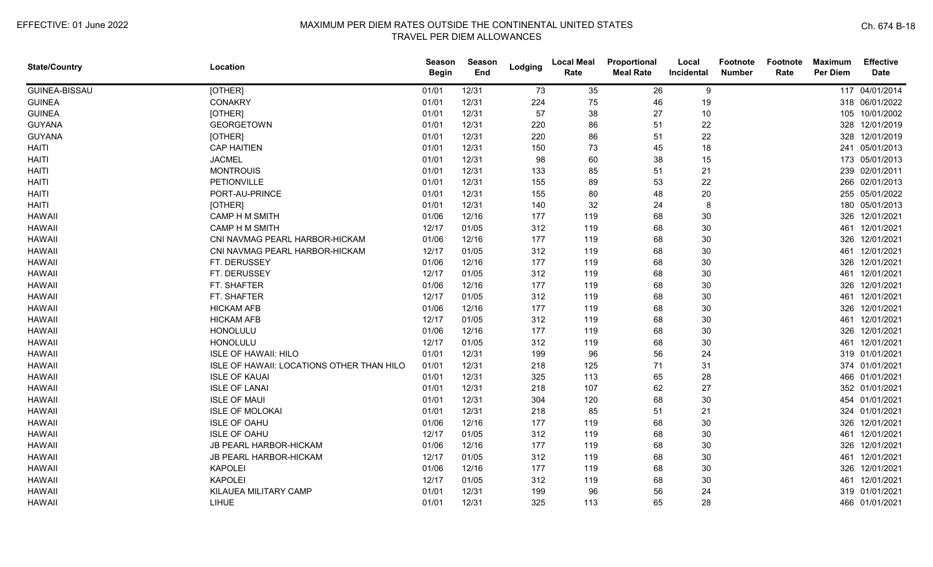| <b>State/Country</b> | Location                                  | <b>Season</b><br><b>Begin</b> | Season<br>End | Lodging | <b>Local Meal</b><br>Rate | Proportional<br><b>Meal Rate</b> | Local<br>Incidental | Footnote<br><b>Number</b> | Footnote<br>Rate | <b>Maximum</b><br><b>Per Diem</b> | <b>Effective</b><br><b>Date</b> |
|----------------------|-------------------------------------------|-------------------------------|---------------|---------|---------------------------|----------------------------------|---------------------|---------------------------|------------------|-----------------------------------|---------------------------------|
| <b>GUINEA-BISSAU</b> | [OTHER]                                   | 01/01                         | 12/31         | 73      | 35                        | 26                               | 9                   |                           |                  |                                   | 117 04/01/2014                  |
| <b>GUINEA</b>        | <b>CONAKRY</b>                            | 01/01                         | 12/31         | 224     | 75                        | 46                               | 19                  |                           |                  |                                   | 318 06/01/2022                  |
| <b>GUINEA</b>        | [OTHER]                                   | 01/01                         | 12/31         | 57      | 38                        | 27                               | 10                  |                           |                  |                                   | 105 10/01/2002                  |
| <b>GUYANA</b>        | <b>GEORGETOWN</b>                         | 01/01                         | 12/31         | 220     | 86                        | 51                               | 22                  |                           |                  |                                   | 328 12/01/2019                  |
| <b>GUYANA</b>        | [OTHER]                                   | 01/01                         | 12/31         | 220     | 86                        | 51                               | 22                  |                           |                  |                                   | 328 12/01/2019                  |
| HAITI                | <b>CAP HAITIEN</b>                        | 01/01                         | 12/31         | 150     | 73                        | 45                               | 18                  |                           |                  |                                   | 241 05/01/2013                  |
| <b>HAITI</b>         | <b>JACMEL</b>                             | 01/01                         | 12/31         | 98      | 60                        | 38                               | 15                  |                           |                  |                                   | 173 05/01/2013                  |
| <b>HAITI</b>         | <b>MONTROUIS</b>                          | 01/01                         | 12/31         | 133     | 85                        | 51                               | 21                  |                           |                  |                                   | 239 02/01/2011                  |
| <b>HAITI</b>         | PETIONVILLE                               | 01/01                         | 12/31         | 155     | 89                        | 53                               | 22                  |                           |                  |                                   | 266 02/01/2013                  |
| <b>HAITI</b>         | PORT-AU-PRINCE                            | 01/01                         | 12/31         | 155     | 80                        | 48                               | 20                  |                           |                  |                                   | 255 05/01/2022                  |
| <b>HAITI</b>         | [OTHER]                                   | 01/01                         | 12/31         | 140     | 32                        | 24                               | 8                   |                           |                  |                                   | 180 05/01/2013                  |
| <b>HAWAII</b>        | CAMP H M SMITH                            | 01/06                         | 12/16         | 177     | 119                       | 68                               | 30                  |                           |                  |                                   | 326 12/01/2021                  |
| <b>HAWAII</b>        | <b>CAMP H M SMITH</b>                     | 12/17                         | 01/05         | 312     | 119                       | 68                               | 30                  |                           |                  |                                   | 461 12/01/2021                  |
| <b>HAWAII</b>        | CNI NAVMAG PEARL HARBOR-HICKAM            | 01/06                         | 12/16         | 177     | 119                       | 68                               | 30                  |                           |                  |                                   | 326 12/01/2021                  |
| <b>HAWAII</b>        | CNI NAVMAG PEARL HARBOR-HICKAM            | 12/17                         | 01/05         | 312     | 119                       | 68                               | 30                  |                           |                  | 461                               | 12/01/2021                      |
| <b>HAWAII</b>        | FT. DERUSSEY                              | 01/06                         | 12/16         | 177     | 119                       | 68                               | 30                  |                           |                  | 326                               | 12/01/2021                      |
| <b>HAWAII</b>        | FT. DERUSSEY                              | 12/17                         | 01/05         | 312     | 119                       | 68                               | 30                  |                           |                  | 461                               | 12/01/2021                      |
| <b>HAWAII</b>        | FT. SHAFTER                               | 01/06                         | 12/16         | 177     | 119                       | 68                               | 30                  |                           |                  | 326                               | 12/01/2021                      |
| <b>HAWAII</b>        | FT. SHAFTER                               | 12/17                         | 01/05         | 312     | 119                       | 68                               | 30                  |                           |                  | 461                               | 12/01/2021                      |
| <b>HAWAII</b>        | <b>HICKAM AFB</b>                         | 01/06                         | 12/16         | 177     | 119                       | 68                               | 30                  |                           |                  |                                   | 326 12/01/2021                  |
| <b>HAWAII</b>        | <b>HICKAM AFB</b>                         | 12/17                         | 01/05         | 312     | 119                       | 68                               | 30                  |                           |                  |                                   | 461 12/01/2021                  |
| <b>HAWAII</b>        | HONOLULU                                  | 01/06                         | 12/16         | 177     | 119                       | 68                               | 30                  |                           |                  |                                   | 326 12/01/2021                  |
| <b>HAWAII</b>        | HONOLULU                                  | 12/17                         | 01/05         | 312     | 119                       | 68                               | 30                  |                           |                  |                                   | 461 12/01/2021                  |
| <b>HAWAII</b>        | <b>ISLE OF HAWAII: HILO</b>               | 01/01                         | 12/31         | 199     | 96                        | 56                               | 24                  |                           |                  |                                   | 319 01/01/2021                  |
| <b>HAWAII</b>        | ISLE OF HAWAII: LOCATIONS OTHER THAN HILO | 01/01                         | 12/31         | 218     | 125                       | 71                               | 31                  |                           |                  |                                   | 374 01/01/2021                  |
| <b>HAWAII</b>        | <b>ISLE OF KAUAI</b>                      | 01/01                         | 12/31         | 325     | 113                       | 65                               | 28                  |                           |                  |                                   | 466 01/01/2021                  |
| <b>HAWAII</b>        | <b>ISLE OF LANAI</b>                      | 01/01                         | 12/31         | 218     | 107                       | 62                               | 27                  |                           |                  |                                   | 352 01/01/2021                  |
| <b>HAWAII</b>        | <b>ISLE OF MAUI</b>                       | 01/01                         | 12/31         | 304     | 120                       | 68                               | 30                  |                           |                  |                                   | 454 01/01/2021                  |
| <b>HAWAII</b>        | <b>ISLE OF MOLOKAI</b>                    | 01/01                         | 12/31         | 218     | 85                        | 51                               | 21                  |                           |                  |                                   | 324 01/01/2021                  |
| <b>HAWAII</b>        | <b>ISLE OF OAHU</b>                       | 01/06                         | 12/16         | 177     | 119                       | 68                               | 30                  |                           |                  |                                   | 326 12/01/2021                  |
| <b>HAWAII</b>        | <b>ISLE OF OAHU</b>                       | 12/17                         | 01/05         | 312     | 119                       | 68                               | 30                  |                           |                  |                                   | 461 12/01/2021                  |
| <b>HAWAII</b>        | JB PEARL HARBOR-HICKAM                    | 01/06                         | 12/16         | 177     | 119                       | 68                               | 30                  |                           |                  |                                   | 326 12/01/2021                  |
| <b>HAWAII</b>        | <b>JB PEARL HARBOR-HICKAM</b>             | 12/17                         | 01/05         | 312     | 119                       | 68                               | 30                  |                           |                  | 461                               | 12/01/2021                      |
| <b>HAWAII</b>        | <b>KAPOLEI</b>                            | 01/06                         | 12/16         | 177     | 119                       | 68                               | 30                  |                           |                  | 326                               | 12/01/2021                      |
| <b>HAWAII</b>        | <b>KAPOLEI</b>                            | 12/17                         | 01/05         | 312     | 119                       | 68                               | 30                  |                           |                  | 461                               | 12/01/2021                      |
| <b>HAWAII</b>        | KILAUEA MILITARY CAMP                     | 01/01                         | 12/31         | 199     | 96                        | 56                               | 24                  |                           |                  |                                   | 319 01/01/2021                  |
| <b>HAWAII</b>        | LIHUE                                     | 01/01                         | 12/31         | 325     | 113                       | 65                               | 28                  |                           |                  |                                   | 466 01/01/2021                  |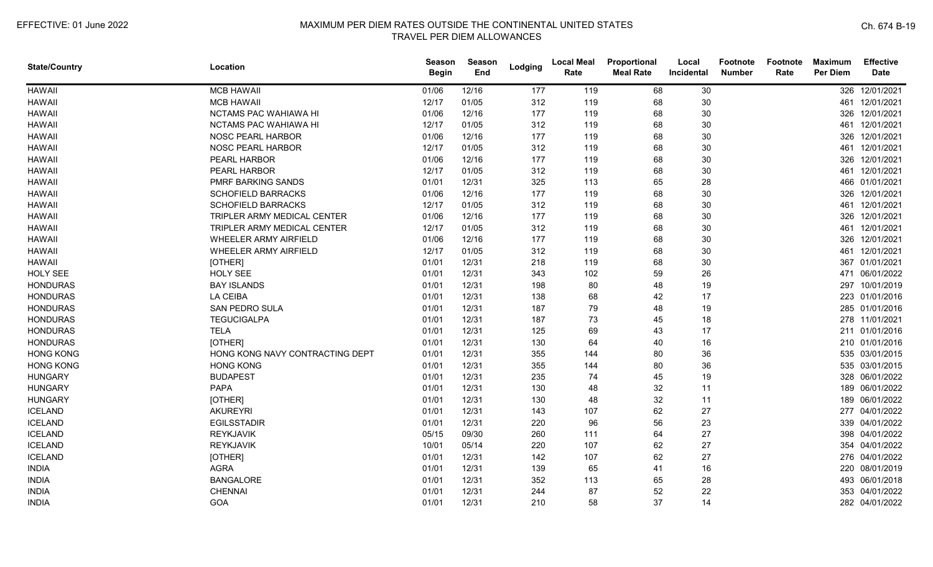| <b>State/Country</b> | Location                        | Season<br><b>Begin</b> | Season<br>End | Lodging | <b>Local Meal</b><br>Rate | Proportional<br><b>Meal Rate</b> | Local<br>Incidental | <b>Footnote</b><br><b>Number</b> | Footnote<br>Rate | <b>Maximum</b><br><b>Per Diem</b> | <b>Effective</b><br><b>Date</b> |
|----------------------|---------------------------------|------------------------|---------------|---------|---------------------------|----------------------------------|---------------------|----------------------------------|------------------|-----------------------------------|---------------------------------|
| <b>HAWAII</b>        | <b>MCB HAWAII</b>               | 01/06                  | 12/16         | 177     | 119                       | 68                               | 30                  |                                  |                  |                                   | 326 12/01/2021                  |
| <b>HAWAII</b>        | <b>MCB HAWAII</b>               | 12/17                  | 01/05         | 312     | 119                       | 68                               | 30                  |                                  |                  | 461                               | 12/01/2021                      |
| <b>HAWAII</b>        | NCTAMS PAC WAHIAWA HI           | 01/06                  | 12/16         | 177     | 119                       | 68                               | 30                  |                                  |                  |                                   | 326 12/01/2021                  |
| <b>HAWAII</b>        | NCTAMS PAC WAHIAWA HI           | 12/17                  | 01/05         | 312     | 119                       | 68                               | 30                  |                                  |                  |                                   | 461 12/01/2021                  |
| <b>HAWAII</b>        | NOSC PEARL HARBOR               | 01/06                  | 12/16         | 177     | 119                       | 68                               | 30                  |                                  |                  |                                   | 326 12/01/2021                  |
| <b>HAWAII</b>        | NOSC PEARL HARBOR               | 12/17                  | 01/05         | 312     | 119                       | 68                               | 30                  |                                  |                  |                                   | 461 12/01/2021                  |
| <b>HAWAII</b>        | PEARL HARBOR                    | 01/06                  | 12/16         | 177     | 119                       | 68                               | 30                  |                                  |                  |                                   | 326 12/01/2021                  |
| <b>HAWAII</b>        | PEARL HARBOR                    | 12/17                  | 01/05         | 312     | 119                       | 68                               | 30                  |                                  |                  |                                   | 461 12/01/2021                  |
| <b>HAWAII</b>        | PMRF BARKING SANDS              | 01/01                  | 12/31         | 325     | 113                       | 65                               | 28                  |                                  |                  |                                   | 466 01/01/2021                  |
| <b>HAWAII</b>        | <b>SCHOFIELD BARRACKS</b>       | 01/06                  | 12/16         | 177     | 119                       | 68                               | 30                  |                                  |                  |                                   | 326 12/01/2021                  |
| <b>HAWAII</b>        | <b>SCHOFIELD BARRACKS</b>       | 12/17                  | 01/05         | 312     | 119                       | 68                               | 30                  |                                  |                  | 461                               | 12/01/2021                      |
| <b>HAWAII</b>        | TRIPLER ARMY MEDICAL CENTER     | 01/06                  | 12/16         | 177     | 119                       | 68                               | 30                  |                                  |                  |                                   | 326 12/01/2021                  |
| <b>HAWAII</b>        | TRIPLER ARMY MEDICAL CENTER     | 12/17                  | 01/05         | 312     | 119                       | 68                               | 30                  |                                  |                  |                                   | 461 12/01/2021                  |
| <b>HAWAII</b>        | WHEELER ARMY AIRFIELD           | 01/06                  | 12/16         | 177     | 119                       | 68                               | 30                  |                                  |                  |                                   | 326 12/01/2021                  |
| <b>HAWAII</b>        | WHEELER ARMY AIRFIELD           | 12/17                  | 01/05         | 312     | 119                       | 68                               | 30                  |                                  |                  |                                   | 461 12/01/2021                  |
| <b>HAWAII</b>        | [OTHER]                         | 01/01                  | 12/31         | 218     | 119                       | 68                               | 30                  |                                  |                  |                                   | 367 01/01/2021                  |
| <b>HOLY SEE</b>      | <b>HOLY SEE</b>                 | 01/01                  | 12/31         | 343     | 102                       | 59                               | 26                  |                                  |                  | 471                               | 06/01/2022                      |
| <b>HONDURAS</b>      | <b>BAY ISLANDS</b>              | 01/01                  | 12/31         | 198     | 80                        | 48                               | 19                  |                                  |                  |                                   | 297 10/01/2019                  |
| <b>HONDURAS</b>      | <b>LA CEIBA</b>                 | 01/01                  | 12/31         | 138     | 68                        | 42                               | 17                  |                                  |                  |                                   | 223 01/01/2016                  |
| <b>HONDURAS</b>      | <b>SAN PEDRO SULA</b>           | 01/01                  | 12/31         | 187     | 79                        | 48                               | 19                  |                                  |                  |                                   | 285 01/01/2016                  |
| <b>HONDURAS</b>      | <b>TEGUCIGALPA</b>              | 01/01                  | 12/31         | 187     | 73                        | 45                               | 18                  |                                  |                  |                                   | 278 11/01/2021                  |
| <b>HONDURAS</b>      | <b>TELA</b>                     | 01/01                  | 12/31         | 125     | 69                        | 43                               | 17                  |                                  |                  |                                   | 211 01/01/2016                  |
| <b>HONDURAS</b>      | [OTHER]                         | 01/01                  | 12/31         | 130     | 64                        | 40                               | 16                  |                                  |                  |                                   | 210 01/01/2016                  |
| <b>HONG KONG</b>     | HONG KONG NAVY CONTRACTING DEPT | 01/01                  | 12/31         | 355     | 144                       | 80                               | 36                  |                                  |                  |                                   | 535 03/01/2015                  |
| <b>HONG KONG</b>     | <b>HONG KONG</b>                | 01/01                  | 12/31         | 355     | 144                       | 80                               | 36                  |                                  |                  |                                   | 535 03/01/2015                  |
| <b>HUNGARY</b>       | <b>BUDAPEST</b>                 | 01/01                  | 12/31         | 235     | 74                        | 45                               | 19                  |                                  |                  |                                   | 328 06/01/2022                  |
| <b>HUNGARY</b>       | PAPA                            | 01/01                  | 12/31         | 130     | 48                        | 32                               | 11                  |                                  |                  |                                   | 189 06/01/2022                  |
| <b>HUNGARY</b>       | [OTHER]                         | 01/01                  | 12/31         | 130     | 48                        | 32                               | 11                  |                                  |                  |                                   | 189 06/01/2022                  |
| <b>ICELAND</b>       | <b>AKUREYRI</b>                 | 01/01                  | 12/31         | 143     | 107                       | 62                               | 27                  |                                  |                  |                                   | 277 04/01/2022                  |
| <b>ICELAND</b>       | <b>EGILSSTADIR</b>              | 01/01                  | 12/31         | 220     | 96                        | 56                               | 23                  |                                  |                  |                                   | 339 04/01/2022                  |
| <b>ICELAND</b>       | <b>REYKJAVIK</b>                | 05/15                  | 09/30         | 260     | 111                       | 64                               | 27                  |                                  |                  |                                   | 398 04/01/2022                  |
| <b>ICELAND</b>       | REYKJAVIK                       | 10/01                  | 05/14         | 220     | 107                       | 62                               | 27                  |                                  |                  |                                   | 354 04/01/2022                  |
| <b>ICELAND</b>       | [OTHER]                         | 01/01                  | 12/31         | 142     | 107                       | 62                               | 27                  |                                  |                  |                                   | 276 04/01/2022                  |
| <b>INDIA</b>         | <b>AGRA</b>                     | 01/01                  | 12/31         | 139     | 65                        | 41                               | 16                  |                                  |                  |                                   | 220 08/01/2019                  |
| <b>INDIA</b>         | <b>BANGALORE</b>                | 01/01                  | 12/31         | 352     | 113                       | 65                               | 28                  |                                  |                  |                                   | 493 06/01/2018                  |
| <b>INDIA</b>         | <b>CHENNAI</b>                  | 01/01                  | 12/31         | 244     | 87                        | 52                               | 22                  |                                  |                  |                                   | 353 04/01/2022                  |
| <b>INDIA</b>         | GOA                             | 01/01                  | 12/31         | 210     | 58                        | 37                               | 14                  |                                  |                  |                                   | 282 04/01/2022                  |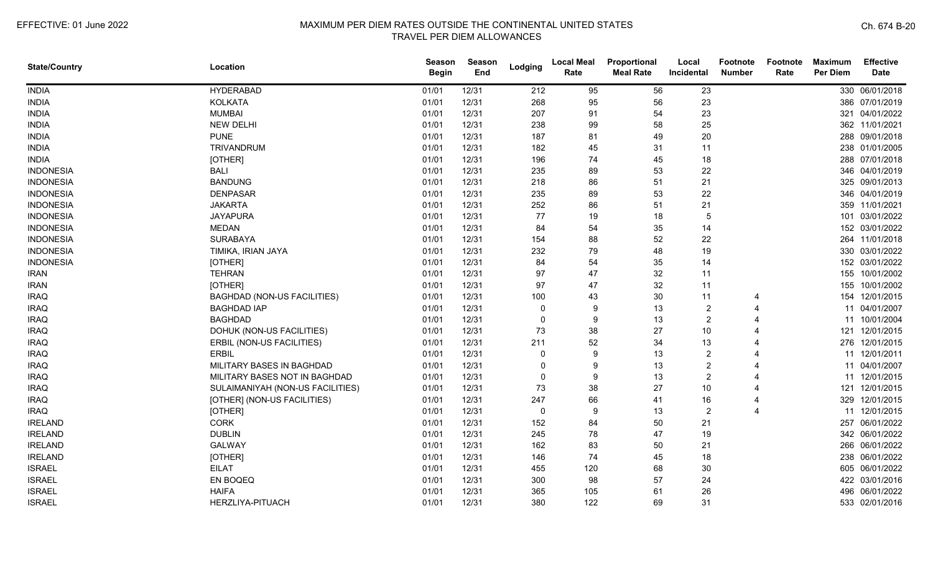| <b>State/Country</b> | Location                           | Season<br><b>Begin</b> | <b>Season</b><br>End | Lodging      | <b>Local Meal</b><br>Rate | Proportional<br><b>Meal Rate</b> | Local<br>Incidental | Footnote<br><b>Number</b> | Footnote<br>Rate | <b>Maximum</b><br><b>Per Diem</b> | Effective<br><b>Date</b> |
|----------------------|------------------------------------|------------------------|----------------------|--------------|---------------------------|----------------------------------|---------------------|---------------------------|------------------|-----------------------------------|--------------------------|
| <b>INDIA</b>         | <b>HYDERABAD</b>                   | 01/01                  | 12/31                | 212          | 95                        | 56                               | 23                  |                           |                  |                                   | 330 06/01/2018           |
| <b>INDIA</b>         | <b>KOLKATA</b>                     | 01/01                  | 12/31                | 268          | 95                        | 56                               | 23                  |                           |                  |                                   | 386 07/01/2019           |
| <b>INDIA</b>         | <b>MUMBAI</b>                      | 01/01                  | 12/31                | 207          | 91                        | 54                               | 23                  |                           |                  |                                   | 321 04/01/2022           |
| <b>INDIA</b>         | <b>NEW DELHI</b>                   | 01/01                  | 12/31                | 238          | 99                        | 58                               | 25                  |                           |                  |                                   | 362 11/01/2021           |
| <b>INDIA</b>         | <b>PUNE</b>                        | 01/01                  | 12/31                | 187          | 81                        | 49                               | 20                  |                           |                  |                                   | 288 09/01/2018           |
| <b>INDIA</b>         | TRIVANDRUM                         | 01/01                  | 12/31                | 182          | 45                        | 31                               | 11                  |                           |                  |                                   | 238 01/01/2005           |
| <b>INDIA</b>         | [OTHER]                            | 01/01                  | 12/31                | 196          | 74                        | 45                               | 18                  |                           |                  |                                   | 288 07/01/2018           |
| <b>INDONESIA</b>     | <b>BALI</b>                        | 01/01                  | 12/31                | 235          | 89                        | 53                               | 22                  |                           |                  |                                   | 346 04/01/2019           |
| <b>INDONESIA</b>     | <b>BANDUNG</b>                     | 01/01                  | 12/31                | 218          | 86                        | 51                               | 21                  |                           |                  |                                   | 325 09/01/2013           |
| <b>INDONESIA</b>     | <b>DENPASAR</b>                    | 01/01                  | 12/31                | 235          | 89                        | 53                               | 22                  |                           |                  |                                   | 346 04/01/2019           |
| <b>INDONESIA</b>     | <b>JAKARTA</b>                     | 01/01                  | 12/31                | 252          | 86                        | 51                               | 21                  |                           |                  |                                   | 359 11/01/2021           |
| <b>INDONESIA</b>     | <b>JAYAPURA</b>                    | 01/01                  | 12/31                | 77           | 19                        | 18                               | 5                   |                           |                  |                                   | 101 03/01/2022           |
| <b>INDONESIA</b>     | <b>MEDAN</b>                       | 01/01                  | 12/31                | 84           | 54                        | 35                               | 14                  |                           |                  |                                   | 152 03/01/2022           |
| <b>INDONESIA</b>     | <b>SURABAYA</b>                    | 01/01                  | 12/31                | 154          | 88                        | 52                               | 22                  |                           |                  |                                   | 264 11/01/2018           |
| <b>INDONESIA</b>     | TIMIKA, IRIAN JAYA                 | 01/01                  | 12/31                | 232          | 79                        | 48                               | 19                  |                           |                  |                                   | 330 03/01/2022           |
| <b>INDONESIA</b>     | [OTHER]                            | 01/01                  | 12/31                | 84           | 54                        | 35                               | 14                  |                           |                  |                                   | 152 03/01/2022           |
| <b>IRAN</b>          | <b>TEHRAN</b>                      | 01/01                  | 12/31                | 97           | 47                        | 32                               | 11                  |                           |                  |                                   | 155 10/01/2002           |
| <b>IRAN</b>          | [OTHER]                            | 01/01                  | 12/31                | 97           | 47                        | 32                               | 11                  |                           |                  | 155                               | 10/01/2002               |
| <b>IRAQ</b>          | <b>BAGHDAD (NON-US FACILITIES)</b> | 01/01                  | 12/31                | 100          | 43                        | 30                               | 11                  |                           |                  |                                   | 154 12/01/2015           |
| <b>IRAQ</b>          | <b>BAGHDAD IAP</b>                 | 01/01                  | 12/31                | -0           | 9                         | 13                               | 2                   |                           |                  |                                   | 11 04/01/2007            |
| <b>IRAQ</b>          | <b>BAGHDAD</b>                     | 01/01                  | 12/31                | -0           | 9                         | 13                               | 2                   |                           |                  |                                   | 11 10/01/2004            |
| <b>IRAQ</b>          | DOHUK (NON-US FACILITIES)          | 01/01                  | 12/31                | 73           | 38                        | 27                               | 10                  |                           |                  |                                   | 121 12/01/2015           |
| <b>IRAQ</b>          | ERBIL (NON-US FACILITIES)          | 01/01                  | 12/31                | 211          | 52                        | 34                               | 13                  | Δ                         |                  |                                   | 276 12/01/2015           |
| <b>IRAQ</b>          | <b>ERBIL</b>                       | 01/01                  | 12/31                | $\Omega$     | 9                         | 13                               | $\overline{2}$      |                           |                  |                                   | 11 12/01/2011            |
| <b>IRAQ</b>          | MILITARY BASES IN BAGHDAD          | 01/01                  | 12/31                | $\Omega$     | 9                         | 13                               | 2                   |                           |                  |                                   | 11 04/01/2007            |
| <b>IRAQ</b>          | MILITARY BASES NOT IN BAGHDAD      | 01/01                  | 12/31                | $\mathbf{0}$ | 9                         | 13                               | $\overline{2}$      |                           |                  |                                   | 11 12/01/2015            |
| <b>IRAQ</b>          | SULAIMANIYAH (NON-US FACILITIES)   | 01/01                  | 12/31                | 73           | 38                        | 27                               | 10                  |                           |                  |                                   | 121 12/01/2015           |
| <b>IRAQ</b>          | [OTHER] (NON-US FACILITIES)        | 01/01                  | 12/31                | 247          | 66                        | 41                               | 16                  |                           |                  |                                   | 329 12/01/2015           |
| <b>IRAQ</b>          | [OTHER]                            | 01/01                  | 12/31                | 0            | 9                         | 13                               | 2                   | 4                         |                  |                                   | 11 12/01/2015            |
| <b>IRELAND</b>       | <b>CORK</b>                        | 01/01                  | 12/31                | 152          | 84                        | 50                               | 21                  |                           |                  |                                   | 257 06/01/2022           |
| <b>IRELAND</b>       | <b>DUBLIN</b>                      | 01/01                  | 12/31                | 245          | 78                        | 47                               | 19                  |                           |                  |                                   | 342 06/01/2022           |
| <b>IRELAND</b>       | <b>GALWAY</b>                      | 01/01                  | 12/31                | 162          | 83                        | 50                               | 21                  |                           |                  |                                   | 266 06/01/2022           |
| <b>IRELAND</b>       | [OTHER]                            | 01/01                  | 12/31                | 146          | 74                        | 45                               | 18                  |                           |                  |                                   | 238 06/01/2022           |
| <b>ISRAEL</b>        | <b>EILAT</b>                       | 01/01                  | 12/31                | 455          | 120                       | 68                               | 30                  |                           |                  |                                   | 605 06/01/2022           |
| <b>ISRAEL</b>        | EN BOQEQ                           | 01/01                  | 12/31                | 300          | 98                        | 57                               | 24                  |                           |                  |                                   | 422 03/01/2016           |
| <b>ISRAEL</b>        | <b>HAIFA</b>                       | 01/01                  | 12/31                | 365          | 105                       | 61                               | 26                  |                           |                  | 496                               | 06/01/2022               |
| <b>ISRAEL</b>        | HERZLIYA-PITUACH                   | 01/01                  | 12/31                | 380          | 122                       | 69                               | 31                  |                           |                  |                                   | 533 02/01/2016           |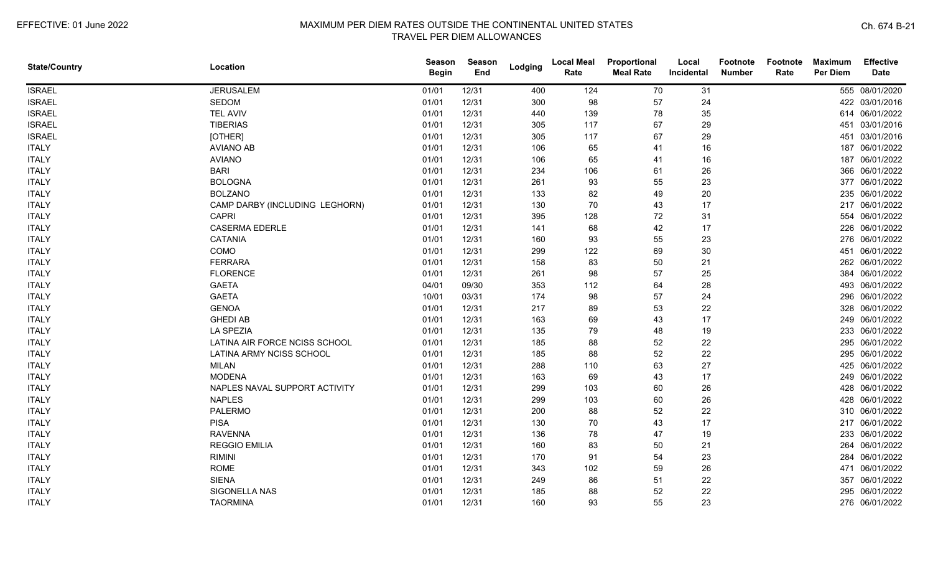| <b>State/Country</b> | Location                       | <b>Season</b><br><b>Begin</b> | <b>Season</b><br>End | Lodging | <b>Local Meal</b><br>Rate | Proportional<br><b>Meal Rate</b> | Local<br>Incidental | <b>Footnote</b><br><b>Number</b> | Footnote<br>Rate | <b>Maximum</b><br>Per Diem | <b>Effective</b><br><b>Date</b> |
|----------------------|--------------------------------|-------------------------------|----------------------|---------|---------------------------|----------------------------------|---------------------|----------------------------------|------------------|----------------------------|---------------------------------|
| <b>ISRAEL</b>        | <b>JERUSALEM</b>               | 01/01                         | 12/31                | 400     | 124                       | 70                               | 31                  |                                  |                  |                            | 555 08/01/2020                  |
| <b>ISRAEL</b>        | <b>SEDOM</b>                   | 01/01                         | 12/31                | 300     | 98                        | 57                               | 24                  |                                  |                  |                            | 422 03/01/2016                  |
| <b>ISRAEL</b>        | <b>TEL AVIV</b>                | 01/01                         | 12/31                | 440     | 139                       | 78                               | 35                  |                                  |                  |                            | 614 06/01/2022                  |
| <b>ISRAEL</b>        | <b>TIBERIAS</b>                | 01/01                         | 12/31                | 305     | 117                       | 67                               | 29                  |                                  |                  |                            | 451 03/01/2016                  |
| <b>ISRAEL</b>        | [OTHER]                        | 01/01                         | 12/31                | 305     | 117                       | 67                               | 29                  |                                  |                  |                            | 451 03/01/2016                  |
| <b>ITALY</b>         | <b>AVIANO AB</b>               | 01/01                         | 12/31                | 106     | 65                        | 41                               | 16                  |                                  |                  |                            | 187 06/01/2022                  |
| <b>ITALY</b>         | <b>AVIANO</b>                  | 01/01                         | 12/31                | 106     | 65                        | 41                               | 16                  |                                  |                  |                            | 187 06/01/2022                  |
| <b>ITALY</b>         | <b>BARI</b>                    | 01/01                         | 12/31                | 234     | 106                       | 61                               | 26                  |                                  |                  |                            | 366 06/01/2022                  |
| <b>ITALY</b>         | <b>BOLOGNA</b>                 | 01/01                         | 12/31                | 261     | 93                        | 55                               | 23                  |                                  |                  |                            | 377 06/01/2022                  |
| <b>ITALY</b>         | <b>BOLZANO</b>                 | 01/01                         | 12/31                | 133     | 82                        | 49                               | 20                  |                                  |                  |                            | 235 06/01/2022                  |
| <b>ITALY</b>         | CAMP DARBY (INCLUDING LEGHORN) | 01/01                         | 12/31                | 130     | 70                        | 43                               | 17                  |                                  |                  |                            | 217 06/01/2022                  |
| <b>ITALY</b>         | <b>CAPRI</b>                   | 01/01                         | 12/31                | 395     | 128                       | 72                               | 31                  |                                  |                  |                            | 554 06/01/2022                  |
| <b>ITALY</b>         | <b>CASERMA EDERLE</b>          | 01/01                         | 12/31                | 141     | 68                        | 42                               | 17                  |                                  |                  |                            | 226 06/01/2022                  |
| <b>ITALY</b>         | <b>CATANIA</b>                 | 01/01                         | 12/31                | 160     | 93                        | 55                               | 23                  |                                  |                  |                            | 276 06/01/2022                  |
| <b>ITALY</b>         | COMO                           | 01/01                         | 12/31                | 299     | 122                       | 69                               | 30                  |                                  |                  |                            | 451 06/01/2022                  |
| <b>ITALY</b>         | <b>FERRARA</b>                 | 01/01                         | 12/31                | 158     | 83                        | 50                               | 21                  |                                  |                  |                            | 262 06/01/2022                  |
| <b>ITALY</b>         | <b>FLORENCE</b>                | 01/01                         | 12/31                | 261     | 98                        | 57                               | 25                  |                                  |                  |                            | 384 06/01/2022                  |
| <b>ITALY</b>         | <b>GAETA</b>                   | 04/01                         | 09/30                | 353     | 112                       | 64                               | 28                  |                                  |                  |                            | 493 06/01/2022                  |
| <b>ITALY</b>         | <b>GAETA</b>                   | 10/01                         | 03/31                | 174     | 98                        | 57                               | 24                  |                                  |                  |                            | 296 06/01/2022                  |
| <b>ITALY</b>         | <b>GENOA</b>                   | 01/01                         | 12/31                | 217     | 89                        | 53                               | 22                  |                                  |                  |                            | 328 06/01/2022                  |
| <b>ITALY</b>         | <b>GHEDI AB</b>                | 01/01                         | 12/31                | 163     | 69                        | 43                               | 17                  |                                  |                  |                            | 249 06/01/2022                  |
| <b>ITALY</b>         | <b>LA SPEZIA</b>               | 01/01                         | 12/31                | 135     | 79                        | 48                               | 19                  |                                  |                  |                            | 233 06/01/2022                  |
| <b>ITALY</b>         | LATINA AIR FORCE NCISS SCHOOL  | 01/01                         | 12/31                | 185     | 88                        | 52                               | 22                  |                                  |                  |                            | 295 06/01/2022                  |
| <b>ITALY</b>         | LATINA ARMY NCISS SCHOOL       | 01/01                         | 12/31                | 185     | 88                        | 52                               | 22                  |                                  |                  |                            | 295 06/01/2022                  |
| <b>ITALY</b>         | <b>MILAN</b>                   | 01/01                         | 12/31                | 288     | 110                       | 63                               | 27                  |                                  |                  |                            | 425 06/01/2022                  |
| <b>ITALY</b>         | <b>MODENA</b>                  | 01/01                         | 12/31                | 163     | 69                        | 43                               | 17                  |                                  |                  |                            | 249 06/01/2022                  |
| <b>ITALY</b>         | NAPLES NAVAL SUPPORT ACTIVITY  | 01/01                         | 12/31                | 299     | 103                       | 60                               | 26                  |                                  |                  |                            | 428 06/01/2022                  |
| <b>ITALY</b>         | <b>NAPLES</b>                  | 01/01                         | 12/31                | 299     | 103                       | 60                               | 26                  |                                  |                  |                            | 428 06/01/2022                  |
| <b>ITALY</b>         | <b>PALERMO</b>                 | 01/01                         | 12/31                | 200     | 88                        | 52                               | 22                  |                                  |                  |                            | 310 06/01/2022                  |
| <b>ITALY</b>         | <b>PISA</b>                    | 01/01                         | 12/31                | 130     | 70                        | 43                               | 17                  |                                  |                  |                            | 217 06/01/2022                  |
| <b>ITALY</b>         | <b>RAVENNA</b>                 | 01/01                         | 12/31                | 136     | 78                        | 47                               | 19                  |                                  |                  |                            | 233 06/01/2022                  |
| <b>ITALY</b>         | <b>REGGIO EMILIA</b>           | 01/01                         | 12/31                | 160     | 83                        | 50                               | 21                  |                                  |                  |                            | 264 06/01/2022                  |
| <b>ITALY</b>         | <b>RIMINI</b>                  | 01/01                         | 12/31                | 170     | 91                        | 54                               | 23                  |                                  |                  |                            | 284 06/01/2022                  |
| <b>ITALY</b>         | <b>ROME</b>                    | 01/01                         | 12/31                | 343     | 102                       | 59                               | 26                  |                                  |                  |                            | 471 06/01/2022                  |
| <b>ITALY</b>         | <b>SIENA</b>                   | 01/01                         | 12/31                | 249     | 86                        | 51                               | 22                  |                                  |                  |                            | 357 06/01/2022                  |
| <b>ITALY</b>         | SIGONELLA NAS                  | 01/01                         | 12/31                | 185     | 88                        | 52                               | 22                  |                                  |                  |                            | 295 06/01/2022                  |
| <b>ITALY</b>         | <b>TAORMINA</b>                | 01/01                         | 12/31                | 160     | 93                        | 55                               | 23                  |                                  |                  |                            | 276 06/01/2022                  |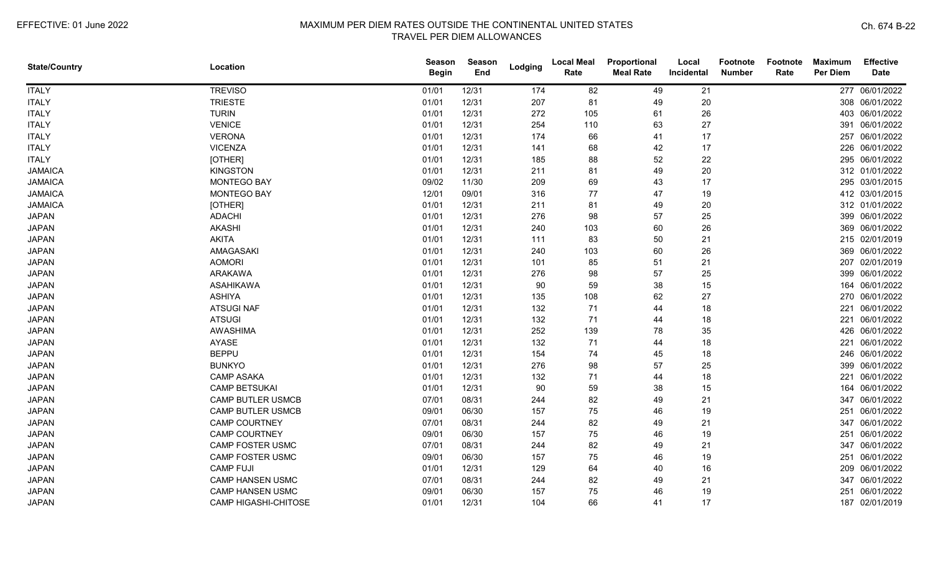| <b>State/Country</b> | Location                 | <b>Season</b><br><b>Begin</b> | <b>Season</b><br>End | Lodging | <b>Local Meal</b><br>Rate | Proportional<br><b>Meal Rate</b> | Local<br>Incidental | <b>Footnote</b><br><b>Number</b> | Footnote<br>Rate | <b>Maximum</b><br>Per Diem | <b>Effective</b><br><b>Date</b> |
|----------------------|--------------------------|-------------------------------|----------------------|---------|---------------------------|----------------------------------|---------------------|----------------------------------|------------------|----------------------------|---------------------------------|
| <b>ITALY</b>         | <b>TREVISO</b>           | 01/01                         | 12/31                | 174     | 82                        | 49                               | 21                  |                                  |                  |                            | 277 06/01/2022                  |
| <b>ITALY</b>         | <b>TRIESTE</b>           | 01/01                         | 12/31                | 207     | 81                        | 49                               | 20                  |                                  |                  |                            | 308 06/01/2022                  |
| <b>ITALY</b>         | <b>TURIN</b>             | 01/01                         | 12/31                | 272     | 105                       | 61                               | 26                  |                                  |                  |                            | 403 06/01/2022                  |
| <b>ITALY</b>         | <b>VENICE</b>            | 01/01                         | 12/31                | 254     | 110                       | 63                               | 27                  |                                  |                  |                            | 391 06/01/2022                  |
| <b>ITALY</b>         | <b>VERONA</b>            | 01/01                         | 12/31                | 174     | 66                        | 41                               | 17                  |                                  |                  |                            | 257 06/01/2022                  |
| <b>ITALY</b>         | <b>VICENZA</b>           | 01/01                         | 12/31                | 141     | 68                        | 42                               | 17                  |                                  |                  |                            | 226 06/01/2022                  |
| <b>ITALY</b>         | [OTHER]                  | 01/01                         | 12/31                | 185     | 88                        | 52                               | 22                  |                                  |                  |                            | 295 06/01/2022                  |
| <b>JAMAICA</b>       | <b>KINGSTON</b>          | 01/01                         | 12/31                | 211     | 81                        | 49                               | 20                  |                                  |                  |                            | 312 01/01/2022                  |
| <b>JAMAICA</b>       | MONTEGO BAY              | 09/02                         | 11/30                | 209     | 69                        | 43                               | 17                  |                                  |                  |                            | 295 03/01/2015                  |
| <b>JAMAICA</b>       | <b>MONTEGO BAY</b>       | 12/01                         | 09/01                | 316     | 77                        | 47                               | 19                  |                                  |                  |                            | 412 03/01/2015                  |
| <b>JAMAICA</b>       | [OTHER]                  | 01/01                         | 12/31                | 211     | 81                        | 49                               | 20                  |                                  |                  |                            | 312 01/01/2022                  |
| <b>JAPAN</b>         | <b>ADACHI</b>            | 01/01                         | 12/31                | 276     | 98                        | 57                               | 25                  |                                  |                  |                            | 399 06/01/2022                  |
| <b>JAPAN</b>         | <b>AKASHI</b>            | 01/01                         | 12/31                | 240     | 103                       | 60                               | 26                  |                                  |                  |                            | 369 06/01/2022                  |
| <b>JAPAN</b>         | <b>AKITA</b>             | 01/01                         | 12/31                | 111     | 83                        | 50                               | 21                  |                                  |                  |                            | 215 02/01/2019                  |
| <b>JAPAN</b>         | AMAGASAKI                | 01/01                         | 12/31                | 240     | 103                       | 60                               | 26                  |                                  |                  |                            | 369 06/01/2022                  |
| <b>JAPAN</b>         | <b>AOMORI</b>            | 01/01                         | 12/31                | 101     | 85                        | 51                               | 21                  |                                  |                  |                            | 207 02/01/2019                  |
| <b>JAPAN</b>         | <b>ARAKAWA</b>           | 01/01                         | 12/31                | 276     | 98                        | 57                               | 25                  |                                  |                  | 399                        | 06/01/2022                      |
| <b>JAPAN</b>         | <b>ASAHIKAWA</b>         | 01/01                         | 12/31                | 90      | 59                        | 38                               | 15                  |                                  |                  | 164                        | 06/01/2022                      |
| <b>JAPAN</b>         | <b>ASHIYA</b>            | 01/01                         | 12/31                | 135     | 108                       | 62                               | 27                  |                                  |                  |                            | 270 06/01/2022                  |
| <b>JAPAN</b>         | <b>ATSUGINAF</b>         | 01/01                         | 12/31                | 132     | 71                        | 44                               | 18                  |                                  |                  |                            | 221 06/01/2022                  |
| <b>JAPAN</b>         | <b>ATSUGI</b>            | 01/01                         | 12/31                | 132     | 71                        | 44                               | 18                  |                                  |                  |                            | 221 06/01/2022                  |
| <b>JAPAN</b>         | AWASHIMA                 | 01/01                         | 12/31                | 252     | 139                       | 78                               | 35                  |                                  |                  |                            | 426 06/01/2022                  |
| <b>JAPAN</b>         | AYASE                    | 01/01                         | 12/31                | 132     | 71                        | 44                               | 18                  |                                  |                  |                            | 221 06/01/2022                  |
| <b>JAPAN</b>         | <b>BEPPU</b>             | 01/01                         | 12/31                | 154     | 74                        | 45                               | 18                  |                                  |                  |                            | 246 06/01/2022                  |
| <b>JAPAN</b>         | <b>BUNKYO</b>            | 01/01                         | 12/31                | 276     | 98                        | 57                               | 25                  |                                  |                  |                            | 399 06/01/2022                  |
| <b>JAPAN</b>         | <b>CAMP ASAKA</b>        | 01/01                         | 12/31                | 132     | 71                        | 44                               | 18                  |                                  |                  | 221                        | 06/01/2022                      |
| <b>JAPAN</b>         | <b>CAMP BETSUKAI</b>     | 01/01                         | 12/31                | 90      | 59                        | 38                               | 15                  |                                  |                  | 164                        | 06/01/2022                      |
| <b>JAPAN</b>         | <b>CAMP BUTLER USMCB</b> | 07/01                         | 08/31                | 244     | 82                        | 49                               | 21                  |                                  |                  | 347                        | 06/01/2022                      |
| <b>JAPAN</b>         | <b>CAMP BUTLER USMCB</b> | 09/01                         | 06/30                | 157     | 75                        | 46                               | 19                  |                                  |                  | 251                        | 06/01/2022                      |
| <b>JAPAN</b>         | <b>CAMP COURTNEY</b>     | 07/01                         | 08/31                | 244     | 82                        | 49                               | 21                  |                                  |                  | 347                        | 06/01/2022                      |
| <b>JAPAN</b>         | <b>CAMP COURTNEY</b>     | 09/01                         | 06/30                | 157     | 75                        | 46                               | 19                  |                                  |                  |                            | 251 06/01/2022                  |
| <b>JAPAN</b>         | <b>CAMP FOSTER USMC</b>  | 07/01                         | 08/31                | 244     | 82                        | 49                               | 21                  |                                  |                  |                            | 347 06/01/2022                  |
| <b>JAPAN</b>         | CAMP FOSTER USMC         | 09/01                         | 06/30                | 157     | 75                        | 46                               | 19                  |                                  |                  |                            | 251 06/01/2022                  |
| <b>JAPAN</b>         | <b>CAMP FUJI</b>         | 01/01                         | 12/31                | 129     | 64                        | 40                               | 16                  |                                  |                  | 209                        | 06/01/2022                      |
| <b>JAPAN</b>         | <b>CAMP HANSEN USMC</b>  | 07/01                         | 08/31                | 244     | 82                        | 49                               | 21                  |                                  |                  | 347                        | 06/01/2022                      |
| <b>JAPAN</b>         | <b>CAMP HANSEN USMC</b>  | 09/01                         | 06/30                | 157     | 75                        | 46                               | 19                  |                                  |                  | 251                        | 06/01/2022                      |
| <b>JAPAN</b>         | CAMP HIGASHI-CHITOSE     | 01/01                         | 12/31                | 104     | 66                        | 41                               | 17                  |                                  |                  |                            | 187 02/01/2019                  |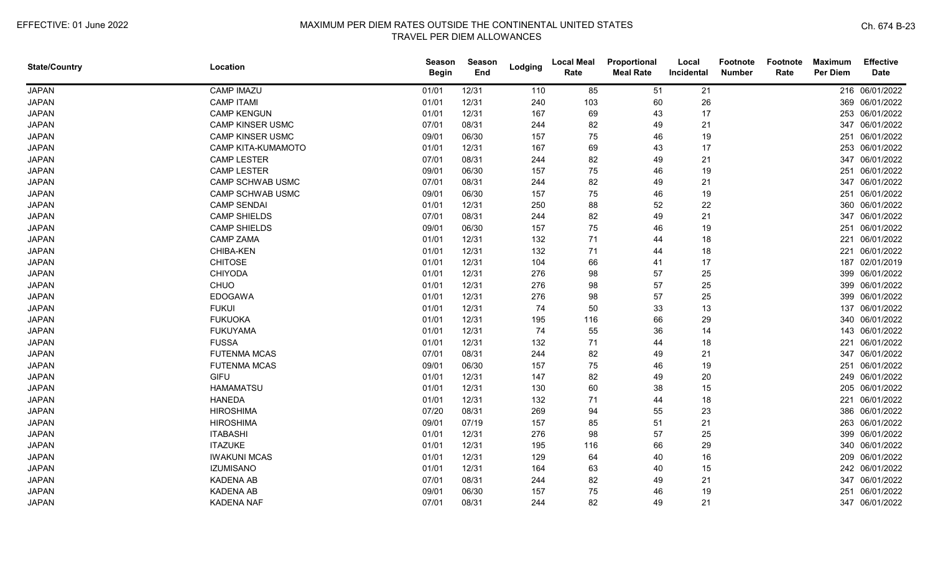| <b>State/Country</b> | Location                | Season<br><b>Begin</b> | <b>Season</b><br>End | Lodging | <b>Local Meal</b><br>Rate | Proportional<br><b>Meal Rate</b> | Local<br>Incidental | <b>Footnote</b><br><b>Number</b> | Footnote<br>Rate | <b>Maximum</b><br>Per Diem | <b>Effective</b><br><b>Date</b> |
|----------------------|-------------------------|------------------------|----------------------|---------|---------------------------|----------------------------------|---------------------|----------------------------------|------------------|----------------------------|---------------------------------|
| <b>JAPAN</b>         | <b>CAMP IMAZU</b>       | 01/01                  | 12/31                | 110     | 85                        | 51                               | 21                  |                                  |                  |                            | 216 06/01/2022                  |
| <b>JAPAN</b>         | <b>CAMP ITAMI</b>       | 01/01                  | 12/31                | 240     | 103                       | 60                               | 26                  |                                  |                  |                            | 369 06/01/2022                  |
| <b>JAPAN</b>         | <b>CAMP KENGUN</b>      | 01/01                  | 12/31                | 167     | 69                        | 43                               | 17                  |                                  |                  |                            | 253 06/01/2022                  |
| <b>JAPAN</b>         | <b>CAMP KINSER USMC</b> | 07/01                  | 08/31                | 244     | 82                        | 49                               | 21                  |                                  |                  |                            | 347 06/01/2022                  |
| <b>JAPAN</b>         | <b>CAMP KINSER USMC</b> | 09/01                  | 06/30                | 157     | 75                        | 46                               | 19                  |                                  |                  |                            | 251 06/01/2022                  |
| <b>JAPAN</b>         | CAMP KITA-KUMAMOTO      | 01/01                  | 12/31                | 167     | 69                        | 43                               | 17                  |                                  |                  |                            | 253 06/01/2022                  |
| <b>JAPAN</b>         | <b>CAMP LESTER</b>      | 07/01                  | 08/31                | 244     | 82                        | 49                               | 21                  |                                  |                  |                            | 347 06/01/2022                  |
| <b>JAPAN</b>         | <b>CAMP LESTER</b>      | 09/01                  | 06/30                | 157     | 75                        | 46                               | 19                  |                                  |                  |                            | 251 06/01/2022                  |
| <b>JAPAN</b>         | <b>CAMP SCHWAB USMC</b> | 07/01                  | 08/31                | 244     | 82                        | 49                               | 21                  |                                  |                  |                            | 347 06/01/2022                  |
| <b>JAPAN</b>         | CAMP SCHWAB USMC        | 09/01                  | 06/30                | 157     | 75                        | 46                               | 19                  |                                  |                  |                            | 251 06/01/2022                  |
| <b>JAPAN</b>         | <b>CAMP SENDAI</b>      | 01/01                  | 12/31                | 250     | 88                        | 52                               | 22                  |                                  |                  |                            | 360 06/01/2022                  |
| <b>JAPAN</b>         | <b>CAMP SHIELDS</b>     | 07/01                  | 08/31                | 244     | 82                        | 49                               | 21                  |                                  |                  |                            | 347 06/01/2022                  |
| <b>JAPAN</b>         | <b>CAMP SHIELDS</b>     | 09/01                  | 06/30                | 157     | 75                        | 46                               | 19                  |                                  |                  |                            | 251 06/01/2022                  |
| <b>JAPAN</b>         | <b>CAMP ZAMA</b>        | 01/01                  | 12/31                | 132     | 71                        | 44                               | 18                  |                                  |                  | 221                        | 06/01/2022                      |
| <b>JAPAN</b>         | CHIBA-KEN               | 01/01                  | 12/31                | 132     | 71                        | 44                               | 18                  |                                  |                  |                            | 221 06/01/2022                  |
| <b>JAPAN</b>         | <b>CHITOSE</b>          | 01/01                  | 12/31                | 104     | 66                        | 41                               | 17                  |                                  |                  |                            | 187 02/01/2019                  |
| <b>JAPAN</b>         | <b>CHIYODA</b>          | 01/01                  | 12/31                | 276     | 98                        | 57                               | 25                  |                                  |                  |                            | 399 06/01/2022                  |
| <b>JAPAN</b>         | CHUO                    | 01/01                  | 12/31                | 276     | 98                        | 57                               | 25                  |                                  |                  |                            | 399 06/01/2022                  |
| <b>JAPAN</b>         | <b>EDOGAWA</b>          | 01/01                  | 12/31                | 276     | 98                        | 57                               | 25                  |                                  |                  |                            | 399 06/01/2022                  |
| <b>JAPAN</b>         | <b>FUKUI</b>            | 01/01                  | 12/31                | 74      | 50                        | 33                               | 13                  |                                  |                  |                            | 137 06/01/2022                  |
| <b>JAPAN</b>         | <b>FUKUOKA</b>          | 01/01                  | 12/31                | 195     | 116                       | 66                               | 29                  |                                  |                  |                            | 340 06/01/2022                  |
| <b>JAPAN</b>         | <b>FUKUYAMA</b>         | 01/01                  | 12/31                | 74      | 55                        | 36                               | 14                  |                                  |                  |                            | 143 06/01/2022                  |
| <b>JAPAN</b>         | <b>FUSSA</b>            | 01/01                  | 12/31                | 132     | 71                        | 44                               | 18                  |                                  |                  |                            | 221 06/01/2022                  |
| <b>JAPAN</b>         | <b>FUTENMA MCAS</b>     | 07/01                  | 08/31                | 244     | 82                        | 49                               | 21                  |                                  |                  |                            | 347 06/01/2022                  |
| <b>JAPAN</b>         | <b>FUTENMA MCAS</b>     | 09/01                  | 06/30                | 157     | 75                        | 46                               | 19                  |                                  |                  | 251                        | 06/01/2022                      |
| <b>JAPAN</b>         | <b>GIFU</b>             | 01/01                  | 12/31                | 147     | 82                        | 49                               | 20                  |                                  |                  |                            | 249 06/01/2022                  |
| <b>JAPAN</b>         | <b>HAMAMATSU</b>        | 01/01                  | 12/31                | 130     | 60                        | 38                               | 15                  |                                  |                  |                            | 205 06/01/2022                  |
| <b>JAPAN</b>         | <b>HANEDA</b>           | 01/01                  | 12/31                | 132     | 71                        | 44                               | 18                  |                                  |                  | 221                        | 06/01/2022                      |
| <b>JAPAN</b>         | <b>HIROSHIMA</b>        | 07/20                  | 08/31                | 269     | 94                        | 55                               | 23                  |                                  |                  |                            | 386 06/01/2022                  |
| <b>JAPAN</b>         | <b>HIROSHIMA</b>        | 09/01                  | 07/19                | 157     | 85                        | 51                               | 21                  |                                  |                  |                            | 263 06/01/2022                  |
| <b>JAPAN</b>         | <b>ITABASHI</b>         | 01/01                  | 12/31                | 276     | 98                        | 57                               | 25                  |                                  |                  |                            | 399 06/01/2022                  |
| <b>JAPAN</b>         | <b>ITAZUKE</b>          | 01/01                  | 12/31                | 195     | 116                       | 66                               | 29                  |                                  |                  |                            | 340 06/01/2022                  |
| <b>JAPAN</b>         | <b>IWAKUNI MCAS</b>     | 01/01                  | 12/31                | 129     | 64                        | 40                               | 16                  |                                  |                  |                            | 209 06/01/2022                  |
| <b>JAPAN</b>         | <b>IZUMISANO</b>        | 01/01                  | 12/31                | 164     | 63                        | 40                               | 15                  |                                  |                  |                            | 242 06/01/2022                  |
| <b>JAPAN</b>         | <b>KADENA AB</b>        | 07/01                  | 08/31                | 244     | 82                        | 49                               | 21                  |                                  |                  |                            | 347 06/01/2022                  |
| <b>JAPAN</b>         | <b>KADENA AB</b>        | 09/01                  | 06/30                | 157     | 75                        | 46                               | 19                  |                                  |                  | 251                        | 06/01/2022                      |
| <b>JAPAN</b>         | <b>KADENA NAF</b>       | 07/01                  | 08/31                | 244     | 82                        | 49                               | 21                  |                                  |                  |                            | 347 06/01/2022                  |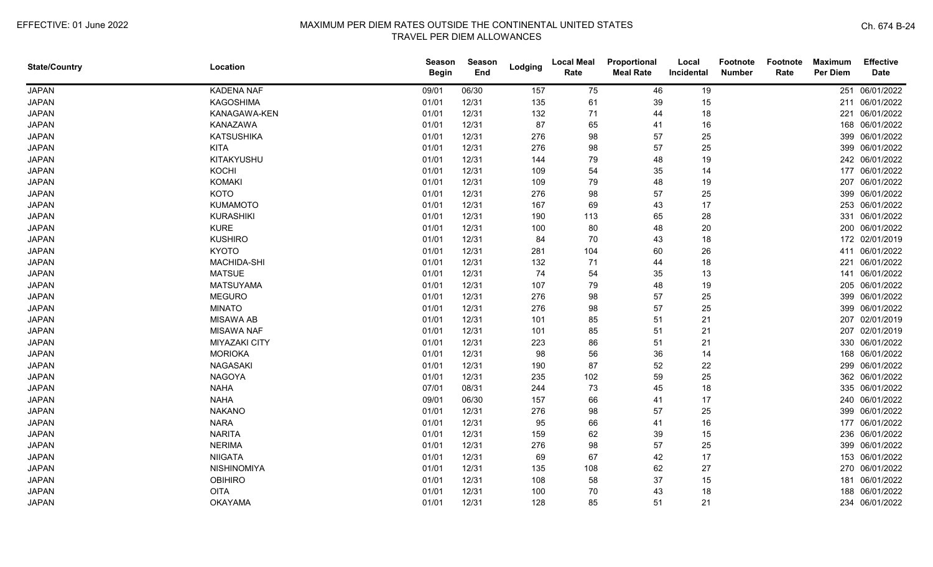| <b>State/Country</b> | Location             | <b>Season</b><br><b>Begin</b> | <b>Season</b><br>End | Lodging | <b>Local Meal</b><br>Rate | Proportional<br><b>Meal Rate</b> | Local<br>Incidental | Footnote<br><b>Number</b> | Footnote<br>Rate | <b>Maximum</b><br>Per Diem | <b>Effective</b><br><b>Date</b> |
|----------------------|----------------------|-------------------------------|----------------------|---------|---------------------------|----------------------------------|---------------------|---------------------------|------------------|----------------------------|---------------------------------|
| <b>JAPAN</b>         | <b>KADENA NAF</b>    | 09/01                         | 06/30                | 157     | 75                        | 46                               | 19                  |                           |                  | 251                        | 06/01/2022                      |
| <b>JAPAN</b>         | <b>KAGOSHIMA</b>     | 01/01                         | 12/31                | 135     | 61                        | 39                               | 15                  |                           |                  |                            | 211 06/01/2022                  |
| <b>JAPAN</b>         | KANAGAWA-KEN         | 01/01                         | 12/31                | 132     | 71                        | 44                               | 18                  |                           |                  |                            | 221 06/01/2022                  |
| <b>JAPAN</b>         | KANAZAWA             | 01/01                         | 12/31                | 87      | 65                        | 41                               | 16                  |                           |                  |                            | 168 06/01/2022                  |
| <b>JAPAN</b>         | <b>KATSUSHIKA</b>    | 01/01                         | 12/31                | 276     | 98                        | 57                               | 25                  |                           |                  |                            | 399 06/01/2022                  |
| <b>JAPAN</b>         | <b>KITA</b>          | 01/01                         | 12/31                | 276     | 98                        | 57                               | 25                  |                           |                  |                            | 399 06/01/2022                  |
| <b>JAPAN</b>         | KITAKYUSHU           | 01/01                         | 12/31                | 144     | 79                        | 48                               | 19                  |                           |                  |                            | 242 06/01/2022                  |
| <b>JAPAN</b>         | KOCHI                | 01/01                         | 12/31                | 109     | 54                        | 35                               | 14                  |                           |                  |                            | 177 06/01/2022                  |
| <b>JAPAN</b>         | <b>KOMAKI</b>        | 01/01                         | 12/31                | 109     | 79                        | 48                               | 19                  |                           |                  | 207                        | 06/01/2022                      |
| <b>JAPAN</b>         | <b>KOTO</b>          | 01/01                         | 12/31                | 276     | 98                        | 57                               | 25                  |                           |                  |                            | 399 06/01/2022                  |
| <b>JAPAN</b>         | <b>KUMAMOTO</b>      | 01/01                         | 12/31                | 167     | 69                        | 43                               | 17                  |                           |                  |                            | 253 06/01/2022                  |
| <b>JAPAN</b>         | <b>KURASHIKI</b>     | 01/01                         | 12/31                | 190     | 113                       | 65                               | 28                  |                           |                  |                            | 331 06/01/2022                  |
| <b>JAPAN</b>         | <b>KURE</b>          | 01/01                         | 12/31                | 100     | 80                        | 48                               | 20                  |                           |                  |                            | 200 06/01/2022                  |
| <b>JAPAN</b>         | <b>KUSHIRO</b>       | 01/01                         | 12/31                | 84      | 70                        | 43                               | 18                  |                           |                  |                            | 172 02/01/2019                  |
| <b>JAPAN</b>         | <b>KYOTO</b>         | 01/01                         | 12/31                | 281     | 104                       | 60                               | 26                  |                           |                  |                            | 411 06/01/2022                  |
| <b>JAPAN</b>         | MACHIDA-SHI          | 01/01                         | 12/31                | 132     | 71                        | 44                               | 18                  |                           |                  | 221                        | 06/01/2022                      |
| <b>JAPAN</b>         | <b>MATSUE</b>        | 01/01                         | 12/31                | 74      | 54                        | 35                               | 13                  |                           |                  | 141                        | 06/01/2022                      |
| <b>JAPAN</b>         | <b>MATSUYAMA</b>     | 01/01                         | 12/31                | 107     | 79                        | 48                               | 19                  |                           |                  |                            | 205 06/01/2022                  |
| <b>JAPAN</b>         | <b>MEGURO</b>        | 01/01                         | 12/31                | 276     | 98                        | 57                               | 25                  |                           |                  |                            | 399 06/01/2022                  |
| <b>JAPAN</b>         | <b>MINATO</b>        | 01/01                         | 12/31                | 276     | 98                        | 57                               | 25                  |                           |                  |                            | 399 06/01/2022                  |
| <b>JAPAN</b>         | <b>MISAWA AB</b>     | 01/01                         | 12/31                | 101     | 85                        | 51                               | 21                  |                           |                  |                            | 207 02/01/2019                  |
| <b>JAPAN</b>         | <b>MISAWA NAF</b>    | 01/01                         | 12/31                | 101     | 85                        | 51                               | 21                  |                           |                  |                            | 207 02/01/2019                  |
| <b>JAPAN</b>         | <b>MIYAZAKI CITY</b> | 01/01                         | 12/31                | 223     | 86                        | 51                               | 21                  |                           |                  |                            | 330 06/01/2022                  |
| <b>JAPAN</b>         | <b>MORIOKA</b>       | 01/01                         | 12/31                | 98      | 56                        | 36                               | 14                  |                           |                  |                            | 168 06/01/2022                  |
| <b>JAPAN</b>         | <b>NAGASAKI</b>      | 01/01                         | 12/31                | 190     | 87                        | 52                               | 22                  |                           |                  |                            | 299 06/01/2022                  |
| <b>JAPAN</b>         | <b>NAGOYA</b>        | 01/01                         | 12/31                | 235     | 102                       | 59                               | 25                  |                           |                  |                            | 362 06/01/2022                  |
| <b>JAPAN</b>         | <b>NAHA</b>          | 07/01                         | 08/31                | 244     | 73                        | 45                               | 18                  |                           |                  |                            | 335 06/01/2022                  |
| <b>JAPAN</b>         | <b>NAHA</b>          | 09/01                         | 06/30                | 157     | 66                        | 41                               | 17                  |                           |                  |                            | 240 06/01/2022                  |
| <b>JAPAN</b>         | <b>NAKANO</b>        | 01/01                         | 12/31                | 276     | 98                        | 57                               | 25                  |                           |                  |                            | 399 06/01/2022                  |
| <b>JAPAN</b>         | <b>NARA</b>          | 01/01                         | 12/31                | 95      | 66                        | 41                               | 16                  |                           |                  |                            | 177 06/01/2022                  |
| <b>JAPAN</b>         | <b>NARITA</b>        | 01/01                         | 12/31                | 159     | 62                        | 39                               | 15                  |                           |                  |                            | 236 06/01/2022                  |
| <b>JAPAN</b>         | <b>NERIMA</b>        | 01/01                         | 12/31                | 276     | 98                        | 57                               | 25                  |                           |                  |                            | 399 06/01/2022                  |
| <b>JAPAN</b>         | <b>NIIGATA</b>       | 01/01                         | 12/31                | 69      | 67                        | 42                               | 17                  |                           |                  |                            | 153 06/01/2022                  |
| <b>JAPAN</b>         | NISHINOMIYA          | 01/01                         | 12/31                | 135     | 108                       | 62                               | 27                  |                           |                  |                            | 270 06/01/2022                  |
| <b>JAPAN</b>         | <b>OBIHIRO</b>       | 01/01                         | 12/31                | 108     | 58                        | 37                               | 15                  |                           |                  | 181                        | 06/01/2022                      |
| <b>JAPAN</b>         | <b>OITA</b>          | 01/01                         | 12/31                | 100     | 70                        | 43                               | 18                  |                           |                  |                            | 188 06/01/2022                  |
| <b>JAPAN</b>         | <b>OKAYAMA</b>       | 01/01                         | 12/31                | 128     | 85                        | 51                               | 21                  |                           |                  |                            | 234 06/01/2022                  |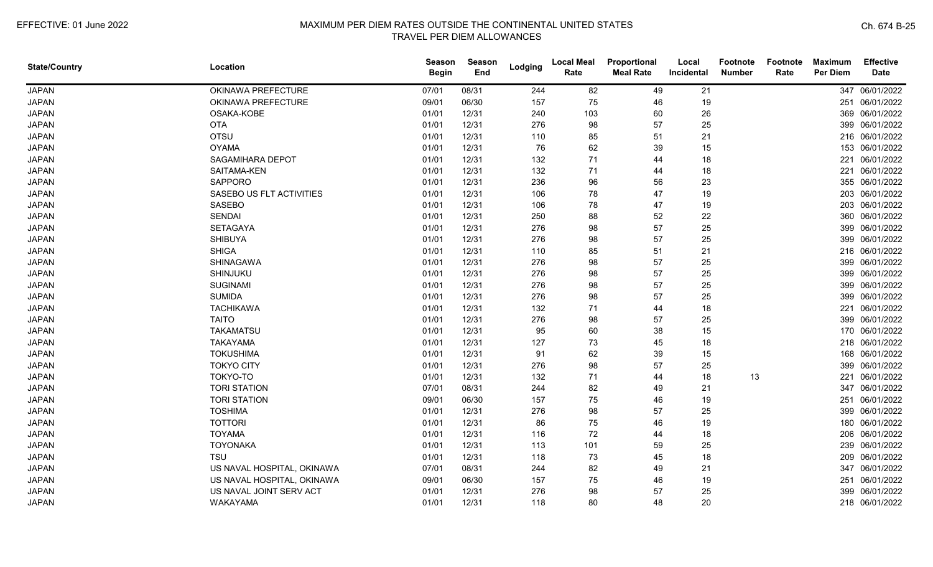| <b>State/Country</b> | Location                   | <b>Season</b><br><b>Begin</b> | Season<br>End | Lodging | <b>Local Meal</b><br>Rate | Proportional<br><b>Meal Rate</b> | Local<br>Incidental | <b>Footnote</b><br><b>Number</b> | Footnote<br>Rate | <b>Maximum</b><br><b>Per Diem</b> | <b>Effective</b><br><b>Date</b> |
|----------------------|----------------------------|-------------------------------|---------------|---------|---------------------------|----------------------------------|---------------------|----------------------------------|------------------|-----------------------------------|---------------------------------|
| <b>JAPAN</b>         | OKINAWA PREFECTURE         | 07/01                         | 08/31         | 244     | 82                        | 49                               | 21                  |                                  |                  |                                   | 347 06/01/2022                  |
| <b>JAPAN</b>         | OKINAWA PREFECTURE         | 09/01                         | 06/30         | 157     | 75                        | 46                               | 19                  |                                  |                  |                                   | 251 06/01/2022                  |
| <b>JAPAN</b>         | OSAKA-KOBE                 | 01/01                         | 12/31         | 240     | 103                       | 60                               | 26                  |                                  |                  |                                   | 369 06/01/2022                  |
| <b>JAPAN</b>         | <b>OTA</b>                 | 01/01                         | 12/31         | 276     | 98                        | 57                               | 25                  |                                  |                  |                                   | 399 06/01/2022                  |
| <b>JAPAN</b>         | <b>OTSU</b>                | 01/01                         | 12/31         | 110     | 85                        | 51                               | 21                  |                                  |                  |                                   | 216 06/01/2022                  |
| <b>JAPAN</b>         | <b>OYAMA</b>               | 01/01                         | 12/31         | 76      | 62                        | 39                               | 15                  |                                  |                  |                                   | 153 06/01/2022                  |
| <b>JAPAN</b>         | SAGAMIHARA DEPOT           | 01/01                         | 12/31         | 132     | 71                        | 44                               | 18                  |                                  |                  |                                   | 221 06/01/2022                  |
| <b>JAPAN</b>         | SAITAMA-KEN                | 01/01                         | 12/31         | 132     | 71                        | 44                               | 18                  |                                  |                  |                                   | 221 06/01/2022                  |
| <b>JAPAN</b>         | <b>SAPPORO</b>             | 01/01                         | 12/31         | 236     | 96                        | 56                               | 23                  |                                  |                  |                                   | 355 06/01/2022                  |
| <b>JAPAN</b>         | SASEBO US FLT ACTIVITIES   | 01/01                         | 12/31         | 106     | 78                        | 47                               | 19                  |                                  |                  |                                   | 203 06/01/2022                  |
| <b>JAPAN</b>         | <b>SASEBO</b>              | 01/01                         | 12/31         | 106     | 78                        | 47                               | 19                  |                                  |                  |                                   | 203 06/01/2022                  |
| <b>JAPAN</b>         | <b>SENDAI</b>              | 01/01                         | 12/31         | 250     | 88                        | 52                               | 22                  |                                  |                  |                                   | 360 06/01/2022                  |
| <b>JAPAN</b>         | <b>SETAGAYA</b>            | 01/01                         | 12/31         | 276     | 98                        | 57                               | 25                  |                                  |                  |                                   | 399 06/01/2022                  |
| <b>JAPAN</b>         | <b>SHIBUYA</b>             | 01/01                         | 12/31         | 276     | 98                        | 57                               | 25                  |                                  |                  |                                   | 399 06/01/2022                  |
| <b>JAPAN</b>         | <b>SHIGA</b>               | 01/01                         | 12/31         | 110     | 85                        | 51                               | 21                  |                                  |                  |                                   | 216 06/01/2022                  |
| <b>JAPAN</b>         | SHINAGAWA                  | 01/01                         | 12/31         | 276     | 98                        | 57                               | 25                  |                                  |                  |                                   | 399 06/01/2022                  |
| <b>JAPAN</b>         | SHINJUKU                   | 01/01                         | 12/31         | 276     | 98                        | 57                               | 25                  |                                  |                  | 399                               | 06/01/2022                      |
| <b>JAPAN</b>         | <b>SUGINAMI</b>            | 01/01                         | 12/31         | 276     | 98                        | 57                               | 25                  |                                  |                  |                                   | 399 06/01/2022                  |
| <b>JAPAN</b>         | <b>SUMIDA</b>              | 01/01                         | 12/31         | 276     | 98                        | 57                               | 25                  |                                  |                  |                                   | 399 06/01/2022                  |
| <b>JAPAN</b>         | <b>TACHIKAWA</b>           | 01/01                         | 12/31         | 132     | 71                        | 44                               | 18                  |                                  |                  |                                   | 221 06/01/2022                  |
| <b>JAPAN</b>         | <b>TAITO</b>               | 01/01                         | 12/31         | 276     | 98                        | 57                               | 25                  |                                  |                  |                                   | 399 06/01/2022                  |
| <b>JAPAN</b>         | <b>TAKAMATSU</b>           | 01/01                         | 12/31         | 95      | 60                        | 38                               | 15                  |                                  |                  |                                   | 170 06/01/2022                  |
| <b>JAPAN</b>         | <b>TAKAYAMA</b>            | 01/01                         | 12/31         | 127     | 73                        | 45                               | 18                  |                                  |                  |                                   | 218 06/01/2022                  |
| <b>JAPAN</b>         | <b>TOKUSHIMA</b>           | 01/01                         | 12/31         | 91      | 62                        | 39                               | 15                  |                                  |                  |                                   | 168 06/01/2022                  |
| <b>JAPAN</b>         | <b>TOKYO CITY</b>          | 01/01                         | 12/31         | 276     | 98                        | 57                               | 25                  |                                  |                  | 399                               | 06/01/2022                      |
| <b>JAPAN</b>         | TOKYO-TO                   | 01/01                         | 12/31         | 132     | 71                        | 44                               | 18                  | 13                               |                  | 221                               | 06/01/2022                      |
| <b>JAPAN</b>         | <b>TORI STATION</b>        | 07/01                         | 08/31         | 244     | 82                        | 49                               | 21                  |                                  |                  |                                   | 347 06/01/2022                  |
| <b>JAPAN</b>         | <b>TORI STATION</b>        | 09/01                         | 06/30         | 157     | 75                        | 46                               | 19                  |                                  |                  |                                   | 251 06/01/2022                  |
| <b>JAPAN</b>         | <b>TOSHIMA</b>             | 01/01                         | 12/31         | 276     | 98                        | 57                               | 25                  |                                  |                  |                                   | 399 06/01/2022                  |
| <b>JAPAN</b>         | <b>TOTTORI</b>             | 01/01                         | 12/31         | 86      | 75                        | 46                               | 19                  |                                  |                  |                                   | 180 06/01/2022                  |
| <b>JAPAN</b>         | <b>TOYAMA</b>              | 01/01                         | 12/31         | 116     | 72                        | 44                               | 18                  |                                  |                  |                                   | 206 06/01/2022                  |
| <b>JAPAN</b>         | <b>TOYONAKA</b>            | 01/01                         | 12/31         | 113     | 101                       | 59                               | 25                  |                                  |                  |                                   | 239 06/01/2022                  |
| <b>JAPAN</b>         | <b>TSU</b>                 | 01/01                         | 12/31         | 118     | 73                        | 45                               | 18                  |                                  |                  |                                   | 209 06/01/2022                  |
| <b>JAPAN</b>         | US NAVAL HOSPITAL, OKINAWA | 07/01                         | 08/31         | 244     | 82                        | 49                               | 21                  |                                  |                  |                                   | 347 06/01/2022                  |
| <b>JAPAN</b>         | US NAVAL HOSPITAL, OKINAWA | 09/01                         | 06/30         | 157     | 75                        | 46                               | 19                  |                                  |                  |                                   | 251 06/01/2022                  |
| <b>JAPAN</b>         | US NAVAL JOINT SERV ACT    | 01/01                         | 12/31         | 276     | 98                        | 57                               | 25                  |                                  |                  |                                   | 399 06/01/2022                  |
| <b>JAPAN</b>         | WAKAYAMA                   | 01/01                         | 12/31         | 118     | 80                        | 48                               | 20                  |                                  |                  |                                   | 218 06/01/2022                  |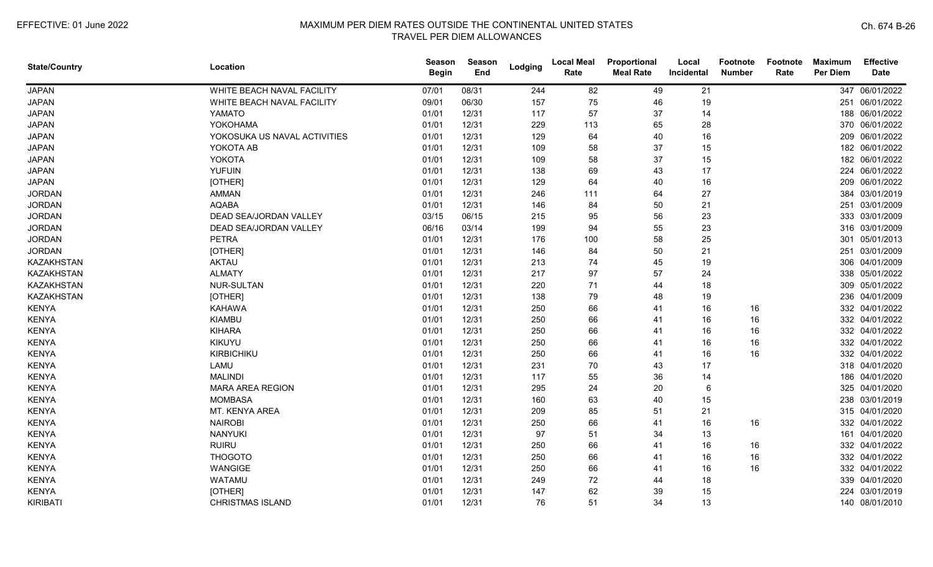| <b>State/Country</b> | Location                     | <b>Season</b><br><b>Begin</b> | <b>Season</b><br>End | Lodging | <b>Local Meal</b><br>Rate | Proportional<br><b>Meal Rate</b> | Local<br>Incidental | <b>Footnote</b><br><b>Number</b> | Footnote<br>Rate | <b>Maximum</b><br><b>Per Diem</b> | <b>Effective</b><br><b>Date</b> |
|----------------------|------------------------------|-------------------------------|----------------------|---------|---------------------------|----------------------------------|---------------------|----------------------------------|------------------|-----------------------------------|---------------------------------|
| <b>JAPAN</b>         | WHITE BEACH NAVAL FACILITY   | 07/01                         | 08/31                | 244     | 82                        | 49                               | 21                  |                                  |                  |                                   | 347 06/01/2022                  |
| <b>JAPAN</b>         | WHITE BEACH NAVAL FACILITY   | 09/01                         | 06/30                | 157     | 75                        | 46                               | 19                  |                                  |                  |                                   | 251 06/01/2022                  |
| <b>JAPAN</b>         | YAMATO                       | 01/01                         | 12/31                | 117     | 57                        | 37                               | 14                  |                                  |                  |                                   | 188 06/01/2022                  |
| <b>JAPAN</b>         | <b>YOKOHAMA</b>              | 01/01                         | 12/31                | 229     | 113                       | 65                               | 28                  |                                  |                  |                                   | 370 06/01/2022                  |
| <b>JAPAN</b>         | YOKOSUKA US NAVAL ACTIVITIES | 01/01                         | 12/31                | 129     | 64                        | 40                               | 16                  |                                  |                  |                                   | 209 06/01/2022                  |
| <b>JAPAN</b>         | YOKOTA AB                    | 01/01                         | 12/31                | 109     | 58                        | 37                               | 15                  |                                  |                  |                                   | 182 06/01/2022                  |
| <b>JAPAN</b>         | YOKOTA                       | 01/01                         | 12/31                | 109     | 58                        | 37                               | 15                  |                                  |                  |                                   | 182 06/01/2022                  |
| <b>JAPAN</b>         | <b>YUFUIN</b>                | 01/01                         | 12/31                | 138     | 69                        | 43                               | 17                  |                                  |                  | 224                               | 06/01/2022                      |
| <b>JAPAN</b>         | [OTHER]                      | 01/01                         | 12/31                | 129     | 64                        | 40                               | 16                  |                                  |                  | 209                               | 06/01/2022                      |
| <b>JORDAN</b>        | <b>AMMAN</b>                 | 01/01                         | 12/31                | 246     | 111                       | 64                               | 27                  |                                  |                  | 384                               | 03/01/2019                      |
| <b>JORDAN</b>        | <b>AQABA</b>                 | 01/01                         | 12/31                | 146     | 84                        | 50                               | 21                  |                                  |                  |                                   | 251 03/01/2009                  |
| <b>JORDAN</b>        | DEAD SEA/JORDAN VALLEY       | 03/15                         | 06/15                | 215     | 95                        | 56                               | 23                  |                                  |                  |                                   | 333 03/01/2009                  |
| <b>JORDAN</b>        | DEAD SEA/JORDAN VALLEY       | 06/16                         | 03/14                | 199     | 94                        | 55                               | 23                  |                                  |                  |                                   | 316 03/01/2009                  |
| <b>JORDAN</b>        | <b>PETRA</b>                 | 01/01                         | 12/31                | 176     | 100                       | 58                               | 25                  |                                  |                  |                                   | 301 05/01/2013                  |
| <b>JORDAN</b>        | [OTHER]                      | 01/01                         | 12/31                | 146     | 84                        | 50                               | 21                  |                                  |                  |                                   | 251 03/01/2009                  |
| <b>KAZAKHSTAN</b>    | <b>AKTAU</b>                 | 01/01                         | 12/31                | 213     | 74                        | 45                               | 19                  |                                  |                  |                                   | 306 04/01/2009                  |
| <b>KAZAKHSTAN</b>    | <b>ALMATY</b>                | 01/01                         | 12/31                | 217     | 97                        | 57                               | 24                  |                                  |                  |                                   | 338 05/01/2022                  |
| <b>KAZAKHSTAN</b>    | NUR-SULTAN                   | 01/01                         | 12/31                | 220     | 71                        | 44                               | 18                  |                                  |                  |                                   | 309 05/01/2022                  |
| <b>KAZAKHSTAN</b>    | [OTHER]                      | 01/01                         | 12/31                | 138     | 79                        | 48                               | 19                  |                                  |                  |                                   | 236 04/01/2009                  |
| <b>KENYA</b>         | KAHAWA                       | 01/01                         | 12/31                | 250     | 66                        | 41                               | 16                  | 16                               |                  |                                   | 332 04/01/2022                  |
| <b>KENYA</b>         | <b>KIAMBU</b>                | 01/01                         | 12/31                | 250     | 66                        | 41                               | 16                  | 16                               |                  |                                   | 332 04/01/2022                  |
| <b>KENYA</b>         | <b>KIHARA</b>                | 01/01                         | 12/31                | 250     | 66                        | 41                               | 16                  | 16                               |                  |                                   | 332 04/01/2022                  |
| <b>KENYA</b>         | KIKUYU                       | 01/01                         | 12/31                | 250     | 66                        | 41                               | 16                  | 16                               |                  |                                   | 332 04/01/2022                  |
| <b>KENYA</b>         | KIRBICHIKU                   | 01/01                         | 12/31                | 250     | 66                        | 41                               | 16                  | 16                               |                  |                                   | 332 04/01/2022                  |
| <b>KENYA</b>         | LAMU                         | 01/01                         | 12/31                | 231     | 70                        | 43                               | 17                  |                                  |                  |                                   | 318 04/01/2020                  |
| <b>KENYA</b>         | <b>MALINDI</b>               | 01/01                         | 12/31                | 117     | 55                        | 36                               | 14                  |                                  |                  |                                   | 186 04/01/2020                  |
| <b>KENYA</b>         | <b>MARA AREA REGION</b>      | 01/01                         | 12/31                | 295     | 24                        | 20                               | 6                   |                                  |                  |                                   | 325 04/01/2020                  |
| <b>KENYA</b>         | <b>MOMBASA</b>               | 01/01                         | 12/31                | 160     | 63                        | 40                               | 15                  |                                  |                  |                                   | 238 03/01/2019                  |
| <b>KENYA</b>         | MT. KENYA AREA               | 01/01                         | 12/31                | 209     | 85                        | 51                               | 21                  |                                  |                  |                                   | 315 04/01/2020                  |
| <b>KENYA</b>         | <b>NAIROBI</b>               | 01/01                         | 12/31                | 250     | 66                        | 41                               | 16                  | 16                               |                  |                                   | 332 04/01/2022                  |
| <b>KENYA</b>         | <b>NANYUKI</b>               | 01/01                         | 12/31                | 97      | 51                        | 34                               | 13                  |                                  |                  |                                   | 161 04/01/2020                  |
| <b>KENYA</b>         | <b>RUIRU</b>                 | 01/01                         | 12/31                | 250     | 66                        | 41                               | 16                  | 16                               |                  |                                   | 332 04/01/2022                  |
| <b>KENYA</b>         | <b>THOGOTO</b>               | 01/01                         | 12/31                | 250     | 66                        | 41                               | 16                  | 16                               |                  |                                   | 332 04/01/2022                  |
| <b>KENYA</b>         | WANGIGE                      | 01/01                         | 12/31                | 250     | 66                        | 41                               | 16                  | 16                               |                  |                                   | 332 04/01/2022                  |
| <b>KENYA</b>         | WATAMU                       | 01/01                         | 12/31                | 249     | 72                        | 44                               | 18                  |                                  |                  |                                   | 339 04/01/2020                  |
| <b>KENYA</b>         | [OTHER]                      | 01/01                         | 12/31                | 147     | 62                        | 39                               | 15                  |                                  |                  | 224                               | 03/01/2019                      |
| <b>KIRIBATI</b>      | <b>CHRISTMAS ISLAND</b>      | 01/01                         | 12/31                | 76      | 51                        | 34                               | 13                  |                                  |                  |                                   | 140 08/01/2010                  |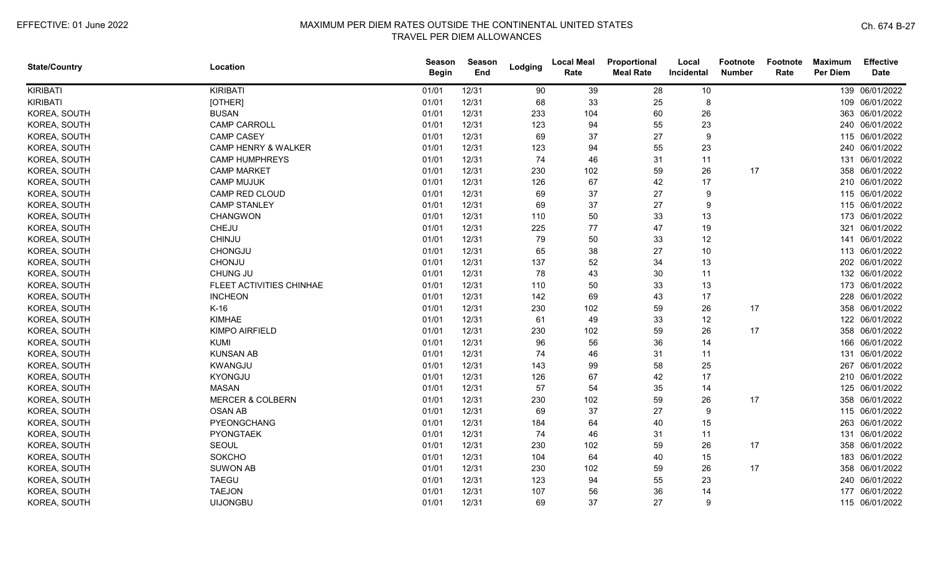| <b>State/Country</b> | Location                       | <b>Season</b><br><b>Begin</b> | <b>Season</b><br>End | Lodging | <b>Local Meal</b><br>Rate | Proportional<br><b>Meal Rate</b> | Local<br>Incidental | <b>Footnote</b><br><b>Number</b> | Footnote<br>Rate | <b>Maximum</b><br><b>Per Diem</b> | <b>Effective</b><br><b>Date</b> |
|----------------------|--------------------------------|-------------------------------|----------------------|---------|---------------------------|----------------------------------|---------------------|----------------------------------|------------------|-----------------------------------|---------------------------------|
| <b>KIRIBATI</b>      | KIRIBATI                       | 01/01                         | 12/31                | 90      | 39                        | 28                               | 10                  |                                  |                  |                                   | 139 06/01/2022                  |
| <b>KIRIBATI</b>      | [OTHER]                        | 01/01                         | 12/31                | 68      | 33                        | 25                               | 8                   |                                  |                  |                                   | 109 06/01/2022                  |
| KOREA, SOUTH         | <b>BUSAN</b>                   | 01/01                         | 12/31                | 233     | 104                       | 60                               | 26                  |                                  |                  |                                   | 363 06/01/2022                  |
| KOREA, SOUTH         | <b>CAMP CARROLL</b>            | 01/01                         | 12/31                | 123     | 94                        | 55                               | 23                  |                                  |                  |                                   | 240 06/01/2022                  |
| KOREA, SOUTH         | <b>CAMP CASEY</b>              | 01/01                         | 12/31                | 69      | 37                        | 27                               | 9                   |                                  |                  |                                   | 115 06/01/2022                  |
| KOREA, SOUTH         | <b>CAMP HENRY &amp; WALKER</b> | 01/01                         | 12/31                | 123     | 94                        | 55                               | 23                  |                                  |                  |                                   | 240 06/01/2022                  |
| KOREA, SOUTH         | <b>CAMP HUMPHREYS</b>          | 01/01                         | 12/31                | 74      | 46                        | 31                               | 11                  |                                  |                  |                                   | 131 06/01/2022                  |
| KOREA, SOUTH         | <b>CAMP MARKET</b>             | 01/01                         | 12/31                | 230     | 102                       | 59                               | 26                  | 17                               |                  |                                   | 358 06/01/2022                  |
| KOREA, SOUTH         | <b>CAMP MUJUK</b>              | 01/01                         | 12/31                | 126     | 67                        | 42                               | 17                  |                                  |                  |                                   | 210 06/01/2022                  |
| KOREA, SOUTH         | <b>CAMP RED CLOUD</b>          | 01/01                         | 12/31                | 69      | 37                        | 27                               | 9                   |                                  |                  |                                   | 115 06/01/2022                  |
| KOREA, SOUTH         | <b>CAMP STANLEY</b>            | 01/01                         | 12/31                | 69      | 37                        | 27                               | 9                   |                                  |                  |                                   | 115 06/01/2022                  |
| KOREA, SOUTH         | <b>CHANGWON</b>                | 01/01                         | 12/31                | 110     | 50                        | 33                               | 13                  |                                  |                  |                                   | 173 06/01/2022                  |
| KOREA, SOUTH         | CHEJU                          | 01/01                         | 12/31                | 225     | $77 \,$                   | 47                               | 19                  |                                  |                  | 321                               | 06/01/2022                      |
| KOREA, SOUTH         | CHINJU                         | 01/01                         | 12/31                | 79      | 50                        | 33                               | 12                  |                                  |                  |                                   | 141 06/01/2022                  |
| KOREA, SOUTH         | CHONGJU                        | 01/01                         | 12/31                | 65      | 38                        | 27                               | $10$                |                                  |                  |                                   | 113 06/01/2022                  |
| KOREA, SOUTH         | CHONJU                         | 01/01                         | 12/31                | 137     | 52                        | 34                               | 13                  |                                  |                  |                                   | 202 06/01/2022                  |
| KOREA, SOUTH         | CHUNG JU                       | 01/01                         | 12/31                | 78      | 43                        | 30                               | 11                  |                                  |                  |                                   | 132 06/01/2022                  |
| KOREA, SOUTH         | FLEET ACTIVITIES CHINHAE       | 01/01                         | 12/31                | 110     | 50                        | 33                               | 13                  |                                  |                  |                                   | 173 06/01/2022                  |
| KOREA, SOUTH         | <b>INCHEON</b>                 | 01/01                         | 12/31                | 142     | 69                        | 43                               | 17                  |                                  |                  |                                   | 228 06/01/2022                  |
| KOREA, SOUTH         | $K-16$                         | 01/01                         | 12/31                | 230     | 102                       | 59                               | 26                  | 17                               |                  |                                   | 358 06/01/2022                  |
| KOREA, SOUTH         | <b>KIMHAE</b>                  | 01/01                         | 12/31                | 61      | 49                        | 33                               | 12                  |                                  |                  |                                   | 122 06/01/2022                  |
| KOREA, SOUTH         | <b>KIMPO AIRFIELD</b>          | 01/01                         | 12/31                | 230     | 102                       | 59                               | 26                  | 17                               |                  |                                   | 358 06/01/2022                  |
| KOREA, SOUTH         | <b>KUMI</b>                    | 01/01                         | 12/31                | 96      | 56                        | 36                               | 14                  |                                  |                  |                                   | 166 06/01/2022                  |
| KOREA, SOUTH         | <b>KUNSAN AB</b>               | 01/01                         | 12/31                | 74      | 46                        | 31                               | 11                  |                                  |                  |                                   | 131 06/01/2022                  |
| KOREA, SOUTH         | KWANGJU                        | 01/01                         | 12/31                | 143     | 99                        | 58                               | 25                  |                                  |                  |                                   | 267 06/01/2022                  |
| KOREA, SOUTH         | KYONGJU                        | 01/01                         | 12/31                | 126     | 67                        | 42                               | 17                  |                                  |                  |                                   | 210 06/01/2022                  |
| KOREA, SOUTH         | <b>MASAN</b>                   | 01/01                         | 12/31                | 57      | 54                        | 35                               | 14                  |                                  |                  |                                   | 125 06/01/2022                  |
| KOREA, SOUTH         | <b>MERCER &amp; COLBERN</b>    | 01/01                         | 12/31                | 230     | 102                       | 59                               | 26                  | 17                               |                  |                                   | 358 06/01/2022                  |
| KOREA, SOUTH         | <b>OSAN AB</b>                 | 01/01                         | 12/31                | 69      | 37                        | 27                               | 9                   |                                  |                  |                                   | 115 06/01/2022                  |
| KOREA, SOUTH         | PYEONGCHANG                    | 01/01                         | 12/31                | 184     | 64                        | 40                               | 15                  |                                  |                  |                                   | 263 06/01/2022                  |
| KOREA, SOUTH         | <b>PYONGTAEK</b>               | 01/01                         | 12/31                | 74      | 46                        | 31                               | 11                  |                                  |                  |                                   | 131 06/01/2022                  |
| KOREA, SOUTH         | SEOUL                          | 01/01                         | 12/31                | 230     | 102                       | 59                               | 26                  | 17                               |                  |                                   | 358 06/01/2022                  |
| KOREA, SOUTH         | SOKCHO                         | 01/01                         | 12/31                | 104     | 64                        | 40                               | 15                  |                                  |                  |                                   | 183 06/01/2022                  |
| KOREA, SOUTH         | <b>SUWON AB</b>                | 01/01                         | 12/31                | 230     | 102                       | 59                               | 26                  | 17                               |                  |                                   | 358 06/01/2022                  |
| KOREA, SOUTH         | <b>TAEGU</b>                   | 01/01                         | 12/31                | 123     | 94                        | 55                               | 23                  |                                  |                  |                                   | 240 06/01/2022                  |
| KOREA, SOUTH         | <b>TAEJON</b>                  | 01/01                         | 12/31                | 107     | 56                        | 36                               | 14                  |                                  |                  |                                   | 177 06/01/2022                  |
| KOREA, SOUTH         | <b>UIJONGBU</b>                | 01/01                         | 12/31                | 69      | 37                        | 27                               | 9                   |                                  |                  |                                   | 115 06/01/2022                  |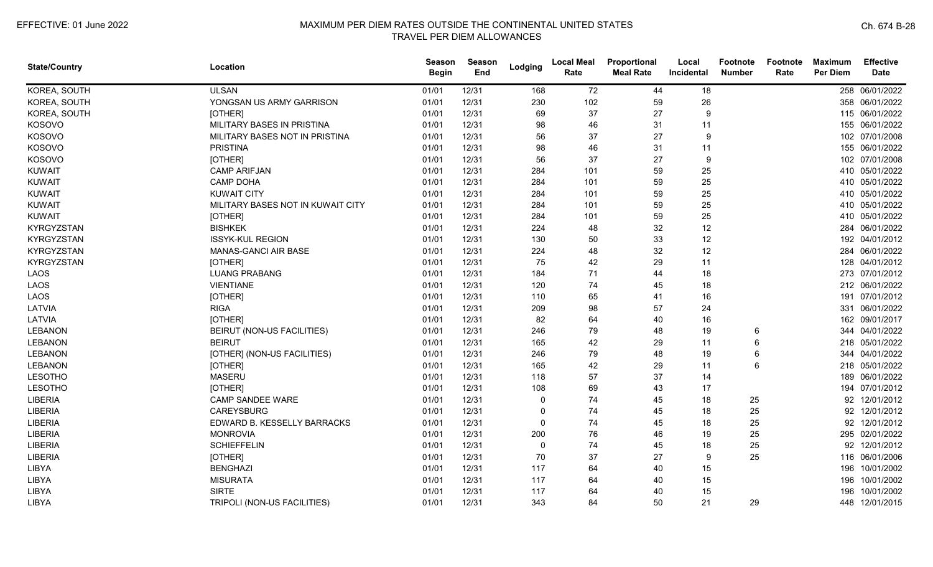| <b>State/Country</b> | Location                          | <b>Season</b><br><b>Begin</b> | Season<br>End | Lodging  | <b>Local Meal</b><br>Rate | Proportional<br><b>Meal Rate</b> | Local<br>Incidental | <b>Footnote</b><br><b>Number</b> | Footnote<br>Rate | <b>Maximum</b><br><b>Per Diem</b> | <b>Effective</b><br><b>Date</b> |
|----------------------|-----------------------------------|-------------------------------|---------------|----------|---------------------------|----------------------------------|---------------------|----------------------------------|------------------|-----------------------------------|---------------------------------|
| KOREA, SOUTH         | <b>ULSAN</b>                      | 01/01                         | 12/31         | 168      | 72                        | 44                               | 18                  |                                  |                  |                                   | 258 06/01/2022                  |
| KOREA, SOUTH         | YONGSAN US ARMY GARRISON          | 01/01                         | 12/31         | 230      | 102                       | 59                               | 26                  |                                  |                  |                                   | 358 06/01/2022                  |
| KOREA, SOUTH         | [OTHER]                           | 01/01                         | 12/31         | 69       | 37                        | 27                               | 9                   |                                  |                  |                                   | 115 06/01/2022                  |
| KOSOVO               | MILITARY BASES IN PRISTINA        | 01/01                         | 12/31         | 98       | 46                        | 31                               | 11                  |                                  |                  |                                   | 155 06/01/2022                  |
| KOSOVO               | MILITARY BASES NOT IN PRISTINA    | 01/01                         | 12/31         | 56       | 37                        | 27                               | 9                   |                                  |                  |                                   | 102 07/01/2008                  |
| KOSOVO               | <b>PRISTINA</b>                   | 01/01                         | 12/31         | 98       | 46                        | 31                               | 11                  |                                  |                  |                                   | 155 06/01/2022                  |
| KOSOVO               | [OTHER]                           | 01/01                         | 12/31         | 56       | 37                        | 27                               | 9                   |                                  |                  |                                   | 102 07/01/2008                  |
| <b>KUWAIT</b>        | <b>CAMP ARIFJAN</b>               | 01/01                         | 12/31         | 284      | 101                       | 59                               | 25                  |                                  |                  |                                   | 410 05/01/2022                  |
| <b>KUWAIT</b>        | <b>CAMP DOHA</b>                  | 01/01                         | 12/31         | 284      | 101                       | 59                               | 25                  |                                  |                  |                                   | 410 05/01/2022                  |
| <b>KUWAIT</b>        | <b>KUWAIT CITY</b>                | 01/01                         | 12/31         | 284      | 101                       | 59                               | 25                  |                                  |                  |                                   | 410 05/01/2022                  |
| <b>KUWAIT</b>        | MILITARY BASES NOT IN KUWAIT CITY | 01/01                         | 12/31         | 284      | 101                       | 59                               | 25                  |                                  |                  |                                   | 410 05/01/2022                  |
| <b>KUWAIT</b>        | [OTHER]                           | 01/01                         | 12/31         | 284      | 101                       | 59                               | 25                  |                                  |                  |                                   | 410 05/01/2022                  |
| <b>KYRGYZSTAN</b>    | <b>BISHKEK</b>                    | 01/01                         | 12/31         | 224      | 48                        | 32                               | 12                  |                                  |                  |                                   | 284 06/01/2022                  |
| <b>KYRGYZSTAN</b>    | <b>ISSYK-KUL REGION</b>           | 01/01                         | 12/31         | 130      | 50                        | 33                               | 12                  |                                  |                  |                                   | 192 04/01/2012                  |
| <b>KYRGYZSTAN</b>    | MANAS-GANCI AIR BASE              | 01/01                         | 12/31         | 224      | 48                        | 32                               | 12                  |                                  |                  |                                   | 284 06/01/2022                  |
| <b>KYRGYZSTAN</b>    | [OTHER]                           | 01/01                         | 12/31         | 75       | 42                        | 29                               | 11                  |                                  |                  |                                   | 128 04/01/2012                  |
| LAOS                 | <b>LUANG PRABANG</b>              | 01/01                         | 12/31         | 184      | 71                        | 44                               | 18                  |                                  |                  |                                   | 273 07/01/2012                  |
| LAOS                 | <b>VIENTIANE</b>                  | 01/01                         | 12/31         | 120      | 74                        | 45                               | 18                  |                                  |                  |                                   | 212 06/01/2022                  |
| LAOS                 | [OTHER]                           | 01/01                         | 12/31         | 110      | 65                        | 41                               | 16                  |                                  |                  |                                   | 191 07/01/2012                  |
| LATVIA               | <b>RIGA</b>                       | 01/01                         | 12/31         | 209      | 98                        | 57                               | 24                  |                                  |                  |                                   | 331 06/01/2022                  |
| LATVIA               | [OTHER]                           | 01/01                         | 12/31         | 82       | 64                        | 40                               | 16                  |                                  |                  |                                   | 162 09/01/2017                  |
| <b>LEBANON</b>       | BEIRUT (NON-US FACILITIES)        | 01/01                         | 12/31         | 246      | 79                        | 48                               | 19                  | 6                                |                  |                                   | 344 04/01/2022                  |
| <b>LEBANON</b>       | <b>BEIRUT</b>                     | 01/01                         | 12/31         | 165      | 42                        | 29                               | 11                  | 6                                |                  |                                   | 218 05/01/2022                  |
| LEBANON              | [OTHER] (NON-US FACILITIES)       | 01/01                         | 12/31         | 246      | 79                        | 48                               | 19                  | 6                                |                  |                                   | 344 04/01/2022                  |
| <b>LEBANON</b>       | [OTHER]                           | 01/01                         | 12/31         | 165      | 42                        | 29                               | 11                  | 6                                |                  |                                   | 218 05/01/2022                  |
| <b>LESOTHO</b>       | <b>MASERU</b>                     | 01/01                         | 12/31         | 118      | 57                        | 37                               | 14                  |                                  |                  | 189                               | 06/01/2022                      |
| <b>LESOTHO</b>       | [OTHER]                           | 01/01                         | 12/31         | 108      | 69                        | 43                               | 17                  |                                  |                  | 194                               | 07/01/2012                      |
| LIBERIA              | CAMP SANDEE WARE                  | 01/01                         | 12/31         | $\Omega$ | 74                        | 45                               | 18                  | 25                               |                  | 92                                | 12/01/2012                      |
| LIBERIA              | <b>CAREYSBURG</b>                 | 01/01                         | 12/31         |          | 74                        | 45                               | 18                  | 25                               |                  | 92                                | 12/01/2012                      |
| <b>LIBERIA</b>       | EDWARD B. KESSELLY BARRACKS       | 01/01                         | 12/31         |          | 74                        | 45                               | 18                  | 25                               |                  | 92                                | 12/01/2012                      |
| LIBERIA              | <b>MONROVIA</b>                   | 01/01                         | 12/31         | 200      | 76                        | 46                               | 19                  | 25                               |                  |                                   | 295 02/01/2022                  |
| LIBERIA              | <b>SCHIEFFELIN</b>                | 01/01                         | 12/31         | $\Omega$ | 74                        | 45                               | 18                  | 25                               |                  | 92                                | 12/01/2012                      |
| <b>LIBERIA</b>       | [OTHER]                           | 01/01                         | 12/31         | 70       | 37                        | 27                               | 9                   | 25                               |                  |                                   | 116 06/01/2006                  |
| LIBYA                | <b>BENGHAZI</b>                   | 01/01                         | 12/31         | 117      | 64                        | 40                               | 15                  |                                  |                  | 196                               | 10/01/2002                      |
| LIBYA                | <b>MISURATA</b>                   | 01/01                         | 12/31         | 117      | 64                        | 40                               | 15                  |                                  |                  | 196                               | 10/01/2002                      |
| LIBYA                | <b>SIRTE</b>                      | 01/01                         | 12/31         | 117      | 64                        | 40                               | 15                  |                                  |                  | 196                               | 10/01/2002                      |
| LIBYA                | TRIPOLI (NON-US FACILITIES)       | 01/01                         | 12/31         | 343      | 84                        | 50                               | 21                  | 29                               |                  |                                   | 448 12/01/2015                  |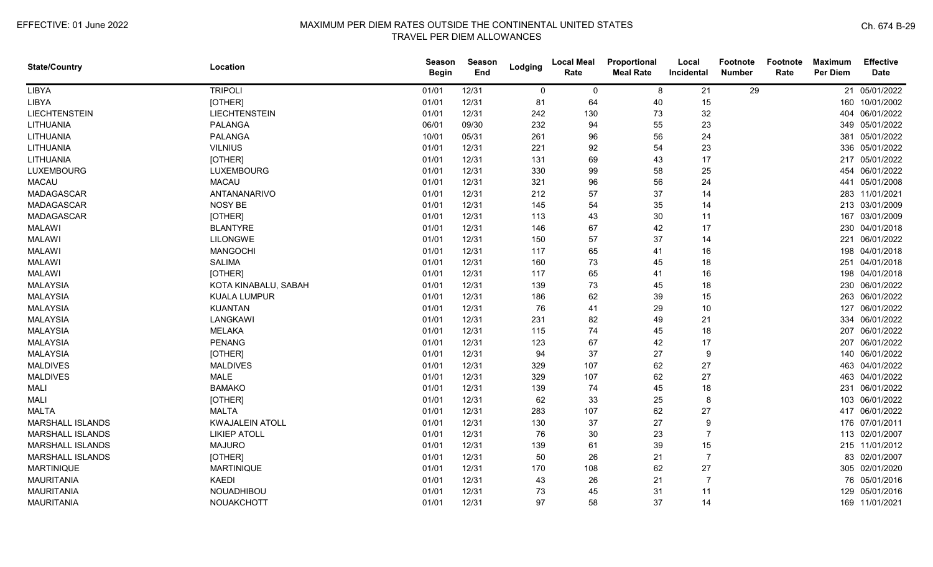| <b>State/Country</b>    | Location               | Season<br><b>Begin</b> | <b>Season</b><br>End | Lodging     | <b>Local Meal</b><br>Rate | Proportional<br><b>Meal Rate</b> | Local<br>Incidental | Footnote<br><b>Number</b> | Footnote<br>Rate | <b>Maximum</b><br><b>Per Diem</b> | <b>Effective</b><br><b>Date</b> |
|-------------------------|------------------------|------------------------|----------------------|-------------|---------------------------|----------------------------------|---------------------|---------------------------|------------------|-----------------------------------|---------------------------------|
| LIBYA                   | <b>TRIPOLI</b>         | 01/01                  | 12/31                | $\mathbf 0$ | 0                         | 8                                | 21                  | 29                        |                  |                                   | 21 05/01/2022                   |
| LIBYA                   | [OTHER]                | 01/01                  | 12/31                | 81          | 64                        | 40                               | 15                  |                           |                  | 160                               | 10/01/2002                      |
| <b>LIECHTENSTEIN</b>    | <b>LIECHTENSTEIN</b>   | 01/01                  | 12/31                | 242         | 130                       | 73                               | 32                  |                           |                  |                                   | 404 06/01/2022                  |
| LITHUANIA               | <b>PALANGA</b>         | 06/01                  | 09/30                | 232         | 94                        | 55                               | 23                  |                           |                  |                                   | 349 05/01/2022                  |
| LITHUANIA               | <b>PALANGA</b>         | 10/01                  | 05/31                | 261         | 96                        | 56                               | 24                  |                           |                  |                                   | 381 05/01/2022                  |
| LITHUANIA               | <b>VILNIUS</b>         | 01/01                  | 12/31                | 221         | 92                        | 54                               | 23                  |                           |                  |                                   | 336 05/01/2022                  |
| LITHUANIA               | [OTHER]                | 01/01                  | 12/31                | 131         | 69                        | 43                               | 17                  |                           |                  |                                   | 217 05/01/2022                  |
| <b>LUXEMBOURG</b>       | <b>LUXEMBOURG</b>      | 01/01                  | 12/31                | 330         | 99                        | 58                               | 25                  |                           |                  | 454                               | 06/01/2022                      |
| <b>MACAU</b>            | <b>MACAU</b>           | 01/01                  | 12/31                | 321         | 96                        | 56                               | 24                  |                           |                  | 441                               | 05/01/2008                      |
| <b>MADAGASCAR</b>       | ANTANANARIVO           | 01/01                  | 12/31                | 212         | 57                        | 37                               | 14                  |                           |                  |                                   | 283 11/01/2021                  |
| <b>MADAGASCAR</b>       | NOSY BE                | 01/01                  | 12/31                | 145         | 54                        | 35                               | 14                  |                           |                  |                                   | 213 03/01/2009                  |
| <b>MADAGASCAR</b>       | [OTHER]                | 01/01                  | 12/31                | 113         | 43                        | 30                               | 11                  |                           |                  |                                   | 167 03/01/2009                  |
| <b>MALAWI</b>           | <b>BLANTYRE</b>        | 01/01                  | 12/31                | 146         | 67                        | 42                               | 17                  |                           |                  |                                   | 230 04/01/2018                  |
| <b>MALAWI</b>           | <b>LILONGWE</b>        | 01/01                  | 12/31                | 150         | 57                        | 37                               | 14                  |                           |                  |                                   | 221 06/01/2022                  |
| <b>MALAWI</b>           | <b>MANGOCHI</b>        | 01/01                  | 12/31                | 117         | 65                        | 41                               | 16                  |                           |                  |                                   | 198 04/01/2018                  |
| <b>MALAWI</b>           | <b>SALIMA</b>          | 01/01                  | 12/31                | 160         | 73                        | 45                               | 18                  |                           |                  | 251                               | 04/01/2018                      |
| <b>MALAWI</b>           | [OTHER]                | 01/01                  | 12/31                | 117         | 65                        | 41                               | 16                  |                           |                  |                                   | 198 04/01/2018                  |
| <b>MALAYSIA</b>         | KOTA KINABALU, SABAH   | 01/01                  | 12/31                | 139         | 73                        | 45                               | 18                  |                           |                  |                                   | 230 06/01/2022                  |
| <b>MALAYSIA</b>         | <b>KUALA LUMPUR</b>    | 01/01                  | 12/31                | 186         | 62                        | 39                               | 15                  |                           |                  |                                   | 263 06/01/2022                  |
| <b>MALAYSIA</b>         | <b>KUANTAN</b>         | 01/01                  | 12/31                | 76          | 41                        | 29                               | 10                  |                           |                  | 127                               | 06/01/2022                      |
| <b>MALAYSIA</b>         | LANGKAWI               | 01/01                  | 12/31                | 231         | 82                        | 49                               | 21                  |                           |                  |                                   | 334 06/01/2022                  |
| <b>MALAYSIA</b>         | <b>MELAKA</b>          | 01/01                  | 12/31                | 115         | 74                        | 45                               | 18                  |                           |                  |                                   | 207 06/01/2022                  |
| MALAYSIA                | <b>PENANG</b>          | 01/01                  | 12/31                | 123         | 67                        | 42                               | 17                  |                           |                  |                                   | 207 06/01/2022                  |
| <b>MALAYSIA</b>         | [OTHER]                | 01/01                  | 12/31                | 94          | 37                        | 27                               | 9                   |                           |                  |                                   | 140 06/01/2022                  |
| <b>MALDIVES</b>         | <b>MALDIVES</b>        | 01/01                  | 12/31                | 329         | 107                       | 62                               | 27                  |                           |                  |                                   | 463 04/01/2022                  |
| <b>MALDIVES</b>         | <b>MALE</b>            | 01/01                  | 12/31                | 329         | 107                       | 62                               | 27                  |                           |                  |                                   | 463 04/01/2022                  |
| <b>MALI</b>             | <b>BAMAKO</b>          | 01/01                  | 12/31                | 139         | 74                        | 45                               | 18                  |                           |                  | 231                               | 06/01/2022                      |
| <b>MALI</b>             | [OTHER]                | 01/01                  | 12/31                | 62          | 33                        | 25                               | 8                   |                           |                  |                                   | 103 06/01/2022                  |
| <b>MALTA</b>            | <b>MALTA</b>           | 01/01                  | 12/31                | 283         | 107                       | 62                               | 27                  |                           |                  |                                   | 417 06/01/2022                  |
| <b>MARSHALL ISLANDS</b> | <b>KWAJALEIN ATOLL</b> | 01/01                  | 12/31                | 130         | 37                        | 27                               | 9                   |                           |                  |                                   | 176 07/01/2011                  |
| <b>MARSHALL ISLANDS</b> | <b>LIKIEP ATOLL</b>    | 01/01                  | 12/31                | 76          | 30                        | 23                               |                     |                           |                  |                                   | 113 02/01/2007                  |
| <b>MARSHALL ISLANDS</b> | <b>MAJURO</b>          | 01/01                  | 12/31                | 139         | 61                        | 39                               | 15                  |                           |                  |                                   | 215 11/01/2012                  |
| MARSHALL ISLANDS        | [OTHER]                | 01/01                  | 12/31                | 50          | 26                        | 21                               | $\overline{7}$      |                           |                  |                                   | 83 02/01/2007                   |
| <b>MARTINIQUE</b>       | <b>MARTINIQUE</b>      | 01/01                  | 12/31                | 170         | 108                       | 62                               | 27                  |                           |                  |                                   | 305 02/01/2020                  |
| <b>MAURITANIA</b>       | <b>KAEDI</b>           | 01/01                  | 12/31                | 43          | 26                        | 21                               |                     |                           |                  |                                   | 76 05/01/2016                   |
| <b>MAURITANIA</b>       | NOUADHIBOU             | 01/01                  | 12/31                | 73          | 45                        | 31                               | 11                  |                           |                  | 129                               | 05/01/2016                      |
| <b>MAURITANIA</b>       | NOUAKCHOTT             | 01/01                  | 12/31                | 97          | 58                        | 37                               | 14                  |                           |                  |                                   | 169 11/01/2021                  |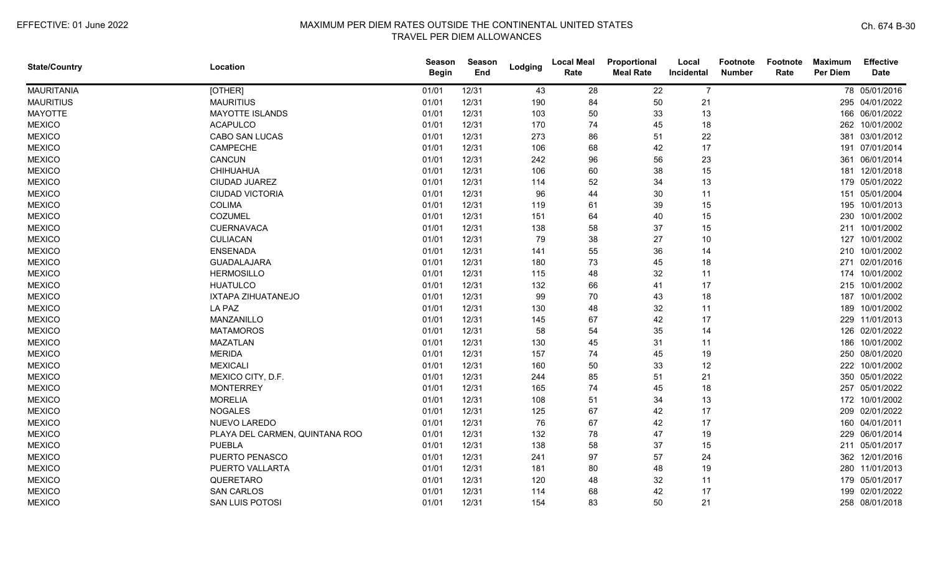| <b>State/Country</b> | Location                       | Season<br><b>Begin</b> | <b>Season</b><br>End | Lodging | <b>Local Meal</b><br>Rate | Proportional<br><b>Meal Rate</b> | Local<br>Incidental | <b>Footnote</b><br><b>Number</b> | Footnote<br>Rate | <b>Maximum</b><br><b>Per Diem</b> | <b>Effective</b><br><b>Date</b> |
|----------------------|--------------------------------|------------------------|----------------------|---------|---------------------------|----------------------------------|---------------------|----------------------------------|------------------|-----------------------------------|---------------------------------|
| <b>MAURITANIA</b>    | [OTHER]                        | 01/01                  | 12/31                | 43      | 28                        | 22                               | $\overline{7}$      |                                  |                  |                                   | 78 05/01/2016                   |
| <b>MAURITIUS</b>     | <b>MAURITIUS</b>               | 01/01                  | 12/31                | 190     | 84                        | 50                               | 21                  |                                  |                  |                                   | 295 04/01/2022                  |
| <b>MAYOTTE</b>       | <b>MAYOTTE ISLANDS</b>         | 01/01                  | 12/31                | 103     | 50                        | 33                               | 13                  |                                  |                  |                                   | 166 06/01/2022                  |
| <b>MEXICO</b>        | <b>ACAPULCO</b>                | 01/01                  | 12/31                | 170     | 74                        | 45                               | 18                  |                                  |                  |                                   | 262 10/01/2002                  |
| <b>MEXICO</b>        | CABO SAN LUCAS                 | 01/01                  | 12/31                | 273     | 86                        | 51                               | 22                  |                                  |                  |                                   | 381 03/01/2012                  |
| <b>MEXICO</b>        | CAMPECHE                       | 01/01                  | 12/31                | 106     | 68                        | 42                               | 17                  |                                  |                  |                                   | 191 07/01/2014                  |
| <b>MEXICO</b>        | CANCUN                         | 01/01                  | 12/31                | 242     | 96                        | 56                               | 23                  |                                  |                  |                                   | 361 06/01/2014                  |
| <b>MEXICO</b>        | CHIHUAHUA                      | 01/01                  | 12/31                | 106     | 60                        | 38                               | 15                  |                                  |                  |                                   | 181 12/01/2018                  |
| <b>MEXICO</b>        | <b>CIUDAD JUAREZ</b>           | 01/01                  | 12/31                | 114     | 52                        | 34                               | 13                  |                                  |                  |                                   | 179 05/01/2022                  |
| <b>MEXICO</b>        | <b>CIUDAD VICTORIA</b>         | 01/01                  | 12/31                | 96      | 44                        | 30                               | 11                  |                                  |                  |                                   | 151 05/01/2004                  |
| <b>MEXICO</b>        | <b>COLIMA</b>                  | 01/01                  | 12/31                | 119     | 61                        | 39                               | 15                  |                                  |                  |                                   | 195 10/01/2013                  |
| <b>MEXICO</b>        | COZUMEL                        | 01/01                  | 12/31                | 151     | 64                        | 40                               | 15                  |                                  |                  |                                   | 230 10/01/2002                  |
| <b>MEXICO</b>        | <b>CUERNAVACA</b>              | 01/01                  | 12/31                | 138     | 58                        | 37                               | 15                  |                                  |                  |                                   | 211 10/01/2002                  |
| <b>MEXICO</b>        | <b>CULIACAN</b>                | 01/01                  | 12/31                | 79      | 38                        | 27                               | 10                  |                                  |                  |                                   | 127 10/01/2002                  |
| <b>MEXICO</b>        | <b>ENSENADA</b>                | 01/01                  | 12/31                | 141     | 55                        | 36                               | 14                  |                                  |                  |                                   | 210 10/01/2002                  |
| <b>MEXICO</b>        | GUADALAJARA                    | 01/01                  | 12/31                | 180     | 73                        | 45                               | 18                  |                                  |                  |                                   | 271 02/01/2016                  |
| <b>MEXICO</b>        | <b>HERMOSILLO</b>              | 01/01                  | 12/31                | 115     | 48                        | 32                               | 11                  |                                  |                  |                                   | 174 10/01/2002                  |
| <b>MEXICO</b>        | <b>HUATULCO</b>                | 01/01                  | 12/31                | 132     | 66                        | 41                               | 17                  |                                  |                  |                                   | 215 10/01/2002                  |
| <b>MEXICO</b>        | IXTAPA ZIHUATANEJO             | 01/01                  | 12/31                | 99      | 70                        | 43                               | 18                  |                                  |                  |                                   | 187 10/01/2002                  |
| <b>MEXICO</b>        | LA PAZ                         | 01/01                  | 12/31                | 130     | 48                        | 32                               | 11                  |                                  |                  | 189                               | 10/01/2002                      |
| <b>MEXICO</b>        | MANZANILLO                     | 01/01                  | 12/31                | 145     | 67                        | 42                               | 17                  |                                  |                  |                                   | 229 11/01/2013                  |
| <b>MEXICO</b>        | <b>MATAMOROS</b>               | 01/01                  | 12/31                | 58      | 54                        | 35                               | 14                  |                                  |                  |                                   | 126 02/01/2022                  |
| <b>MEXICO</b>        | MAZATLAN                       | 01/01                  | 12/31                | 130     | 45                        | 31                               | 11                  |                                  |                  |                                   | 186 10/01/2002                  |
| <b>MEXICO</b>        | <b>MERIDA</b>                  | 01/01                  | 12/31                | 157     | 74                        | 45                               | 19                  |                                  |                  |                                   | 250 08/01/2020                  |
| <b>MEXICO</b>        | <b>MEXICALI</b>                | 01/01                  | 12/31                | 160     | 50                        | 33                               | 12                  |                                  |                  |                                   | 222 10/01/2002                  |
| <b>MEXICO</b>        | MEXICO CITY, D.F.              | 01/01                  | 12/31                | 244     | 85                        | 51                               | 21                  |                                  |                  |                                   | 350 05/01/2022                  |
| <b>MEXICO</b>        | <b>MONTERREY</b>               | 01/01                  | 12/31                | 165     | 74                        | 45                               | 18                  |                                  |                  | 257                               | 05/01/2022                      |
| <b>MEXICO</b>        | <b>MORELIA</b>                 | 01/01                  | 12/31                | 108     | 51                        | 34                               | 13                  |                                  |                  |                                   | 172 10/01/2002                  |
| <b>MEXICO</b>        | <b>NOGALES</b>                 | 01/01                  | 12/31                | 125     | 67                        | 42                               | 17                  |                                  |                  |                                   | 209 02/01/2022                  |
| <b>MEXICO</b>        | NUEVO LAREDO                   | 01/01                  | 12/31                | 76      | 67                        | 42                               | 17                  |                                  |                  |                                   | 160 04/01/2011                  |
| <b>MEXICO</b>        | PLAYA DEL CARMEN, QUINTANA ROO | 01/01                  | 12/31                | 132     | 78                        | 47                               | 19                  |                                  |                  |                                   | 229 06/01/2014                  |
| <b>MEXICO</b>        | <b>PUEBLA</b>                  | 01/01                  | 12/31                | 138     | 58                        | 37                               | 15                  |                                  |                  |                                   | 211 05/01/2017                  |
| <b>MEXICO</b>        | PUERTO PENASCO                 | 01/01                  | 12/31                | 241     | 97                        | 57                               | 24                  |                                  |                  |                                   | 362 12/01/2016                  |
| <b>MEXICO</b>        | PUERTO VALLARTA                | 01/01                  | 12/31                | 181     | 80                        | 48                               | 19                  |                                  |                  |                                   | 280 11/01/2013                  |
| <b>MEXICO</b>        | QUERETARO                      | 01/01                  | 12/31                | 120     | 48                        | 32                               | 11                  |                                  |                  |                                   | 179 05/01/2017                  |
| <b>MEXICO</b>        | <b>SAN CARLOS</b>              | 01/01                  | 12/31                | 114     | 68                        | 42                               | 17                  |                                  |                  | 199                               | 02/01/2022                      |
| <b>MEXICO</b>        | SAN LUIS POTOSI                | 01/01                  | 12/31                | 154     | 83                        | 50                               | 21                  |                                  |                  |                                   | 258 08/01/2018                  |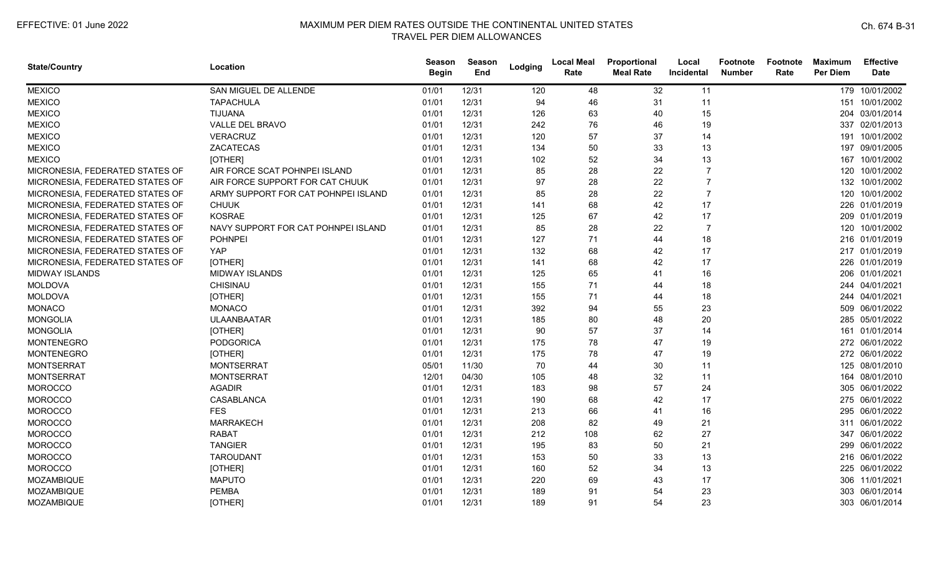| <b>State/Country</b>            | Location                            | <b>Season</b><br><b>Begin</b> | Season<br>End | Lodging | <b>Local Meal</b><br>Rate | Proportional<br><b>Meal Rate</b> | Local<br>Incidental | <b>Footnote</b><br><b>Number</b> | Footnote<br>Rate | <b>Maximum</b><br><b>Per Diem</b> | <b>Effective</b><br><b>Date</b> |
|---------------------------------|-------------------------------------|-------------------------------|---------------|---------|---------------------------|----------------------------------|---------------------|----------------------------------|------------------|-----------------------------------|---------------------------------|
| <b>MEXICO</b>                   | SAN MIGUEL DE ALLENDE               | 01/01                         | 12/31         | 120     | 48                        | 32                               | 11                  |                                  |                  |                                   | 179 10/01/2002                  |
| <b>MEXICO</b>                   | <b>TAPACHULA</b>                    | 01/01                         | 12/31         | 94      | 46                        | 31                               | 11                  |                                  |                  |                                   | 151 10/01/2002                  |
| <b>MEXICO</b>                   | <b>TIJUANA</b>                      | 01/01                         | 12/31         | 126     | 63                        | 40                               | 15                  |                                  |                  |                                   | 204 03/01/2014                  |
| <b>MEXICO</b>                   | VALLE DEL BRAVO                     | 01/01                         | 12/31         | 242     | 76                        | 46                               | 19                  |                                  |                  |                                   | 337 02/01/2013                  |
| <b>MEXICO</b>                   | <b>VERACRUZ</b>                     | 01/01                         | 12/31         | 120     | 57                        | 37                               | 14                  |                                  |                  |                                   | 191 10/01/2002                  |
| <b>MEXICO</b>                   | ZACATECAS                           | 01/01                         | 12/31         | 134     | 50                        | 33                               | 13                  |                                  |                  |                                   | 197 09/01/2005                  |
| <b>MEXICO</b>                   | [OTHER]                             | 01/01                         | 12/31         | 102     | 52                        | 34                               | 13                  |                                  |                  | 167                               | 10/01/2002                      |
| MICRONESIA, FEDERATED STATES OF | AIR FORCE SCAT POHNPEI ISLAND       | 01/01                         | 12/31         | 85      | 28                        | 22                               |                     |                                  |                  |                                   | 120 10/01/2002                  |
| MICRONESIA, FEDERATED STATES OF | AIR FORCE SUPPORT FOR CAT CHUUK     | 01/01                         | 12/31         | 97      | 28                        | 22                               | 7                   |                                  |                  |                                   | 132 10/01/2002                  |
| MICRONESIA, FEDERATED STATES OF | ARMY SUPPORT FOR CAT POHNPEI ISLAND | 01/01                         | 12/31         | 85      | 28                        | 22                               | $\overline{7}$      |                                  |                  |                                   | 120 10/01/2002                  |
| MICRONESIA, FEDERATED STATES OF | <b>CHUUK</b>                        | 01/01                         | 12/31         | 141     | 68                        | 42                               | 17                  |                                  |                  |                                   | 226 01/01/2019                  |
| MICRONESIA, FEDERATED STATES OF | <b>KOSRAE</b>                       | 01/01                         | 12/31         | 125     | 67                        | 42                               | 17                  |                                  |                  |                                   | 209 01/01/2019                  |
| MICRONESIA, FEDERATED STATES OF | NAVY SUPPORT FOR CAT POHNPEI ISLAND | 01/01                         | 12/31         | 85      | 28                        | 22                               | $\overline{7}$      |                                  |                  |                                   | 120 10/01/2002                  |
| MICRONESIA, FEDERATED STATES OF | <b>POHNPEI</b>                      | 01/01                         | 12/31         | 127     | 71                        | 44                               | 18                  |                                  |                  |                                   | 216 01/01/2019                  |
| MICRONESIA, FEDERATED STATES OF | YAP                                 | 01/01                         | 12/31         | 132     | 68                        | 42                               | 17                  |                                  |                  |                                   | 217 01/01/2019                  |
| MICRONESIA, FEDERATED STATES OF | [OTHER]                             | 01/01                         | 12/31         | 141     | 68                        | 42                               | 17                  |                                  |                  |                                   | 226 01/01/2019                  |
| <b>MIDWAY ISLANDS</b>           | <b>MIDWAY ISLANDS</b>               | 01/01                         | 12/31         | 125     | 65                        | 41                               | 16                  |                                  |                  |                                   | 206 01/01/2021                  |
| <b>MOLDOVA</b>                  | <b>CHISINAU</b>                     | 01/01                         | 12/31         | 155     | 71                        | 44                               | 18                  |                                  |                  |                                   | 244 04/01/2021                  |
| <b>MOLDOVA</b>                  | [OTHER]                             | 01/01                         | 12/31         | 155     | 71                        | 44                               | 18                  |                                  |                  |                                   | 244 04/01/2021                  |
| <b>MONACO</b>                   | <b>MONACO</b>                       | 01/01                         | 12/31         | 392     | 94                        | 55                               | 23                  |                                  |                  |                                   | 509 06/01/2022                  |
| <b>MONGOLIA</b>                 | <b>ULAANBAATAR</b>                  | 01/01                         | 12/31         | 185     | 80                        | 48                               | 20                  |                                  |                  |                                   | 285 05/01/2022                  |
| <b>MONGOLIA</b>                 | [OTHER]                             | 01/01                         | 12/31         | 90      | 57                        | 37                               | 14                  |                                  |                  |                                   | 161 01/01/2014                  |
| <b>MONTENEGRO</b>               | <b>PODGORICA</b>                    | 01/01                         | 12/31         | 175     | 78                        | 47                               | 19                  |                                  |                  |                                   | 272 06/01/2022                  |
| <b>MONTENEGRO</b>               | [OTHER]                             | 01/01                         | 12/31         | 175     | 78                        | 47                               | 19                  |                                  |                  |                                   | 272 06/01/2022                  |
| <b>MONTSERRAT</b>               | <b>MONTSERRAT</b>                   | 05/01                         | 11/30         | 70      | 44                        | 30                               | 11                  |                                  |                  |                                   | 125 08/01/2010                  |
| <b>MONTSERRAT</b>               | <b>MONTSERRAT</b>                   | 12/01                         | 04/30         | 105     | 48                        | 32                               | 11                  |                                  |                  |                                   | 164 08/01/2010                  |
| <b>MOROCCO</b>                  | <b>AGADIR</b>                       | 01/01                         | 12/31         | 183     | 98                        | 57                               | 24                  |                                  |                  |                                   | 305 06/01/2022                  |
| <b>MOROCCO</b>                  | CASABLANCA                          | 01/01                         | 12/31         | 190     | 68                        | 42                               | 17                  |                                  |                  |                                   | 275 06/01/2022                  |
| <b>MOROCCO</b>                  | <b>FES</b>                          | 01/01                         | 12/31         | 213     | 66                        | 41                               | 16                  |                                  |                  |                                   | 295 06/01/2022                  |
| <b>MOROCCO</b>                  | <b>MARRAKECH</b>                    | 01/01                         | 12/31         | 208     | 82                        | 49                               | 21                  |                                  |                  |                                   | 311 06/01/2022                  |
| <b>MOROCCO</b>                  | <b>RABAT</b>                        | 01/01                         | 12/31         | 212     | 108                       | 62                               | 27                  |                                  |                  |                                   | 347 06/01/2022                  |
| <b>MOROCCO</b>                  | <b>TANGIER</b>                      | 01/01                         | 12/31         | 195     | 83                        | 50                               | 21                  |                                  |                  |                                   | 299 06/01/2022                  |
| <b>MOROCCO</b>                  | <b>TAROUDANT</b>                    | 01/01                         | 12/31         | 153     | 50                        | 33                               | 13                  |                                  |                  |                                   | 216 06/01/2022                  |
| <b>MOROCCO</b>                  | [OTHER]                             | 01/01                         | 12/31         | 160     | 52                        | 34                               | 13                  |                                  |                  |                                   | 225 06/01/2022                  |
| MOZAMBIQUE                      | <b>MAPUTO</b>                       | 01/01                         | 12/31         | 220     | 69                        | 43                               | 17                  |                                  |                  |                                   | 306 11/01/2021                  |
| MOZAMBIQUE                      | <b>PEMBA</b>                        | 01/01                         | 12/31         | 189     | 91                        | 54                               | 23                  |                                  |                  |                                   | 303 06/01/2014                  |
| MOZAMBIQUE                      | [OTHER]                             | 01/01                         | 12/31         | 189     | 91                        | 54                               | 23                  |                                  |                  |                                   | 303 06/01/2014                  |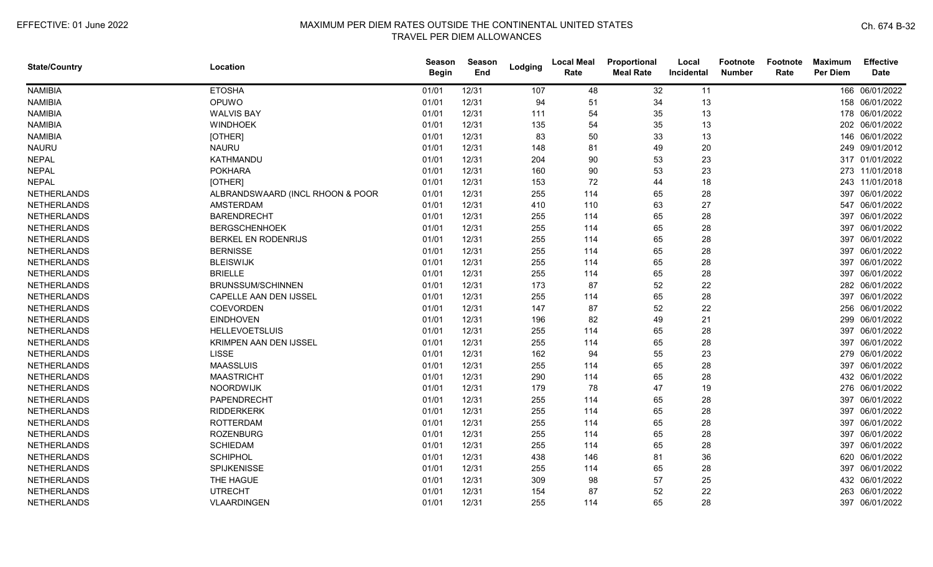| <b>State/Country</b> | Location                         | Season<br><b>Begin</b> | Season<br>End | Lodging | <b>Local Meal</b><br>Rate | Proportional<br><b>Meal Rate</b> | Local<br>Incidental | <b>Footnote</b><br><b>Number</b> | Footnote<br>Rate | <b>Maximum</b><br><b>Per Diem</b> | <b>Effective</b><br><b>Date</b> |
|----------------------|----------------------------------|------------------------|---------------|---------|---------------------------|----------------------------------|---------------------|----------------------------------|------------------|-----------------------------------|---------------------------------|
| <b>NAMIBIA</b>       | <b>ETOSHA</b>                    | 01/01                  | 12/31         | 107     | 48                        | 32                               | 11                  |                                  |                  |                                   | 166 06/01/2022                  |
| <b>NAMIBIA</b>       | OPUWO                            | 01/01                  | 12/31         | 94      | 51                        | 34                               | 13                  |                                  |                  |                                   | 158 06/01/2022                  |
| <b>NAMIBIA</b>       | <b>WALVIS BAY</b>                | 01/01                  | 12/31         | 111     | 54                        | 35                               | 13                  |                                  |                  |                                   | 178 06/01/2022                  |
| <b>NAMIBIA</b>       | <b>WINDHOEK</b>                  | 01/01                  | 12/31         | 135     | 54                        | 35                               | 13                  |                                  |                  |                                   | 202 06/01/2022                  |
| NAMIBIA              | [OTHER]                          | 01/01                  | 12/31         | 83      | 50                        | 33                               | 13                  |                                  |                  |                                   | 146 06/01/2022                  |
| <b>NAURU</b>         | <b>NAURU</b>                     | 01/01                  | 12/31         | 148     | 81                        | 49                               | 20                  |                                  |                  |                                   | 249 09/01/2012                  |
| <b>NEPAL</b>         | KATHMANDU                        | 01/01                  | 12/31         | 204     | 90                        | 53                               | 23                  |                                  |                  |                                   | 317 01/01/2022                  |
| <b>NEPAL</b>         | <b>POKHARA</b>                   | 01/01                  | 12/31         | 160     | 90                        | 53                               | 23                  |                                  |                  |                                   | 273 11/01/2018                  |
| <b>NEPAL</b>         | [OTHER]                          | 01/01                  | 12/31         | 153     | 72                        | 44                               | 18                  |                                  |                  |                                   | 243 11/01/2018                  |
| <b>NETHERLANDS</b>   | ALBRANDSWAARD (INCL RHOON & POOR | 01/01                  | 12/31         | 255     | 114                       | 65                               | 28                  |                                  |                  | 397                               | 06/01/2022                      |
| <b>NETHERLANDS</b>   | <b>AMSTERDAM</b>                 | 01/01                  | 12/31         | 410     | 110                       | 63                               | 27                  |                                  |                  | 547                               | 06/01/2022                      |
| <b>NETHERLANDS</b>   | <b>BARENDRECHT</b>               | 01/01                  | 12/31         | 255     | 114                       | 65                               | 28                  |                                  |                  |                                   | 397 06/01/2022                  |
| <b>NETHERLANDS</b>   | <b>BERGSCHENHOEK</b>             | 01/01                  | 12/31         | 255     | 114                       | 65                               | 28                  |                                  |                  |                                   | 397 06/01/2022                  |
| <b>NETHERLANDS</b>   | BERKEL EN RODENRIJS              | 01/01                  | 12/31         | 255     | 114                       | 65                               | 28                  |                                  |                  |                                   | 397 06/01/2022                  |
| <b>NETHERLANDS</b>   | <b>BERNISSE</b>                  | 01/01                  | 12/31         | 255     | 114                       | 65                               | 28                  |                                  |                  |                                   | 397 06/01/2022                  |
| <b>NETHERLANDS</b>   | <b>BLEISWIJK</b>                 | 01/01                  | 12/31         | 255     | 114                       | 65                               | 28                  |                                  |                  | 397                               | 06/01/2022                      |
| <b>NETHERLANDS</b>   | <b>BRIELLE</b>                   | 01/01                  | 12/31         | 255     | 114                       | 65                               | 28                  |                                  |                  | 397                               | 06/01/2022                      |
| <b>NETHERLANDS</b>   | <b>BRUNSSUM/SCHINNEN</b>         | 01/01                  | 12/31         | 173     | 87                        | 52                               | 22                  |                                  |                  |                                   | 282 06/01/2022                  |
| <b>NETHERLANDS</b>   | CAPELLE AAN DEN IJSSEL           | 01/01                  | 12/31         | 255     | 114                       | 65                               | 28                  |                                  |                  |                                   | 397 06/01/2022                  |
| <b>NETHERLANDS</b>   | COEVORDEN                        | 01/01                  | 12/31         | 147     | 87                        | 52                               | 22                  |                                  |                  |                                   | 256 06/01/2022                  |
| <b>NETHERLANDS</b>   | <b>EINDHOVEN</b>                 | 01/01                  | 12/31         | 196     | 82                        | 49                               | 21                  |                                  |                  |                                   | 299 06/01/2022                  |
| <b>NETHERLANDS</b>   | <b>HELLEVOETSLUIS</b>            | 01/01                  | 12/31         | 255     | 114                       | 65                               | 28                  |                                  |                  |                                   | 397 06/01/2022                  |
| <b>NETHERLANDS</b>   | KRIMPEN AAN DEN IJSSEL           | 01/01                  | 12/31         | 255     | 114                       | 65                               | 28                  |                                  |                  |                                   | 397 06/01/2022                  |
| <b>NETHERLANDS</b>   | <b>LISSE</b>                     | 01/01                  | 12/31         | 162     | 94                        | 55                               | 23                  |                                  |                  |                                   | 279 06/01/2022                  |
| <b>NETHERLANDS</b>   | <b>MAASSLUIS</b>                 | 01/01                  | 12/31         | 255     | 114                       | 65                               | 28                  |                                  |                  | 397                               | 06/01/2022                      |
| <b>NETHERLANDS</b>   | <b>MAASTRICHT</b>                | 01/01                  | 12/31         | 290     | 114                       | 65                               | 28                  |                                  |                  |                                   | 432 06/01/2022                  |
| <b>NETHERLANDS</b>   | NOORDWIJK                        | 01/01                  | 12/31         | 179     | 78                        | 47                               | 19                  |                                  |                  |                                   | 276 06/01/2022                  |
| <b>NETHERLANDS</b>   | PAPENDRECHT                      | 01/01                  | 12/31         | 255     | 114                       | 65                               | 28                  |                                  |                  | 397                               | 06/01/2022                      |
| <b>NETHERLANDS</b>   | <b>RIDDERKERK</b>                | 01/01                  | 12/31         | 255     | 114                       | 65                               | 28                  |                                  |                  |                                   | 397 06/01/2022                  |
| <b>NETHERLANDS</b>   | <b>ROTTERDAM</b>                 | 01/01                  | 12/31         | 255     | 114                       | 65                               | 28                  |                                  |                  |                                   | 397 06/01/2022                  |
| <b>NETHERLANDS</b>   | <b>ROZENBURG</b>                 | 01/01                  | 12/31         | 255     | 114                       | 65                               | 28                  |                                  |                  |                                   | 397 06/01/2022                  |
| <b>NETHERLANDS</b>   | <b>SCHIEDAM</b>                  | 01/01                  | 12/31         | 255     | 114                       | 65                               | 28                  |                                  |                  |                                   | 397 06/01/2022                  |
| <b>NETHERLANDS</b>   | <b>SCHIPHOL</b>                  | 01/01                  | 12/31         | 438     | 146                       | 81                               | 36                  |                                  |                  | 620                               | 06/01/2022                      |
| <b>NETHERLANDS</b>   | SPIJKENISSE                      | 01/01                  | 12/31         | 255     | 114                       | 65                               | 28                  |                                  |                  | 397                               | 06/01/2022                      |
| <b>NETHERLANDS</b>   | THE HAGUE                        | 01/01                  | 12/31         | 309     | 98                        | 57                               | 25                  |                                  |                  |                                   | 432 06/01/2022                  |
| <b>NETHERLANDS</b>   | <b>UTRECHT</b>                   | 01/01                  | 12/31         | 154     | 87                        | 52                               | 22                  |                                  |                  | 263                               | 06/01/2022                      |
| <b>NETHERLANDS</b>   | VLAARDINGEN                      | 01/01                  | 12/31         | 255     | 114                       | 65                               | 28                  |                                  |                  |                                   | 397 06/01/2022                  |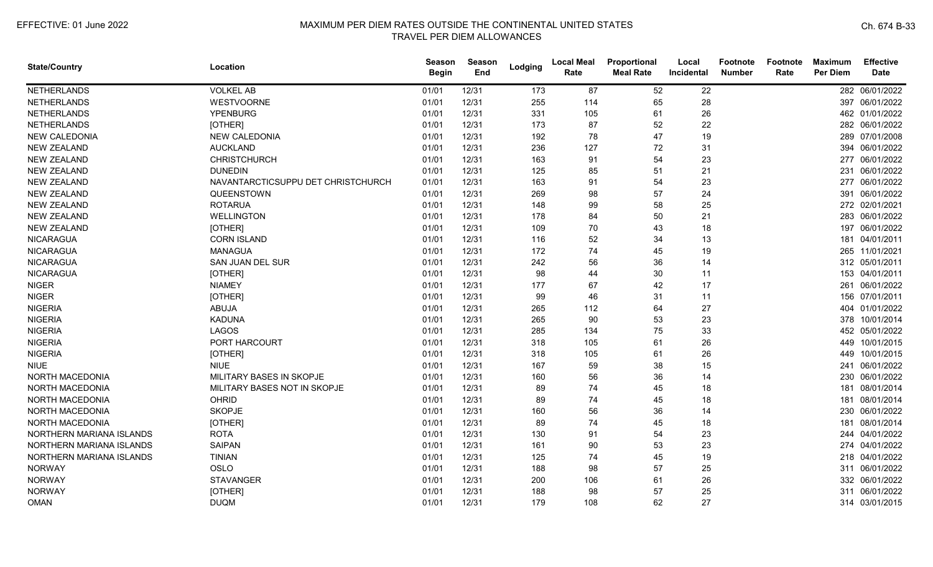| <b>State/Country</b>     | Location                           | Season<br><b>Begin</b> | Season<br>End | Lodging | <b>Local Meal</b><br>Rate | Proportional<br><b>Meal Rate</b> | Local<br>Incidental | <b>Footnote</b><br><b>Number</b> | Footnote<br>Rate | <b>Maximum</b><br><b>Per Diem</b> | <b>Effective</b><br><b>Date</b> |
|--------------------------|------------------------------------|------------------------|---------------|---------|---------------------------|----------------------------------|---------------------|----------------------------------|------------------|-----------------------------------|---------------------------------|
| <b>NETHERLANDS</b>       | <b>VOLKEL AB</b>                   | 01/01                  | 12/31         | 173     | 87                        | 52                               | 22                  |                                  |                  |                                   | 282 06/01/2022                  |
| NETHERLANDS              | <b>WESTVOORNE</b>                  | 01/01                  | 12/31         | 255     | 114                       | 65                               | 28                  |                                  |                  |                                   | 397 06/01/2022                  |
| <b>NETHERLANDS</b>       | <b>YPENBURG</b>                    | 01/01                  | 12/31         | 331     | 105                       | 61                               | 26                  |                                  |                  |                                   | 462 01/01/2022                  |
| <b>NETHERLANDS</b>       | [OTHER]                            | 01/01                  | 12/31         | 173     | 87                        | 52                               | 22                  |                                  |                  |                                   | 282 06/01/2022                  |
| <b>NEW CALEDONIA</b>     | <b>NEW CALEDONIA</b>               | 01/01                  | 12/31         | 192     | 78                        | 47                               | 19                  |                                  |                  |                                   | 289 07/01/2008                  |
| <b>NEW ZEALAND</b>       | <b>AUCKLAND</b>                    | 01/01                  | 12/31         | 236     | 127                       | 72                               | 31                  |                                  |                  |                                   | 394 06/01/2022                  |
| <b>NEW ZEALAND</b>       | <b>CHRISTCHURCH</b>                | 01/01                  | 12/31         | 163     | 91                        | 54                               | 23                  |                                  |                  |                                   | 277 06/01/2022                  |
| <b>NEW ZEALAND</b>       | <b>DUNEDIN</b>                     | 01/01                  | 12/31         | 125     | 85                        | 51                               | 21                  |                                  |                  | 231                               | 06/01/2022                      |
| <b>NEW ZEALAND</b>       | NAVANTARCTICSUPPU DET CHRISTCHURCH | 01/01                  | 12/31         | 163     | 91                        | 54                               | 23                  |                                  |                  |                                   | 277 06/01/2022                  |
| <b>NEW ZEALAND</b>       | QUEENSTOWN                         | 01/01                  | 12/31         | 269     | 98                        | 57                               | 24                  |                                  |                  |                                   | 391 06/01/2022                  |
| <b>NEW ZEALAND</b>       | <b>ROTARUA</b>                     | 01/01                  | 12/31         | 148     | 99                        | 58                               | 25                  |                                  |                  |                                   | 272 02/01/2021                  |
| <b>NEW ZEALAND</b>       | <b>WELLINGTON</b>                  | 01/01                  | 12/31         | 178     | 84                        | 50                               | 21                  |                                  |                  |                                   | 283 06/01/2022                  |
| <b>NEW ZEALAND</b>       | [OTHER]                            | 01/01                  | 12/31         | 109     | 70                        | 43                               | 18                  |                                  |                  |                                   | 197 06/01/2022                  |
| <b>NICARAGUA</b>         | <b>CORN ISLAND</b>                 | 01/01                  | 12/31         | 116     | 52                        | 34                               | 13                  |                                  |                  |                                   | 181 04/01/2011                  |
| <b>NICARAGUA</b>         | <b>MANAGUA</b>                     | 01/01                  | 12/31         | 172     | 74                        | 45                               | 19                  |                                  |                  |                                   | 265 11/01/2021                  |
| <b>NICARAGUA</b>         | SAN JUAN DEL SUR                   | 01/01                  | 12/31         | 242     | 56                        | 36                               | 14                  |                                  |                  |                                   | 312 05/01/2011                  |
| <b>NICARAGUA</b>         | [OTHER]                            | 01/01                  | 12/31         | 98      | 44                        | 30                               | 11                  |                                  |                  |                                   | 153 04/01/2011                  |
| <b>NIGER</b>             | <b>NIAMEY</b>                      | 01/01                  | 12/31         | 177     | 67                        | 42                               | 17                  |                                  |                  |                                   | 261 06/01/2022                  |
| <b>NIGER</b>             | [OTHER]                            | 01/01                  | 12/31         | 99      | 46                        | 31                               | 11                  |                                  |                  |                                   | 156 07/01/2011                  |
| <b>NIGERIA</b>           | <b>ABUJA</b>                       | 01/01                  | 12/31         | 265     | 112                       | 64                               | 27                  |                                  |                  |                                   | 404 01/01/2022                  |
| <b>NIGERIA</b>           | <b>KADUNA</b>                      | 01/01                  | 12/31         | 265     | 90                        | 53                               | 23                  |                                  |                  |                                   | 378 10/01/2014                  |
| <b>NIGERIA</b>           | <b>LAGOS</b>                       | 01/01                  | 12/31         | 285     | 134                       | 75                               | 33                  |                                  |                  |                                   | 452 05/01/2022                  |
| <b>NIGERIA</b>           | PORT HARCOURT                      | 01/01                  | 12/31         | 318     | 105                       | 61                               | 26                  |                                  |                  |                                   | 449 10/01/2015                  |
| <b>NIGERIA</b>           | [OTHER]                            | 01/01                  | 12/31         | 318     | 105                       | 61                               | 26                  |                                  |                  |                                   | 449 10/01/2015                  |
| <b>NIUE</b>              | <b>NIUE</b>                        | 01/01                  | 12/31         | 167     | 59                        | 38                               | 15                  |                                  |                  |                                   | 241 06/01/2022                  |
| NORTH MACEDONIA          | MILITARY BASES IN SKOPJE           | 01/01                  | 12/31         | 160     | 56                        | 36                               | 14                  |                                  |                  |                                   | 230 06/01/2022                  |
| <b>NORTH MACEDONIA</b>   | MILITARY BASES NOT IN SKOPJE       | 01/01                  | 12/31         | 89      | 74                        | 45                               | 18                  |                                  |                  | 181                               | 08/01/2014                      |
| <b>NORTH MACEDONIA</b>   | <b>OHRID</b>                       | 01/01                  | 12/31         | 89      | 74                        | 45                               | 18                  |                                  |                  |                                   | 181 08/01/2014                  |
| NORTH MACEDONIA          | <b>SKOPJE</b>                      | 01/01                  | 12/31         | 160     | 56                        | 36                               | 14                  |                                  |                  |                                   | 230 06/01/2022                  |
| NORTH MACEDONIA          | [OTHER]                            | 01/01                  | 12/31         | 89      | 74                        | 45                               | 18                  |                                  |                  |                                   | 181 08/01/2014                  |
| NORTHERN MARIANA ISLANDS | <b>ROTA</b>                        | 01/01                  | 12/31         | 130     | 91                        | 54                               | 23                  |                                  |                  |                                   | 244 04/01/2022                  |
| NORTHERN MARIANA ISLANDS | <b>SAIPAN</b>                      | 01/01                  | 12/31         | 161     | 90                        | 53                               | 23                  |                                  |                  |                                   | 274 04/01/2022                  |
| NORTHERN MARIANA ISLANDS | <b>TINIAN</b>                      | 01/01                  | 12/31         | 125     | 74                        | 45                               | 19                  |                                  |                  |                                   | 218 04/01/2022                  |
| <b>NORWAY</b>            | OSLO                               | 01/01                  | 12/31         | 188     | 98                        | 57                               | 25                  |                                  |                  |                                   | 311 06/01/2022                  |
| <b>NORWAY</b>            | <b>STAVANGER</b>                   | 01/01                  | 12/31         | 200     | 106                       | 61                               | 26                  |                                  |                  |                                   | 332 06/01/2022                  |
| <b>NORWAY</b>            | [OTHER]                            | 01/01                  | 12/31         | 188     | 98                        | 57                               | 25                  |                                  |                  |                                   | 311 06/01/2022                  |
| <b>OMAN</b>              | <b>DUQM</b>                        | 01/01                  | 12/31         | 179     | 108                       | 62                               | 27                  |                                  |                  |                                   | 314 03/01/2015                  |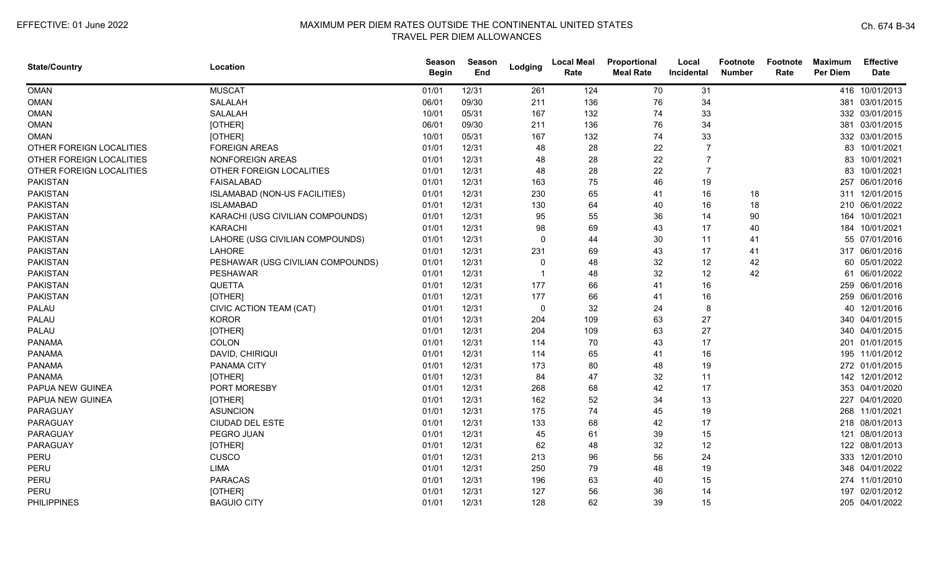| <b>State/Country</b>     | Location                          | Season<br><b>Begin</b> | Season<br>End | Lodging                  | <b>Local Meal</b><br>Rate | Proportional<br><b>Meal Rate</b> | Local<br>Incidental | <b>Footnote</b><br><b>Number</b> | <b>Footnote</b><br>Rate | <b>Maximum</b><br><b>Per Diem</b> | <b>Effective</b><br><b>Date</b> |
|--------------------------|-----------------------------------|------------------------|---------------|--------------------------|---------------------------|----------------------------------|---------------------|----------------------------------|-------------------------|-----------------------------------|---------------------------------|
| <b>OMAN</b>              | <b>MUSCAT</b>                     | 01/01                  | 12/31         | 261                      | 124                       | 70                               | 31                  |                                  |                         |                                   | 416 10/01/2013                  |
| <b>OMAN</b>              | SALALAH                           | 06/01                  | 09/30         | 211                      | 136                       | 76                               | 34                  |                                  |                         | 381                               | 03/01/2015                      |
| <b>OMAN</b>              | <b>SALALAH</b>                    | 10/01                  | 05/31         | 167                      | 132                       | 74                               | 33                  |                                  |                         |                                   | 332 03/01/2015                  |
| <b>OMAN</b>              | [OTHER]                           | 06/01                  | 09/30         | 211                      | 136                       | 76                               | 34                  |                                  |                         |                                   | 381 03/01/2015                  |
| <b>OMAN</b>              | [OTHER]                           | 10/01                  | 05/31         | 167                      | 132                       | 74                               | 33                  |                                  |                         |                                   | 332 03/01/2015                  |
| OTHER FOREIGN LOCALITIES | <b>FOREIGN AREAS</b>              | 01/01                  | 12/31         | 48                       | 28                        | 22                               |                     |                                  |                         |                                   | 83 10/01/2021                   |
| OTHER FOREIGN LOCALITIES | NONFOREIGN AREAS                  | 01/01                  | 12/31         | 48                       | 28                        | 22                               |                     |                                  |                         |                                   | 83 10/01/2021                   |
| OTHER FOREIGN LOCALITIES | OTHER FOREIGN LOCALITIES          | 01/01                  | 12/31         | 48                       | 28                        | 22                               |                     |                                  |                         |                                   | 83 10/01/2021                   |
| <b>PAKISTAN</b>          | <b>FAISALABAD</b>                 | 01/01                  | 12/31         | 163                      | 75                        | 46                               | 19                  |                                  |                         | 257                               | 06/01/2016                      |
| <b>PAKISTAN</b>          | ISLAMABAD (NON-US FACILITIES)     | 01/01                  | 12/31         | 230                      | 65                        | 41                               | 16                  | 18                               |                         |                                   | 311 12/01/2015                  |
| <b>PAKISTAN</b>          | <b>ISLAMABAD</b>                  | 01/01                  | 12/31         | 130                      | 64                        | 40                               | 16                  | 18                               |                         |                                   | 210 06/01/2022                  |
| <b>PAKISTAN</b>          | KARACHI (USG CIVILIAN COMPOUNDS)  | 01/01                  | 12/31         | 95                       | 55                        | 36                               | 14                  | 90                               |                         | 164                               | 10/01/2021                      |
| <b>PAKISTAN</b>          | <b>KARACHI</b>                    | 01/01                  | 12/31         | 98                       | 69                        | 43                               | 17                  | 40                               |                         |                                   | 184 10/01/2021                  |
| <b>PAKISTAN</b>          | LAHORE (USG CIVILIAN COMPOUNDS)   | 01/01                  | 12/31         | $\mathbf{0}$             | 44                        | 30                               | 11                  | 41                               |                         |                                   | 55 07/01/2016                   |
| <b>PAKISTAN</b>          | LAHORE                            | 01/01                  | 12/31         | 231                      | 69                        | 43                               | 17                  | 41                               |                         |                                   | 317 06/01/2016                  |
| <b>PAKISTAN</b>          | PESHAWAR (USG CIVILIAN COMPOUNDS) | 01/01                  | 12/31         | $\mathbf 0$              | 48                        | 32                               | 12                  | 42                               |                         |                                   | 60 05/01/2022                   |
| <b>PAKISTAN</b>          | <b>PESHAWAR</b>                   | 01/01                  | 12/31         | $\overline{\phantom{0}}$ | 48                        | 32                               | 12                  | 42                               |                         | 61                                | 06/01/2022                      |
| <b>PAKISTAN</b>          | <b>QUETTA</b>                     | 01/01                  | 12/31         | 177                      | 66                        | 41                               | 16                  |                                  |                         |                                   | 259 06/01/2016                  |
| <b>PAKISTAN</b>          | [OTHER]                           | 01/01                  | 12/31         | 177                      | 66                        | 41                               | 16                  |                                  |                         |                                   | 259 06/01/2016                  |
| PALAU                    | CIVIC ACTION TEAM (CAT)           | 01/01                  | 12/31         | $\mathbf 0$              | 32                        | 24                               | 8                   |                                  |                         |                                   | 40 12/01/2016                   |
| PALAU                    | <b>KOROR</b>                      | 01/01                  | 12/31         | 204                      | 109                       | 63                               | 27                  |                                  |                         |                                   | 340 04/01/2015                  |
| PALAU                    | [OTHER]                           | 01/01                  | 12/31         | 204                      | 109                       | 63                               | 27                  |                                  |                         |                                   | 340 04/01/2015                  |
| <b>PANAMA</b>            | COLON                             | 01/01                  | 12/31         | 114                      | 70                        | 43                               | 17                  |                                  |                         |                                   | 201 01/01/2015                  |
| <b>PANAMA</b>            | DAVID, CHIRIQUI                   | 01/01                  | 12/31         | 114                      | 65                        | 41                               | 16                  |                                  |                         |                                   | 195 11/01/2012                  |
| <b>PANAMA</b>            | PANAMA CITY                       | 01/01                  | 12/31         | 173                      | 80                        | 48                               | 19                  |                                  |                         |                                   | 272 01/01/2015                  |
| <b>PANAMA</b>            | [OTHER]                           | 01/01                  | 12/31         | 84                       | 47                        | 32                               | 11                  |                                  |                         |                                   | 142 12/01/2012                  |
| PAPUA NEW GUINEA         | PORT MORESBY                      | 01/01                  | 12/31         | 268                      | 68                        | 42                               | 17                  |                                  |                         |                                   | 353 04/01/2020                  |
| PAPUA NEW GUINEA         | [OTHER]                           | 01/01                  | 12/31         | 162                      | 52                        | 34                               | 13                  |                                  |                         | 227                               | 04/01/2020                      |
| PARAGUAY                 | <b>ASUNCION</b>                   | 01/01                  | 12/31         | 175                      | 74                        | 45                               | 19                  |                                  |                         |                                   | 268 11/01/2021                  |
| PARAGUAY                 | <b>CIUDAD DEL ESTE</b>            | 01/01                  | 12/31         | 133                      | 68                        | 42                               | 17                  |                                  |                         |                                   | 218 08/01/2013                  |
| <b>PARAGUAY</b>          | PEGRO JUAN                        | 01/01                  | 12/31         | 45                       | 61                        | 39                               | 15                  |                                  |                         |                                   | 121 08/01/2013                  |
| PARAGUAY                 | [OTHER]                           | 01/01                  | 12/31         | 62                       | 48                        | 32                               | 12                  |                                  |                         |                                   | 122 08/01/2013                  |
| PERU                     | CUSCO                             | 01/01                  | 12/31         | 213                      | 96                        | 56                               | 24                  |                                  |                         |                                   | 333 12/01/2010                  |
| PERU                     | LIMA                              | 01/01                  | 12/31         | 250                      | 79                        | 48                               | 19                  |                                  |                         |                                   | 348 04/01/2022                  |
| PERU                     | <b>PARACAS</b>                    | 01/01                  | 12/31         | 196                      | 63                        | 40                               | 15                  |                                  |                         |                                   | 274 11/01/2010                  |
| PERU                     | [OTHER]                           | 01/01                  | 12/31         | 127                      | 56                        | 36                               | 14                  |                                  |                         | 197                               | 02/01/2012                      |
| <b>PHILIPPINES</b>       | <b>BAGUIO CITY</b>                | 01/01                  | 12/31         | 128                      | 62                        | 39                               | 15                  |                                  |                         |                                   | 205 04/01/2022                  |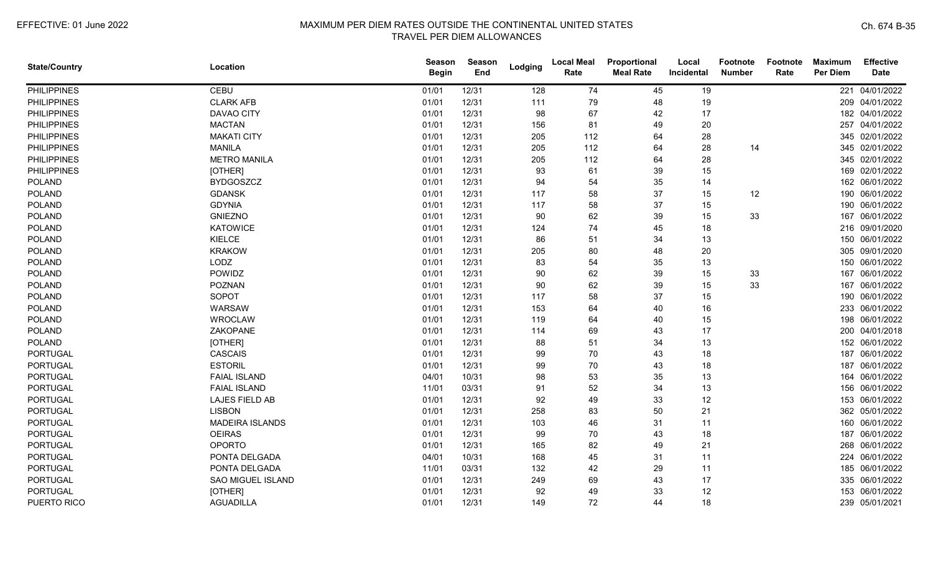| <b>State/Country</b> | Location                 | Season<br><b>Begin</b> | <b>Season</b><br>End | Lodging | <b>Local Meal</b><br>Rate | Proportional<br><b>Meal Rate</b> | Local<br>Incidental | <b>Footnote</b><br><b>Number</b> | Footnote<br>Rate | <b>Maximum</b><br>Per Diem | <b>Effective</b><br><b>Date</b> |
|----------------------|--------------------------|------------------------|----------------------|---------|---------------------------|----------------------------------|---------------------|----------------------------------|------------------|----------------------------|---------------------------------|
| <b>PHILIPPINES</b>   | <b>CEBU</b>              | 01/01                  | 12/31                | 128     | 74                        | 45                               | 19                  |                                  |                  | 221                        | 04/01/2022                      |
| <b>PHILIPPINES</b>   | <b>CLARK AFB</b>         | 01/01                  | 12/31                | 111     | 79                        | 48                               | 19                  |                                  |                  |                            | 209 04/01/2022                  |
| <b>PHILIPPINES</b>   | DAVAO CITY               | 01/01                  | 12/31                | 98      | 67                        | 42                               | 17                  |                                  |                  |                            | 182 04/01/2022                  |
| <b>PHILIPPINES</b>   | <b>MACTAN</b>            | 01/01                  | 12/31                | 156     | 81                        | 49                               | 20                  |                                  |                  |                            | 257 04/01/2022                  |
| <b>PHILIPPINES</b>   | <b>MAKATI CITY</b>       | 01/01                  | 12/31                | 205     | 112                       | 64                               | 28                  |                                  |                  |                            | 345 02/01/2022                  |
| <b>PHILIPPINES</b>   | <b>MANILA</b>            | 01/01                  | 12/31                | 205     | 112                       | 64                               | 28                  | 14                               |                  |                            | 345 02/01/2022                  |
| <b>PHILIPPINES</b>   | <b>METRO MANILA</b>      | 01/01                  | 12/31                | 205     | 112                       | 64                               | 28                  |                                  |                  |                            | 345 02/01/2022                  |
| <b>PHILIPPINES</b>   | [OTHER]                  | 01/01                  | 12/31                | 93      | 61                        | 39                               | 15                  |                                  |                  |                            | 169 02/01/2022                  |
| <b>POLAND</b>        | <b>BYDGOSZCZ</b>         | 01/01                  | 12/31                | 94      | 54                        | 35                               | 14                  |                                  |                  |                            | 162 06/01/2022                  |
| <b>POLAND</b>        | <b>GDANSK</b>            | 01/01                  | 12/31                | 117     | 58                        | 37                               | 15                  | 12                               |                  | 190                        | 06/01/2022                      |
| <b>POLAND</b>        | <b>GDYNIA</b>            | 01/01                  | 12/31                | 117     | 58                        | 37                               | 15                  |                                  |                  |                            | 190 06/01/2022                  |
| <b>POLAND</b>        | <b>GNIEZNO</b>           | 01/01                  | 12/31                | 90      | 62                        | 39                               | 15                  | 33                               |                  | 167                        | 06/01/2022                      |
| <b>POLAND</b>        | <b>KATOWICE</b>          | 01/01                  | 12/31                | 124     | 74                        | 45                               | 18                  |                                  |                  |                            | 216 09/01/2020                  |
| <b>POLAND</b>        | KIELCE                   | 01/01                  | 12/31                | 86      | 51                        | 34                               | 13                  |                                  |                  |                            | 150 06/01/2022                  |
| <b>POLAND</b>        | <b>KRAKOW</b>            | 01/01                  | 12/31                | 205     | 80                        | 48                               | 20                  |                                  |                  |                            | 305 09/01/2020                  |
| <b>POLAND</b>        | LODZ                     | 01/01                  | 12/31                | 83      | 54                        | 35                               | 13                  |                                  |                  | 150                        | 06/01/2022                      |
| <b>POLAND</b>        | POWIDZ                   | 01/01                  | 12/31                | 90      | 62                        | 39                               | 15                  | 33                               |                  | 167                        | 06/01/2022                      |
| <b>POLAND</b>        | <b>POZNAN</b>            | 01/01                  | 12/31                | 90      | 62                        | 39                               | 15                  | 33                               |                  | 167                        | 06/01/2022                      |
| <b>POLAND</b>        | SOPOT                    | 01/01                  | 12/31                | 117     | 58                        | 37                               | 15                  |                                  |                  | 190                        | 06/01/2022                      |
| <b>POLAND</b>        | <b>WARSAW</b>            | 01/01                  | 12/31                | 153     | 64                        | 40                               | 16                  |                                  |                  |                            | 233 06/01/2022                  |
| <b>POLAND</b>        | <b>WROCLAW</b>           | 01/01                  | 12/31                | 119     | 64                        | 40                               | 15                  |                                  |                  |                            | 198 06/01/2022                  |
| <b>POLAND</b>        | ZAKOPANE                 | 01/01                  | 12/31                | 114     | 69                        | 43                               | 17                  |                                  |                  |                            | 200 04/01/2018                  |
| <b>POLAND</b>        | [OTHER]                  | 01/01                  | 12/31                | 88      | 51                        | 34                               | 13                  |                                  |                  |                            | 152 06/01/2022                  |
| <b>PORTUGAL</b>      | <b>CASCAIS</b>           | 01/01                  | 12/31                | 99      | 70                        | 43                               | 18                  |                                  |                  |                            | 187 06/01/2022                  |
| <b>PORTUGAL</b>      | <b>ESTORIL</b>           | 01/01                  | 12/31                | 99      | 70                        | 43                               | 18                  |                                  |                  | 187                        | 06/01/2022                      |
| <b>PORTUGAL</b>      | <b>FAIAL ISLAND</b>      | 04/01                  | 10/31                | 98      | 53                        | 35                               | 13                  |                                  |                  |                            | 164 06/01/2022                  |
| <b>PORTUGAL</b>      | <b>FAIAL ISLAND</b>      | 11/01                  | 03/31                | 91      | 52                        | 34                               | 13                  |                                  |                  |                            | 156 06/01/2022                  |
| <b>PORTUGAL</b>      | LAJES FIELD AB           | 01/01                  | 12/31                | 92      | 49                        | 33                               | 12                  |                                  |                  | 153                        | 06/01/2022                      |
| <b>PORTUGAL</b>      | <b>LISBON</b>            | 01/01                  | 12/31                | 258     | 83                        | 50                               | 21                  |                                  |                  |                            | 362 05/01/2022                  |
| <b>PORTUGAL</b>      | <b>MADEIRA ISLANDS</b>   | 01/01                  | 12/31                | 103     | 46                        | 31                               | 11                  |                                  |                  |                            | 160 06/01/2022                  |
| <b>PORTUGAL</b>      | <b>OEIRAS</b>            | 01/01                  | 12/31                | 99      | 70                        | 43                               | 18                  |                                  |                  |                            | 187 06/01/2022                  |
| <b>PORTUGAL</b>      | <b>OPORTO</b>            | 01/01                  | 12/31                | 165     | 82                        | 49                               | 21                  |                                  |                  |                            | 268 06/01/2022                  |
| PORTUGAL             | PONTA DELGADA            | 04/01                  | 10/31                | 168     | 45                        | 31                               | 11                  |                                  |                  |                            | 224 06/01/2022                  |
| <b>PORTUGAL</b>      | PONTA DELGADA            | 11/01                  | 03/31                | 132     | 42                        | 29                               | 11                  |                                  |                  |                            | 185 06/01/2022                  |
| <b>PORTUGAL</b>      | <b>SAO MIGUEL ISLAND</b> | 01/01                  | 12/31                | 249     | 69                        | 43                               | 17                  |                                  |                  |                            | 335 06/01/2022                  |
| <b>PORTUGAL</b>      | [OTHER]                  | 01/01                  | 12/31                | 92      | 49                        | 33                               | 12                  |                                  |                  |                            | 153 06/01/2022                  |
| PUERTO RICO          | <b>AGUADILLA</b>         | 01/01                  | 12/31                | 149     | 72                        | 44                               | 18                  |                                  |                  |                            | 239 05/01/2021                  |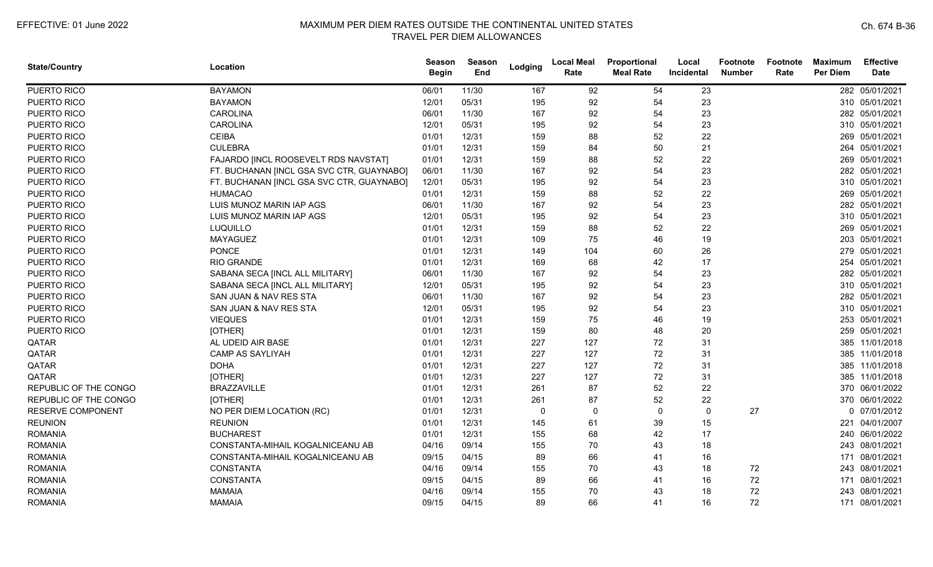| <b>State/Country</b>  | Location                                  | Season<br><b>Begin</b> | Season<br>End | Lodging      | <b>Local Meal</b><br>Rate | Proportional<br><b>Meal Rate</b> | Local<br><b>Incidental</b> | Footnote<br><b>Number</b> | Footnote<br>Rate | <b>Maximum</b><br><b>Per Diem</b> | <b>Effective</b><br><b>Date</b> |
|-----------------------|-------------------------------------------|------------------------|---------------|--------------|---------------------------|----------------------------------|----------------------------|---------------------------|------------------|-----------------------------------|---------------------------------|
| PUERTO RICO           | <b>BAYAMON</b>                            | 06/01                  | 11/30         | 167          | 92                        | 54                               | 23                         |                           |                  |                                   | 282 05/01/2021                  |
| PUERTO RICO           | <b>BAYAMON</b>                            | 12/01                  | 05/31         | 195          | 92                        | 54                               | 23                         |                           |                  |                                   | 310 05/01/2021                  |
| PUERTO RICO           | <b>CAROLINA</b>                           | 06/01                  | 11/30         | 167          | 92                        | 54                               | 23                         |                           |                  |                                   | 282 05/01/2021                  |
| PUERTO RICO           | <b>CAROLINA</b>                           | 12/01                  | 05/31         | 195          | 92                        | 54                               | 23                         |                           |                  |                                   | 310 05/01/2021                  |
| PUERTO RICO           | <b>CEIBA</b>                              | 01/01                  | 12/31         | 159          | 88                        | 52                               | 22                         |                           |                  |                                   | 269 05/01/2021                  |
| PUERTO RICO           | <b>CULEBRA</b>                            | 01/01                  | 12/31         | 159          | 84                        | 50                               | 21                         |                           |                  |                                   | 264 05/01/2021                  |
| PUERTO RICO           | FAJARDO [INCL ROOSEVELT RDS NAVSTAT]      | 01/01                  | 12/31         | 159          | 88                        | 52                               | 22                         |                           |                  |                                   | 269 05/01/2021                  |
| PUERTO RICO           | FT. BUCHANAN [INCL GSA SVC CTR, GUAYNABO] | 06/01                  | 11/30         | 167          | 92                        | 54                               | 23                         |                           |                  |                                   | 282 05/01/2021                  |
| PUERTO RICO           | FT. BUCHANAN [INCL GSA SVC CTR, GUAYNABO] | 12/01                  | 05/31         | 195          | 92                        | 54                               | 23                         |                           |                  |                                   | 310 05/01/2021                  |
| PUERTO RICO           | <b>HUMACAO</b>                            | 01/01                  | 12/31         | 159          | 88                        | 52                               | 22                         |                           |                  |                                   | 269 05/01/2021                  |
| PUERTO RICO           | LUIS MUNOZ MARIN IAP AGS                  | 06/01                  | 11/30         | 167          | 92                        | 54                               | 23                         |                           |                  |                                   | 282 05/01/2021                  |
| PUERTO RICO           | LUIS MUNOZ MARIN IAP AGS                  | 12/01                  | 05/31         | 195          | 92                        | 54                               | 23                         |                           |                  |                                   | 310 05/01/2021                  |
| PUERTO RICO           | LUQUILLO                                  | 01/01                  | 12/31         | 159          | 88                        | 52                               | 22                         |                           |                  |                                   | 269 05/01/2021                  |
| PUERTO RICO           | <b>MAYAGUEZ</b>                           | 01/01                  | 12/31         | 109          | 75                        | 46                               | 19                         |                           |                  |                                   | 203 05/01/2021                  |
| PUERTO RICO           | <b>PONCE</b>                              | 01/01                  | 12/31         | 149          | 104                       | 60                               | 26                         |                           |                  |                                   | 279 05/01/2021                  |
| PUERTO RICO           | <b>RIO GRANDE</b>                         | 01/01                  | 12/31         | 169          | 68                        | 42                               | 17                         |                           |                  | 254                               | 05/01/2021                      |
| PUERTO RICO           | SABANA SECA [INCL ALL MILITARY]           | 06/01                  | 11/30         | 167          | 92                        | 54                               | 23                         |                           |                  |                                   | 282 05/01/2021                  |
| PUERTO RICO           | SABANA SECA [INCL ALL MILITARY]           | 12/01                  | 05/31         | 195          | 92                        | 54                               | 23                         |                           |                  |                                   | 310 05/01/2021                  |
| PUERTO RICO           | SAN JUAN & NAV RES STA                    | 06/01                  | 11/30         | 167          | 92                        | 54                               | 23                         |                           |                  |                                   | 282 05/01/2021                  |
| PUERTO RICO           | SAN JUAN & NAV RES STA                    | 12/01                  | 05/31         | 195          | 92                        | 54                               | 23                         |                           |                  |                                   | 310 05/01/2021                  |
| PUERTO RICO           | <b>VIEQUES</b>                            | 01/01                  | 12/31         | 159          | 75                        | 46                               | 19                         |                           |                  |                                   | 253 05/01/2021                  |
| PUERTO RICO           | [OTHER]                                   | 01/01                  | 12/31         | 159          | 80                        | 48                               | 20                         |                           |                  |                                   | 259 05/01/2021                  |
| QATAR                 | AL UDEID AIR BASE                         | 01/01                  | 12/31         | 227          | 127                       | 72                               | 31                         |                           |                  |                                   | 385 11/01/2018                  |
| QATAR                 | <b>CAMP AS SAYLIYAH</b>                   | 01/01                  | 12/31         | 227          | 127                       | 72                               | 31                         |                           |                  |                                   | 385 11/01/2018                  |
| QATAR                 | <b>DOHA</b>                               | 01/01                  | 12/31         | 227          | 127                       | 72                               | 31                         |                           |                  |                                   | 385 11/01/2018                  |
| QATAR                 | [OTHER]                                   | 01/01                  | 12/31         | 227          | 127                       | 72                               | 31                         |                           |                  |                                   | 385 11/01/2018                  |
| REPUBLIC OF THE CONGO | <b>BRAZZAVILLE</b>                        | 01/01                  | 12/31         | 261          | 87                        | 52                               | 22                         |                           |                  | 370                               | 06/01/2022                      |
| REPUBLIC OF THE CONGO | [OTHER]                                   | 01/01                  | 12/31         | 261          | 87                        | 52                               | 22                         |                           |                  |                                   | 370 06/01/2022                  |
| RESERVE COMPONENT     | NO PER DIEM LOCATION (RC)                 | 01/01                  | 12/31         | $\mathbf{0}$ | $\mathbf 0$               | $\mathbf{0}$                     | $\mathbf 0$                | 27                        |                  |                                   | 0 07/01/2012                    |
| <b>REUNION</b>        | <b>REUNION</b>                            | 01/01                  | 12/31         | 145          | 61                        | 39                               | 15                         |                           |                  |                                   | 221 04/01/2007                  |
| <b>ROMANIA</b>        | <b>BUCHAREST</b>                          | 01/01                  | 12/31         | 155          | 68                        | 42                               | 17                         |                           |                  |                                   | 240 06/01/2022                  |
| <b>ROMANIA</b>        | CONSTANTA-MIHAIL KOGALNICEANU AB          | 04/16                  | 09/14         | 155          | 70                        | 43                               | 18                         |                           |                  |                                   | 243 08/01/2021                  |
| <b>ROMANIA</b>        | CONSTANTA-MIHAIL KOGALNICEANU AB          | 09/15                  | 04/15         | 89           | 66                        | 41                               | 16                         |                           |                  |                                   | 171 08/01/2021                  |
| <b>ROMANIA</b>        | <b>CONSTANTA</b>                          | 04/16                  | 09/14         | 155          | 70                        | 43                               | 18                         | 72                        |                  |                                   | 243 08/01/2021                  |
| <b>ROMANIA</b>        | <b>CONSTANTA</b>                          | 09/15                  | 04/15         | 89           | 66                        | 41                               | 16                         | 72                        |                  |                                   | 171 08/01/2021                  |
| <b>ROMANIA</b>        | <b>MAMAIA</b>                             | 04/16                  | 09/14         | 155          | 70                        | 43                               | 18                         | 72                        |                  |                                   | 243 08/01/2021                  |
| <b>ROMANIA</b>        | <b>MAMAIA</b>                             | 09/15                  | 04/15         | 89           | 66                        | 41                               | 16                         | 72                        |                  |                                   | 171 08/01/2021                  |
|                       |                                           |                        |               |              |                           |                                  |                            |                           |                  |                                   |                                 |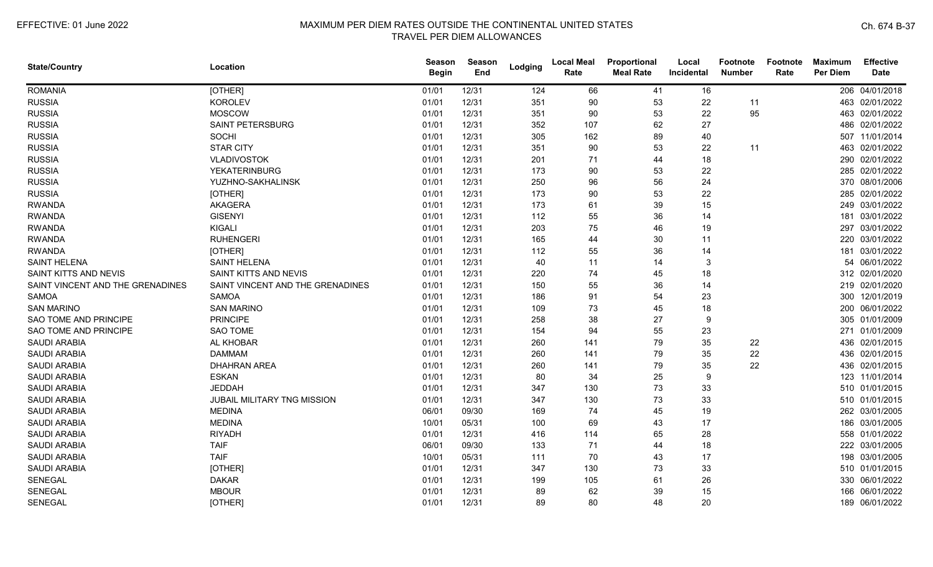| <b>State/Country</b>             | Location                           | Season<br><b>Begin</b> | Season<br>End | Lodging | <b>Local Meal</b><br>Rate | Proportional<br><b>Meal Rate</b> | Local<br>Incidental | Footnote<br><b>Number</b> | Footnote<br>Rate | <b>Maximum</b><br><b>Per Diem</b> | <b>Effective</b><br><b>Date</b> |
|----------------------------------|------------------------------------|------------------------|---------------|---------|---------------------------|----------------------------------|---------------------|---------------------------|------------------|-----------------------------------|---------------------------------|
| <b>ROMANIA</b>                   | [OTHER]                            | 01/01                  | 12/31         | 124     | 66                        | 41                               | 16                  |                           |                  |                                   | 206 04/01/2018                  |
| <b>RUSSIA</b>                    | <b>KOROLEV</b>                     | 01/01                  | 12/31         | 351     | 90                        | 53                               | 22                  | 11                        |                  |                                   | 463 02/01/2022                  |
| <b>RUSSIA</b>                    | <b>MOSCOW</b>                      | 01/01                  | 12/31         | 351     | 90                        | 53                               | 22                  | 95                        |                  |                                   | 463 02/01/2022                  |
| <b>RUSSIA</b>                    | <b>SAINT PETERSBURG</b>            | 01/01                  | 12/31         | 352     | 107                       | 62                               | 27                  |                           |                  |                                   | 486 02/01/2022                  |
| <b>RUSSIA</b>                    | SOCHI                              | 01/01                  | 12/31         | 305     | 162                       | 89                               | 40                  |                           |                  |                                   | 507 11/01/2014                  |
| <b>RUSSIA</b>                    | <b>STAR CITY</b>                   | 01/01                  | 12/31         | 351     | 90                        | 53                               | 22                  | 11                        |                  |                                   | 463 02/01/2022                  |
| <b>RUSSIA</b>                    | <b>VLADIVOSTOK</b>                 | 01/01                  | 12/31         | 201     | 71                        | 44                               | 18                  |                           |                  |                                   | 290 02/01/2022                  |
| <b>RUSSIA</b>                    | <b>YEKATERINBURG</b>               | 01/01                  | 12/31         | 173     | 90                        | 53                               | 22                  |                           |                  |                                   | 285 02/01/2022                  |
| <b>RUSSIA</b>                    | YUZHNO-SAKHALINSK                  | 01/01                  | 12/31         | 250     | 96                        | 56                               | 24                  |                           |                  |                                   | 370 08/01/2006                  |
| <b>RUSSIA</b>                    | [OTHER]                            | 01/01                  | 12/31         | 173     | 90                        | 53                               | 22                  |                           |                  |                                   | 285 02/01/2022                  |
| <b>RWANDA</b>                    | <b>AKAGERA</b>                     | 01/01                  | 12/31         | 173     | 61                        | 39                               | 15                  |                           |                  |                                   | 249 03/01/2022                  |
| <b>RWANDA</b>                    | <b>GISENYI</b>                     | 01/01                  | 12/31         | 112     | 55                        | 36                               | 14                  |                           |                  | 181                               | 03/01/2022                      |
| <b>RWANDA</b>                    | <b>KIGALI</b>                      | 01/01                  | 12/31         | 203     | 75                        | 46                               | 19                  |                           |                  |                                   | 297 03/01/2022                  |
| <b>RWANDA</b>                    | <b>RUHENGERI</b>                   | 01/01                  | 12/31         | 165     | 44                        | 30                               | 11                  |                           |                  |                                   | 220 03/01/2022                  |
| <b>RWANDA</b>                    | [OTHER]                            | 01/01                  | 12/31         | 112     | 55                        | 36                               | 14                  |                           |                  |                                   | 181 03/01/2022                  |
| <b>SAINT HELENA</b>              | <b>SAINT HELENA</b>                | 01/01                  | 12/31         | 40      | 11                        | 14                               | 3                   |                           |                  |                                   | 54 06/01/2022                   |
| SAINT KITTS AND NEVIS            | SAINT KITTS AND NEVIS              | 01/01                  | 12/31         | 220     | 74                        | 45                               | 18                  |                           |                  |                                   | 312 02/01/2020                  |
| SAINT VINCENT AND THE GRENADINES | SAINT VINCENT AND THE GRENADINES   | 01/01                  | 12/31         | 150     | 55                        | 36                               | 14                  |                           |                  |                                   | 219 02/01/2020                  |
| <b>SAMOA</b>                     | <b>SAMOA</b>                       | 01/01                  | 12/31         | 186     | 91                        | 54                               | 23                  |                           |                  |                                   | 300 12/01/2019                  |
| <b>SAN MARINO</b>                | <b>SAN MARINO</b>                  | 01/01                  | 12/31         | 109     | 73                        | 45                               | 18                  |                           |                  |                                   | 200 06/01/2022                  |
| SAO TOME AND PRINCIPE            | <b>PRINCIPE</b>                    | 01/01                  | 12/31         | 258     | 38                        | 27                               | 9                   |                           |                  |                                   | 305 01/01/2009                  |
| <b>SAO TOME AND PRINCIPE</b>     | <b>SAO TOME</b>                    | 01/01                  | 12/31         | 154     | 94                        | 55                               | 23                  |                           |                  |                                   | 271 01/01/2009                  |
| <b>SAUDI ARABIA</b>              | AL KHOBAR                          | 01/01                  | 12/31         | 260     | 141                       | 79                               | 35                  | 22                        |                  |                                   | 436 02/01/2015                  |
| <b>SAUDI ARABIA</b>              | <b>DAMMAM</b>                      | 01/01                  | 12/31         | 260     | 141                       | 79                               | 35                  | 22                        |                  |                                   | 436 02/01/2015                  |
| <b>SAUDI ARABIA</b>              | <b>DHAHRAN AREA</b>                | 01/01                  | 12/31         | 260     | 141                       | 79                               | 35                  | 22                        |                  |                                   | 436 02/01/2015                  |
| <b>SAUDI ARABIA</b>              | <b>ESKAN</b>                       | 01/01                  | 12/31         | 80      | 34                        | 25                               | 9                   |                           |                  |                                   | 123 11/01/2014                  |
| <b>SAUDI ARABIA</b>              | <b>JEDDAH</b>                      | 01/01                  | 12/31         | 347     | 130                       | 73                               | 33                  |                           |                  |                                   | 510 01/01/2015                  |
| <b>SAUDI ARABIA</b>              | <b>JUBAIL MILITARY TNG MISSION</b> | 01/01                  | 12/31         | 347     | 130                       | 73                               | 33                  |                           |                  |                                   | 510 01/01/2015                  |
| <b>SAUDI ARABIA</b>              | <b>MEDINA</b>                      | 06/01                  | 09/30         | 169     | 74                        | 45                               | 19                  |                           |                  |                                   | 262 03/01/2005                  |
| <b>SAUDI ARABIA</b>              | <b>MEDINA</b>                      | 10/01                  | 05/31         | 100     | 69                        | 43                               | 17                  |                           |                  |                                   | 186 03/01/2005                  |
| <b>SAUDI ARABIA</b>              | <b>RIYADH</b>                      | 01/01                  | 12/31         | 416     | 114                       | 65                               | 28                  |                           |                  |                                   | 558 01/01/2022                  |
| <b>SAUDI ARABIA</b>              | <b>TAIF</b>                        | 06/01                  | 09/30         | 133     | 71                        | 44                               | 18                  |                           |                  |                                   | 222 03/01/2005                  |
| <b>SAUDI ARABIA</b>              | <b>TAIF</b>                        | 10/01                  | 05/31         | 111     | 70                        | 43                               | 17                  |                           |                  |                                   | 198 03/01/2005                  |
| <b>SAUDI ARABIA</b>              | [OTHER]                            | 01/01                  | 12/31         | 347     | 130                       | 73                               | 33                  |                           |                  |                                   | 510 01/01/2015                  |
| <b>SENEGAL</b>                   | <b>DAKAR</b>                       | 01/01                  | 12/31         | 199     | 105                       | 61                               | 26                  |                           |                  |                                   | 330 06/01/2022                  |
| SENEGAL                          | <b>MBOUR</b>                       | 01/01                  | 12/31         | 89      | 62                        | 39                               | 15                  |                           |                  | 166                               | 06/01/2022                      |
| <b>SENEGAL</b>                   | [OTHER]                            | 01/01                  | 12/31         | 89      | 80                        | 48                               | 20                  |                           |                  |                                   | 189 06/01/2022                  |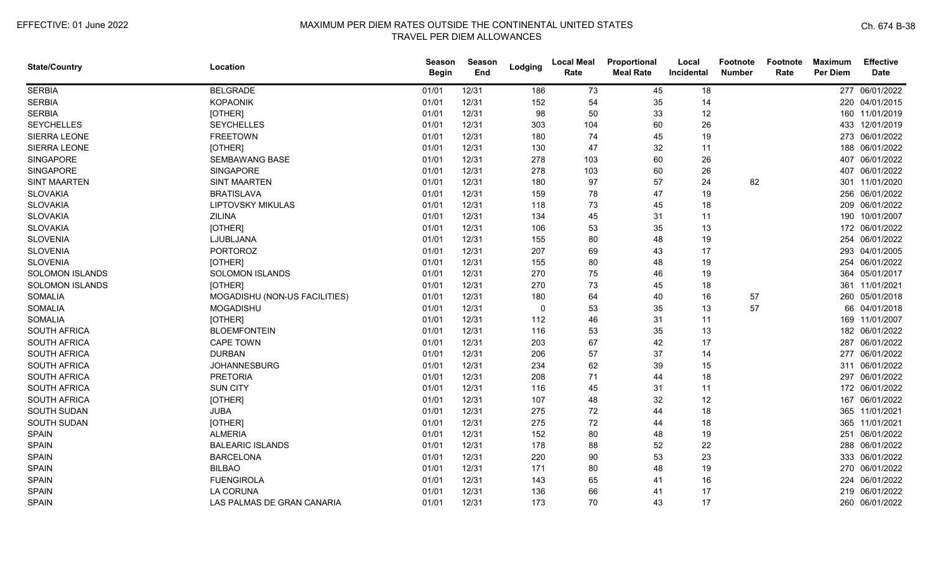| <b>State/Country</b>   | Location                      | <b>Season</b><br><b>Begin</b> | Season<br>End | Lodging     | <b>Local Meal</b><br>Rate | Proportional<br><b>Meal Rate</b> | Local<br>Incidental | Footnote<br><b>Number</b> | Footnote<br>Rate | <b>Maximum</b><br><b>Per Diem</b> | <b>Effective</b><br><b>Date</b> |
|------------------------|-------------------------------|-------------------------------|---------------|-------------|---------------------------|----------------------------------|---------------------|---------------------------|------------------|-----------------------------------|---------------------------------|
| <b>SERBIA</b>          | <b>BELGRADE</b>               | 01/01                         | 12/31         | 186         | 73                        | 45                               | 18                  |                           |                  |                                   | 277 06/01/2022                  |
| <b>SERBIA</b>          | <b>KOPAONIK</b>               | 01/01                         | 12/31         | 152         | 54                        | 35                               | 14                  |                           |                  |                                   | 220 04/01/2015                  |
| <b>SERBIA</b>          | [OTHER]                       | 01/01                         | 12/31         | 98          | 50                        | 33                               | 12                  |                           |                  |                                   | 160 11/01/2019                  |
| <b>SEYCHELLES</b>      | <b>SEYCHELLES</b>             | 01/01                         | 12/31         | 303         | 104                       | 60                               | 26                  |                           |                  |                                   | 433 12/01/2019                  |
| SIERRA LEONE           | <b>FREETOWN</b>               | 01/01                         | 12/31         | 180         | 74                        | 45                               | 19                  |                           |                  |                                   | 273 06/01/2022                  |
| SIERRA LEONE           | [OTHER]                       | 01/01                         | 12/31         | 130         | 47                        | 32                               | 11                  |                           |                  |                                   | 188 06/01/2022                  |
| <b>SINGAPORE</b>       | <b>SEMBAWANG BASE</b>         | 01/01                         | 12/31         | 278         | 103                       | 60                               | 26                  |                           |                  |                                   | 407 06/01/2022                  |
| <b>SINGAPORE</b>       | SINGAPORE                     | 01/01                         | 12/31         | 278         | 103                       | 60                               | 26                  |                           |                  | 407                               | 06/01/2022                      |
| <b>SINT MAARTEN</b>    | <b>SINT MAARTEN</b>           | 01/01                         | 12/31         | 180         | 97                        | 57                               | 24                  | 82                        |                  |                                   | 301 11/01/2020                  |
| <b>SLOVAKIA</b>        | <b>BRATISLAVA</b>             | 01/01                         | 12/31         | 159         | 78                        | 47                               | 19                  |                           |                  |                                   | 256 06/01/2022                  |
| <b>SLOVAKIA</b>        | <b>LIPTOVSKY MIKULAS</b>      | 01/01                         | 12/31         | 118         | 73                        | 45                               | 18                  |                           |                  |                                   | 209 06/01/2022                  |
| <b>SLOVAKIA</b>        | <b>ZILINA</b>                 | 01/01                         | 12/31         | 134         | 45                        | 31                               | 11                  |                           |                  |                                   | 190 10/01/2007                  |
| <b>SLOVAKIA</b>        | [OTHER]                       | 01/01                         | 12/31         | 106         | 53                        | 35                               | 13                  |                           |                  |                                   | 172 06/01/2022                  |
| <b>SLOVENIA</b>        | LJUBLJANA                     | 01/01                         | 12/31         | 155         | 80                        | 48                               | 19                  |                           |                  |                                   | 254 06/01/2022                  |
| <b>SLOVENIA</b>        | <b>PORTOROZ</b>               | 01/01                         | 12/31         | 207         | 69                        | 43                               | 17                  |                           |                  |                                   | 293 04/01/2005                  |
| <b>SLOVENIA</b>        | [OTHER]                       | 01/01                         | 12/31         | 155         | 80                        | 48                               | 19                  |                           |                  | 254                               | 06/01/2022                      |
| <b>SOLOMON ISLANDS</b> | <b>SOLOMON ISLANDS</b>        | 01/01                         | 12/31         | 270         | 75                        | 46                               | 19                  |                           |                  | 364                               | 05/01/2017                      |
| <b>SOLOMON ISLANDS</b> | [OTHER]                       | 01/01                         | 12/31         | 270         | 73                        | 45                               | 18                  |                           |                  |                                   | 361 11/01/2021                  |
| <b>SOMALIA</b>         | MOGADISHU (NON-US FACILITIES) | 01/01                         | 12/31         | 180         | 64                        | 40                               | 16                  | 57                        |                  |                                   | 260 05/01/2018                  |
| <b>SOMALIA</b>         | <b>MOGADISHU</b>              | 01/01                         | 12/31         | $\mathbf 0$ | 53                        | 35                               | 13                  | 57                        |                  |                                   | 66 04/01/2018                   |
| <b>SOMALIA</b>         | [OTHER]                       | 01/01                         | 12/31         | 112         | 46                        | 31                               | 11                  |                           |                  |                                   | 169 11/01/2007                  |
| <b>SOUTH AFRICA</b>    | <b>BLOEMFONTEIN</b>           | 01/01                         | 12/31         | 116         | 53                        | 35                               | 13                  |                           |                  |                                   | 182 06/01/2022                  |
| SOUTH AFRICA           | <b>CAPE TOWN</b>              | 01/01                         | 12/31         | 203         | 67                        | 42                               | 17                  |                           |                  |                                   | 287 06/01/2022                  |
| SOUTH AFRICA           | <b>DURBAN</b>                 | 01/01                         | 12/31         | 206         | 57                        | 37                               | 14                  |                           |                  |                                   | 277 06/01/2022                  |
| <b>SOUTH AFRICA</b>    | <b>JOHANNESBURG</b>           | 01/01                         | 12/31         | 234         | 62                        | 39                               | 15                  |                           |                  |                                   | 311 06/01/2022                  |
| <b>SOUTH AFRICA</b>    | <b>PRETORIA</b>               | 01/01                         | 12/31         | 208         | 71                        | 44                               | 18                  |                           |                  |                                   | 297 06/01/2022                  |
| <b>SOUTH AFRICA</b>    | <b>SUN CITY</b>               | 01/01                         | 12/31         | 116         | 45                        | 31                               | 11                  |                           |                  |                                   | 172 06/01/2022                  |
| <b>SOUTH AFRICA</b>    | [OTHER]                       | 01/01                         | 12/31         | 107         | 48                        | 32                               | 12                  |                           |                  | 167                               | 06/01/2022                      |
| SOUTH SUDAN            | <b>JUBA</b>                   | 01/01                         | 12/31         | 275         | 72                        | 44                               | 18                  |                           |                  | 365                               | 11/01/2021                      |
| SOUTH SUDAN            | [OTHER]                       | 01/01                         | 12/31         | 275         | 72                        | 44                               | 18                  |                           |                  |                                   | 365 11/01/2021                  |
| <b>SPAIN</b>           | <b>ALMERIA</b>                | 01/01                         | 12/31         | 152         | 80                        | 48                               | 19                  |                           |                  |                                   | 251 06/01/2022                  |
| <b>SPAIN</b>           | <b>BALEARIC ISLANDS</b>       | 01/01                         | 12/31         | 178         | 88                        | 52                               | 22                  |                           |                  |                                   | 288 06/01/2022                  |
| <b>SPAIN</b>           | <b>BARCELONA</b>              | 01/01                         | 12/31         | 220         | 90                        | 53                               | 23                  |                           |                  |                                   | 333 06/01/2022                  |
| <b>SPAIN</b>           | <b>BILBAO</b>                 | 01/01                         | 12/31         | 171         | 80                        | 48                               | 19                  |                           |                  |                                   | 270 06/01/2022                  |
| <b>SPAIN</b>           | <b>FUENGIROLA</b>             | 01/01                         | 12/31         | 143         | 65                        | 41                               | 16                  |                           |                  | 224                               | 06/01/2022                      |
| <b>SPAIN</b>           | <b>LA CORUNA</b>              | 01/01                         | 12/31         | 136         | 66                        | 41                               | 17                  |                           |                  | 219                               | 06/01/2022                      |
| <b>SPAIN</b>           | LAS PALMAS DE GRAN CANARIA    | 01/01                         | 12/31         | 173         | 70                        | 43                               | 17                  |                           |                  |                                   | 260 06/01/2022                  |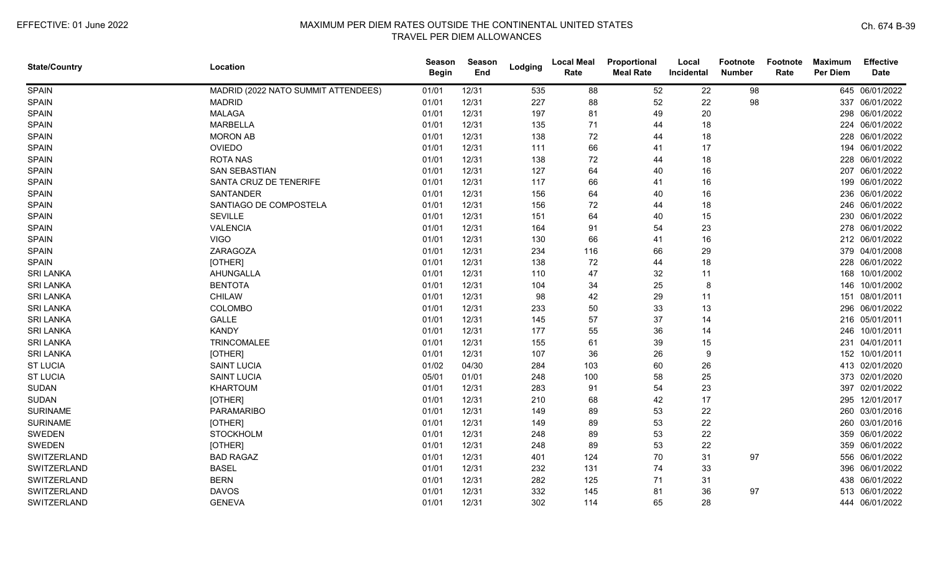| <b>State/Country</b> | Location                            | <b>Season</b><br><b>Begin</b> | Season<br>End | Lodging | <b>Local Meal</b><br>Rate | Proportional<br><b>Meal Rate</b> | Local<br>Incidental | <b>Footnote</b><br><b>Number</b> | <b>Footnote</b><br>Rate | <b>Maximum</b><br><b>Per Diem</b> | <b>Effective</b><br><b>Date</b> |
|----------------------|-------------------------------------|-------------------------------|---------------|---------|---------------------------|----------------------------------|---------------------|----------------------------------|-------------------------|-----------------------------------|---------------------------------|
| <b>SPAIN</b>         | MADRID (2022 NATO SUMMIT ATTENDEES) | 01/01                         | 12/31         | 535     | 88                        | 52                               | 22                  | 98                               |                         |                                   | 645 06/01/2022                  |
| <b>SPAIN</b>         | <b>MADRID</b>                       | 01/01                         | 12/31         | 227     | 88                        | 52                               | 22                  | 98                               |                         |                                   | 337 06/01/2022                  |
| <b>SPAIN</b>         | <b>MALAGA</b>                       | 01/01                         | 12/31         | 197     | 81                        | 49                               | 20                  |                                  |                         |                                   | 298 06/01/2022                  |
| <b>SPAIN</b>         | <b>MARBELLA</b>                     | 01/01                         | 12/31         | 135     | 71                        | 44                               | 18                  |                                  |                         |                                   | 224 06/01/2022                  |
| <b>SPAIN</b>         | <b>MORON AB</b>                     | 01/01                         | 12/31         | 138     | 72                        | 44                               | 18                  |                                  |                         |                                   | 228 06/01/2022                  |
| <b>SPAIN</b>         | <b>OVIEDO</b>                       | 01/01                         | 12/31         | 111     | 66                        | 41                               | 17                  |                                  |                         |                                   | 194 06/01/2022                  |
| <b>SPAIN</b>         | <b>ROTA NAS</b>                     | 01/01                         | 12/31         | 138     | 72                        | 44                               | 18                  |                                  |                         |                                   | 228 06/01/2022                  |
| <b>SPAIN</b>         | <b>SAN SEBASTIAN</b>                | 01/01                         | 12/31         | 127     | 64                        | 40                               | 16                  |                                  |                         |                                   | 207 06/01/2022                  |
| <b>SPAIN</b>         | SANTA CRUZ DE TENERIFE              | 01/01                         | 12/31         | 117     | 66                        | 41                               | 16                  |                                  |                         |                                   | 199 06/01/2022                  |
| <b>SPAIN</b>         | <b>SANTANDER</b>                    | 01/01                         | 12/31         | 156     | 64                        | 40                               | 16                  |                                  |                         |                                   | 236 06/01/2022                  |
| <b>SPAIN</b>         | SANTIAGO DE COMPOSTELA              | 01/01                         | 12/31         | 156     | 72                        | 44                               | 18                  |                                  |                         |                                   | 246 06/01/2022                  |
| <b>SPAIN</b>         | <b>SEVILLE</b>                      | 01/01                         | 12/31         | 151     | 64                        | 40                               | 15                  |                                  |                         |                                   | 230 06/01/2022                  |
| <b>SPAIN</b>         | <b>VALENCIA</b>                     | 01/01                         | 12/31         | 164     | 91                        | 54                               | 23                  |                                  |                         |                                   | 278 06/01/2022                  |
| <b>SPAIN</b>         | <b>VIGO</b>                         | 01/01                         | 12/31         | 130     | 66                        | 41                               | 16                  |                                  |                         |                                   | 212 06/01/2022                  |
| <b>SPAIN</b>         | <b>ZARAGOZA</b>                     | 01/01                         | 12/31         | 234     | 116                       | 66                               | 29                  |                                  |                         |                                   | 379 04/01/2008                  |
| <b>SPAIN</b>         | [OTHER]                             | 01/01                         | 12/31         | 138     | 72                        | 44                               | 18                  |                                  |                         |                                   | 228 06/01/2022                  |
| <b>SRI LANKA</b>     | AHUNGALLA                           | 01/01                         | 12/31         | 110     | 47                        | 32                               | 11                  |                                  |                         |                                   | 168 10/01/2002                  |
| <b>SRI LANKA</b>     | <b>BENTOTA</b>                      | 01/01                         | 12/31         | 104     | 34                        | 25                               | 8                   |                                  |                         | 146                               | 10/01/2002                      |
| <b>SRI LANKA</b>     | <b>CHILAW</b>                       | 01/01                         | 12/31         | 98      | 42                        | 29                               | 11                  |                                  |                         |                                   | 151 08/01/2011                  |
| <b>SRI LANKA</b>     | COLOMBO                             | 01/01                         | 12/31         | 233     | 50                        | 33                               | 13                  |                                  |                         |                                   | 296 06/01/2022                  |
| <b>SRI LANKA</b>     | <b>GALLE</b>                        | 01/01                         | 12/31         | 145     | 57                        | 37                               | 14                  |                                  |                         |                                   | 216 05/01/2011                  |
| <b>SRI LANKA</b>     | <b>KANDY</b>                        | 01/01                         | 12/31         | 177     | 55                        | 36                               | 14                  |                                  |                         |                                   | 246 10/01/2011                  |
| <b>SRI LANKA</b>     | TRINCOMALEE                         | 01/01                         | 12/31         | 155     | 61                        | 39                               | 15                  |                                  |                         |                                   | 231 04/01/2011                  |
| <b>SRI LANKA</b>     | [OTHER]                             | 01/01                         | 12/31         | 107     | 36                        | 26                               | 9                   |                                  |                         |                                   | 152 10/01/2011                  |
| <b>ST LUCIA</b>      | <b>SAINT LUCIA</b>                  | 01/02                         | 04/30         | 284     | 103                       | 60                               | 26                  |                                  |                         |                                   | 413 02/01/2020                  |
| <b>ST LUCIA</b>      | <b>SAINT LUCIA</b>                  | 05/01                         | 01/01         | 248     | 100                       | 58                               | 25                  |                                  |                         |                                   | 373 02/01/2020                  |
| <b>SUDAN</b>         | <b>KHARTOUM</b>                     | 01/01                         | 12/31         | 283     | 91                        | 54                               | 23                  |                                  |                         |                                   | 397 02/01/2022                  |
| <b>SUDAN</b>         | [OTHER]                             | 01/01                         | 12/31         | 210     | 68                        | 42                               | 17                  |                                  |                         |                                   | 295 12/01/2017                  |
| <b>SURINAME</b>      | PARAMARIBO                          | 01/01                         | 12/31         | 149     | 89                        | 53                               | 22                  |                                  |                         |                                   | 260 03/01/2016                  |
| <b>SURINAME</b>      | [OTHER]                             | 01/01                         | 12/31         | 149     | 89                        | 53                               | 22                  |                                  |                         |                                   | 260 03/01/2016                  |
| <b>SWEDEN</b>        | <b>STOCKHOLM</b>                    | 01/01                         | 12/31         | 248     | 89                        | 53                               | 22                  |                                  |                         |                                   | 359 06/01/2022                  |
| <b>SWEDEN</b>        | [OTHER]                             | 01/01                         | 12/31         | 248     | 89                        | 53                               | 22                  |                                  |                         |                                   | 359 06/01/2022                  |
| SWITZERLAND          | <b>BAD RAGAZ</b>                    | 01/01                         | 12/31         | 401     | 124                       | 70                               | 31                  | 97                               |                         |                                   | 556 06/01/2022                  |
| SWITZERLAND          | <b>BASEL</b>                        | 01/01                         | 12/31         | 232     | 131                       | 74                               | 33                  |                                  |                         |                                   | 396 06/01/2022                  |
| SWITZERLAND          | <b>BERN</b>                         | 01/01                         | 12/31         | 282     | 125                       | 71                               | 31                  |                                  |                         | 438                               | 06/01/2022                      |
| SWITZERLAND          | <b>DAVOS</b>                        | 01/01                         | 12/31         | 332     | 145                       | 81                               | 36                  | 97                               |                         |                                   | 513 06/01/2022                  |
| SWITZERLAND          | <b>GENEVA</b>                       | 01/01                         | 12/31         | 302     | 114                       | 65                               | 28                  |                                  |                         |                                   | 444 06/01/2022                  |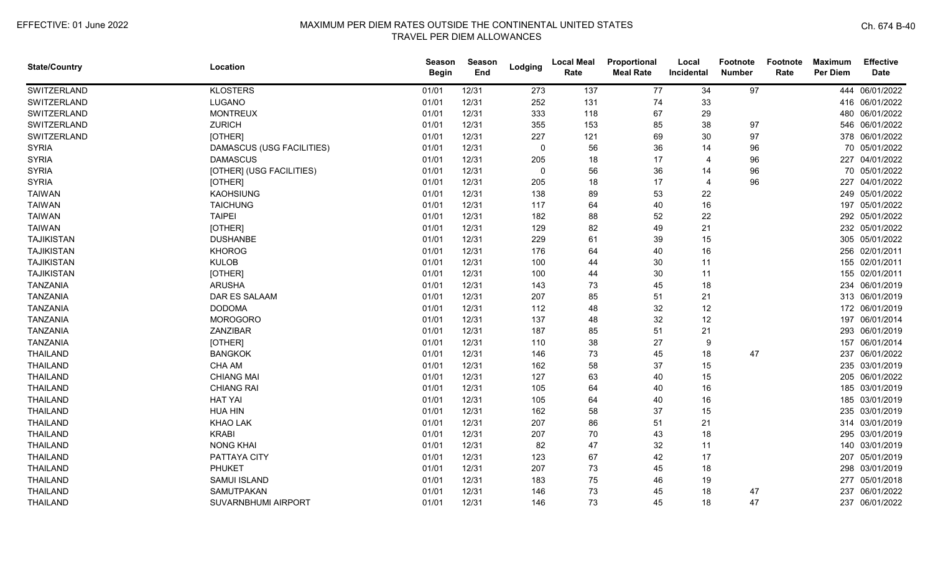| <b>State/Country</b> | Location                   | <b>Season</b><br><b>Begin</b> | Season<br>End | Lodging     | <b>Local Meal</b><br>Rate | Proportional<br><b>Meal Rate</b> | Local<br>Incidental | <b>Footnote</b><br><b>Number</b> | <b>Footnote</b><br>Rate | <b>Maximum</b><br>Per Diem | <b>Effective</b><br><b>Date</b> |
|----------------------|----------------------------|-------------------------------|---------------|-------------|---------------------------|----------------------------------|---------------------|----------------------------------|-------------------------|----------------------------|---------------------------------|
| SWITZERLAND          | <b>KLOSTERS</b>            | 01/01                         | 12/31         | 273         | 137                       | 77                               | 34                  | 97                               |                         |                            | 444 06/01/2022                  |
| SWITZERLAND          | LUGANO                     | 01/01                         | 12/31         | 252         | 131                       | 74                               | 33                  |                                  |                         |                            | 416 06/01/2022                  |
| SWITZERLAND          | <b>MONTREUX</b>            | 01/01                         | 12/31         | 333         | 118                       | 67                               | 29                  |                                  |                         |                            | 480 06/01/2022                  |
| SWITZERLAND          | <b>ZURICH</b>              | 01/01                         | 12/31         | 355         | 153                       | 85                               | 38                  | 97                               |                         |                            | 546 06/01/2022                  |
| SWITZERLAND          | [OTHER]                    | 01/01                         | 12/31         | 227         | 121                       | 69                               | 30                  | 97                               |                         |                            | 378 06/01/2022                  |
| <b>SYRIA</b>         | DAMASCUS (USG FACILITIES)  | 01/01                         | 12/31         | $\mathbf 0$ | 56                        | 36                               | 14                  | 96                               |                         |                            | 70 05/01/2022                   |
| <b>SYRIA</b>         | <b>DAMASCUS</b>            | 01/01                         | 12/31         | 205         | 18                        | 17                               | 4                   | 96                               |                         |                            | 227 04/01/2022                  |
| <b>SYRIA</b>         | [OTHER] (USG FACILITIES)   | 01/01                         | 12/31         | $\Omega$    | 56                        | 36                               | 14                  | 96                               |                         |                            | 70 05/01/2022                   |
| <b>SYRIA</b>         | [OTHER]                    | 01/01                         | 12/31         | 205         | 18                        | 17                               | 4                   | 96                               |                         | 227                        | 04/01/2022                      |
| <b>TAIWAN</b>        | <b>KAOHSIUNG</b>           | 01/01                         | 12/31         | 138         | 89                        | 53                               | 22                  |                                  |                         |                            | 249 05/01/2022                  |
| <b>TAIWAN</b>        | <b>TAICHUNG</b>            | 01/01                         | 12/31         | 117         | 64                        | 40                               | 16                  |                                  |                         |                            | 197 05/01/2022                  |
| <b>TAIWAN</b>        | <b>TAIPEI</b>              | 01/01                         | 12/31         | 182         | 88                        | 52                               | 22                  |                                  |                         |                            | 292 05/01/2022                  |
| <b>TAIWAN</b>        | [OTHER]                    | 01/01                         | 12/31         | 129         | 82                        | 49                               | 21                  |                                  |                         |                            | 232 05/01/2022                  |
| <b>TAJIKISTAN</b>    | <b>DUSHANBE</b>            | 01/01                         | 12/31         | 229         | 61                        | 39                               | 15                  |                                  |                         |                            | 305 05/01/2022                  |
| <b>TAJIKISTAN</b>    | <b>KHOROG</b>              | 01/01                         | 12/31         | 176         | 64                        | 40                               | 16                  |                                  |                         |                            | 256 02/01/2011                  |
| <b>TAJIKISTAN</b>    | <b>KULOB</b>               | 01/01                         | 12/31         | 100         | 44                        | 30                               | 11                  |                                  |                         |                            | 155 02/01/2011                  |
| <b>TAJIKISTAN</b>    | [OTHER]                    | 01/01                         | 12/31         | 100         | 44                        | 30                               | 11                  |                                  |                         |                            | 155 02/01/2011                  |
| <b>TANZANIA</b>      | <b>ARUSHA</b>              | 01/01                         | 12/31         | 143         | 73                        | 45                               | 18                  |                                  |                         |                            | 234 06/01/2019                  |
| <b>TANZANIA</b>      | DAR ES SALAAM              | 01/01                         | 12/31         | 207         | 85                        | 51                               | 21                  |                                  |                         |                            | 313 06/01/2019                  |
| <b>TANZANIA</b>      | <b>DODOMA</b>              | 01/01                         | 12/31         | 112         | 48                        | 32                               | 12                  |                                  |                         |                            | 172 06/01/2019                  |
| <b>TANZANIA</b>      | <b>MOROGORO</b>            | 01/01                         | 12/31         | 137         | 48                        | 32                               | 12                  |                                  |                         |                            | 197 06/01/2014                  |
| <b>TANZANIA</b>      | ZANZIBAR                   | 01/01                         | 12/31         | 187         | 85                        | 51                               | 21                  |                                  |                         |                            | 293 06/01/2019                  |
| <b>TANZANIA</b>      | [OTHER]                    | 01/01                         | 12/31         | 110         | 38                        | 27                               | 9                   |                                  |                         |                            | 157 06/01/2014                  |
| <b>THAILAND</b>      | <b>BANGKOK</b>             | 01/01                         | 12/31         | 146         | 73                        | 45                               | 18                  | 47                               |                         |                            | 237 06/01/2022                  |
| <b>THAILAND</b>      | CHA AM                     | 01/01                         | 12/31         | 162         | 58                        | 37                               | 15                  |                                  |                         |                            | 235 03/01/2019                  |
| <b>THAILAND</b>      | <b>CHIANG MAI</b>          | 01/01                         | 12/31         | 127         | 63                        | 40                               | 15                  |                                  |                         |                            | 205 06/01/2022                  |
| <b>THAILAND</b>      | <b>CHIANG RAI</b>          | 01/01                         | 12/31         | 105         | 64                        | 40                               | 16                  |                                  |                         |                            | 185 03/01/2019                  |
| <b>THAILAND</b>      | <b>HAT YAI</b>             | 01/01                         | 12/31         | 105         | 64                        | 40                               | 16                  |                                  |                         |                            | 185 03/01/2019                  |
| <b>THAILAND</b>      | <b>HUA HIN</b>             | 01/01                         | 12/31         | 162         | 58                        | 37                               | 15                  |                                  |                         |                            | 235 03/01/2019                  |
| <b>THAILAND</b>      | KHAO LAK                   | 01/01                         | 12/31         | 207         | 86                        | 51                               | 21                  |                                  |                         |                            | 314 03/01/2019                  |
| <b>THAILAND</b>      | <b>KRABI</b>               | 01/01                         | 12/31         | 207         | 70                        | 43                               | 18                  |                                  |                         |                            | 295 03/01/2019                  |
| <b>THAILAND</b>      | <b>NONG KHAI</b>           | 01/01                         | 12/31         | 82          | 47                        | 32                               | 11                  |                                  |                         |                            | 140 03/01/2019                  |
| <b>THAILAND</b>      | PATTAYA CITY               | 01/01                         | 12/31         | 123         | 67                        | 42                               | 17                  |                                  |                         |                            | 207 05/01/2019                  |
| <b>THAILAND</b>      | <b>PHUKET</b>              | 01/01                         | 12/31         | 207         | 73                        | 45                               | 18                  |                                  |                         |                            | 298 03/01/2019                  |
| <b>THAILAND</b>      | <b>SAMUI ISLAND</b>        | 01/01                         | 12/31         | 183         | 75                        | 46                               | 19                  |                                  |                         |                            | 277 05/01/2018                  |
| <b>THAILAND</b>      | SAMUTPAKAN                 | 01/01                         | 12/31         | 146         | 73                        | 45                               | 18                  | 47                               |                         |                            | 237 06/01/2022                  |
| <b>THAILAND</b>      | <b>SUVARNBHUMI AIRPORT</b> | 01/01                         | 12/31         | 146         | 73                        | 45                               | 18                  | 47                               |                         |                            | 237 06/01/2022                  |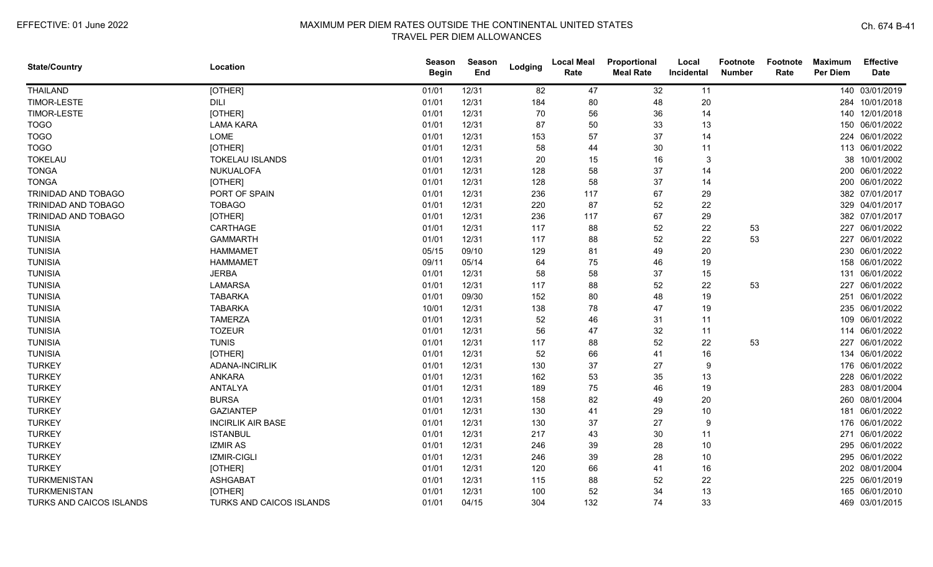| <b>State/Country</b>     | Location                 | <b>Season</b><br><b>Begin</b> | <b>Season</b><br>End | Lodging | <b>Local Meal</b><br>Rate | Proportional<br><b>Meal Rate</b> | Local<br>Incidental | Footnote<br><b>Number</b> | Footnote<br>Rate | <b>Maximum</b><br><b>Per Diem</b> | <b>Effective</b><br><b>Date</b> |
|--------------------------|--------------------------|-------------------------------|----------------------|---------|---------------------------|----------------------------------|---------------------|---------------------------|------------------|-----------------------------------|---------------------------------|
| <b>THAILAND</b>          | [OTHER]                  | 01/01                         | 12/31                | 82      | 47                        | 32                               | 11                  |                           |                  |                                   | 140 03/01/2019                  |
| <b>TIMOR-LESTE</b>       | <b>DILI</b>              | 01/01                         | 12/31                | 184     | 80                        | 48                               | 20                  |                           |                  |                                   | 284 10/01/2018                  |
| TIMOR-LESTE              | [OTHER]                  | 01/01                         | 12/31                | 70      | 56                        | 36                               | 14                  |                           |                  |                                   | 140 12/01/2018                  |
| <b>TOGO</b>              | <b>LAMA KARA</b>         | 01/01                         | 12/31                | 87      | 50                        | 33                               | 13                  |                           |                  |                                   | 150 06/01/2022                  |
| <b>TOGO</b>              | <b>LOME</b>              | 01/01                         | 12/31                | 153     | 57                        | 37                               | 14                  |                           |                  |                                   | 224 06/01/2022                  |
| <b>TOGO</b>              | [OTHER]                  | 01/01                         | 12/31                | 58      | 44                        | 30                               | 11                  |                           |                  |                                   | 113 06/01/2022                  |
| <b>TOKELAU</b>           | <b>TOKELAU ISLANDS</b>   | 01/01                         | 12/31                | 20      | 15                        | 16                               | 3                   |                           |                  | 38                                | 10/01/2002                      |
| <b>TONGA</b>             | NUKUALOFA                | 01/01                         | 12/31                | 128     | 58                        | 37                               | 14                  |                           |                  |                                   | 200 06/01/2022                  |
| <b>TONGA</b>             | [OTHER]                  | 01/01                         | 12/31                | 128     | 58                        | 37                               | 14                  |                           |                  |                                   | 200 06/01/2022                  |
| TRINIDAD AND TOBAGO      | PORT OF SPAIN            | 01/01                         | 12/31                | 236     | 117                       | 67                               | 29                  |                           |                  |                                   | 382 07/01/2017                  |
| TRINIDAD AND TOBAGO      | <b>TOBAGO</b>            | 01/01                         | 12/31                | 220     | 87                        | 52                               | 22                  |                           |                  | 329                               | 04/01/2017                      |
| TRINIDAD AND TOBAGO      | [OTHER]                  | 01/01                         | 12/31                | 236     | 117                       | 67                               | 29                  |                           |                  |                                   | 382 07/01/2017                  |
| <b>TUNISIA</b>           | CARTHAGE                 | 01/01                         | 12/31                | 117     | 88                        | 52                               | 22                  | 53                        |                  |                                   | 227 06/01/2022                  |
| <b>TUNISIA</b>           | <b>GAMMARTH</b>          | 01/01                         | 12/31                | 117     | 88                        | 52                               | 22                  | 53                        |                  |                                   | 227 06/01/2022                  |
| <b>TUNISIA</b>           | <b>HAMMAMET</b>          | 05/15                         | 09/10                | 129     | 81                        | 49                               | 20                  |                           |                  |                                   | 230 06/01/2022                  |
| <b>TUNISIA</b>           | <b>HAMMAMET</b>          | 09/11                         | 05/14                | 64      | 75                        | 46                               | 19                  |                           |                  | 158                               | 06/01/2022                      |
| <b>TUNISIA</b>           | <b>JERBA</b>             | 01/01                         | 12/31                | 58      | 58                        | 37                               | 15                  |                           |                  | 131                               | 06/01/2022                      |
| <b>TUNISIA</b>           | <b>LAMARSA</b>           | 01/01                         | 12/31                | 117     | 88                        | 52                               | 22                  | 53                        |                  | 227                               | 06/01/2022                      |
| <b>TUNISIA</b>           | <b>TABARKA</b>           | 01/01                         | 09/30                | 152     | 80                        | 48                               | 19                  |                           |                  | 251                               | 06/01/2022                      |
| <b>TUNISIA</b>           | <b>TABARKA</b>           | 10/01                         | 12/31                | 138     | 78                        | 47                               | 19                  |                           |                  |                                   | 235 06/01/2022                  |
| <b>TUNISIA</b>           | <b>TAMERZA</b>           | 01/01                         | 12/31                | 52      | 46                        | 31                               | 11                  |                           |                  |                                   | 109 06/01/2022                  |
| <b>TUNISIA</b>           | <b>TOZEUR</b>            | 01/01                         | 12/31                | 56      | 47                        | 32                               | 11                  |                           |                  |                                   | 114 06/01/2022                  |
| <b>TUNISIA</b>           | <b>TUNIS</b>             | 01/01                         | 12/31                | 117     | 88                        | 52                               | 22                  | 53                        |                  |                                   | 227 06/01/2022                  |
| <b>TUNISIA</b>           | [OTHER]                  | 01/01                         | 12/31                | 52      | 66                        | 41                               | 16                  |                           |                  |                                   | 134 06/01/2022                  |
| <b>TURKEY</b>            | ADANA-INCIRLIK           | 01/01                         | 12/31                | 130     | 37                        | 27                               | 9                   |                           |                  |                                   | 176 06/01/2022                  |
| <b>TURKEY</b>            | <b>ANKARA</b>            | 01/01                         | 12/31                | 162     | 53                        | 35                               | 13                  |                           |                  | 228                               | 06/01/2022                      |
| <b>TURKEY</b>            | ANTALYA                  | 01/01                         | 12/31                | 189     | 75                        | 46                               | 19                  |                           |                  |                                   | 283 08/01/2004                  |
| <b>TURKEY</b>            | <b>BURSA</b>             | 01/01                         | 12/31                | 158     | 82                        | 49                               | 20                  |                           |                  | 260                               | 08/01/2004                      |
| <b>TURKEY</b>            | <b>GAZIANTEP</b>         | 01/01                         | 12/31                | 130     | 41                        | 29                               | 10                  |                           |                  | 181                               | 06/01/2022                      |
| <b>TURKEY</b>            | <b>INCIRLIK AIR BASE</b> | 01/01                         | 12/31                | 130     | 37                        | 27                               | 9                   |                           |                  |                                   | 176 06/01/2022                  |
| <b>TURKEY</b>            | <b>ISTANBUL</b>          | 01/01                         | 12/31                | 217     | 43                        | 30                               | 11                  |                           |                  |                                   | 271 06/01/2022                  |
| <b>TURKEY</b>            | <b>IZMIR AS</b>          | 01/01                         | 12/31                | 246     | 39                        | 28                               | 10                  |                           |                  |                                   | 295 06/01/2022                  |
| <b>TURKEY</b>            | IZMIR-CIGLI              | 01/01                         | 12/31                | 246     | 39                        | 28                               | 10                  |                           |                  |                                   | 295 06/01/2022                  |
| <b>TURKEY</b>            | [OTHER]                  | 01/01                         | 12/31                | 120     | 66                        | 41                               | 16                  |                           |                  |                                   | 202 08/01/2004                  |
| <b>TURKMENISTAN</b>      | <b>ASHGABAT</b>          | 01/01                         | 12/31                | 115     | 88                        | 52                               | 22                  |                           |                  |                                   | 225 06/01/2019                  |
| TURKMENISTAN             | [OTHER]                  | 01/01                         | 12/31                | 100     | 52                        | 34                               | 13                  |                           |                  | 165                               | 06/01/2010                      |
| TURKS AND CAICOS ISLANDS | TURKS AND CAICOS ISLANDS | 01/01                         | 04/15                | 304     | 132                       | 74                               | 33                  |                           |                  |                                   | 469 03/01/2015                  |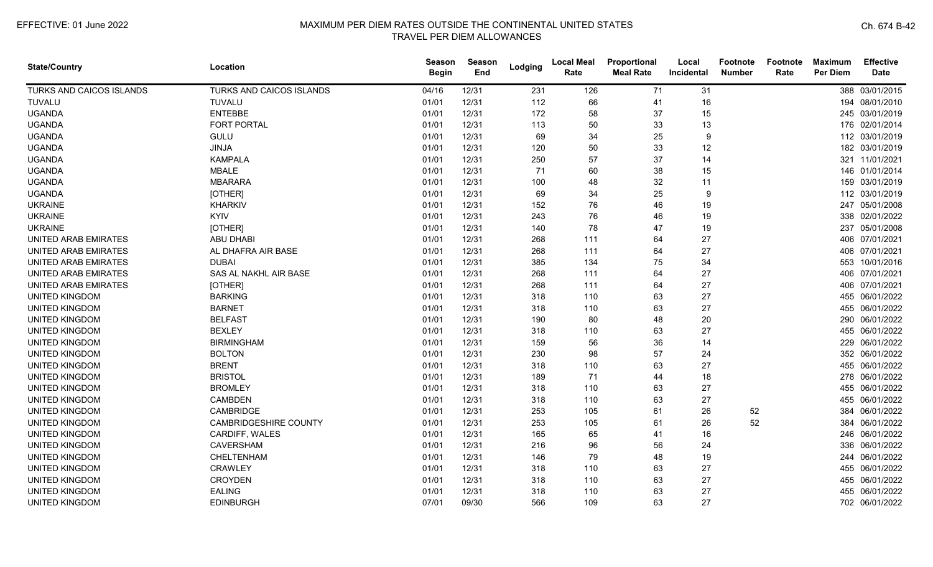| <b>State/Country</b>        | Location                     | Season<br><b>Begin</b> | Season<br>End | Lodging | <b>Local Meal</b><br>Rate | Proportional<br><b>Meal Rate</b> | Local<br>Incidental | <b>Footnote</b><br><b>Number</b> | Footnote<br>Rate | <b>Maximum</b><br><b>Per Diem</b> | <b>Effective</b><br><b>Date</b> |
|-----------------------------|------------------------------|------------------------|---------------|---------|---------------------------|----------------------------------|---------------------|----------------------------------|------------------|-----------------------------------|---------------------------------|
| TURKS AND CAICOS ISLANDS    | TURKS AND CAICOS ISLANDS     | 04/16                  | 12/31         | 231     | 126                       | 71                               | 31                  |                                  |                  |                                   | 388 03/01/2015                  |
| TUVALU                      | <b>TUVALU</b>                | 01/01                  | 12/31         | 112     | 66                        | 41                               | 16                  |                                  |                  |                                   | 194 08/01/2010                  |
| <b>UGANDA</b>               | <b>ENTEBBE</b>               | 01/01                  | 12/31         | 172     | 58                        | 37                               | 15                  |                                  |                  |                                   | 245 03/01/2019                  |
| <b>UGANDA</b>               | <b>FORT PORTAL</b>           | 01/01                  | 12/31         | 113     | 50                        | 33                               | 13                  |                                  |                  |                                   | 176 02/01/2014                  |
| <b>UGANDA</b>               | <b>GULU</b>                  | 01/01                  | 12/31         | 69      | 34                        | 25                               | 9                   |                                  |                  |                                   | 112 03/01/2019                  |
| <b>UGANDA</b>               | <b>JINJA</b>                 | 01/01                  | 12/31         | 120     | 50                        | 33                               | 12                  |                                  |                  |                                   | 182 03/01/2019                  |
| <b>UGANDA</b>               | <b>KAMPALA</b>               | 01/01                  | 12/31         | 250     | 57                        | 37                               | 14                  |                                  |                  |                                   | 321 11/01/2021                  |
| <b>UGANDA</b>               | <b>MBALE</b>                 | 01/01                  | 12/31         | 71      | 60                        | 38                               | 15                  |                                  |                  |                                   | 146 01/01/2014                  |
| <b>UGANDA</b>               | <b>MBARARA</b>               | 01/01                  | 12/31         | 100     | 48                        | 32                               | 11                  |                                  |                  |                                   | 159 03/01/2019                  |
| <b>UGANDA</b>               | [OTHER]                      | 01/01                  | 12/31         | 69      | 34                        | 25                               | 9                   |                                  |                  |                                   | 112 03/01/2019                  |
| <b>UKRAINE</b>              | KHARKIV                      | 01/01                  | 12/31         | 152     | 76                        | 46                               | 19                  |                                  |                  | 247                               | 05/01/2008                      |
| <b>UKRAINE</b>              | <b>KYIV</b>                  | 01/01                  | 12/31         | 243     | 76                        | 46                               | 19                  |                                  |                  |                                   | 338 02/01/2022                  |
| <b>UKRAINE</b>              | [OTHER]                      | 01/01                  | 12/31         | 140     | 78                        | 47                               | 19                  |                                  |                  |                                   | 237 05/01/2008                  |
| UNITED ARAB EMIRATES        | ABU DHABI                    | 01/01                  | 12/31         | 268     | 111                       | 64                               | 27                  |                                  |                  |                                   | 406 07/01/2021                  |
| UNITED ARAB EMIRATES        | AL DHAFRA AIR BASE           | 01/01                  | 12/31         | 268     | 111                       | 64                               | 27                  |                                  |                  |                                   | 406 07/01/2021                  |
| <b>UNITED ARAB EMIRATES</b> | <b>DUBAI</b>                 | 01/01                  | 12/31         | 385     | 134                       | 75                               | 34                  |                                  |                  |                                   | 553 10/01/2016                  |
| UNITED ARAB EMIRATES        | SAS AL NAKHL AIR BASE        | 01/01                  | 12/31         | 268     | 111                       | 64                               | 27                  |                                  |                  |                                   | 406 07/01/2021                  |
| <b>UNITED ARAB EMIRATES</b> | [OTHER]                      | 01/01                  | 12/31         | 268     | 111                       | 64                               | 27                  |                                  |                  |                                   | 406 07/01/2021                  |
| <b>UNITED KINGDOM</b>       | <b>BARKING</b>               | 01/01                  | 12/31         | 318     | 110                       | 63                               | 27                  |                                  |                  |                                   | 455 06/01/2022                  |
| UNITED KINGDOM              | <b>BARNET</b>                | 01/01                  | 12/31         | 318     | 110                       | 63                               | 27                  |                                  |                  |                                   | 455 06/01/2022                  |
| UNITED KINGDOM              | <b>BELFAST</b>               | 01/01                  | 12/31         | 190     | 80                        | 48                               | 20                  |                                  |                  |                                   | 290 06/01/2022                  |
| <b>UNITED KINGDOM</b>       | <b>BEXLEY</b>                | 01/01                  | 12/31         | 318     | 110                       | 63                               | 27                  |                                  |                  |                                   | 455 06/01/2022                  |
| <b>UNITED KINGDOM</b>       | <b>BIRMINGHAM</b>            | 01/01                  | 12/31         | 159     | 56                        | 36                               | 14                  |                                  |                  |                                   | 229 06/01/2022                  |
| <b>UNITED KINGDOM</b>       | <b>BOLTON</b>                | 01/01                  | 12/31         | 230     | 98                        | 57                               | 24                  |                                  |                  |                                   | 352 06/01/2022                  |
| <b>UNITED KINGDOM</b>       | <b>BRENT</b>                 | 01/01                  | 12/31         | 318     | 110                       | 63                               | 27                  |                                  |                  |                                   | 455 06/01/2022                  |
| <b>UNITED KINGDOM</b>       | <b>BRISTOL</b>               | 01/01                  | 12/31         | 189     | 71                        | 44                               | 18                  |                                  |                  |                                   | 278 06/01/2022                  |
| <b>UNITED KINGDOM</b>       | <b>BROMLEY</b>               | 01/01                  | 12/31         | 318     | 110                       | 63                               | 27                  |                                  |                  |                                   | 455 06/01/2022                  |
| <b>UNITED KINGDOM</b>       | <b>CAMBDEN</b>               | 01/01                  | 12/31         | 318     | 110                       | 63                               | 27                  |                                  |                  |                                   | 455 06/01/2022                  |
| <b>UNITED KINGDOM</b>       | CAMBRIDGE                    | 01/01                  | 12/31         | 253     | 105                       | 61                               | 26                  | 52                               |                  | 384                               | 06/01/2022                      |
| <b>UNITED KINGDOM</b>       | <b>CAMBRIDGESHIRE COUNTY</b> | 01/01                  | 12/31         | 253     | 105                       | 61                               | 26                  | 52                               |                  |                                   | 384 06/01/2022                  |
| UNITED KINGDOM              | CARDIFF, WALES               | 01/01                  | 12/31         | 165     | 65                        | 41                               | 16                  |                                  |                  |                                   | 246 06/01/2022                  |
| UNITED KINGDOM              | <b>CAVERSHAM</b>             | 01/01                  | 12/31         | 216     | 96                        | 56                               | 24                  |                                  |                  |                                   | 336 06/01/2022                  |
| <b>UNITED KINGDOM</b>       | CHELTENHAM                   | 01/01                  | 12/31         | 146     | 79                        | 48                               | 19                  |                                  |                  |                                   | 244 06/01/2022                  |
| <b>UNITED KINGDOM</b>       | <b>CRAWLEY</b>               | 01/01                  | 12/31         | 318     | 110                       | 63                               | 27                  |                                  |                  |                                   | 455 06/01/2022                  |
| <b>UNITED KINGDOM</b>       | <b>CROYDEN</b>               | 01/01                  | 12/31         | 318     | 110                       | 63                               | 27                  |                                  |                  |                                   | 455 06/01/2022                  |
| <b>UNITED KINGDOM</b>       | <b>EALING</b>                | 01/01                  | 12/31         | 318     | 110                       | 63                               | 27                  |                                  |                  |                                   | 455 06/01/2022                  |
| <b>UNITED KINGDOM</b>       | <b>EDINBURGH</b>             | 07/01                  | 09/30         | 566     | 109                       | 63                               | 27                  |                                  |                  |                                   | 702 06/01/2022                  |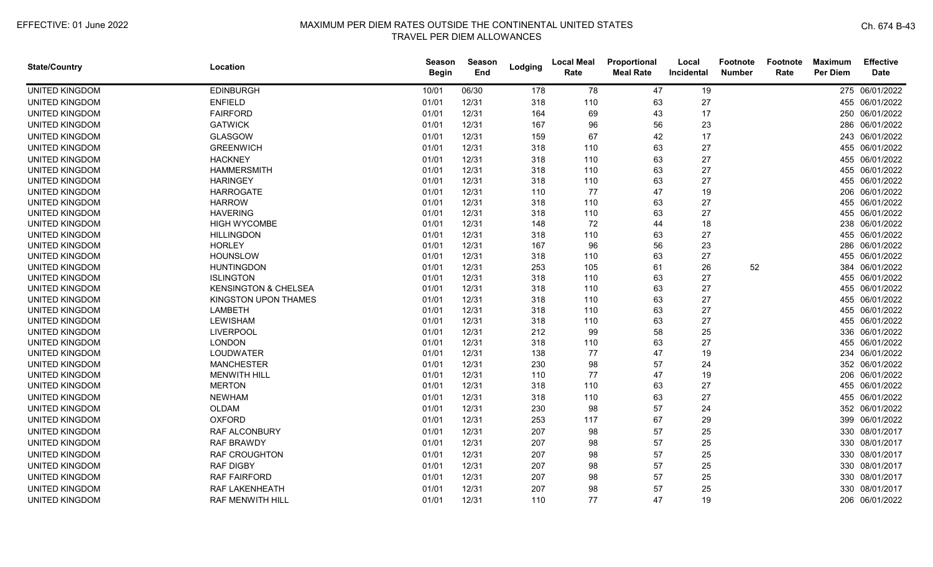| <b>State/Country</b>  | Location                        | <b>Season</b><br><b>Begin</b> | Season<br>End | Lodging | <b>Local Meal</b><br>Rate | Proportional<br><b>Meal Rate</b> | Local<br><b>Incidental</b> | Footnote<br><b>Number</b> | Footnote<br>Rate | <b>Maximum</b><br><b>Per Diem</b> | <b>Effective</b><br><b>Date</b> |
|-----------------------|---------------------------------|-------------------------------|---------------|---------|---------------------------|----------------------------------|----------------------------|---------------------------|------------------|-----------------------------------|---------------------------------|
| UNITED KINGDOM        | <b>EDINBURGH</b>                | 10/01                         | 06/30         | 178     | 78                        | 47                               | 19                         |                           |                  |                                   | 275 06/01/2022                  |
| <b>UNITED KINGDOM</b> | <b>ENFIELD</b>                  | 01/01                         | 12/31         | 318     | 110                       | 63                               | 27                         |                           |                  |                                   | 455 06/01/2022                  |
| <b>UNITED KINGDOM</b> | <b>FAIRFORD</b>                 | 01/01                         | 12/31         | 164     | 69                        | 43                               | 17                         |                           |                  |                                   | 250 06/01/2022                  |
| <b>UNITED KINGDOM</b> | <b>GATWICK</b>                  | 01/01                         | 12/31         | 167     | 96                        | 56                               | 23                         |                           |                  |                                   | 286 06/01/2022                  |
| <b>UNITED KINGDOM</b> | <b>GLASGOW</b>                  | 01/01                         | 12/31         | 159     | 67                        | 42                               | 17                         |                           |                  |                                   | 243 06/01/2022                  |
| UNITED KINGDOM        | <b>GREENWICH</b>                | 01/01                         | 12/31         | 318     | 110                       | 63                               | 27                         |                           |                  |                                   | 455 06/01/2022                  |
| <b>UNITED KINGDOM</b> | <b>HACKNEY</b>                  | 01/01                         | 12/31         | 318     | 110                       | 63                               | 27                         |                           |                  |                                   | 455 06/01/2022                  |
| <b>UNITED KINGDOM</b> | <b>HAMMERSMITH</b>              | 01/01                         | 12/31         | 318     | 110                       | 63                               | 27                         |                           |                  |                                   | 455 06/01/2022                  |
| <b>UNITED KINGDOM</b> | <b>HARINGEY</b>                 | 01/01                         | 12/31         | 318     | 110                       | 63                               | 27                         |                           |                  |                                   | 455 06/01/2022                  |
| <b>UNITED KINGDOM</b> | <b>HARROGATE</b>                | 01/01                         | 12/31         | 110     | 77                        | 47                               | 19                         |                           |                  |                                   | 206 06/01/2022                  |
| <b>UNITED KINGDOM</b> | <b>HARROW</b>                   | 01/01                         | 12/31         | 318     | 110                       | 63                               | 27                         |                           |                  |                                   | 455 06/01/2022                  |
| UNITED KINGDOM        | <b>HAVERING</b>                 | 01/01                         | 12/31         | 318     | 110                       | 63                               | 27                         |                           |                  |                                   | 455 06/01/2022                  |
| UNITED KINGDOM        | <b>HIGH WYCOMBE</b>             | 01/01                         | 12/31         | 148     | 72                        | 44                               | 18                         |                           |                  |                                   | 238 06/01/2022                  |
| <b>UNITED KINGDOM</b> | <b>HILLINGDON</b>               | 01/01                         | 12/31         | 318     | 110                       | 63                               | 27                         |                           |                  |                                   | 455 06/01/2022                  |
| <b>UNITED KINGDOM</b> | <b>HORLEY</b>                   | 01/01                         | 12/31         | 167     | 96                        | 56                               | 23                         |                           |                  |                                   | 286 06/01/2022                  |
| UNITED KINGDOM        | <b>HOUNSLOW</b>                 | 01/01                         | 12/31         | 318     | 110                       | 63                               | 27                         |                           |                  |                                   | 455 06/01/2022                  |
| <b>UNITED KINGDOM</b> | <b>HUNTINGDON</b>               | 01/01                         | 12/31         | 253     | 105                       | 61                               | 26                         | 52                        |                  | 384                               | 06/01/2022                      |
| <b>UNITED KINGDOM</b> | <b>ISLINGTON</b>                | 01/01                         | 12/31         | 318     | 110                       | 63                               | 27                         |                           |                  |                                   | 455 06/01/2022                  |
| <b>UNITED KINGDOM</b> | <b>KENSINGTON &amp; CHELSEA</b> | 01/01                         | 12/31         | 318     | 110                       | 63                               | 27                         |                           |                  |                                   | 455 06/01/2022                  |
| <b>UNITED KINGDOM</b> | KINGSTON UPON THAMES            | 01/01                         | 12/31         | 318     | 110                       | 63                               | 27                         |                           |                  |                                   | 455 06/01/2022                  |
| <b>UNITED KINGDOM</b> | <b>LAMBETH</b>                  | 01/01                         | 12/31         | 318     | 110                       | 63                               | 27                         |                           |                  |                                   | 455 06/01/2022                  |
| <b>UNITED KINGDOM</b> | <b>LEWISHAM</b>                 | 01/01                         | 12/31         | 318     | 110                       | 63                               | 27                         |                           |                  |                                   | 455 06/01/2022                  |
| <b>UNITED KINGDOM</b> | <b>LIVERPOOL</b>                | 01/01                         | 12/31         | 212     | 99                        | 58                               | 25                         |                           |                  |                                   | 336 06/01/2022                  |
| <b>UNITED KINGDOM</b> | <b>LONDON</b>                   | 01/01                         | 12/31         | 318     | 110                       | 63                               | 27                         |                           |                  |                                   | 455 06/01/2022                  |
| <b>UNITED KINGDOM</b> | <b>LOUDWATER</b>                | 01/01                         | 12/31         | 138     | 77                        | 47                               | 19                         |                           |                  |                                   | 234 06/01/2022                  |
| <b>UNITED KINGDOM</b> | <b>MANCHESTER</b>               | 01/01                         | 12/31         | 230     | 98                        | 57                               | 24                         |                           |                  |                                   | 352 06/01/2022                  |
| <b>UNITED KINGDOM</b> | <b>MENWITH HILL</b>             | 01/01                         | 12/31         | 110     | 77                        | 47                               | 19                         |                           |                  |                                   | 206 06/01/2022                  |
| <b>UNITED KINGDOM</b> | <b>MERTON</b>                   | 01/01                         | 12/31         | 318     | 110                       | 63                               | 27                         |                           |                  |                                   | 455 06/01/2022                  |
| <b>UNITED KINGDOM</b> | <b>NEWHAM</b>                   | 01/01                         | 12/31         | 318     | 110                       | 63                               | 27                         |                           |                  |                                   | 455 06/01/2022                  |
| <b>UNITED KINGDOM</b> | <b>OLDAM</b>                    | 01/01                         | 12/31         | 230     | 98                        | 57                               | 24                         |                           |                  |                                   | 352 06/01/2022                  |
| UNITED KINGDOM        | <b>OXFORD</b>                   | 01/01                         | 12/31         | 253     | 117                       | 67                               | 29                         |                           |                  |                                   | 399 06/01/2022                  |
| <b>UNITED KINGDOM</b> | <b>RAF ALCONBURY</b>            | 01/01                         | 12/31         | 207     | 98                        | 57                               | 25                         |                           |                  |                                   | 330 08/01/2017                  |
| <b>UNITED KINGDOM</b> | <b>RAF BRAWDY</b>               | 01/01                         | 12/31         | 207     | 98                        | 57                               | 25                         |                           |                  |                                   | 330 08/01/2017                  |
| <b>UNITED KINGDOM</b> | <b>RAF CROUGHTON</b>            | 01/01                         | 12/31         | 207     | 98                        | 57                               | 25                         |                           |                  |                                   | 330 08/01/2017                  |
| <b>UNITED KINGDOM</b> | <b>RAF DIGBY</b>                | 01/01                         | 12/31         | 207     | 98                        | 57                               | 25                         |                           |                  |                                   | 330 08/01/2017                  |
| UNITED KINGDOM        | <b>RAF FAIRFORD</b>             | 01/01                         | 12/31         | 207     | 98                        | 57                               | 25                         |                           |                  |                                   | 330 08/01/2017                  |
| <b>UNITED KINGDOM</b> | RAF LAKENHEATH                  | 01/01                         | 12/31         | 207     | 98                        | 57                               | 25                         |                           |                  |                                   | 330 08/01/2017                  |
| <b>UNITED KINGDOM</b> | RAF MENWITH HILL                | 01/01                         | 12/31         | 110     | 77                        | 47                               | 19                         |                           |                  |                                   | 206 06/01/2022                  |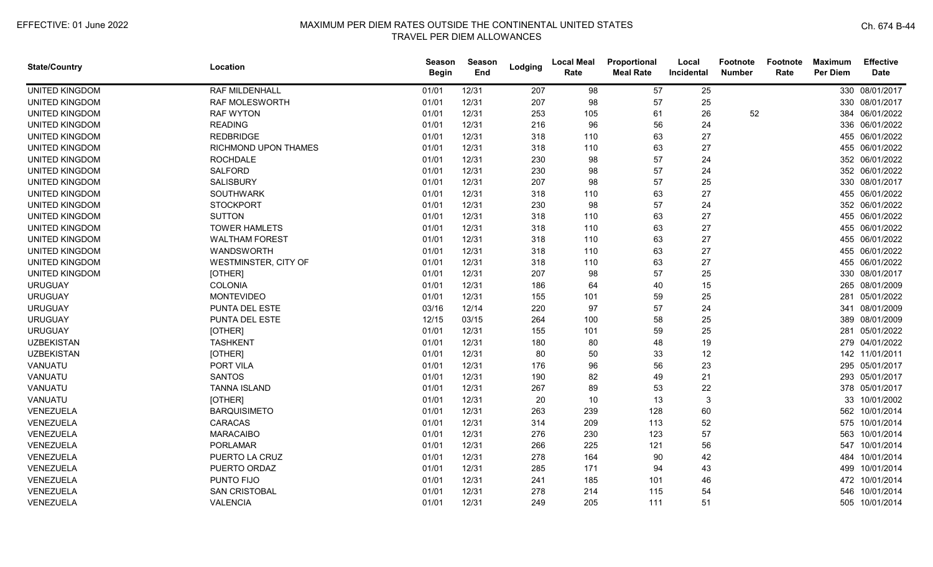| <b>State/Country</b>  | Location              | Season<br><b>Begin</b> | Season<br>End | Lodging | <b>Local Meal</b><br>Rate | Proportional<br><b>Meal Rate</b> | Local<br>Incidental | <b>Footnote</b><br><b>Number</b> | Footnote<br>Rate | <b>Maximum</b><br><b>Per Diem</b> | <b>Effective</b><br><b>Date</b> |
|-----------------------|-----------------------|------------------------|---------------|---------|---------------------------|----------------------------------|---------------------|----------------------------------|------------------|-----------------------------------|---------------------------------|
| <b>UNITED KINGDOM</b> | RAF MILDENHALL        | 01/01                  | 12/31         | 207     | 98                        | 57                               | 25                  |                                  |                  |                                   | 330 08/01/2017                  |
| <b>UNITED KINGDOM</b> | RAF MOLESWORTH        | 01/01                  | 12/31         | 207     | 98                        | 57                               | 25                  |                                  |                  |                                   | 330 08/01/2017                  |
| <b>UNITED KINGDOM</b> | <b>RAF WYTON</b>      | 01/01                  | 12/31         | 253     | 105                       | 61                               | 26                  | 52                               |                  |                                   | 384 06/01/2022                  |
| <b>UNITED KINGDOM</b> | <b>READING</b>        | 01/01                  | 12/31         | 216     | 96                        | 56                               | 24                  |                                  |                  |                                   | 336 06/01/2022                  |
| <b>UNITED KINGDOM</b> | <b>REDBRIDGE</b>      | 01/01                  | 12/31         | 318     | 110                       | 63                               | 27                  |                                  |                  |                                   | 455 06/01/2022                  |
| <b>UNITED KINGDOM</b> | RICHMOND UPON THAMES  | 01/01                  | 12/31         | 318     | 110                       | 63                               | 27                  |                                  |                  |                                   | 455 06/01/2022                  |
| <b>UNITED KINGDOM</b> | <b>ROCHDALE</b>       | 01/01                  | 12/31         | 230     | 98                        | 57                               | 24                  |                                  |                  |                                   | 352 06/01/2022                  |
| <b>UNITED KINGDOM</b> | SALFORD               | 01/01                  | 12/31         | 230     | 98                        | 57                               | 24                  |                                  |                  |                                   | 352 06/01/2022                  |
| UNITED KINGDOM        | <b>SALISBURY</b>      | 01/01                  | 12/31         | 207     | 98                        | 57                               | 25                  |                                  |                  |                                   | 330 08/01/2017                  |
| <b>UNITED KINGDOM</b> | <b>SOUTHWARK</b>      | 01/01                  | 12/31         | 318     | 110                       | 63                               | 27                  |                                  |                  |                                   | 455 06/01/2022                  |
| <b>UNITED KINGDOM</b> | <b>STOCKPORT</b>      | 01/01                  | 12/31         | 230     | 98                        | 57                               | 24                  |                                  |                  |                                   | 352 06/01/2022                  |
| <b>UNITED KINGDOM</b> | <b>SUTTON</b>         | 01/01                  | 12/31         | 318     | 110                       | 63                               | 27                  |                                  |                  |                                   | 455 06/01/2022                  |
| <b>UNITED KINGDOM</b> | <b>TOWER HAMLETS</b>  | 01/01                  | 12/31         | 318     | 110                       | 63                               | 27                  |                                  |                  |                                   | 455 06/01/2022                  |
| <b>UNITED KINGDOM</b> | <b>WALTHAM FOREST</b> | 01/01                  | 12/31         | 318     | 110                       | 63                               | 27                  |                                  |                  |                                   | 455 06/01/2022                  |
| <b>UNITED KINGDOM</b> | WANDSWORTH            | 01/01                  | 12/31         | 318     | 110                       | 63                               | 27                  |                                  |                  |                                   | 455 06/01/2022                  |
| <b>UNITED KINGDOM</b> | WESTMINSTER, CITY OF  | 01/01                  | 12/31         | 318     | 110                       | 63                               | 27                  |                                  |                  |                                   | 455 06/01/2022                  |
| <b>UNITED KINGDOM</b> | [OTHER]               | 01/01                  | 12/31         | 207     | 98                        | 57                               | 25                  |                                  |                  |                                   | 330 08/01/2017                  |
| <b>URUGUAY</b>        | <b>COLONIA</b>        | 01/01                  | 12/31         | 186     | 64                        | 40                               | 15                  |                                  |                  |                                   | 265 08/01/2009                  |
| <b>URUGUAY</b>        | <b>MONTEVIDEO</b>     | 01/01                  | 12/31         | 155     | 101                       | 59                               | 25                  |                                  |                  |                                   | 281 05/01/2022                  |
| <b>URUGUAY</b>        | PUNTA DEL ESTE        | 03/16                  | 12/14         | 220     | 97                        | 57                               | 24                  |                                  |                  |                                   | 341 08/01/2009                  |
| <b>URUGUAY</b>        | PUNTA DEL ESTE        | 12/15                  | 03/15         | 264     | 100                       | 58                               | 25                  |                                  |                  |                                   | 389 08/01/2009                  |
| <b>URUGUAY</b>        | [OTHER]               | 01/01                  | 12/31         | 155     | 101                       | 59                               | 25                  |                                  |                  |                                   | 281 05/01/2022                  |
| <b>UZBEKISTAN</b>     | <b>TASHKENT</b>       | 01/01                  | 12/31         | 180     | 80                        | 48                               | 19                  |                                  |                  |                                   | 279 04/01/2022                  |
| <b>UZBEKISTAN</b>     | [OTHER]               | 01/01                  | 12/31         | 80      | 50                        | 33                               | 12                  |                                  |                  |                                   | 142 11/01/2011                  |
| VANUATU               | PORT VILA             | 01/01                  | 12/31         | 176     | 96                        | 56                               | 23                  |                                  |                  |                                   | 295 05/01/2017                  |
| VANUATU               | <b>SANTOS</b>         | 01/01                  | 12/31         | 190     | 82                        | 49                               | 21                  |                                  |                  |                                   | 293 05/01/2017                  |
| VANUATU               | <b>TANNA ISLAND</b>   | 01/01                  | 12/31         | 267     | 89                        | 53                               | 22                  |                                  |                  |                                   | 378 05/01/2017                  |
| VANUATU               | [OTHER]               | 01/01                  | 12/31         | 20      | 10                        | 13                               | 3                   |                                  |                  |                                   | 33 10/01/2002                   |
| VENEZUELA             | <b>BARQUISIMETO</b>   | 01/01                  | 12/31         | 263     | 239                       | 128                              | 60                  |                                  |                  |                                   | 562 10/01/2014                  |
| VENEZUELA             | <b>CARACAS</b>        | 01/01                  | 12/31         | 314     | 209                       | 113                              | 52                  |                                  |                  |                                   | 575 10/01/2014                  |
| VENEZUELA             | <b>MARACAIBO</b>      | 01/01                  | 12/31         | 276     | 230                       | 123                              | 57                  |                                  |                  |                                   | 563 10/01/2014                  |
| VENEZUELA             | <b>PORLAMAR</b>       | 01/01                  | 12/31         | 266     | 225                       | 121                              | 56                  |                                  |                  |                                   | 547 10/01/2014                  |
| VENEZUELA             | PUERTO LA CRUZ        | 01/01                  | 12/31         | 278     | 164                       | 90                               | 42                  |                                  |                  | 484                               | 10/01/2014                      |
| VENEZUELA             | PUERTO ORDAZ          | 01/01                  | 12/31         | 285     | 171                       | 94                               | 43                  |                                  |                  | 499                               | 10/01/2014                      |
| VENEZUELA             | PUNTO FIJO            | 01/01                  | 12/31         | 241     | 185                       | 101                              | 46                  |                                  |                  |                                   | 472 10/01/2014                  |
| VENEZUELA             | <b>SAN CRISTOBAL</b>  | 01/01                  | 12/31         | 278     | 214                       | 115                              | 54                  |                                  |                  | 546                               | 10/01/2014                      |
| VENEZUELA             | <b>VALENCIA</b>       | 01/01                  | 12/31         | 249     | 205                       | 111                              | 51                  |                                  |                  |                                   | 505 10/01/2014                  |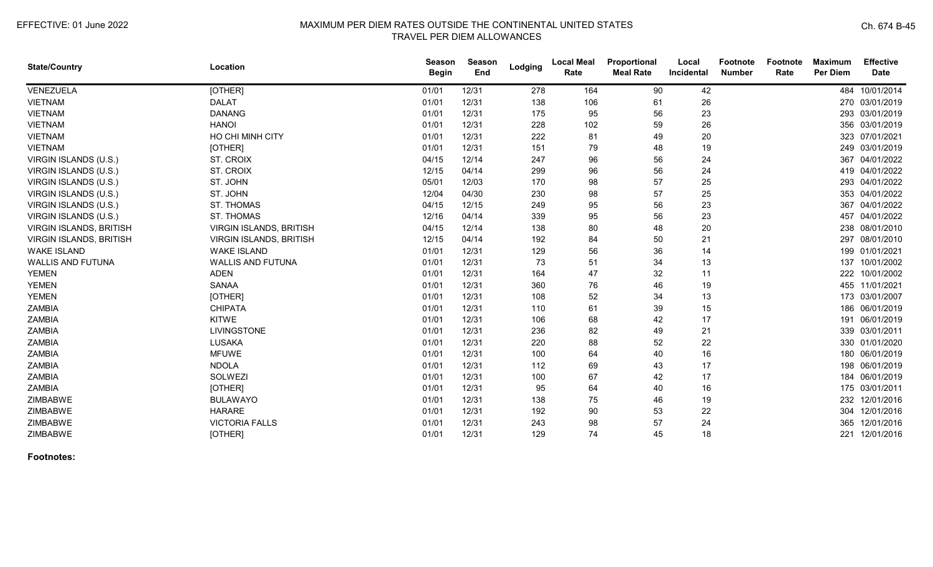| <b>State/Country</b>           | Location                       | <b>Season</b><br><b>Begin</b> | <b>Season</b><br>End | Lodging | <b>Local Meal</b><br>Rate | Proportional<br><b>Meal Rate</b> | Local<br>Incidental | Footnote<br><b>Number</b> | <b>Footnote</b><br>Rate | <b>Maximum</b><br><b>Per Diem</b> | <b>Effective</b><br><b>Date</b> |
|--------------------------------|--------------------------------|-------------------------------|----------------------|---------|---------------------------|----------------------------------|---------------------|---------------------------|-------------------------|-----------------------------------|---------------------------------|
| VENEZUELA                      | [OTHER]                        | 01/01                         | 12/31                | 278     | 164                       | 90                               | 42                  |                           |                         | 484                               | 10/01/2014                      |
| <b>VIETNAM</b>                 | <b>DALAT</b>                   | 01/01                         | 12/31                | 138     | 106                       | 61                               | 26                  |                           |                         |                                   | 270 03/01/2019                  |
| <b>VIETNAM</b>                 | <b>DANANG</b>                  | 01/01                         | 12/31                | 175     | 95                        | 56                               | 23                  |                           |                         |                                   | 293 03/01/2019                  |
| <b>VIETNAM</b>                 | <b>HANOI</b>                   | 01/01                         | 12/31                | 228     | 102                       | 59                               | 26                  |                           |                         |                                   | 356 03/01/2019                  |
| <b>VIETNAM</b>                 | HO CHI MINH CITY               | 01/01                         | 12/31                | 222     | 81                        | 49                               | 20                  |                           |                         | 323                               | 07/01/2021                      |
| <b>VIETNAM</b>                 | [OTHER]                        | 01/01                         | 12/31                | 151     | 79                        | 48                               | 19                  |                           |                         |                                   | 249 03/01/2019                  |
| VIRGIN ISLANDS (U.S.)          | ST. CROIX                      | 04/15                         | 12/14                | 247     | 96                        | 56                               | 24                  |                           |                         | 367                               | 04/01/2022                      |
| VIRGIN ISLANDS (U.S.)          | ST. CROIX                      | 12/15                         | 04/14                | 299     | 96                        | 56                               | 24                  |                           |                         |                                   | 419 04/01/2022                  |
| VIRGIN ISLANDS (U.S.)          | ST. JOHN                       | 05/01                         | 12/03                | 170     | 98                        | 57                               | 25                  |                           |                         |                                   | 293 04/01/2022                  |
| VIRGIN ISLANDS (U.S.)          | ST. JOHN                       | 12/04                         | 04/30                | 230     | 98                        | 57                               | 25                  |                           |                         |                                   | 353 04/01/2022                  |
| VIRGIN ISLANDS (U.S.)          | <b>ST. THOMAS</b>              | 04/15                         | 12/15                | 249     | 95                        | 56                               | 23                  |                           |                         |                                   | 367 04/01/2022                  |
| VIRGIN ISLANDS (U.S.)          | <b>ST. THOMAS</b>              | 12/16                         | 04/14                | 339     | 95                        | 56                               | 23                  |                           |                         |                                   | 457 04/01/2022                  |
| <b>VIRGIN ISLANDS, BRITISH</b> | <b>VIRGIN ISLANDS, BRITISH</b> | 04/15                         | 12/14                | 138     | 80                        | 48                               | 20                  |                           |                         |                                   | 238 08/01/2010                  |
| VIRGIN ISLANDS, BRITISH        | VIRGIN ISLANDS, BRITISH        | 12/15                         | 04/14                | 192     | 84                        | 50                               | 21                  |                           |                         | 297                               | 08/01/2010                      |
| <b>WAKE ISLAND</b>             | <b>WAKE ISLAND</b>             | 01/01                         | 12/31                | 129     | 56                        | 36                               | 14                  |                           |                         |                                   | 199 01/01/2021                  |
| <b>WALLIS AND FUTUNA</b>       | <b>WALLIS AND FUTUNA</b>       | 01/01                         | 12/31                | 73      | 51                        | 34                               | 13                  |                           |                         | 137                               | 10/01/2002                      |
| <b>YEMEN</b>                   | <b>ADEN</b>                    | 01/01                         | 12/31                | 164     | 47                        | 32                               | 11                  |                           |                         |                                   | 222 10/01/2002                  |
| <b>YEMEN</b>                   | <b>SANAA</b>                   | 01/01                         | 12/31                | 360     | 76                        | 46                               | 19                  |                           |                         | 455                               | 11/01/2021                      |
| <b>YEMEN</b>                   | [OTHER]                        | 01/01                         | 12/31                | 108     | 52                        | 34                               | 13                  |                           |                         |                                   | 173 03/01/2007                  |
| ZAMBIA                         | <b>CHIPATA</b>                 | 01/01                         | 12/31                | 110     | 61                        | 39                               | 15                  |                           |                         |                                   | 186 06/01/2019                  |
| ZAMBIA                         | <b>KITWE</b>                   | 01/01                         | 12/31                | 106     | 68                        | 42                               | 17                  |                           |                         |                                   | 191 06/01/2019                  |
| <b>ZAMBIA</b>                  | <b>LIVINGSTONE</b>             | 01/01                         | 12/31                | 236     | 82                        | 49                               | 21                  |                           |                         |                                   | 339 03/01/2011                  |
| <b>ZAMBIA</b>                  | <b>LUSAKA</b>                  | 01/01                         | 12/31                | 220     | 88                        | 52                               | 22                  |                           |                         |                                   | 330 01/01/2020                  |
| ZAMBIA                         | <b>MFUWE</b>                   | 01/01                         | 12/31                | 100     | 64                        | 40                               | 16                  |                           |                         |                                   | 180 06/01/2019                  |
| <b>ZAMBIA</b>                  | <b>NDOLA</b>                   | 01/01                         | 12/31                | 112     | 69                        | 43                               | 17                  |                           |                         |                                   | 198 06/01/2019                  |
| ZAMBIA                         | SOLWEZI                        | 01/01                         | 12/31                | 100     | 67                        | 42                               | 17                  |                           |                         |                                   | 184 06/01/2019                  |
| <b>ZAMBIA</b>                  | [OTHER]                        | 01/01                         | 12/31                | 95      | 64                        | 40                               | 16                  |                           |                         |                                   | 175 03/01/2011                  |
| ZIMBABWE                       | <b>BULAWAYO</b>                | 01/01                         | 12/31                | 138     | 75                        | 46                               | 19                  |                           |                         | 232                               | 12/01/2016                      |
| ZIMBABWE                       | <b>HARARE</b>                  | 01/01                         | 12/31                | 192     | 90                        | 53                               | 22                  |                           |                         |                                   | 304 12/01/2016                  |
| ZIMBABWE                       | <b>VICTORIA FALLS</b>          | 01/01                         | 12/31                | 243     | 98                        | 57                               | 24                  |                           |                         | 365                               | 12/01/2016                      |
| ZIMBABWE                       | [OTHER]                        | 01/01                         | 12/31                | 129     | 74                        | 45                               | 18                  |                           |                         |                                   | 221 12/01/2016                  |

**Footnotes:**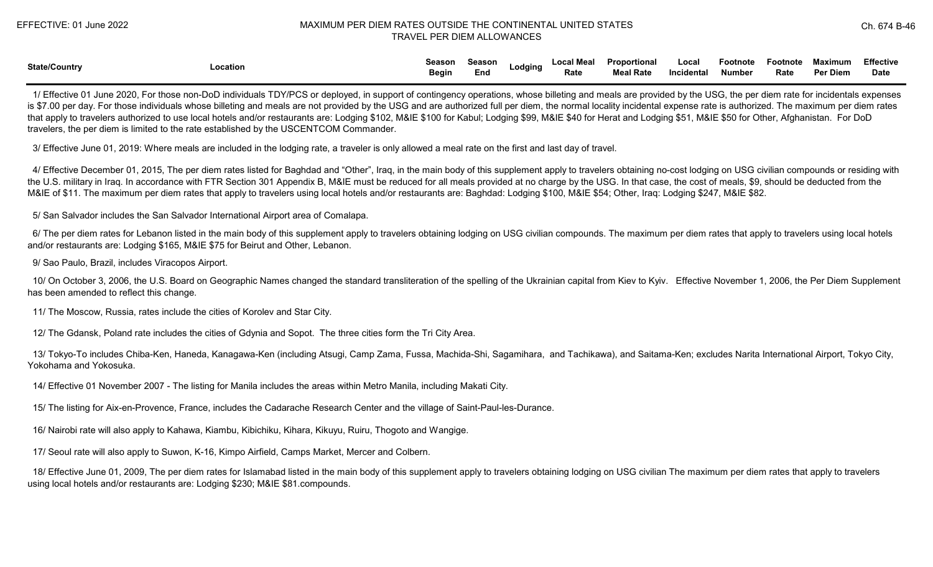| <b>State/Country</b> |          | Season | <b>Season</b> | Lodging | <b>Local Meal</b> | Proportional     | Local      | Footnote | Footnote | Maximum  | <b>Effective</b> |
|----------------------|----------|--------|---------------|---------|-------------------|------------------|------------|----------|----------|----------|------------------|
|                      | Location | Begin  | End           |         | Rate              | <b>Meal Rate</b> | Incidental | Number   | Rate     | Per Diem | <b>Date</b>      |

 1/ Effective 01 June 2020, For those non-DoD individuals TDY/PCS or deployed, in support of contingency operations, whose billeting and meals are provided by the USG, the per diem rate for incidentals expenses is \$7.00 per day. For those individuals whose billeting and meals are not provided by the USG and are authorized full per diem, the normal locality incidental expense rate is authorized. The maximum per diem rates that apply to travelers authorized to use local hotels and/or restaurants are: Lodging \$102, M&IE \$100 for Kabul; Lodging \$99, M&IE \$40 for Herat and Lodging \$51, M&IE \$50 for Other, Afghanistan. For DoD travelers, the per diem is limited to the rate established by the USCENTCOM Commander.

3/ Effective June 01, 2019: Where meals are included in the lodging rate, a traveler is only allowed a meal rate on the first and last day of travel.

4/ Effective December 01, 2015, The per diem rates listed for Baghdad and "Other", Iraq, in the main body of this supplement apply to travelers obtaining no-cost lodging on USG civilian compounds or residing with the U.S. military in Iraq. In accordance with FTR Section 301 Appendix B, M&IE must be reduced for all meals provided at no charge by the USG. In that case, the cost of meals, \$9, should be deducted from the M&IE of \$11. The maximum per diem rates that apply to travelers using local hotels and/or restaurants are: Baghdad: Lodging \$100, M&IE \$54; Other, Iraq: Lodging \$247, M&IE \$82.

5/ San Salvador includes the San Salvador International Airport area of Comalapa.

 6/ The per diem rates for Lebanon listed in the main body of this supplement apply to travelers obtaining lodging on USG civilian compounds. The maximum per diem rates that apply to travelers using local hotels and/or restaurants are: Lodging \$165, M&IE \$75 for Beirut and Other, Lebanon.

9/ Sao Paulo, Brazil, includes Viracopos Airport.

 10/ On October 3, 2006, the U.S. Board on Geographic Names changed the standard transliteration of the spelling of the Ukrainian capital from Kiev to Kyiv. Effective November 1, 2006, the Per Diem Supplement has been amended to reflect this change.

11/ The Moscow, Russia, rates include the cities of Korolev and Star City.

12/ The Gdansk, Poland rate includes the cities of Gdynia and Sopot. The three cities form the Tri City Area.

 13/ Tokyo-To includes Chiba-Ken, Haneda, Kanagawa-Ken (including Atsugi, Camp Zama, Fussa, Machida-Shi, Sagamihara, and Tachikawa), and Saitama-Ken; excludes Narita International Airport, Tokyo City, Yokohama and Yokosuka.

14/ Effective 01 November 2007 - The listing for Manila includes the areas within Metro Manila, including Makati City.

15/ The listing for Aix-en-Provence, France, includes the Cadarache Research Center and the village of Saint-Paul-les-Durance.

16/ Nairobi rate will also apply to Kahawa, Kiambu, Kibichiku, Kihara, Kikuyu, Ruiru, Thogoto and Wangige.

17/ Seoul rate will also apply to Suwon, K-16, Kimpo Airfield, Camps Market, Mercer and Colbern.

 18/ Effective June 01, 2009, The per diem rates for Islamabad listed in the main body of this supplement apply to travelers obtaining lodging on USG civilian The maximum per diem rates that apply to travelers using local hotels and/or restaurants are: Lodging \$230; M&IE \$81.compounds.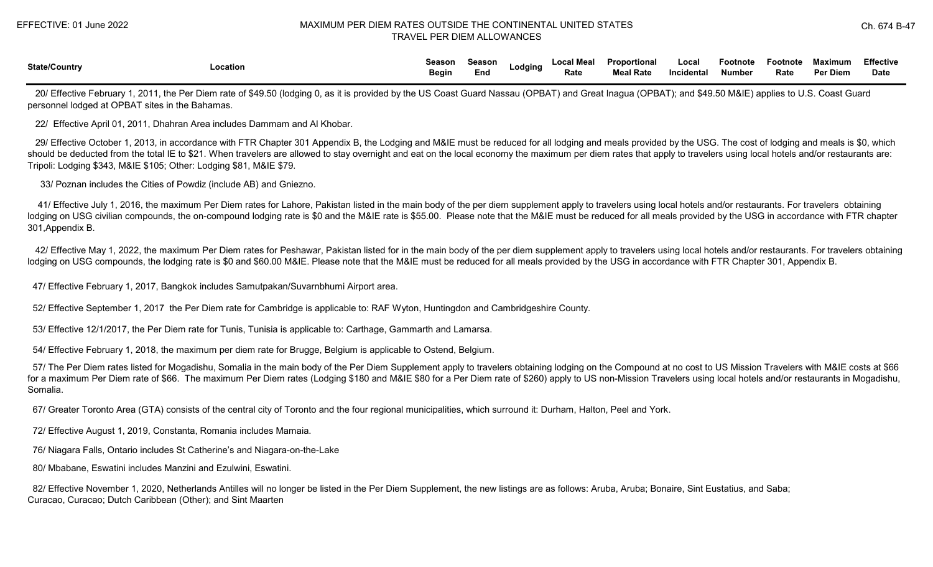| <b>State/Country</b> |          | Season       | Season |         | Local Meal | Proportional | Local             | Footnote      | Footnote | Maximum  | Fffective   |
|----------------------|----------|--------------|--------|---------|------------|--------------|-------------------|---------------|----------|----------|-------------|
|                      | _ocation | <b>Begin</b> | Eno    | ∟odqıno | Rate       | Meal Rate    | <b>Incidental</b> | <b>Number</b> | Rate     | Per Diem | <b>Date</b> |

20/ Effective February 1, 2011, the Per Diem rate of \$49.50 (lodging 0, as it is provided by the US Coast Guard Nassau (OPBAT) and Great Inagua (OPBAT); and \$49.50 M&IE) applies to U.S. Coast Guard personnel lodged at OPBAT sites in the Bahamas.

22/ Effective April 01, 2011, Dhahran Area includes Dammam and Al Khobar.

 29/ Effective October 1, 2013, in accordance with FTR Chapter 301 Appendix B, the Lodging and M&IE must be reduced for all lodging and meals provided by the USG. The cost of lodging and meals is \$0, which should be deducted from the total IE to \$21. When travelers are allowed to stay overnight and eat on the local economy the maximum per diem rates that apply to travelers using local hotels and/or restaurants are: Tripoli: Lodging \$343, M&IE \$105; Other: Lodging \$81, M&IE \$79.

33/ Poznan includes the Cities of Powdiz (include AB) and Gniezno.

 41/ Effective July 1, 2016, the maximum Per Diem rates for Lahore, Pakistan listed in the main body of the per diem supplement apply to travelers using local hotels and/or restaurants. For travelers obtaining lodging on USG civilian compounds, the on-compound lodging rate is \$0 and the M&IE rate is \$55.00. Please note that the M&IE must be reduced for all meals provided by the USG in accordance with FTR chapter 301,Appendix B.

42/ Effective May 1, 2022, the maximum Per Diem rates for Peshawar, Pakistan listed for in the main body of the per diem supplement apply to travelers using local hotels and/or restaurants. For travelers obtaining lodging on USG compounds, the lodging rate is \$0 and \$60.00 M&IE. Please note that the M&IE must be reduced for all meals provided by the USG in accordance with FTR Chapter 301, Appendix B.

47/ Effective February 1, 2017, Bangkok includes Samutpakan/Suvarnbhumi Airport area.

52/ Effective September 1, 2017 the Per Diem rate for Cambridge is applicable to: RAF Wyton, Huntingdon and Cambridgeshire County.

53/ Effective 12/1/2017, the Per Diem rate for Tunis, Tunisia is applicable to: Carthage, Gammarth and Lamarsa.

54/ Effective February 1, 2018, the maximum per diem rate for Brugge, Belgium is applicable to Ostend, Belgium.

 57/ The Per Diem rates listed for Mogadishu, Somalia in the main body of the Per Diem Supplement apply to travelers obtaining lodging on the Compound at no cost to US Mission Travelers with M&IE costs at \$66 for a maximum Per Diem rate of \$66. The maximum Per Diem rates (Lodging \$180 and M&IE \$80 for a Per Diem rate of \$260) apply to US non-Mission Travelers using local hotels and/or restaurants in Mogadishu, Somalia.

67/ Greater Toronto Area (GTA) consists of the central city of Toronto and the four regional municipalities, which surround it: Durham, Halton, Peel and York.

72/ Effective August 1, 2019, Constanta, Romania includes Mamaia.

76/ Niagara Falls, Ontario includes St Catherine's and Niagara-on-the-Lake

80/ Mbabane, Eswatini includes Manzini and Ezulwini, Eswatini.

82/ Effective November 1, 2020, Netherlands Antilles will no longer be listed in the Per Diem Supplement, the new listings are as follows: Aruba, Aruba; Bonaire, Sint Eustatius, and Saba; Curacao, Curacao; Dutch Caribbean (Other); and Sint Maarten